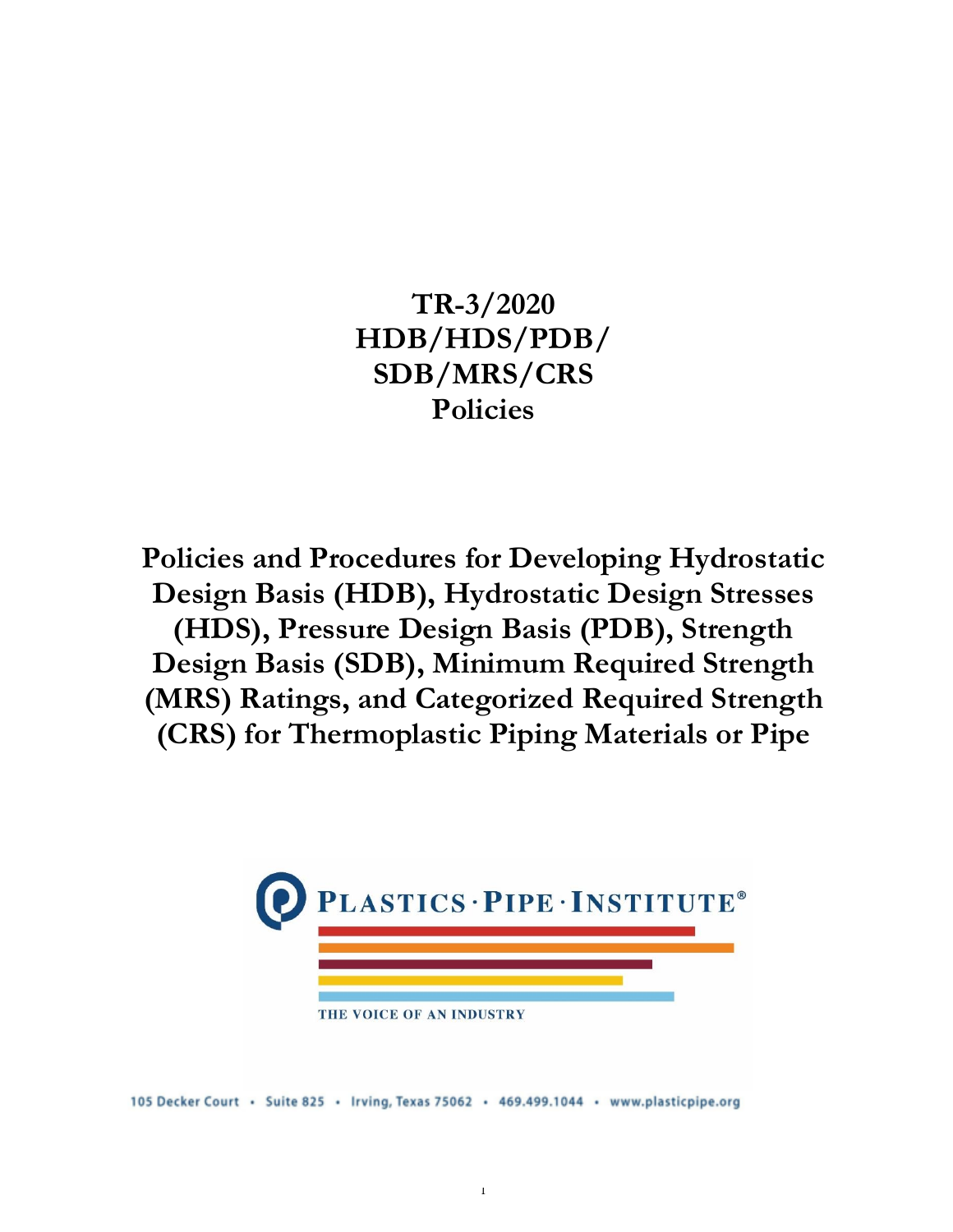**TR-3/2020 HDB/HDS/PDB/ SDB/MRS/CRS Policies**

**Policies and Procedures for Developing Hydrostatic Design Basis (HDB), Hydrostatic Design Stresses (HDS), Pressure Design Basis (PDB), Strength Design Basis (SDB), Minimum Required Strength (MRS) Ratings, and Categorized Required Strength (CRS) for Thermoplastic Piping Materials or Pipe**



105 Decker Court · Suite 825 · Irving, Texas 75062 · 469.499.1044 · www.plasticpipe.org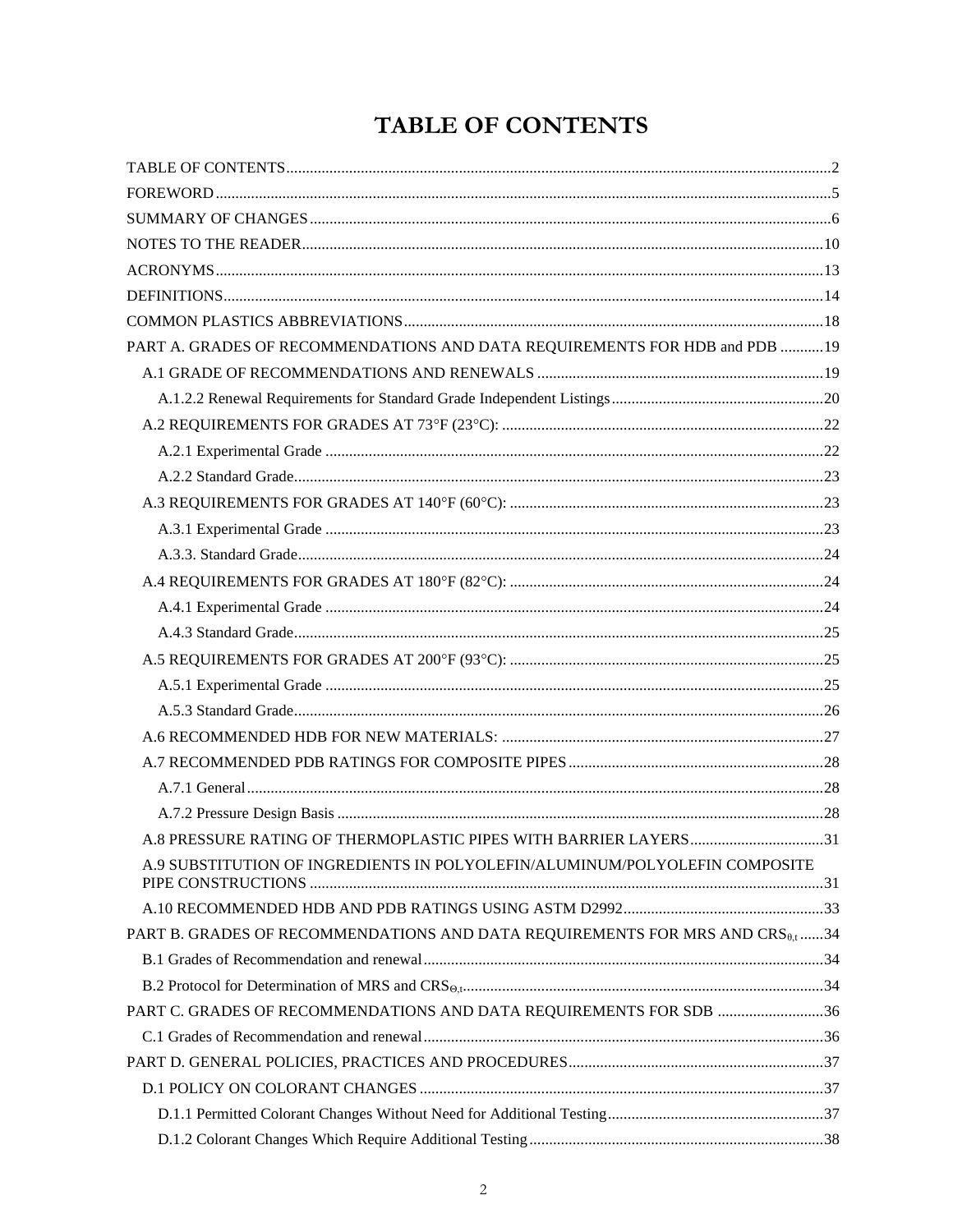# TABLE OF CONTENTS

<span id="page-1-0"></span>

| PART A. GRADES OF RECOMMENDATIONS AND DATA REQUIREMENTS FOR HDB and PDB 19               |  |
|------------------------------------------------------------------------------------------|--|
|                                                                                          |  |
|                                                                                          |  |
|                                                                                          |  |
|                                                                                          |  |
|                                                                                          |  |
|                                                                                          |  |
|                                                                                          |  |
|                                                                                          |  |
|                                                                                          |  |
|                                                                                          |  |
|                                                                                          |  |
|                                                                                          |  |
|                                                                                          |  |
|                                                                                          |  |
|                                                                                          |  |
|                                                                                          |  |
|                                                                                          |  |
|                                                                                          |  |
| A.8 PRESSURE RATING OF THERMOPLASTIC PIPES WITH BARRIER LAYERS31                         |  |
| A.9 SUBSTITUTION OF INGREDIENTS IN POLYOLEFIN/ALUMINUM/POLYOLEFIN COMPOSITE              |  |
|                                                                                          |  |
| PART B. GRADES OF RECOMMENDATIONS AND DATA REQUIREMENTS FOR MRS AND $CRS_{\theta, t}$ 34 |  |
|                                                                                          |  |
|                                                                                          |  |
| PART C. GRADES OF RECOMMENDATIONS AND DATA REQUIREMENTS FOR SDB 36                       |  |
|                                                                                          |  |
|                                                                                          |  |
|                                                                                          |  |
|                                                                                          |  |
|                                                                                          |  |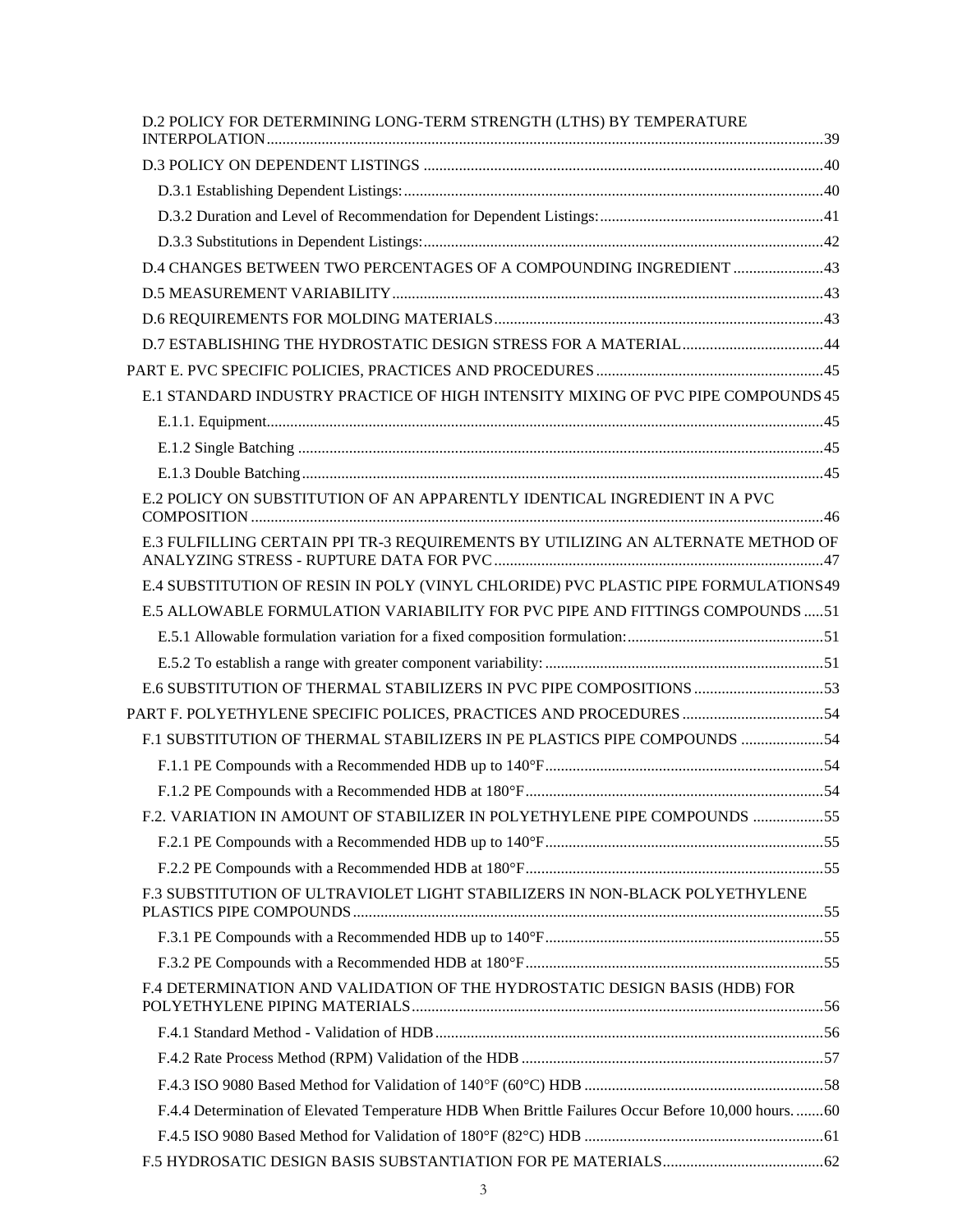| D.2 POLICY FOR DETERMINING LONG-TERM STRENGTH (LTHS) BY TEMPERATURE                               |  |
|---------------------------------------------------------------------------------------------------|--|
|                                                                                                   |  |
|                                                                                                   |  |
|                                                                                                   |  |
|                                                                                                   |  |
| D.4 CHANGES BETWEEN TWO PERCENTAGES OF A COMPOUNDING INGREDIENT 43                                |  |
|                                                                                                   |  |
|                                                                                                   |  |
| D.7 ESTABLISHING THE HYDROSTATIC DESIGN STRESS FOR A MATERIAL44                                   |  |
|                                                                                                   |  |
| E.1 STANDARD INDUSTRY PRACTICE OF HIGH INTENSITY MIXING OF PVC PIPE COMPOUNDS 45                  |  |
|                                                                                                   |  |
|                                                                                                   |  |
|                                                                                                   |  |
| E.2 POLICY ON SUBSTITUTION OF AN APPARENTLY IDENTICAL INGREDIENT IN A PVC                         |  |
| E.3 FULFILLING CERTAIN PPI TR-3 REQUIREMENTS BY UTILIZING AN ALTERNATE METHOD OF                  |  |
| E.4 SUBSTITUTION OF RESIN IN POLY (VINYL CHLORIDE) PVC PLASTIC PIPE FORMULATIONS49                |  |
| E.5 ALLOWABLE FORMULATION VARIABILITY FOR PVC PIPE AND FITTINGS COMPOUNDS 51                      |  |
|                                                                                                   |  |
|                                                                                                   |  |
| E.6 SUBSTITUTION OF THERMAL STABILIZERS IN PVC PIPE COMPOSITIONS 53                               |  |
| PART F. POLYETHYLENE SPECIFIC POLICES, PRACTICES AND PROCEDURES 54                                |  |
| F.1 SUBSTITUTION OF THERMAL STABILIZERS IN PE PLASTICS PIPE COMPOUNDS 54                          |  |
|                                                                                                   |  |
|                                                                                                   |  |
| F.2. VARIATION IN AMOUNT OF STABILIZER IN POLYETHYLENE PIPE COMPOUNDS 55                          |  |
|                                                                                                   |  |
|                                                                                                   |  |
| F.3 SUBSTITUTION OF ULTRAVIOLET LIGHT STABILIZERS IN NON-BLACK POLYETHYLENE                       |  |
|                                                                                                   |  |
|                                                                                                   |  |
| F.4 DETERMINATION AND VALIDATION OF THE HYDROSTATIC DESIGN BASIS (HDB) FOR                        |  |
|                                                                                                   |  |
|                                                                                                   |  |
|                                                                                                   |  |
| F.4.4 Determination of Elevated Temperature HDB When Brittle Failures Occur Before 10,000 hours60 |  |
|                                                                                                   |  |
|                                                                                                   |  |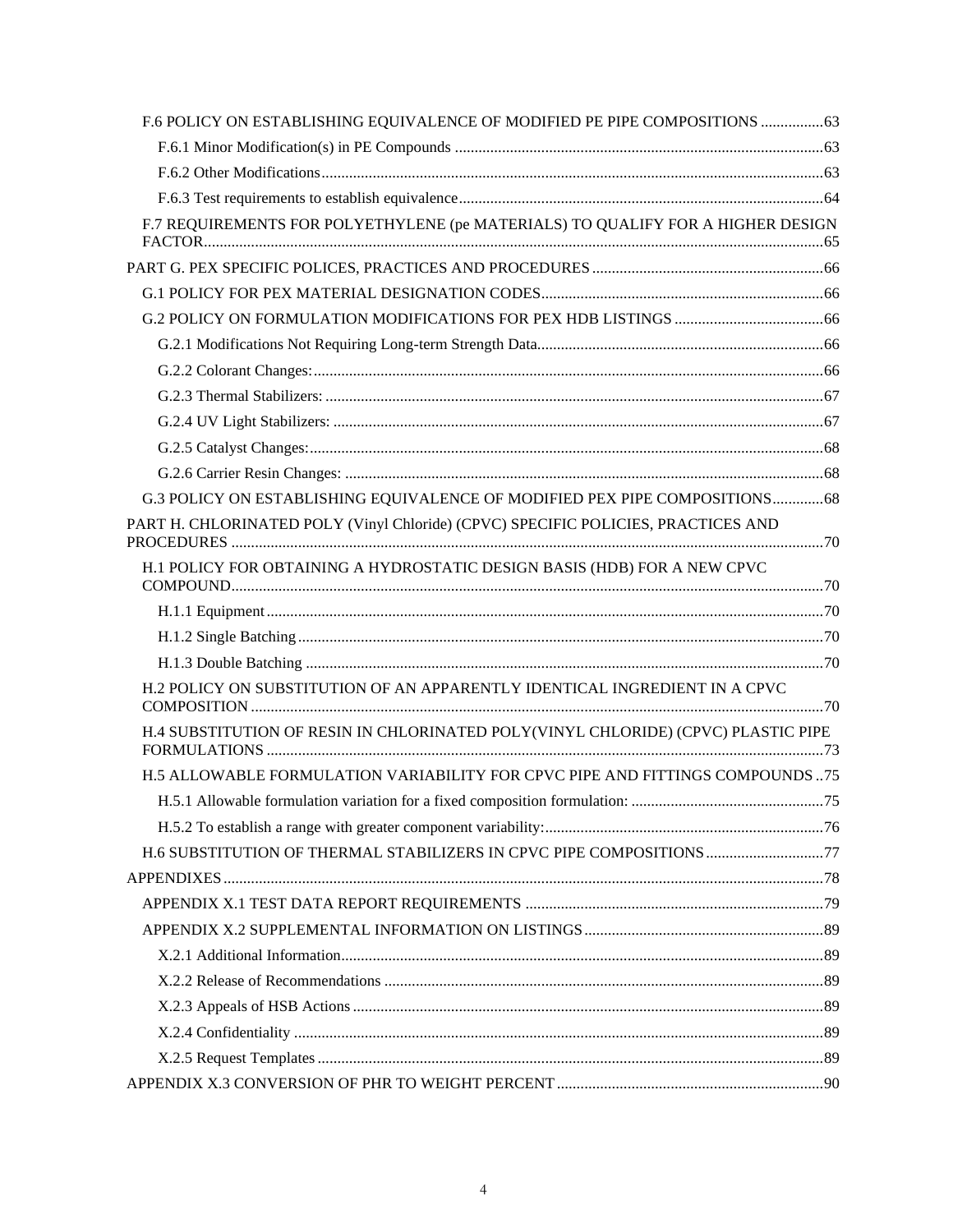| F.6 POLICY ON ESTABLISHING EQUIVALENCE OF MODIFIED PE PIPE COMPOSITIONS  63       |  |
|-----------------------------------------------------------------------------------|--|
|                                                                                   |  |
|                                                                                   |  |
|                                                                                   |  |
| F.7 REQUIREMENTS FOR POLYETHYLENE (pe MATERIALS) TO QUALIFY FOR A HIGHER DESIGN   |  |
|                                                                                   |  |
|                                                                                   |  |
|                                                                                   |  |
|                                                                                   |  |
|                                                                                   |  |
|                                                                                   |  |
|                                                                                   |  |
|                                                                                   |  |
|                                                                                   |  |
| G.3 POLICY ON ESTABLISHING EQUIVALENCE OF MODIFIED PEX PIPE COMPOSITIONS 68       |  |
| PART H. CHLORINATED POLY (Vinyl Chloride) (CPVC) SPECIFIC POLICIES, PRACTICES AND |  |
| H.1 POLICY FOR OBTAINING A HYDROSTATIC DESIGN BASIS (HDB) FOR A NEW CPVC          |  |
|                                                                                   |  |
|                                                                                   |  |
|                                                                                   |  |
| H.2 POLICY ON SUBSTITUTION OF AN APPARENTLY IDENTICAL INGREDIENT IN A CPVC        |  |
| H.4 SUBSTITUTION OF RESIN IN CHLORINATED POLY(VINYL CHLORIDE) (CPVC) PLASTIC PIPE |  |
| H.5 ALLOWABLE FORMULATION VARIABILITY FOR CPVC PIPE AND FITTINGS COMPOUNDS75      |  |
|                                                                                   |  |
|                                                                                   |  |
| H.6 SUBSTITUTION OF THERMAL STABILIZERS IN CPVC PIPE COMPOSITIONS 77              |  |
|                                                                                   |  |
|                                                                                   |  |
|                                                                                   |  |
|                                                                                   |  |
|                                                                                   |  |
|                                                                                   |  |
|                                                                                   |  |
|                                                                                   |  |
|                                                                                   |  |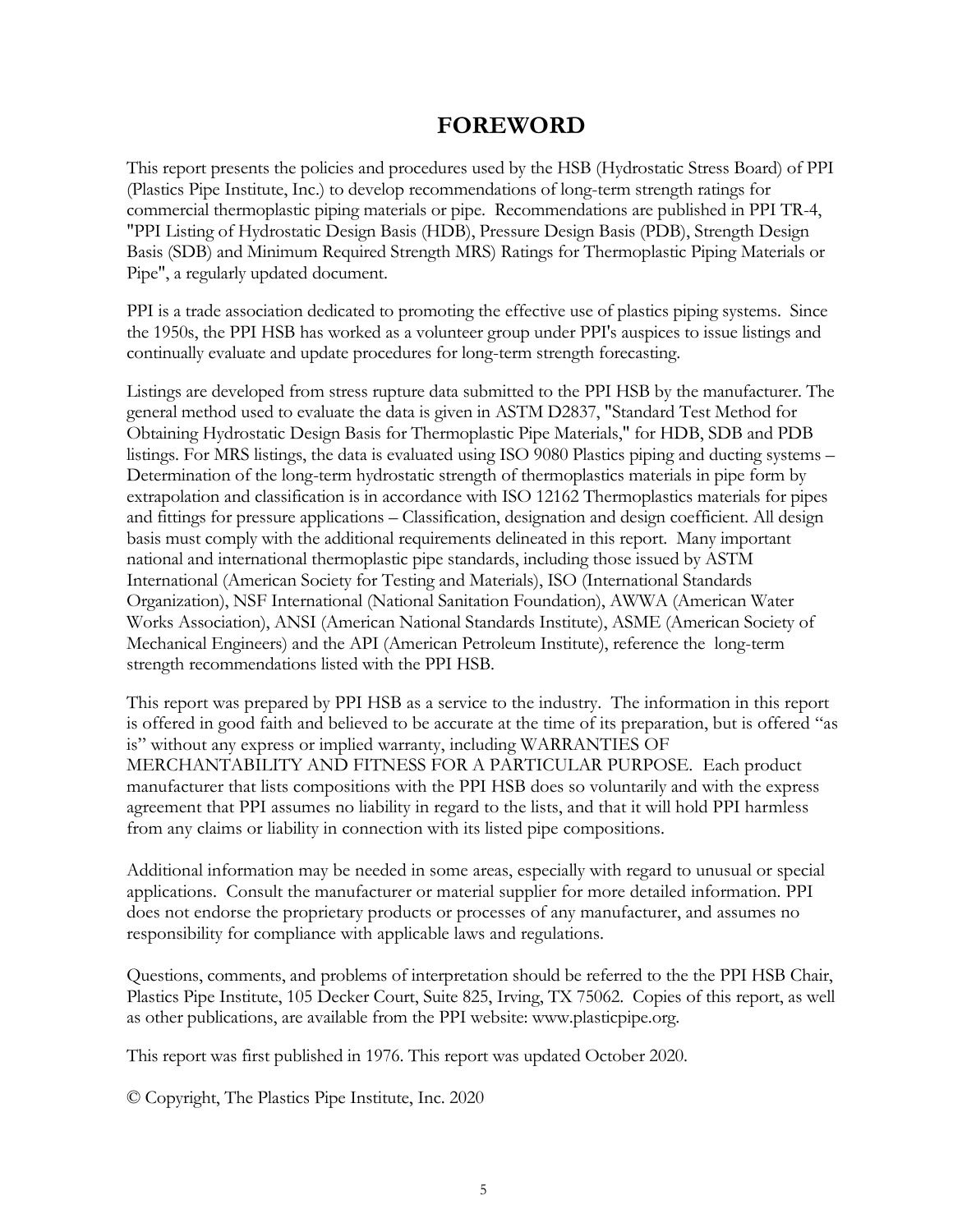## **FOREWORD**

<span id="page-4-0"></span>This report presents the policies and procedures used by the HSB (Hydrostatic Stress Board) of PPI (Plastics Pipe Institute, Inc.) to develop recommendations of long-term strength ratings for commercial thermoplastic piping materials or pipe. Recommendations are published in PPI TR-4, "PPI Listing of Hydrostatic Design Basis (HDB), Pressure Design Basis (PDB), Strength Design Basis (SDB) and Minimum Required Strength MRS) Ratings for Thermoplastic Piping Materials or Pipe", a regularly updated document.

PPI is a trade association dedicated to promoting the effective use of plastics piping systems. Since the 1950s, the PPI HSB has worked as a volunteer group under PPI's auspices to issue listings and continually evaluate and update procedures for long-term strength forecasting.

Listings are developed from stress rupture data submitted to the PPI HSB by the manufacturer. The general method used to evaluate the data is given in ASTM D2837, "Standard Test Method for Obtaining Hydrostatic Design Basis for Thermoplastic Pipe Materials," for HDB, SDB and PDB listings. For MRS listings, the data is evaluated using ISO 9080 Plastics piping and ducting systems – Determination of the long-term hydrostatic strength of thermoplastics materials in pipe form by extrapolation and classification is in accordance with ISO 12162 Thermoplastics materials for pipes and fittings for pressure applications – Classification, designation and design coefficient. All design basis must comply with the additional requirements delineated in this report. Many important national and international thermoplastic pipe standards, including those issued by ASTM International (American Society for Testing and Materials), ISO (International Standards Organization), NSF International (National Sanitation Foundation), AWWA (American Water Works Association), ANSI (American National Standards Institute), ASME (American Society of Mechanical Engineers) and the API (American Petroleum Institute), reference the long-term strength recommendations listed with the PPI HSB.

This report was prepared by PPI HSB as a service to the industry. The information in this report is offered in good faith and believed to be accurate at the time of its preparation, but is offered "as is" without any express or implied warranty, including WARRANTIES OF MERCHANTABILITY AND FITNESS FOR A PARTICULAR PURPOSE. Each product manufacturer that lists compositions with the PPI HSB does so voluntarily and with the express agreement that PPI assumes no liability in regard to the lists, and that it will hold PPI harmless from any claims or liability in connection with its listed pipe compositions.

Additional information may be needed in some areas, especially with regard to unusual or special applications. Consult the manufacturer or material supplier for more detailed information. PPI does not endorse the proprietary products or processes of any manufacturer, and assumes no responsibility for compliance with applicable laws and regulations.

Questions, comments, and problems of interpretation should be referred to the the PPI HSB Chair, Plastics Pipe Institute, 105 Decker Court, Suite 825, Irving, TX 75062. Copies of this report, as well as other publications, are available from the PPI website: www.plasticpipe.org.

This report was first published in 1976. This report was updated October 2020.

© Copyright, The Plastics Pipe Institute, Inc. 2020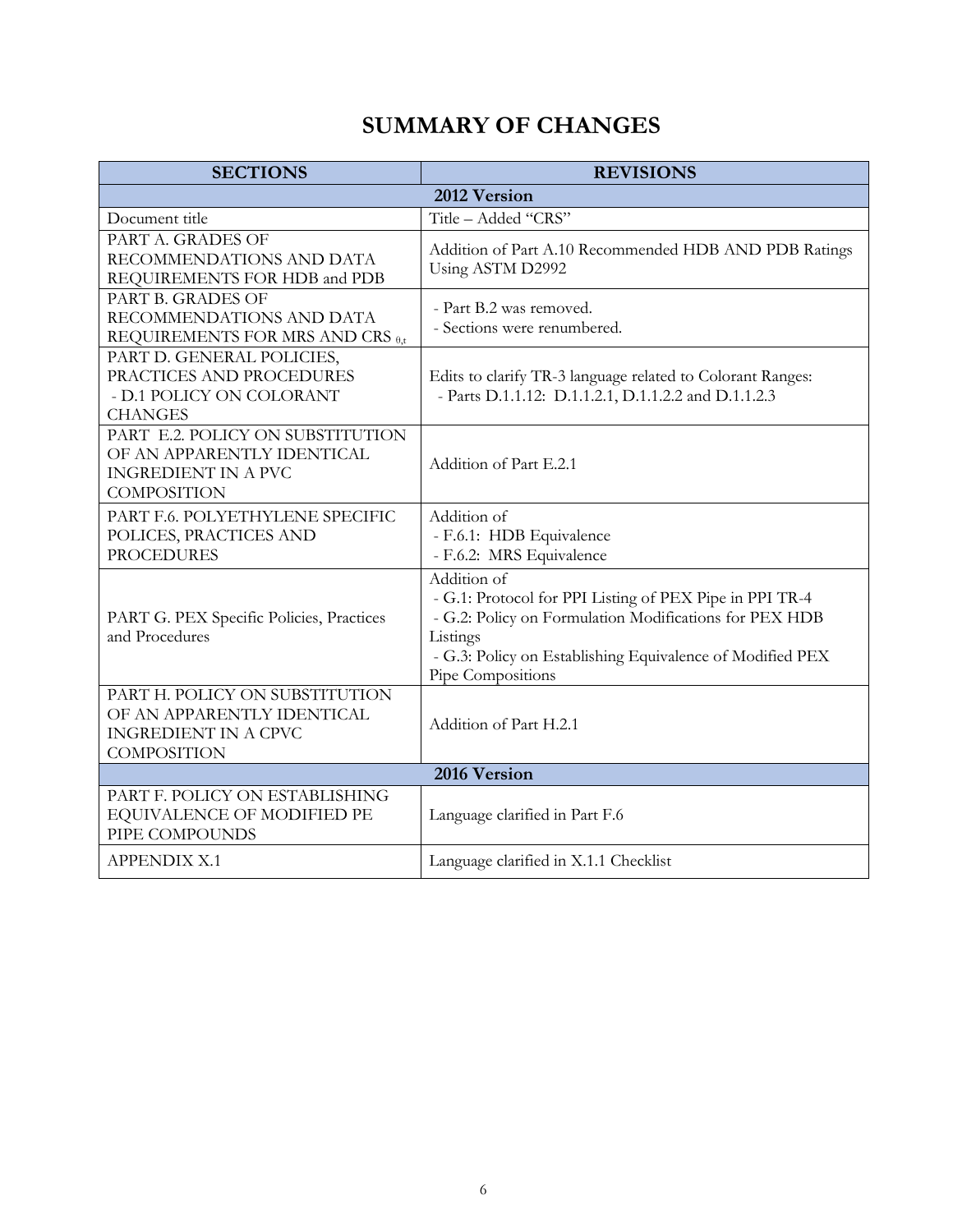# **SUMMARY OF CHANGES**

<span id="page-5-0"></span>

| <b>SECTIONS</b>                                                                                                    | <b>REVISIONS</b>                                                                                                                                                                                                               |  |
|--------------------------------------------------------------------------------------------------------------------|--------------------------------------------------------------------------------------------------------------------------------------------------------------------------------------------------------------------------------|--|
|                                                                                                                    | 2012 Version                                                                                                                                                                                                                   |  |
| Document title                                                                                                     | Title - Added "CRS"                                                                                                                                                                                                            |  |
| PART A. GRADES OF<br>RECOMMENDATIONS AND DATA<br>REQUIREMENTS FOR HDB and PDB                                      | Addition of Part A.10 Recommended HDB AND PDB Ratings<br>Using ASTM D2992                                                                                                                                                      |  |
| PART B. GRADES OF<br>RECOMMENDATIONS AND DATA<br>REQUIREMENTS FOR MRS AND CRS <sup>0,t</sup>                       | - Part B.2 was removed.<br>- Sections were renumbered.                                                                                                                                                                         |  |
| PART D. GENERAL POLICIES,<br>PRACTICES AND PROCEDURES<br>- D.1 POLICY ON COLORANT<br><b>CHANGES</b>                | Edits to clarify TR-3 language related to Colorant Ranges:<br>- Parts D.1.1.12: D.1.1.2.1, D.1.1.2.2 and D.1.1.2.3                                                                                                             |  |
| PART E.2. POLICY ON SUBSTITUTION<br>OF AN APPARENTLY IDENTICAL<br><b>INGREDIENT IN A PVC</b><br><b>COMPOSITION</b> | Addition of Part E.2.1                                                                                                                                                                                                         |  |
| PART F.6. POLYETHYLENE SPECIFIC<br>POLICES, PRACTICES AND<br><b>PROCEDURES</b>                                     | Addition of<br>- F.6.1: HDB Equivalence<br>- F.6.2: MRS Equivalence                                                                                                                                                            |  |
| PART G. PEX Specific Policies, Practices<br>and Procedures                                                         | Addition of<br>- G.1: Protocol for PPI Listing of PEX Pipe in PPI TR-4<br>- G.2: Policy on Formulation Modifications for PEX HDB<br>Listings<br>- G.3: Policy on Establishing Equivalence of Modified PEX<br>Pipe Compositions |  |
| PART H. POLICY ON SUBSTITUTION<br>OF AN APPARENTLY IDENTICAL<br><b>INGREDIENT IN A CPVC</b><br><b>COMPOSITION</b>  | Addition of Part H.2.1                                                                                                                                                                                                         |  |
| 2016 Version                                                                                                       |                                                                                                                                                                                                                                |  |
| PART F. POLICY ON ESTABLISHING<br>EQUIVALENCE OF MODIFIED PE<br>PIPE COMPOUNDS                                     | Language clarified in Part F.6                                                                                                                                                                                                 |  |
| <b>APPENDIX X.1</b>                                                                                                | Language clarified in X.1.1 Checklist                                                                                                                                                                                          |  |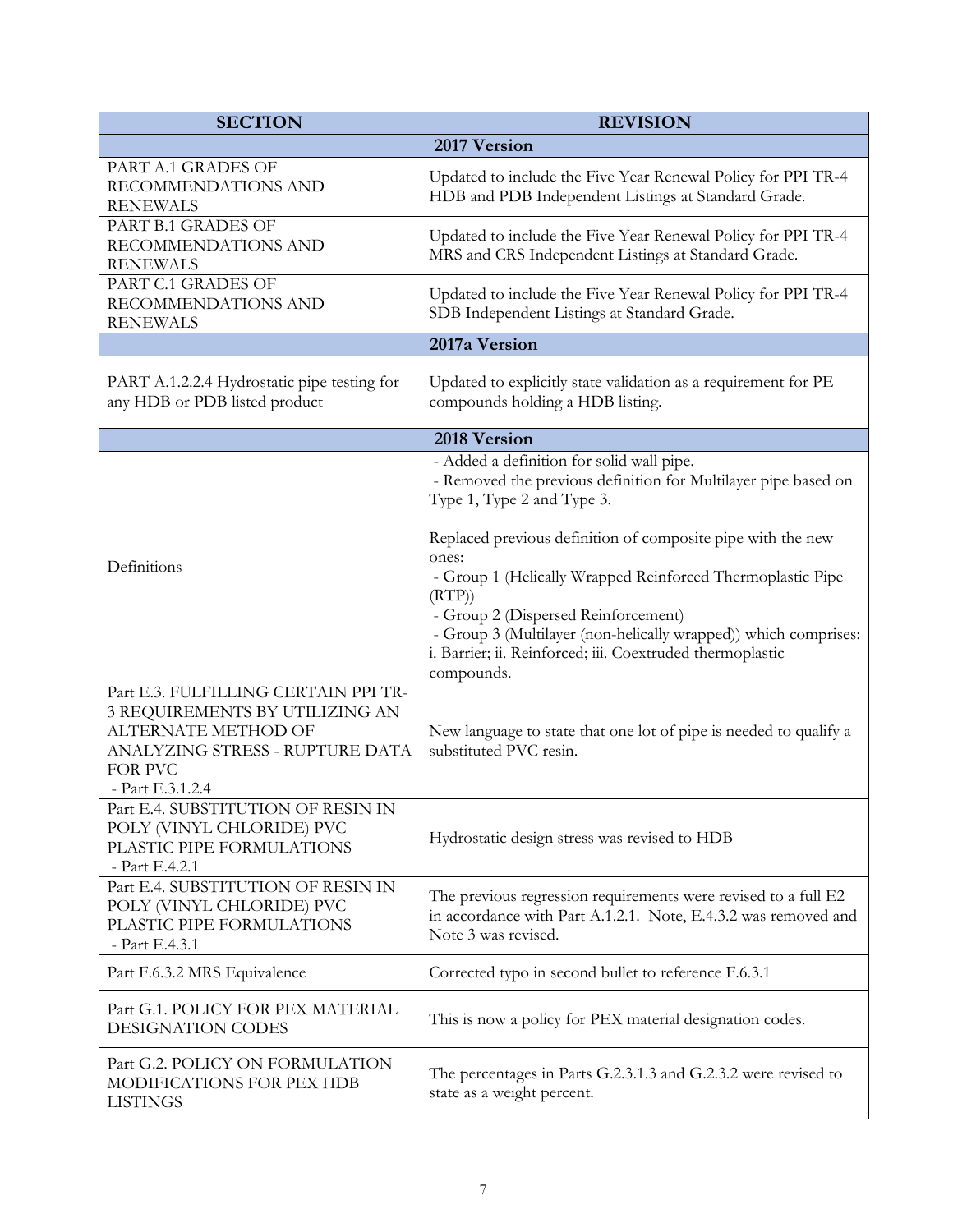| <b>SECTION</b>                                                                                                                                                  | <b>REVISION</b>                                                                                                                                                                                                                                                                                                                  |
|-----------------------------------------------------------------------------------------------------------------------------------------------------------------|----------------------------------------------------------------------------------------------------------------------------------------------------------------------------------------------------------------------------------------------------------------------------------------------------------------------------------|
|                                                                                                                                                                 | 2017 Version                                                                                                                                                                                                                                                                                                                     |
| PART A.1 GRADES OF<br>RECOMMENDATIONS AND<br><b>RENEWALS</b>                                                                                                    | Updated to include the Five Year Renewal Policy for PPI TR-4<br>HDB and PDB Independent Listings at Standard Grade.                                                                                                                                                                                                              |
| PART B.1 GRADES OF<br>RECOMMENDATIONS AND<br><b>RENEWALS</b>                                                                                                    | Updated to include the Five Year Renewal Policy for PPI TR-4<br>MRS and CRS Independent Listings at Standard Grade.                                                                                                                                                                                                              |
| PART C.1 GRADES OF<br>RECOMMENDATIONS AND<br><b>RENEWALS</b>                                                                                                    | Updated to include the Five Year Renewal Policy for PPI TR-4<br>SDB Independent Listings at Standard Grade.                                                                                                                                                                                                                      |
|                                                                                                                                                                 | 2017a Version                                                                                                                                                                                                                                                                                                                    |
| PART A.1.2.2.4 Hydrostatic pipe testing for<br>any HDB or PDB listed product                                                                                    | Updated to explicitly state validation as a requirement for PE<br>compounds holding a HDB listing.                                                                                                                                                                                                                               |
|                                                                                                                                                                 | 2018 Version                                                                                                                                                                                                                                                                                                                     |
|                                                                                                                                                                 | - Added a definition for solid wall pipe.<br>- Removed the previous definition for Multilayer pipe based on<br>Type 1, Type 2 and Type 3.                                                                                                                                                                                        |
| Definitions                                                                                                                                                     | Replaced previous definition of composite pipe with the new<br>ones:<br>- Group 1 (Helically Wrapped Reinforced Thermoplastic Pipe<br>(RTP)<br>- Group 2 (Dispersed Reinforcement)<br>- Group 3 (Multilayer (non-helically wrapped)) which comprises:<br>i. Barrier; ii. Reinforced; iii. Coextruded thermoplastic<br>compounds. |
| Part E.3. FULFILLING CERTAIN PPI TR-<br>3 REQUIREMENTS BY UTILIZING AN<br>ALTERNATE METHOD OF<br>ANALYZING STRESS - RUPTURE DATA<br>FOR PVC<br>- Part E.3.1.2.4 | New language to state that one lot of pipe is needed to qualify a<br>substituted PVC resin.                                                                                                                                                                                                                                      |
| Part E.4. SUBSTITUTION OF RESIN IN<br>POLY (VINYL CHLORIDE) PVC<br>PLASTIC PIPE FORMULATIONS<br>- Part E.4.2.1                                                  | Hydrostatic design stress was revised to HDB                                                                                                                                                                                                                                                                                     |
| Part E.4. SUBSTITUTION OF RESIN IN<br>POLY (VINYL CHLORIDE) PVC<br>PLASTIC PIPE FORMULATIONS<br>- Part E.4.3.1                                                  | The previous regression requirements were revised to a full E2<br>in accordance with Part A.1.2.1. Note, E.4.3.2 was removed and<br>Note 3 was revised.                                                                                                                                                                          |
| Part F.6.3.2 MRS Equivalence                                                                                                                                    | Corrected typo in second bullet to reference F.6.3.1                                                                                                                                                                                                                                                                             |
| Part G.1. POLICY FOR PEX MATERIAL<br>DESIGNATION CODES                                                                                                          | This is now a policy for PEX material designation codes.                                                                                                                                                                                                                                                                         |
| Part G.2. POLICY ON FORMULATION<br>MODIFICATIONS FOR PEX HDB<br><b>LISTINGS</b>                                                                                 | The percentages in Parts G.2.3.1.3 and G.2.3.2 were revised to<br>state as a weight percent.                                                                                                                                                                                                                                     |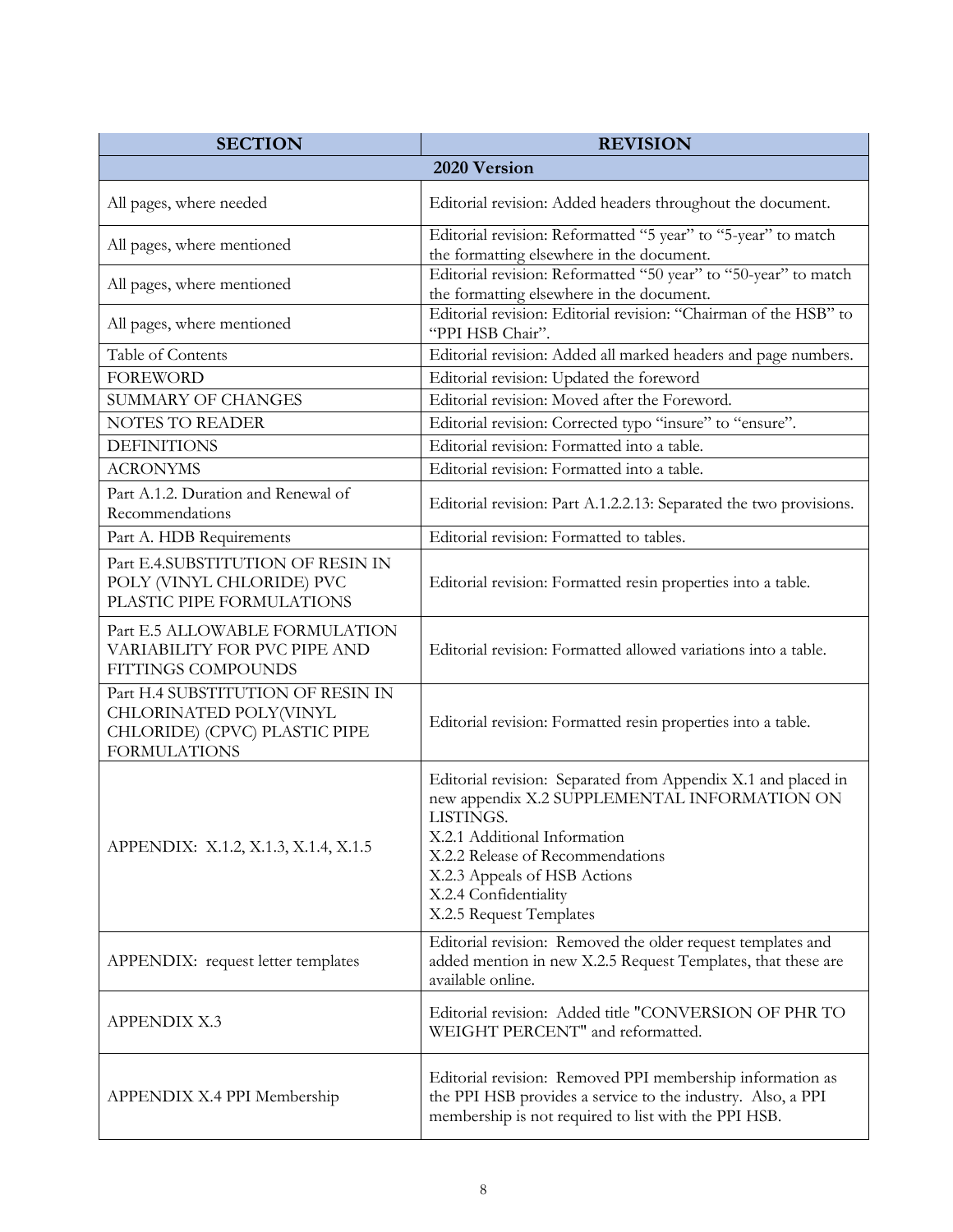| <b>SECTION</b>                                                                                                      | <b>REVISION</b>                                                                                                                                                                                                                                                                    |
|---------------------------------------------------------------------------------------------------------------------|------------------------------------------------------------------------------------------------------------------------------------------------------------------------------------------------------------------------------------------------------------------------------------|
|                                                                                                                     | 2020 Version                                                                                                                                                                                                                                                                       |
| All pages, where needed                                                                                             | Editorial revision: Added headers throughout the document.                                                                                                                                                                                                                         |
| All pages, where mentioned                                                                                          | Editorial revision: Reformatted "5 year" to "5-year" to match<br>the formatting elsewhere in the document.                                                                                                                                                                         |
| All pages, where mentioned                                                                                          | Editorial revision: Reformatted "50 year" to "50-year" to match<br>the formatting elsewhere in the document.                                                                                                                                                                       |
| All pages, where mentioned                                                                                          | Editorial revision: Editorial revision: "Chairman of the HSB" to<br>"PPI HSB Chair".                                                                                                                                                                                               |
| Table of Contents                                                                                                   | Editorial revision: Added all marked headers and page numbers.                                                                                                                                                                                                                     |
| <b>FOREWORD</b>                                                                                                     | Editorial revision: Updated the foreword                                                                                                                                                                                                                                           |
| <b>SUMMARY OF CHANGES</b>                                                                                           | Editorial revision: Moved after the Foreword.                                                                                                                                                                                                                                      |
| <b>NOTES TO READER</b>                                                                                              | Editorial revision: Corrected typo "insure" to "ensure".                                                                                                                                                                                                                           |
| <b>DEFINITIONS</b>                                                                                                  | Editorial revision: Formatted into a table.                                                                                                                                                                                                                                        |
| <b>ACRONYMS</b>                                                                                                     | Editorial revision: Formatted into a table.                                                                                                                                                                                                                                        |
| Part A.1.2. Duration and Renewal of<br>Recommendations                                                              | Editorial revision: Part A.1.2.2.13: Separated the two provisions.                                                                                                                                                                                                                 |
| Part A. HDB Requirements                                                                                            | Editorial revision: Formatted to tables.                                                                                                                                                                                                                                           |
| Part E.4.SUBSTITUTION OF RESIN IN<br>POLY (VINYL CHLORIDE) PVC<br>PLASTIC PIPE FORMULATIONS                         | Editorial revision: Formatted resin properties into a table.                                                                                                                                                                                                                       |
| Part E.5 ALLOWABLE FORMULATION<br>VARIABILITY FOR PVC PIPE AND<br>FITTINGS COMPOUNDS                                | Editorial revision: Formatted allowed variations into a table.                                                                                                                                                                                                                     |
| Part H.4 SUBSTITUTION OF RESIN IN<br>CHLORINATED POLY(VINYL<br>CHLORIDE) (CPVC) PLASTIC PIPE<br><b>FORMULATIONS</b> | Editorial revision: Formatted resin properties into a table.                                                                                                                                                                                                                       |
| APPENDIX: X.1.2, X.1.3, X.1.4, X.1.5                                                                                | Editorial revision: Separated from Appendix X.1 and placed in<br>new appendix X.2 SUPPLEMENTAL INFORMATION ON<br>LISTINGS.<br>X.2.1 Additional Information<br>X.2.2 Release of Recommendations<br>X.2.3 Appeals of HSB Actions<br>X.2.4 Confidentiality<br>X.2.5 Request Templates |
| APPENDIX: request letter templates                                                                                  | Editorial revision: Removed the older request templates and<br>added mention in new X.2.5 Request Templates, that these are<br>available online.                                                                                                                                   |
| <b>APPENDIX X.3</b>                                                                                                 | Editorial revision: Added title "CONVERSION OF PHR TO<br>WEIGHT PERCENT" and reformatted.                                                                                                                                                                                          |
| APPENDIX X.4 PPI Membership                                                                                         | Editorial revision: Removed PPI membership information as<br>the PPI HSB provides a service to the industry. Also, a PPI<br>membership is not required to list with the PPI HSB.                                                                                                   |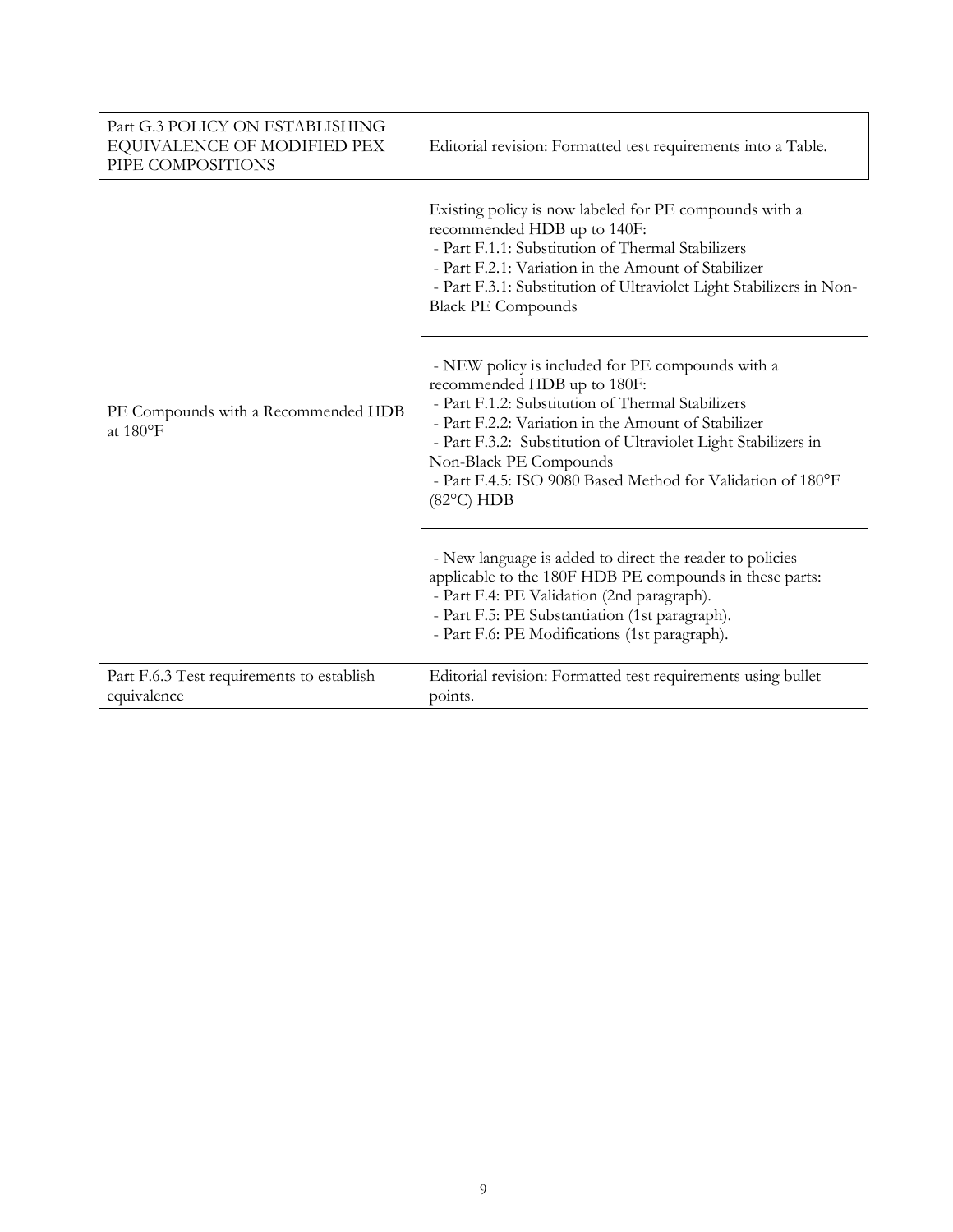| Part G.3 POLICY ON ESTABLISHING<br>EQUIVALENCE OF MODIFIED PEX<br>PIPE COMPOSITIONS | Editorial revision: Formatted test requirements into a Table.                                                                                                                                                                                                                                                                                                                 |
|-------------------------------------------------------------------------------------|-------------------------------------------------------------------------------------------------------------------------------------------------------------------------------------------------------------------------------------------------------------------------------------------------------------------------------------------------------------------------------|
| PE Compounds with a Recommended HDB<br>at $180^{\circ}$ F                           | Existing policy is now labeled for PE compounds with a<br>recommended HDB up to 140F:<br>- Part F.1.1: Substitution of Thermal Stabilizers<br>- Part F.2.1: Variation in the Amount of Stabilizer<br>- Part F.3.1: Substitution of Ultraviolet Light Stabilizers in Non-<br><b>Black PE Compounds</b>                                                                         |
|                                                                                     | - NEW policy is included for PE compounds with a<br>recommended HDB up to 180F:<br>- Part F.1.2: Substitution of Thermal Stabilizers<br>- Part F.2.2: Variation in the Amount of Stabilizer<br>- Part F.3.2: Substitution of Ultraviolet Light Stabilizers in<br>Non-Black PE Compounds<br>- Part F.4.5: ISO 9080 Based Method for Validation of 180°F<br>$(82^{\circ}C)$ HDB |
|                                                                                     | - New language is added to direct the reader to policies<br>applicable to the 180F HDB PE compounds in these parts:<br>- Part F.4: PE Validation (2nd paragraph).<br>- Part F.5: PE Substantiation (1st paragraph).<br>- Part F.6: PE Modifications (1st paragraph).                                                                                                          |
| Part F.6.3 Test requirements to establish<br>equivalence                            | Editorial revision: Formatted test requirements using bullet<br>points.                                                                                                                                                                                                                                                                                                       |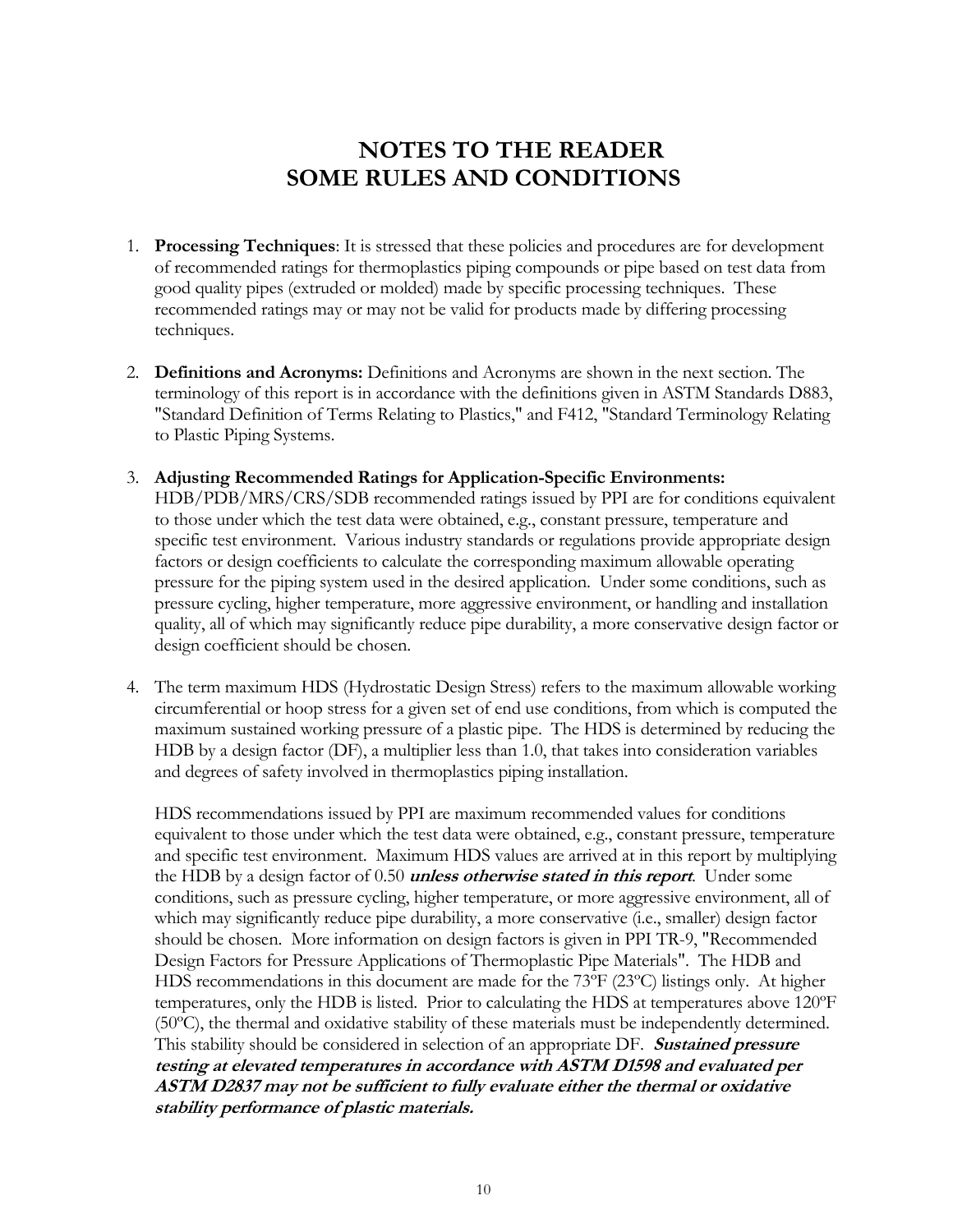## **NOTES TO THE READER SOME RULES AND CONDITIONS**

- <span id="page-9-0"></span>1. **Processing Techniques**: It is stressed that these policies and procedures are for development of recommended ratings for thermoplastics piping compounds or pipe based on test data from good quality pipes (extruded or molded) made by specific processing techniques. These recommended ratings may or may not be valid for products made by differing processing techniques.
- 2. **Definitions and Acronyms:** Definitions and Acronyms are shown in the next section. The terminology of this report is in accordance with the definitions given in ASTM Standards D883, "Standard Definition of Terms Relating to Plastics," and F412, "Standard Terminology Relating to Plastic Piping Systems.
- 3. **Adjusting Recommended Ratings for Application-Specific Environments:** HDB/PDB/MRS/CRS/SDB recommended ratings issued by PPI are for conditions equivalent to those under which the test data were obtained, e.g., constant pressure, temperature and specific test environment. Various industry standards or regulations provide appropriate design factors or design coefficients to calculate the corresponding maximum allowable operating pressure for the piping system used in the desired application. Under some conditions, such as pressure cycling, higher temperature, more aggressive environment, or handling and installation quality, all of which may significantly reduce pipe durability, a more conservative design factor or design coefficient should be chosen.
- 4. The term maximum HDS (Hydrostatic Design Stress) refers to the maximum allowable working circumferential or hoop stress for a given set of end use conditions, from which is computed the maximum sustained working pressure of a plastic pipe. The HDS is determined by reducing the HDB by a design factor (DF), a multiplier less than 1.0, that takes into consideration variables and degrees of safety involved in thermoplastics piping installation.

HDS recommendations issued by PPI are maximum recommended values for conditions equivalent to those under which the test data were obtained, e.g., constant pressure, temperature and specific test environment. Maximum HDS values are arrived at in this report by multiplying the HDB by a design factor of 0.50 **unless otherwise stated in this report**. Under some conditions, such as pressure cycling, higher temperature, or more aggressive environment, all of which may significantly reduce pipe durability, a more conservative (i.e., smaller) design factor should be chosen. More information on design factors is given in PPI TR-9, "Recommended Design Factors for Pressure Applications of Thermoplastic Pipe Materials". The HDB and HDS recommendations in this document are made for the 73ºF (23ºC) listings only. At higher temperatures, only the HDB is listed. Prior to calculating the HDS at temperatures above 120ºF (50ºC), the thermal and oxidative stability of these materials must be independently determined. This stability should be considered in selection of an appropriate DF. **Sustained pressure testing at elevated temperatures in accordance with ASTM D1598 and evaluated per ASTM D2837 may not be sufficient to fully evaluate either the thermal or oxidative stability performance of plastic materials.**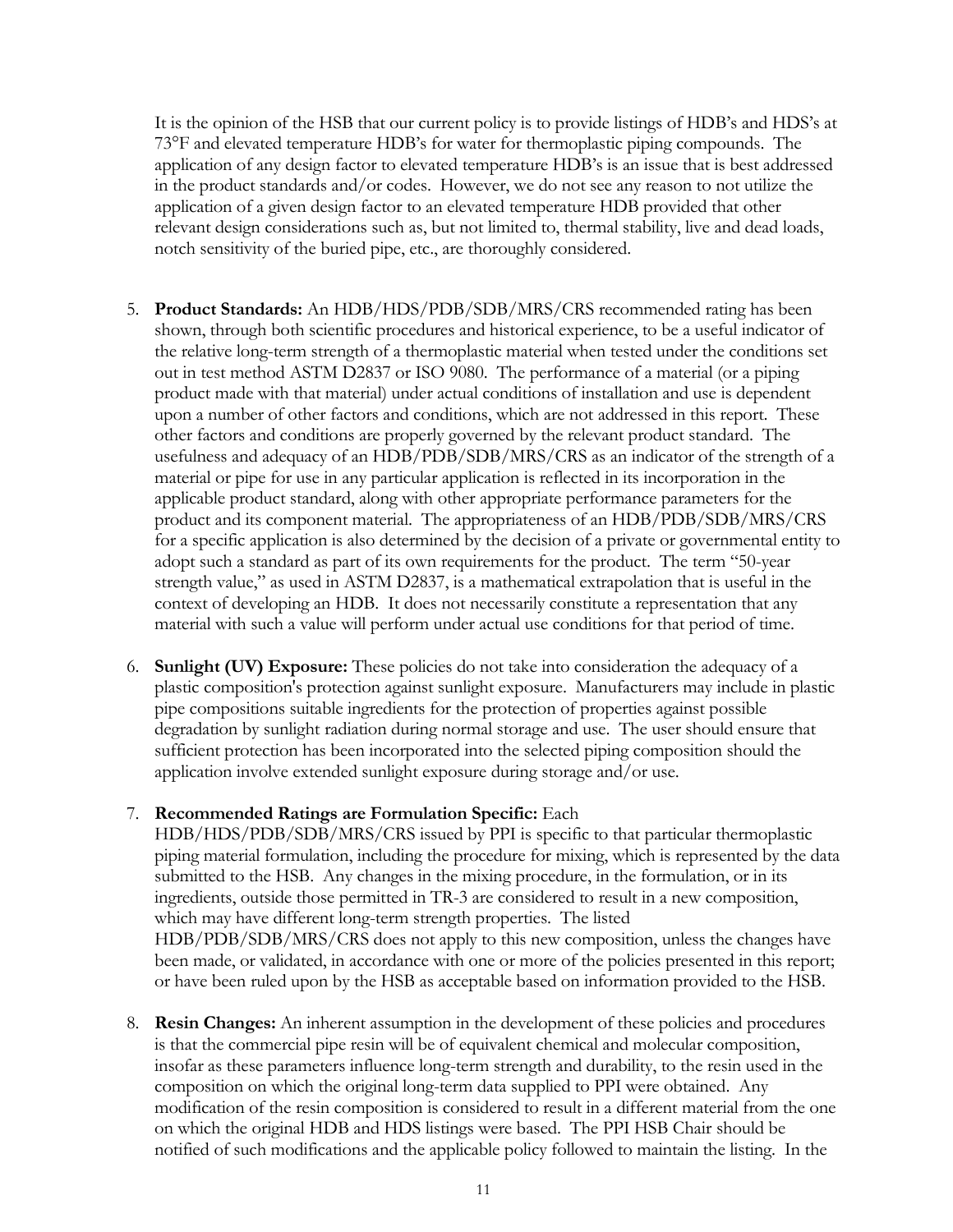It is the opinion of the HSB that our current policy is to provide listings of HDB's and HDS's at 73°F and elevated temperature HDB's for water for thermoplastic piping compounds. The application of any design factor to elevated temperature HDB's is an issue that is best addressed in the product standards and/or codes. However, we do not see any reason to not utilize the application of a given design factor to an elevated temperature HDB provided that other relevant design considerations such as, but not limited to, thermal stability, live and dead loads, notch sensitivity of the buried pipe, etc., are thoroughly considered.

- 5. **Product Standards:** An HDB/HDS/PDB/SDB/MRS/CRS recommended rating has been shown, through both scientific procedures and historical experience, to be a useful indicator of the relative long-term strength of a thermoplastic material when tested under the conditions set out in test method ASTM D2837 or ISO 9080. The performance of a material (or a piping product made with that material) under actual conditions of installation and use is dependent upon a number of other factors and conditions, which are not addressed in this report. These other factors and conditions are properly governed by the relevant product standard. The usefulness and adequacy of an HDB/PDB/SDB/MRS/CRS as an indicator of the strength of a material or pipe for use in any particular application is reflected in its incorporation in the applicable product standard, along with other appropriate performance parameters for the product and its component material. The appropriateness of an HDB/PDB/SDB/MRS/CRS for a specific application is also determined by the decision of a private or governmental entity to adopt such a standard as part of its own requirements for the product. The term "50-year strength value," as used in ASTM D2837, is a mathematical extrapolation that is useful in the context of developing an HDB. It does not necessarily constitute a representation that any material with such a value will perform under actual use conditions for that period of time.
- 6. **Sunlight (UV) Exposure:** These policies do not take into consideration the adequacy of a plastic composition's protection against sunlight exposure. Manufacturers may include in plastic pipe compositions suitable ingredients for the protection of properties against possible degradation by sunlight radiation during normal storage and use. The user should ensure that sufficient protection has been incorporated into the selected piping composition should the application involve extended sunlight exposure during storage and/or use.

### 7. **Recommended Ratings are Formulation Specific:** Each

HDB/HDS/PDB/SDB/MRS/CRS issued by PPI is specific to that particular thermoplastic piping material formulation, including the procedure for mixing, which is represented by the data submitted to the HSB. Any changes in the mixing procedure, in the formulation, or in its ingredients, outside those permitted in TR-3 are considered to result in a new composition, which may have different long-term strength properties. The listed HDB/PDB/SDB/MRS/CRS does not apply to this new composition, unless the changes have been made, or validated, in accordance with one or more of the policies presented in this report; or have been ruled upon by the HSB as acceptable based on information provided to the HSB.

8. **Resin Changes:** An inherent assumption in the development of these policies and procedures is that the commercial pipe resin will be of equivalent chemical and molecular composition, insofar as these parameters influence long-term strength and durability, to the resin used in the composition on which the original long-term data supplied to PPI were obtained. Any modification of the resin composition is considered to result in a different material from the one on which the original HDB and HDS listings were based. The PPI HSB Chair should be notified of such modifications and the applicable policy followed to maintain the listing. In the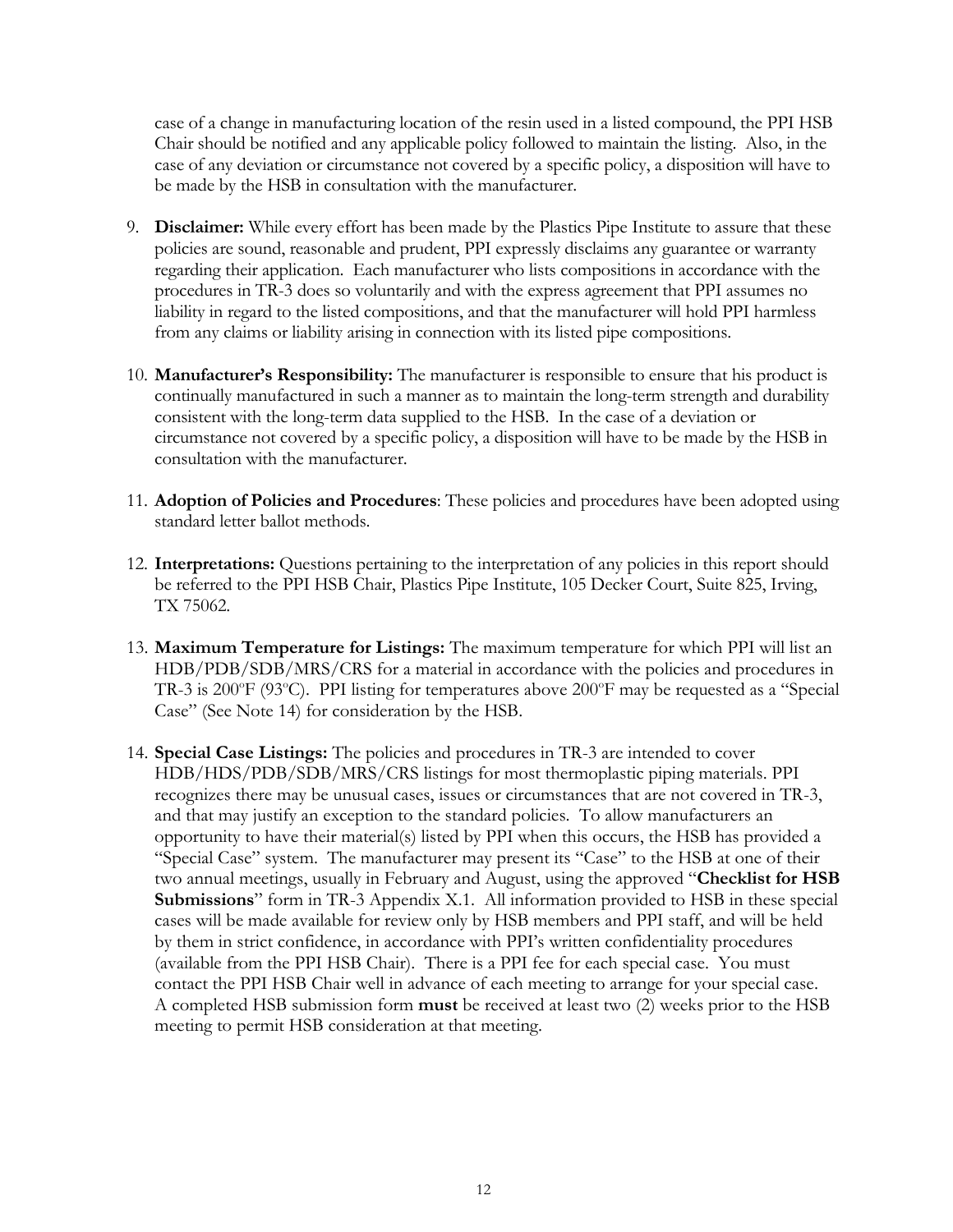case of a change in manufacturing location of the resin used in a listed compound, the PPI HSB Chair should be notified and any applicable policy followed to maintain the listing. Also, in the case of any deviation or circumstance not covered by a specific policy, a disposition will have to be made by the HSB in consultation with the manufacturer.

- 9. **Disclaimer:** While every effort has been made by the Plastics Pipe Institute to assure that these policies are sound, reasonable and prudent, PPI expressly disclaims any guarantee or warranty regarding their application. Each manufacturer who lists compositions in accordance with the procedures in TR-3 does so voluntarily and with the express agreement that PPI assumes no liability in regard to the listed compositions, and that the manufacturer will hold PPI harmless from any claims or liability arising in connection with its listed pipe compositions.
- 10. **Manufacturer's Responsibility:** The manufacturer is responsible to ensure that his product is continually manufactured in such a manner as to maintain the long-term strength and durability consistent with the long-term data supplied to the HSB. In the case of a deviation or circumstance not covered by a specific policy, a disposition will have to be made by the HSB in consultation with the manufacturer.
- 11. **Adoption of Policies and Procedures**: These policies and procedures have been adopted using standard letter ballot methods.
- 12. **Interpretations:** Questions pertaining to the interpretation of any policies in this report should be referred to the PPI HSB Chair, Plastics Pipe Institute, 105 Decker Court, Suite 825, Irving, TX 75062.
- 13. **Maximum Temperature for Listings:** The maximum temperature for which PPI will list an HDB/PDB/SDB/MRS/CRS for a material in accordance with the policies and procedures in TR-3 is 200 $\degree$ F (93 $\degree$ C). PPI listing for temperatures above 200 $\degree$ F may be requested as a "Special Case" (See Note 14) for consideration by the HSB.
- 14. **Special Case Listings:** The policies and procedures in TR-3 are intended to cover HDB/HDS/PDB/SDB/MRS/CRS listings for most thermoplastic piping materials. PPI recognizes there may be unusual cases, issues or circumstances that are not covered in TR-3, and that may justify an exception to the standard policies. To allow manufacturers an opportunity to have their material(s) listed by PPI when this occurs, the HSB has provided a "Special Case" system. The manufacturer may present its "Case" to the HSB at one of their two annual meetings, usually in February and August, using the approved "**Checklist for HSB Submissions**" form in TR-3 Appendix X.1. All information provided to HSB in these special cases will be made available for review only by HSB members and PPI staff, and will be held by them in strict confidence, in accordance with PPI's written confidentiality procedures (available from the PPI HSB Chair). There is a PPI fee for each special case. You must contact the PPI HSB Chair well in advance of each meeting to arrange for your special case. A completed HSB submission form **must** be received at least two (2) weeks prior to the HSB meeting to permit HSB consideration at that meeting.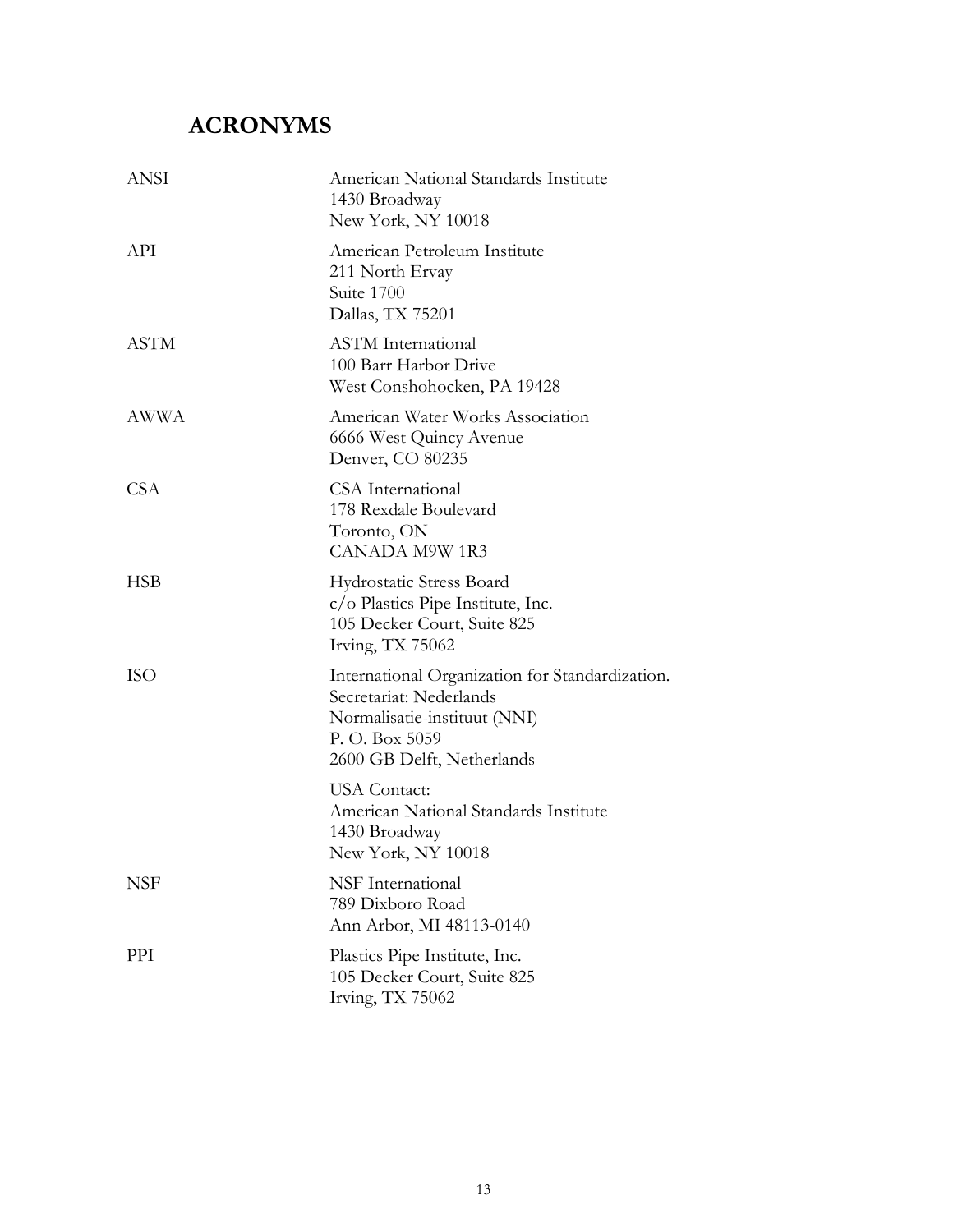# <span id="page-12-0"></span>**ACRONYMS**

| ANSI        | American National Standards Institute<br>1430 Broadway<br>New York, NY 10018                                                                               |
|-------------|------------------------------------------------------------------------------------------------------------------------------------------------------------|
| API         | American Petroleum Institute<br>211 North Ervay<br>Suite 1700<br>Dallas, TX 75201                                                                          |
| <b>ASTM</b> | <b>ASTM</b> International<br>100 Barr Harbor Drive<br>West Conshohocken, PA 19428                                                                          |
| AWWA        | American Water Works Association<br>6666 West Quincy Avenue<br>Denver, CO 80235                                                                            |
| <b>CSA</b>  | CSA International<br>178 Rexdale Boulevard<br>Toronto, ON<br><b>CANADA M9W 1R3</b>                                                                         |
| HSB         | <b>Hydrostatic Stress Board</b><br>$c$ / $o$ Plastics Pipe Institute, Inc.<br>105 Decker Court, Suite 825<br>Irving, TX 75062                              |
| ISO         | International Organization for Standardization.<br>Secretariat: Nederlands<br>Normalisatie-instituut (NNI)<br>P. O. Box 5059<br>2600 GB Delft, Netherlands |
|             | <b>USA</b> Contact:<br>American National Standards Institute<br>1430 Broadway<br>New York, NY 10018                                                        |
| NSF         | NSF International<br>789 Dixboro Road<br>Ann Arbor, MI 48113-0140                                                                                          |
| PPI         | Plastics Pipe Institute, Inc.<br>105 Decker Court, Suite 825<br>Irving, TX 75062                                                                           |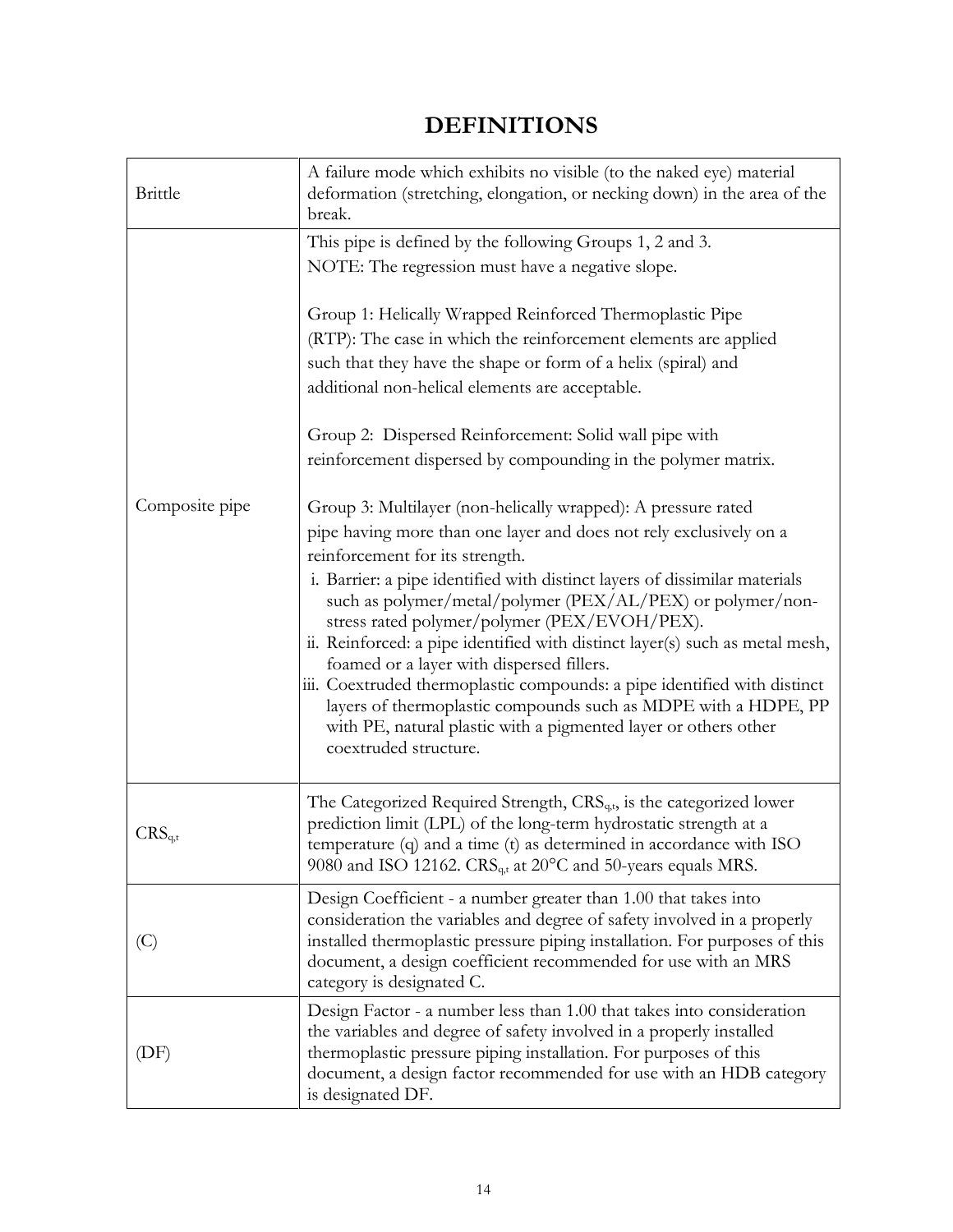# **DEFINITIONS**

<span id="page-13-0"></span>

| <b>Brittle</b> | A failure mode which exhibits no visible (to the naked eye) material<br>deformation (stretching, elongation, or necking down) in the area of the<br>break.                                                                                                                                                                                                                                                                                                                                                                                                                                                                                                                                                                                |
|----------------|-------------------------------------------------------------------------------------------------------------------------------------------------------------------------------------------------------------------------------------------------------------------------------------------------------------------------------------------------------------------------------------------------------------------------------------------------------------------------------------------------------------------------------------------------------------------------------------------------------------------------------------------------------------------------------------------------------------------------------------------|
|                | This pipe is defined by the following Groups 1, 2 and 3.<br>NOTE: The regression must have a negative slope.                                                                                                                                                                                                                                                                                                                                                                                                                                                                                                                                                                                                                              |
|                | Group 1: Helically Wrapped Reinforced Thermoplastic Pipe<br>(RTP): The case in which the reinforcement elements are applied<br>such that they have the shape or form of a helix (spiral) and<br>additional non-helical elements are acceptable.                                                                                                                                                                                                                                                                                                                                                                                                                                                                                           |
|                | Group 2: Dispersed Reinforcement: Solid wall pipe with<br>reinforcement dispersed by compounding in the polymer matrix.                                                                                                                                                                                                                                                                                                                                                                                                                                                                                                                                                                                                                   |
| Composite pipe | Group 3: Multilayer (non-helically wrapped): A pressure rated<br>pipe having more than one layer and does not rely exclusively on a<br>reinforcement for its strength.<br>i. Barrier: a pipe identified with distinct layers of dissimilar materials<br>such as polymer/metal/polymer (PEX/AL/PEX) or polymer/non-<br>stress rated polymer/polymer (PEX/EVOH/PEX).<br>ii. Reinforced: a pipe identified with distinct layer(s) such as metal mesh,<br>foamed or a layer with dispersed fillers.<br>iii. Coextruded thermoplastic compounds: a pipe identified with distinct<br>layers of thermoplastic compounds such as MDPE with a HDPE, PP<br>with PE, natural plastic with a pigmented layer or others other<br>coextruded structure. |
| $CRS_{q,t}$    | The Categorized Required Strength, $CRS_{qt}$ , is the categorized lower<br>prediction limit (LPL) of the long-term hydrostatic strength at a<br>temperature (q) and a time (t) as determined in accordance with ISO<br>9080 and ISO 12162. CRS <sub>q,t</sub> at 20°C and 50-years equals MRS.                                                                                                                                                                                                                                                                                                                                                                                                                                           |
| (C)            | Design Coefficient - a number greater than 1.00 that takes into<br>consideration the variables and degree of safety involved in a properly<br>installed thermoplastic pressure piping installation. For purposes of this<br>document, a design coefficient recommended for use with an MRS<br>category is designated C.                                                                                                                                                                                                                                                                                                                                                                                                                   |
| (DF)           | Design Factor - a number less than 1.00 that takes into consideration<br>the variables and degree of safety involved in a properly installed<br>thermoplastic pressure piping installation. For purposes of this<br>document, a design factor recommended for use with an HDB category<br>is designated DF.                                                                                                                                                                                                                                                                                                                                                                                                                               |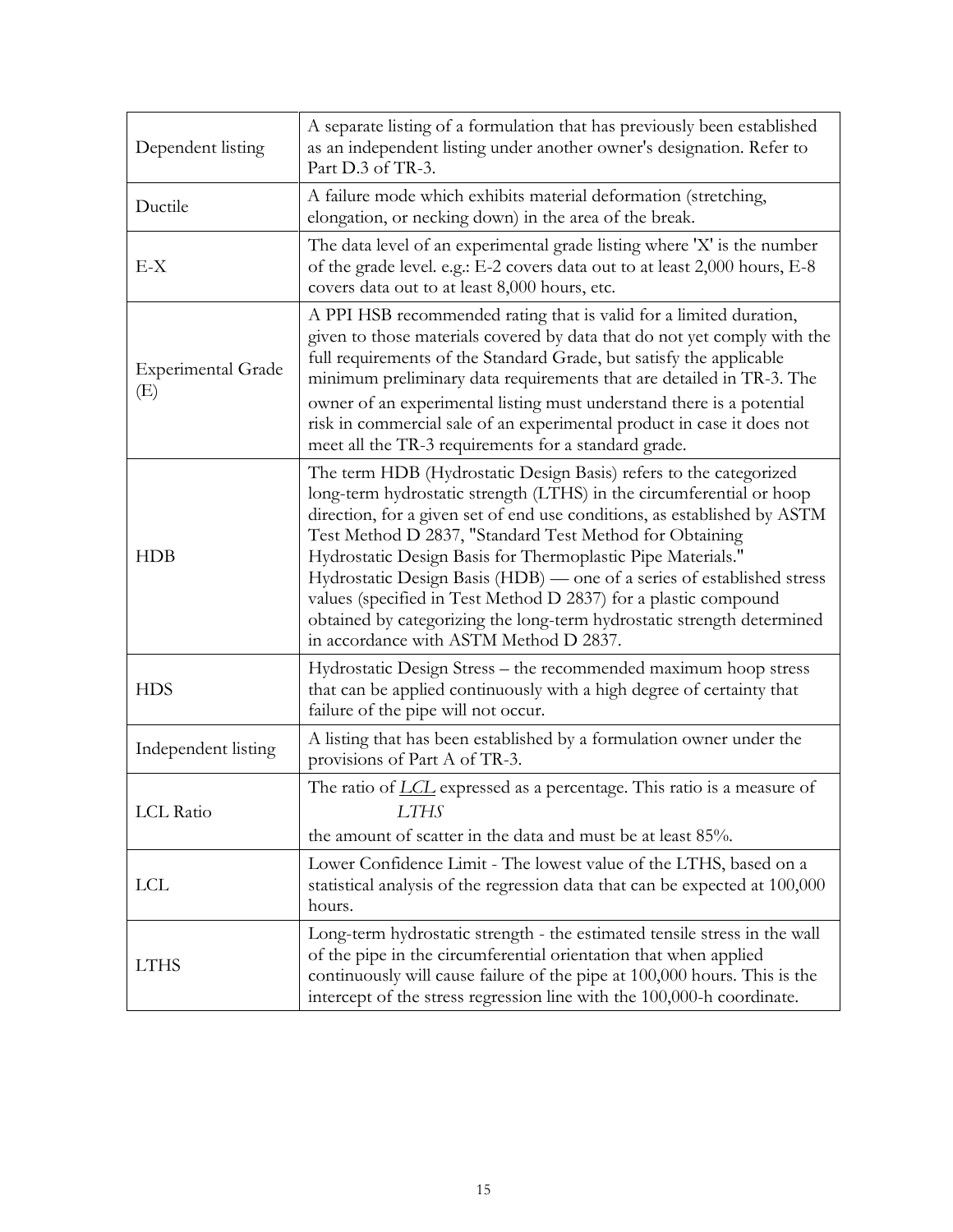| Dependent listing                | A separate listing of a formulation that has previously been established<br>as an independent listing under another owner's designation. Refer to<br>Part D.3 of TR-3.                                                                                                                                                                                                                                                                                                                                                                                                                                           |
|----------------------------------|------------------------------------------------------------------------------------------------------------------------------------------------------------------------------------------------------------------------------------------------------------------------------------------------------------------------------------------------------------------------------------------------------------------------------------------------------------------------------------------------------------------------------------------------------------------------------------------------------------------|
| Ductile                          | A failure mode which exhibits material deformation (stretching,<br>elongation, or necking down) in the area of the break.                                                                                                                                                                                                                                                                                                                                                                                                                                                                                        |
| $E-X$                            | The data level of an experimental grade listing where 'X' is the number<br>of the grade level. e.g.: E-2 covers data out to at least 2,000 hours, E-8<br>covers data out to at least 8,000 hours, etc.                                                                                                                                                                                                                                                                                                                                                                                                           |
| <b>Experimental Grade</b><br>(E) | A PPI HSB recommended rating that is valid for a limited duration,<br>given to those materials covered by data that do not yet comply with the<br>full requirements of the Standard Grade, but satisfy the applicable<br>minimum preliminary data requirements that are detailed in TR-3. The<br>owner of an experimental listing must understand there is a potential<br>risk in commercial sale of an experimental product in case it does not<br>meet all the TR-3 requirements for a standard grade.                                                                                                         |
| <b>HDB</b>                       | The term HDB (Hydrostatic Design Basis) refers to the categorized<br>long-term hydrostatic strength (LTHS) in the circumferential or hoop<br>direction, for a given set of end use conditions, as established by ASTM<br>Test Method D 2837, "Standard Test Method for Obtaining<br>Hydrostatic Design Basis for Thermoplastic Pipe Materials."<br>Hydrostatic Design Basis (HDB) — one of a series of established stress<br>values (specified in Test Method D 2837) for a plastic compound<br>obtained by categorizing the long-term hydrostatic strength determined<br>in accordance with ASTM Method D 2837. |
| <b>HDS</b>                       | Hydrostatic Design Stress - the recommended maximum hoop stress<br>that can be applied continuously with a high degree of certainty that<br>failure of the pipe will not occur.                                                                                                                                                                                                                                                                                                                                                                                                                                  |
| Independent listing              | A listing that has been established by a formulation owner under the<br>provisions of Part A of TR-3.                                                                                                                                                                                                                                                                                                                                                                                                                                                                                                            |
| <b>LCL</b> Ratio                 | The ratio of <i>LCL</i> expressed as a percentage. This ratio is a measure of<br>LTHS<br>the amount of scatter in the data and must be at least 85%.                                                                                                                                                                                                                                                                                                                                                                                                                                                             |
| <b>LCL</b>                       | Lower Confidence Limit - The lowest value of the LTHS, based on a<br>statistical analysis of the regression data that can be expected at 100,000<br>hours.                                                                                                                                                                                                                                                                                                                                                                                                                                                       |
| <b>LTHS</b>                      | Long-term hydrostatic strength - the estimated tensile stress in the wall<br>of the pipe in the circumferential orientation that when applied<br>continuously will cause failure of the pipe at 100,000 hours. This is the<br>intercept of the stress regression line with the 100,000-h coordinate.                                                                                                                                                                                                                                                                                                             |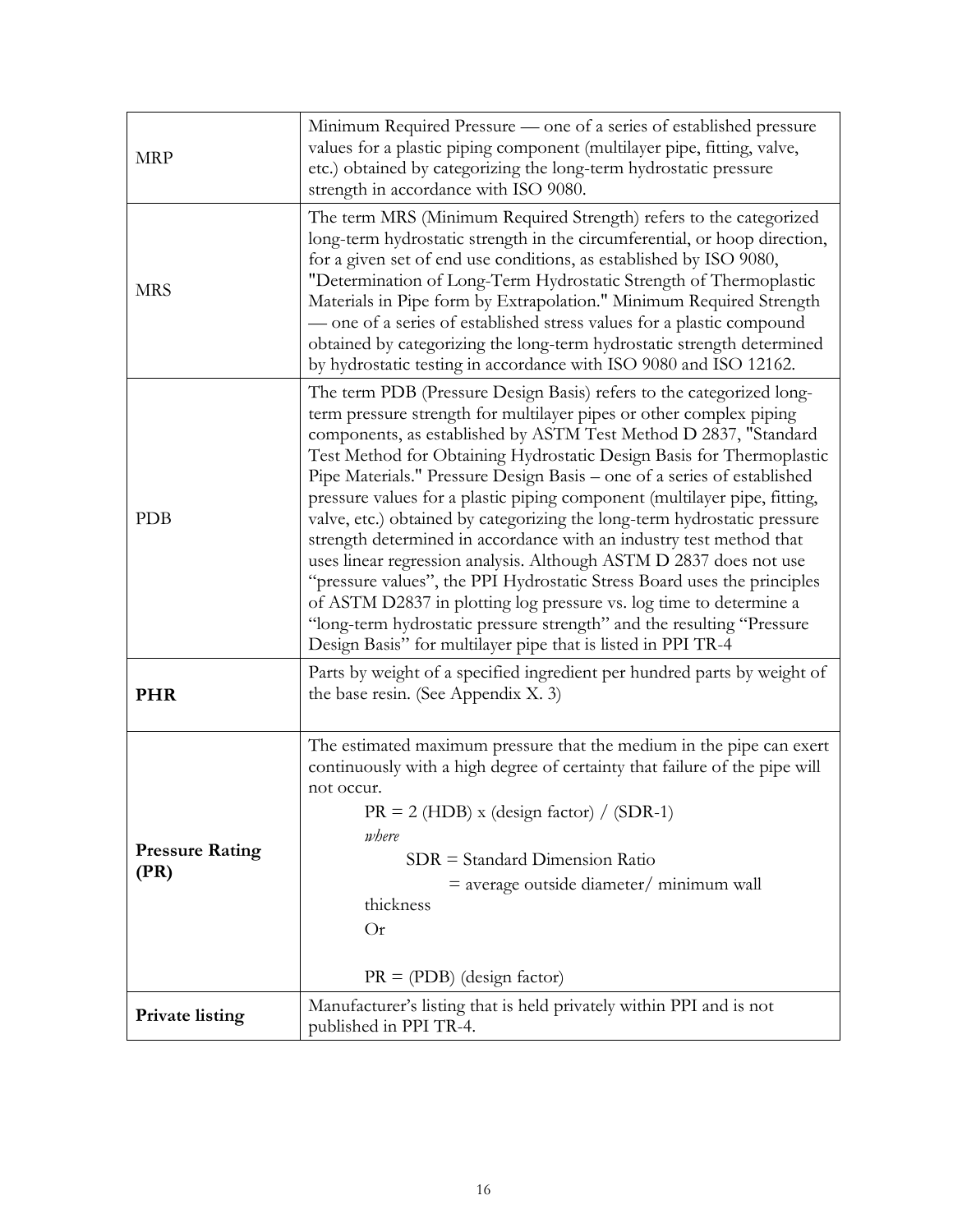| <b>MRP</b>                     | Minimum Required Pressure — one of a series of established pressure<br>values for a plastic piping component (multilayer pipe, fitting, valve,<br>etc.) obtained by categorizing the long-term hydrostatic pressure<br>strength in accordance with ISO 9080.                                                                                                                                                                                                                                                                                                                                                                                                                                                                                                                                                                                                                                                                                                       |
|--------------------------------|--------------------------------------------------------------------------------------------------------------------------------------------------------------------------------------------------------------------------------------------------------------------------------------------------------------------------------------------------------------------------------------------------------------------------------------------------------------------------------------------------------------------------------------------------------------------------------------------------------------------------------------------------------------------------------------------------------------------------------------------------------------------------------------------------------------------------------------------------------------------------------------------------------------------------------------------------------------------|
| <b>MRS</b>                     | The term MRS (Minimum Required Strength) refers to the categorized<br>long-term hydrostatic strength in the circumferential, or hoop direction,<br>for a given set of end use conditions, as established by ISO 9080,<br>"Determination of Long-Term Hydrostatic Strength of Thermoplastic<br>Materials in Pipe form by Extrapolation." Minimum Required Strength<br>- one of a series of established stress values for a plastic compound<br>obtained by categorizing the long-term hydrostatic strength determined<br>by hydrostatic testing in accordance with ISO 9080 and ISO 12162.                                                                                                                                                                                                                                                                                                                                                                          |
| <b>PDB</b>                     | The term PDB (Pressure Design Basis) refers to the categorized long-<br>term pressure strength for multilayer pipes or other complex piping<br>components, as established by ASTM Test Method D 2837, "Standard<br>Test Method for Obtaining Hydrostatic Design Basis for Thermoplastic<br>Pipe Materials." Pressure Design Basis – one of a series of established<br>pressure values for a plastic piping component (multilayer pipe, fitting,<br>valve, etc.) obtained by categorizing the long-term hydrostatic pressure<br>strength determined in accordance with an industry test method that<br>uses linear regression analysis. Although ASTM D 2837 does not use<br>"pressure values", the PPI Hydrostatic Stress Board uses the principles<br>of ASTM D2837 in plotting log pressure vs. log time to determine a<br>"long-term hydrostatic pressure strength" and the resulting "Pressure<br>Design Basis" for multilayer pipe that is listed in PPI TR-4 |
| <b>PHR</b>                     | Parts by weight of a specified ingredient per hundred parts by weight of<br>the base resin. (See Appendix X. 3)                                                                                                                                                                                                                                                                                                                                                                                                                                                                                                                                                                                                                                                                                                                                                                                                                                                    |
| <b>Pressure Rating</b><br>(PR) | The estimated maximum pressure that the medium in the pipe can exert<br>continuously with a high degree of certainty that failure of the pipe will<br>not occur.<br>$PR = 2$ (HDB) x (design factor) / (SDR-1)<br>where<br>$SDR = Standard Dimension Ratio$<br>$=$ average outside diameter/ minimum wall<br>thickness<br>Or<br>$PR = (PDB)$ (design factor)                                                                                                                                                                                                                                                                                                                                                                                                                                                                                                                                                                                                       |
| <b>Private listing</b>         | Manufacturer's listing that is held privately within PPI and is not<br>published in PPI TR-4.                                                                                                                                                                                                                                                                                                                                                                                                                                                                                                                                                                                                                                                                                                                                                                                                                                                                      |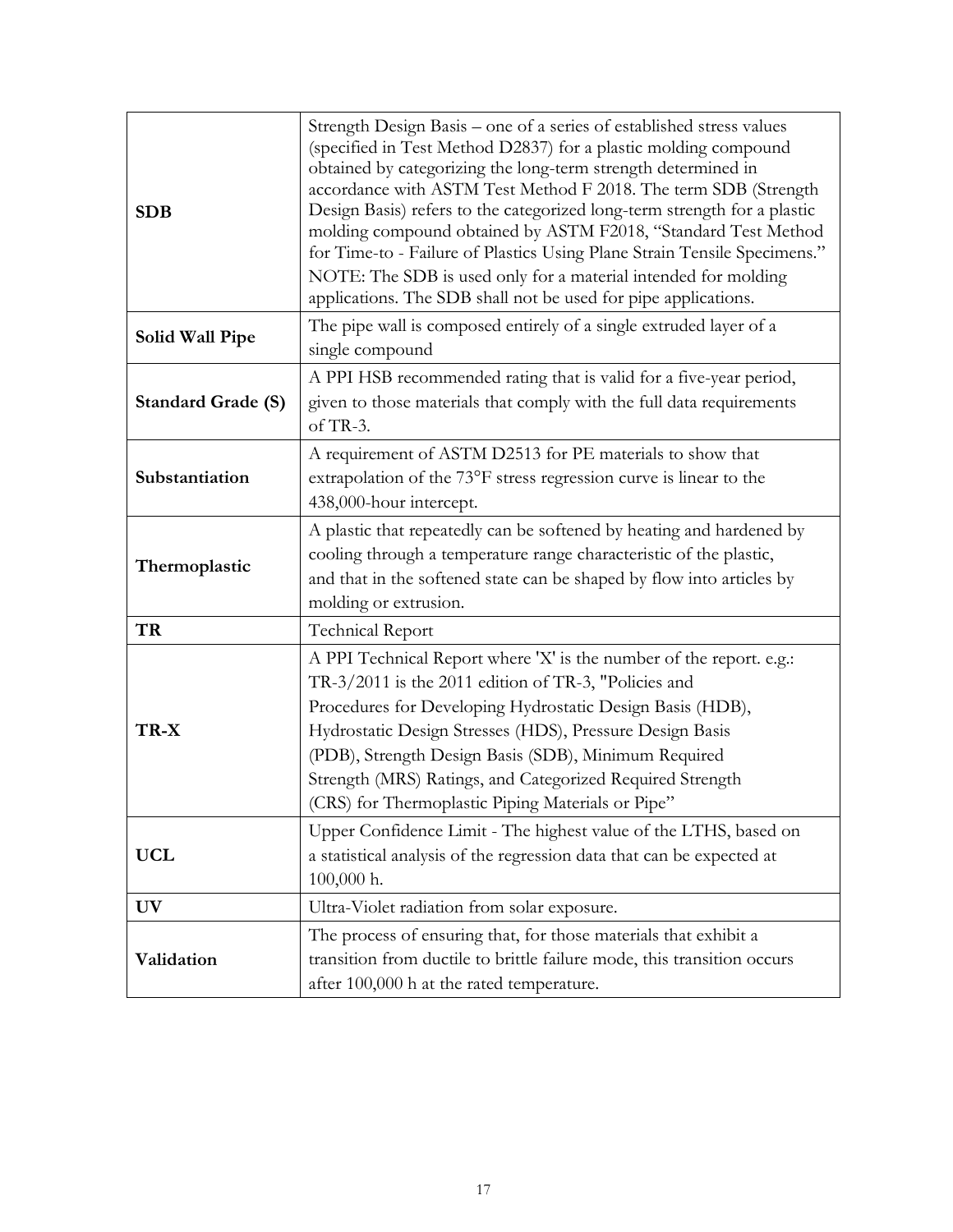| <b>SDB</b>                | Strength Design Basis – one of a series of established stress values<br>(specified in Test Method D2837) for a plastic molding compound<br>obtained by categorizing the long-term strength determined in<br>accordance with ASTM Test Method F 2018. The term SDB (Strength<br>Design Basis) refers to the categorized long-term strength for a plastic<br>molding compound obtained by ASTM F2018, "Standard Test Method<br>for Time-to - Failure of Plastics Using Plane Strain Tensile Specimens."<br>NOTE: The SDB is used only for a material intended for molding<br>applications. The SDB shall not be used for pipe applications. |
|---------------------------|-------------------------------------------------------------------------------------------------------------------------------------------------------------------------------------------------------------------------------------------------------------------------------------------------------------------------------------------------------------------------------------------------------------------------------------------------------------------------------------------------------------------------------------------------------------------------------------------------------------------------------------------|
| <b>Solid Wall Pipe</b>    | The pipe wall is composed entirely of a single extruded layer of a<br>single compound                                                                                                                                                                                                                                                                                                                                                                                                                                                                                                                                                     |
| <b>Standard Grade (S)</b> | A PPI HSB recommended rating that is valid for a five-year period,<br>given to those materials that comply with the full data requirements<br>of TR-3.                                                                                                                                                                                                                                                                                                                                                                                                                                                                                    |
| Substantiation            | A requirement of ASTM D2513 for PE materials to show that<br>extrapolation of the 73°F stress regression curve is linear to the<br>438,000-hour intercept.                                                                                                                                                                                                                                                                                                                                                                                                                                                                                |
| Thermoplastic             | A plastic that repeatedly can be softened by heating and hardened by<br>cooling through a temperature range characteristic of the plastic,<br>and that in the softened state can be shaped by flow into articles by<br>molding or extrusion.                                                                                                                                                                                                                                                                                                                                                                                              |
| TR                        | Technical Report                                                                                                                                                                                                                                                                                                                                                                                                                                                                                                                                                                                                                          |
| TR-X                      | A PPI Technical Report where 'X' is the number of the report. e.g.:<br>TR-3/2011 is the 2011 edition of TR-3, "Policies and<br>Procedures for Developing Hydrostatic Design Basis (HDB),<br>Hydrostatic Design Stresses (HDS), Pressure Design Basis<br>(PDB), Strength Design Basis (SDB), Minimum Required<br>Strength (MRS) Ratings, and Categorized Required Strength<br>(CRS) for Thermoplastic Piping Materials or Pipe"                                                                                                                                                                                                            |
| <b>UCL</b>                | Upper Confidence Limit - The highest value of the LTHS, based on<br>a statistical analysis of the regression data that can be expected at<br>100,000 h.                                                                                                                                                                                                                                                                                                                                                                                                                                                                                   |
| <b>UV</b>                 | Ultra-Violet radiation from solar exposure.                                                                                                                                                                                                                                                                                                                                                                                                                                                                                                                                                                                               |
| Validation                | The process of ensuring that, for those materials that exhibit a<br>transition from ductile to brittle failure mode, this transition occurs<br>after 100,000 h at the rated temperature.                                                                                                                                                                                                                                                                                                                                                                                                                                                  |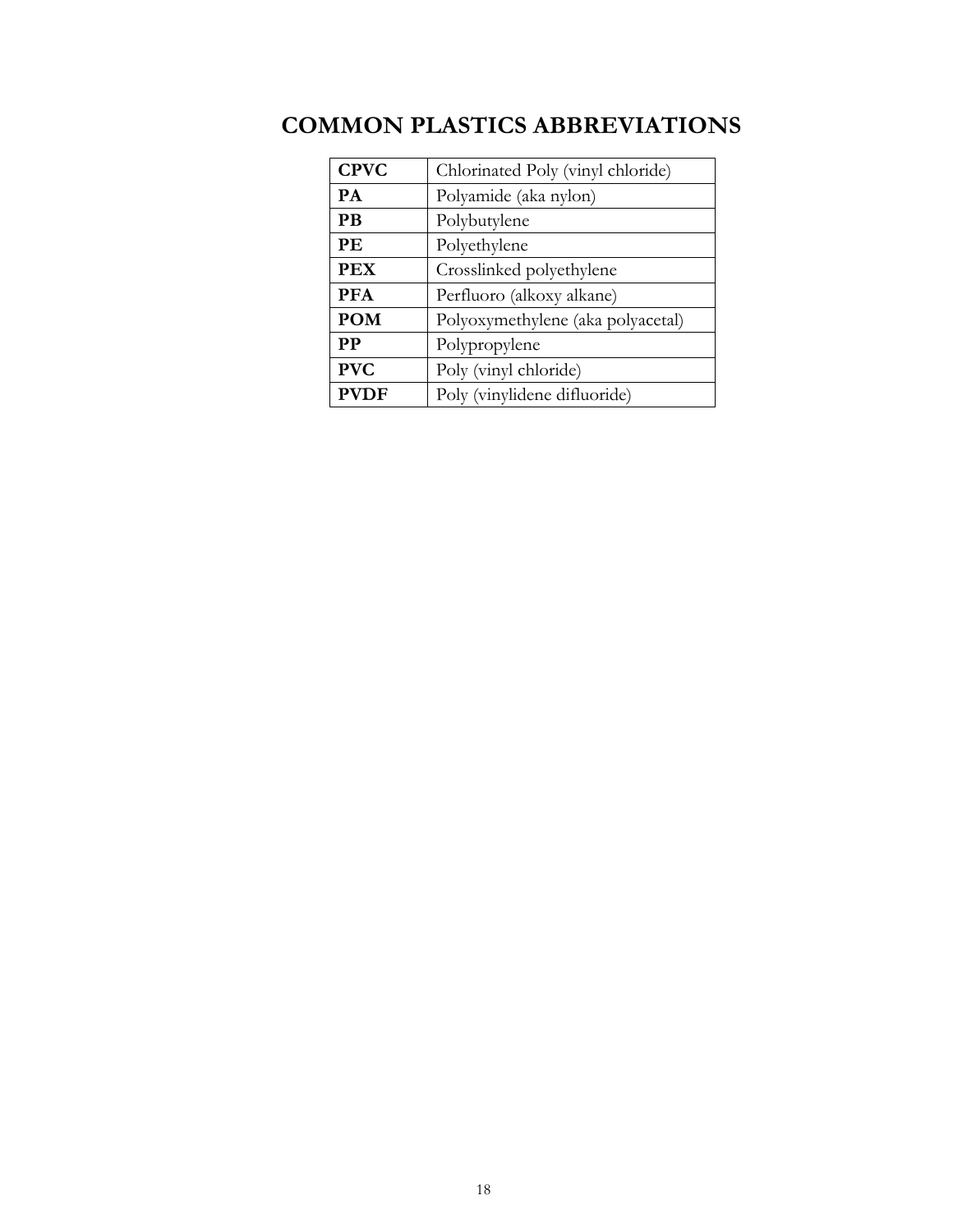| <b>CPVC</b> | Chlorinated Poly (vinyl chloride) |
|-------------|-----------------------------------|
| PA          | Polyamide (aka nylon)             |
| <b>PB</b>   | Polybutylene                      |
| PE          | Polyethylene                      |
| <b>PEX</b>  | Crosslinked polyethylene          |
| <b>PFA</b>  | Perfluoro (alkoxy alkane)         |
| <b>POM</b>  | Polyoxymethylene (aka polyacetal) |
| <b>PP</b>   | Polypropylene                     |
| <b>PVC</b>  | Poly (vinyl chloride)             |
| <b>PVDF</b> | Poly (vinylidene difluoride)      |

# <span id="page-17-0"></span>**COMMON PLASTICS ABBREVIATIONS**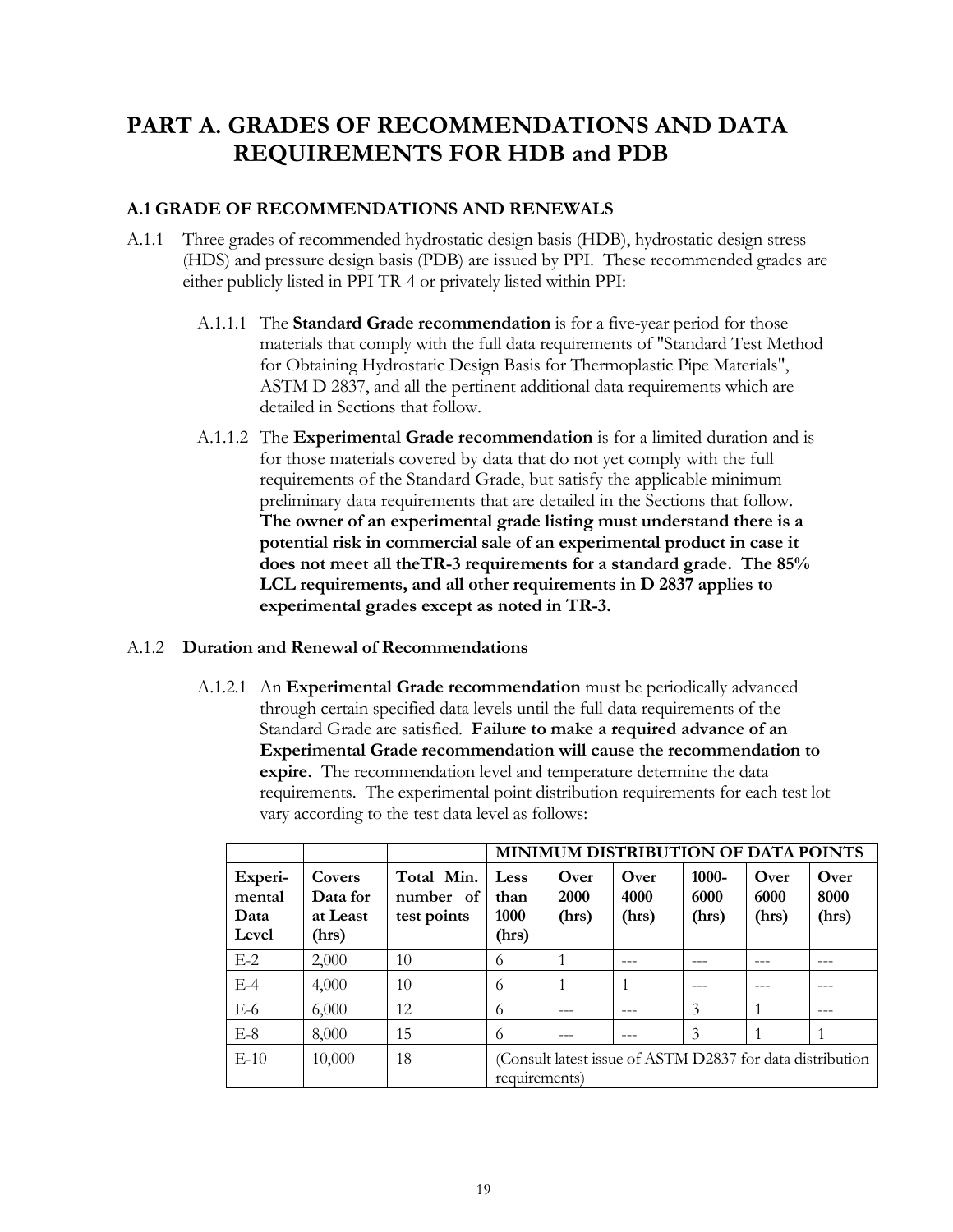## <span id="page-18-0"></span>**PART A. GRADES OF RECOMMENDATIONS AND DATA REQUIREMENTS FOR HDB and PDB**

## <span id="page-18-1"></span>**A.1 GRADE OF RECOMMENDATIONS AND RENEWALS**

- A.1.1 Three grades of recommended hydrostatic design basis (HDB), hydrostatic design stress (HDS) and pressure design basis (PDB) are issued by PPI. These recommended grades are either publicly listed in PPI TR-4 or privately listed within PPI:
	- A.1.1.1 The **Standard Grade recommendation** is for a five-year period for those materials that comply with the full data requirements of "Standard Test Method for Obtaining Hydrostatic Design Basis for Thermoplastic Pipe Materials", ASTM D 2837, and all the pertinent additional data requirements which are detailed in Sections that follow.
	- A.1.1.2 The **Experimental Grade recommendation** is for a limited duration and is for those materials covered by data that do not yet comply with the full requirements of the Standard Grade, but satisfy the applicable minimum preliminary data requirements that are detailed in the Sections that follow. **The owner of an experimental grade listing must understand there is a potential risk in commercial sale of an experimental product in case it does not meet all theTR-3 requirements for a standard grade. The 85% LCL requirements, and all other requirements in D 2837 applies to experimental grades except as noted in TR-3.**

### A.1.2 **Duration and Renewal of Recommendations**

A.1.2.1 An **Experimental Grade recommendation** must be periodically advanced through certain specified data levels until the full data requirements of the Standard Grade are satisfied. **Failure to make a required advance of an Experimental Grade recommendation will cause the recommendation to expire.** The recommendation level and temperature determine the data requirements. The experimental point distribution requirements for each test lot vary according to the test data level as follows:

|                                    |                                         |                                        | MINIMUM DISTRIBUTION OF DATA POINTS                                        |                       |                       |                           |                       |                       |
|------------------------------------|-----------------------------------------|----------------------------------------|----------------------------------------------------------------------------|-----------------------|-----------------------|---------------------------|-----------------------|-----------------------|
| Experi-<br>mental<br>Data<br>Level | Covers<br>Data for<br>at Least<br>(hrs) | Total Min.<br>number of<br>test points | Less<br>than<br>1000<br>(hrs)                                              | Over<br>2000<br>(hrs) | Over<br>4000<br>(hrs) | $1000 -$<br>6000<br>(hrs) | Over<br>6000<br>(hrs) | Over<br>8000<br>(hrs) |
| $E-2$                              | 2,000                                   | 10                                     | 6                                                                          |                       |                       |                           |                       |                       |
| $E-4$                              | 4,000                                   | 10                                     | 6                                                                          |                       |                       |                           |                       |                       |
| $E-6$                              | 6,000                                   | 12                                     | 6                                                                          |                       |                       | 3                         |                       |                       |
| $E-8$                              | 8,000                                   | 15                                     | 6                                                                          |                       |                       | 3                         |                       |                       |
| $E-10$                             | 10,000                                  | 18                                     | (Consult latest issue of ASTM D2837 for data distribution<br>requirements) |                       |                       |                           |                       |                       |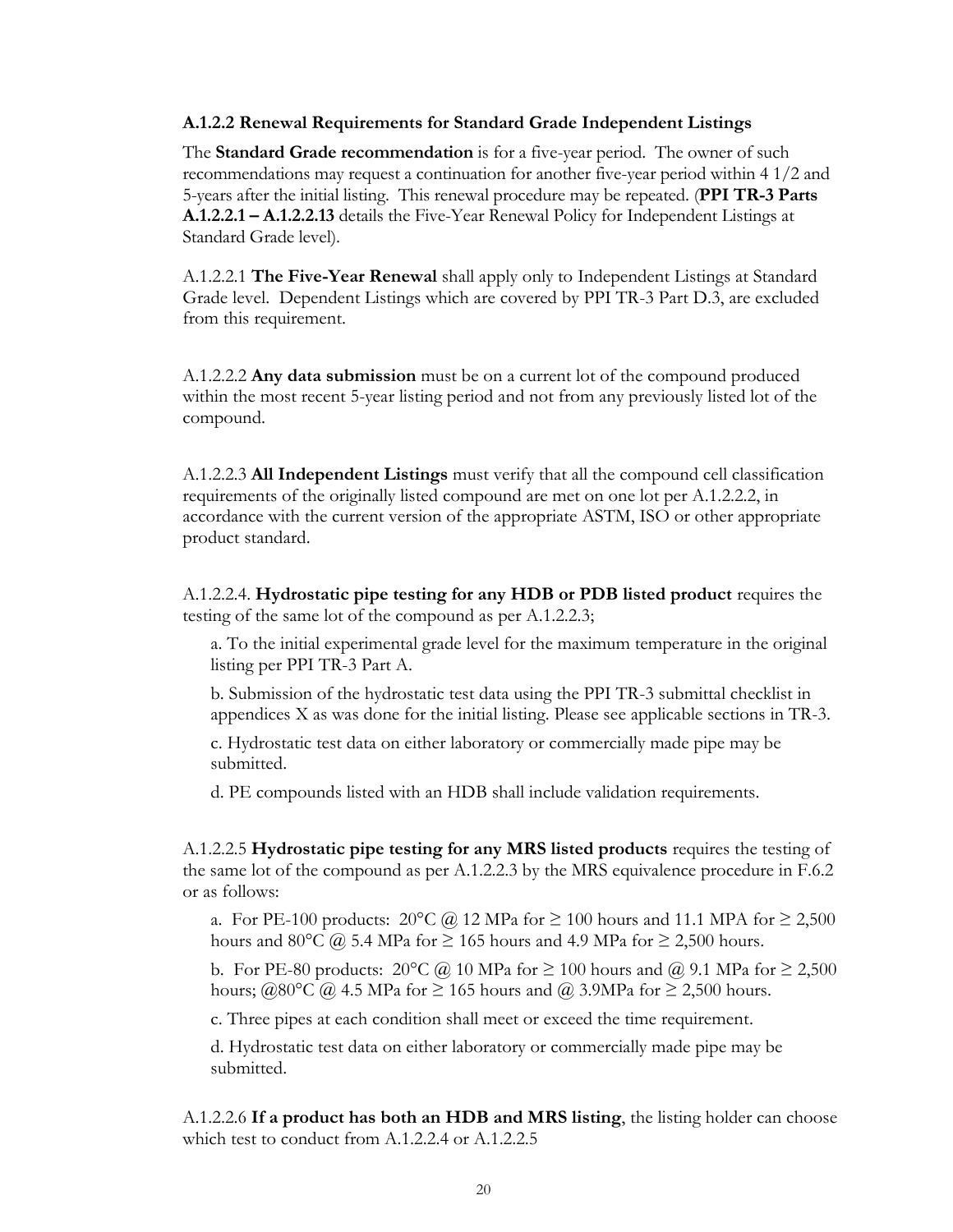#### <span id="page-19-0"></span>**A.1.2.2 Renewal Requirements for Standard Grade Independent Listings**

The **Standard Grade recommendation** is for a five-year period. The owner of such recommendations may request a continuation for another five-year period within 4 1/2 and 5-years after the initial listing. This renewal procedure may be repeated. (**PPI TR-3 Parts A.1.2.2.1 – A.1.2.2.13** details the Five-Year Renewal Policy for Independent Listings at Standard Grade level).

A.1.2.2.1 **The Five-Year Renewal** shall apply only to Independent Listings at Standard Grade level. Dependent Listings which are covered by PPI TR-3 Part D.3, are excluded from this requirement.

A.1.2.2.2 **Any data submission** must be on a current lot of the compound produced within the most recent 5-year listing period and not from any previously listed lot of the compound.

A.1.2.2.3 **All Independent Listings** must verify that all the compound cell classification requirements of the originally listed compound are met on one lot per A.1.2.2.2, in accordance with the current version of the appropriate ASTM, ISO or other appropriate product standard.

A.1.2.2.4. **Hydrostatic pipe testing for any HDB or PDB listed product** requires the testing of the same lot of the compound as per A.1.2.2.3;

a. To the initial experimental grade level for the maximum temperature in the original listing per PPI TR-3 Part A.

b. Submission of the hydrostatic test data using the PPI TR-3 submittal checklist in appendices X as was done for the initial listing. Please see applicable sections in TR-3.

c. Hydrostatic test data on either laboratory or commercially made pipe may be submitted.

d. PE compounds listed with an HDB shall include validation requirements.

A.1.2.2.5 **Hydrostatic pipe testing for any MRS listed products** requires the testing of the same lot of the compound as per A.1.2.2.3 by the MRS equivalence procedure in F.6.2 or as follows:

a. For PE-100 products:  $20^{\circ}C$  @ 12 MPa for  $\geq 100$  hours and 11.1 MPA for  $\geq 2,500$ hours and 80°C  $\omega$  5.4 MPa for  $\geq$  165 hours and 4.9 MPa for  $\geq$  2,500 hours.

b. For PE-80 products:  $20^{\circ}C$  @ 10 MPa for  $\geq 100$  hours and @ 9.1 MPa for  $\geq 2,500$ hours; @80°C @ 4.5 MPa for  $\geq$  165 hours and @ 3.9MPa for  $\geq$  2,500 hours.

c. Three pipes at each condition shall meet or exceed the time requirement.

d. Hydrostatic test data on either laboratory or commercially made pipe may be submitted.

A.1.2.2.6 **If a product has both an HDB and MRS listing**, the listing holder can choose which test to conduct from A.1.2.2.4 or A.1.2.2.5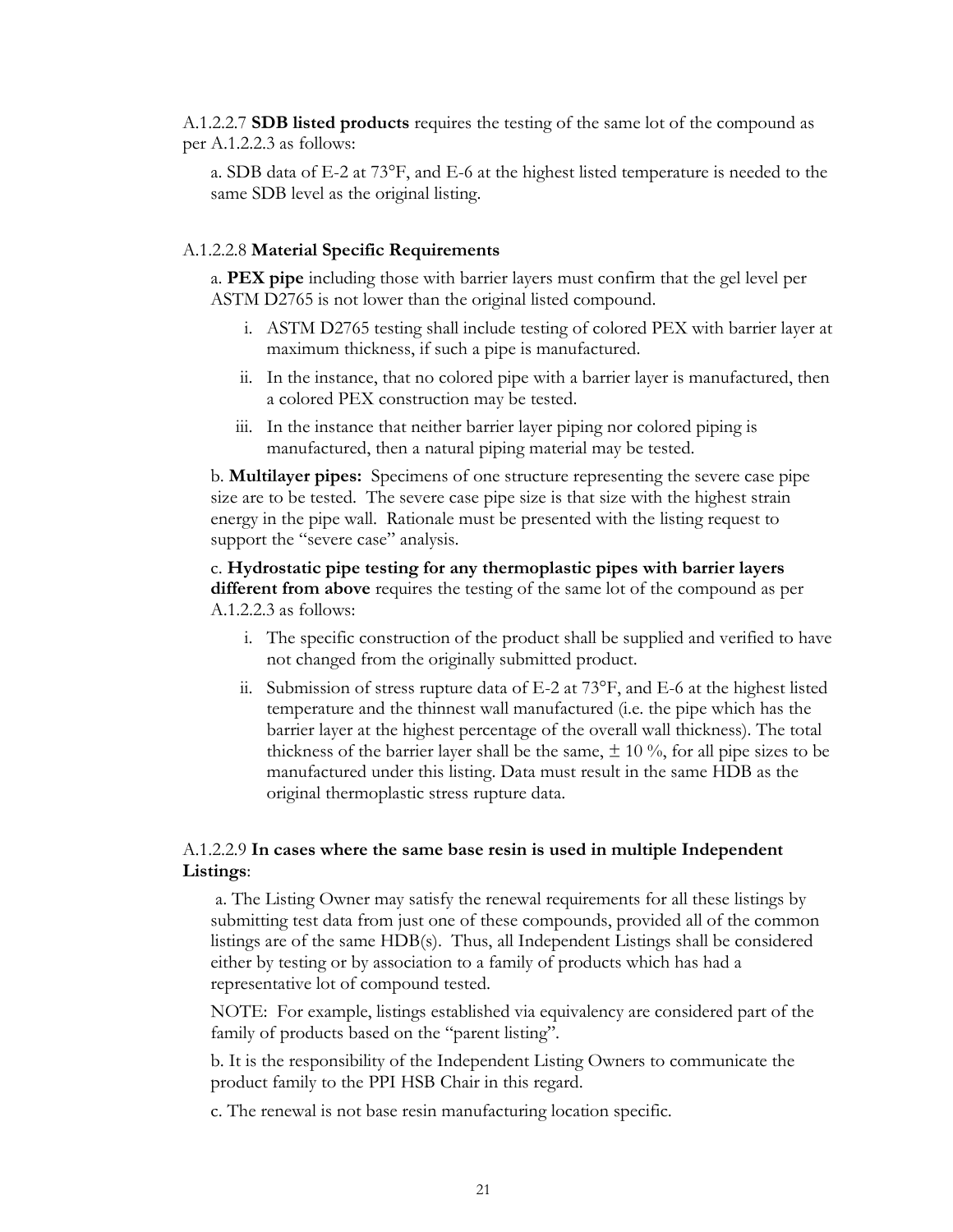A.1.2.2.7 **SDB listed products** requires the testing of the same lot of the compound as per A.1.2.2.3 as follows:

a. SDB data of E-2 at 73°F, and E-6 at the highest listed temperature is needed to the same SDB level as the original listing.

#### A.1.2.2.8 **Material Specific Requirements**

a. **PEX pipe** including those with barrier layers must confirm that the gel level per ASTM D2765 is not lower than the original listed compound.

- i. ASTM D2765 testing shall include testing of colored PEX with barrier layer at maximum thickness, if such a pipe is manufactured.
- ii. In the instance, that no colored pipe with a barrier layer is manufactured, then a colored PEX construction may be tested.
- iii. In the instance that neither barrier layer piping nor colored piping is manufactured, then a natural piping material may be tested.

b. **Multilayer pipes:** Specimens of one structure representing the severe case pipe size are to be tested. The severe case pipe size is that size with the highest strain energy in the pipe wall. Rationale must be presented with the listing request to support the "severe case" analysis.

#### c. **Hydrostatic pipe testing for any thermoplastic pipes with barrier layers different from above** requires the testing of the same lot of the compound as per A.1.2.2.3 as follows:

- i. The specific construction of the product shall be supplied and verified to have not changed from the originally submitted product.
- ii. Submission of stress rupture data of E-2 at 73°F, and E-6 at the highest listed temperature and the thinnest wall manufactured (i.e. the pipe which has the barrier layer at the highest percentage of the overall wall thickness). The total thickness of the barrier layer shall be the same,  $\pm 10\%$ , for all pipe sizes to be manufactured under this listing. Data must result in the same HDB as the original thermoplastic stress rupture data.

#### A.1.2.2.9 **In cases where the same base resin is used in multiple Independent Listings**:

a. The Listing Owner may satisfy the renewal requirements for all these listings by submitting test data from just one of these compounds, provided all of the common listings are of the same HDB(s). Thus, all Independent Listings shall be considered either by testing or by association to a family of products which has had a representative lot of compound tested.

NOTE: For example, listings established via equivalency are considered part of the family of products based on the "parent listing".

b. It is the responsibility of the Independent Listing Owners to communicate the product family to the PPI HSB Chair in this regard.

c. The renewal is not base resin manufacturing location specific.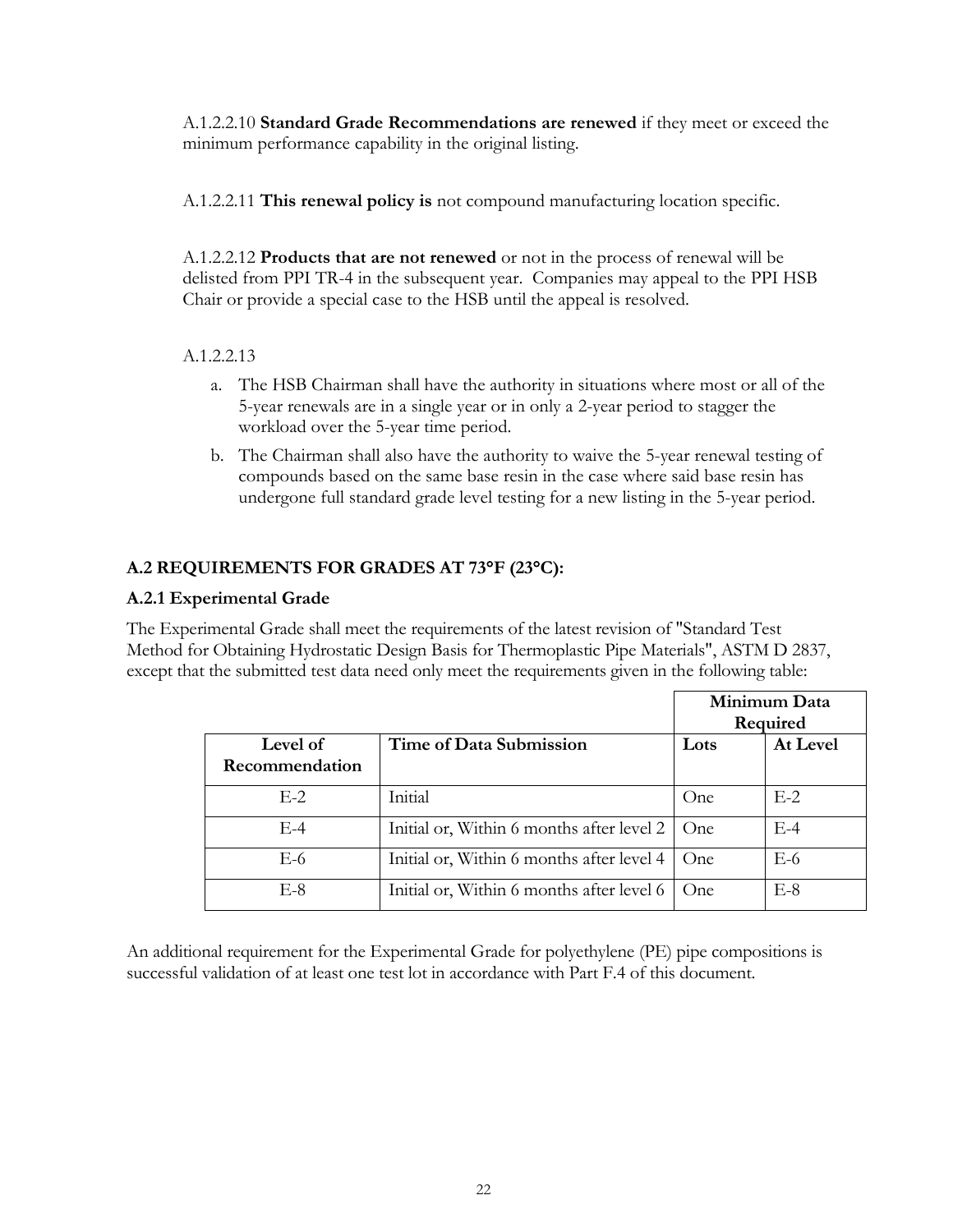A.1.2.2.10 **Standard Grade Recommendations are renewed** if they meet or exceed the minimum performance capability in the original listing.

A.1.2.2.11 **This renewal policy is** not compound manufacturing location specific.

A.1.2.2.12 **Products that are not renewed** or not in the process of renewal will be delisted from PPI TR-4 in the subsequent year. Companies may appeal to the PPI HSB Chair or provide a special case to the HSB until the appeal is resolved.

## A.1.2.2.13

- a. The HSB Chairman shall have the authority in situations where most or all of the 5-year renewals are in a single year or in only a 2-year period to stagger the workload over the 5-year time period.
- b. The Chairman shall also have the authority to waive the 5-year renewal testing of compounds based on the same base resin in the case where said base resin has undergone full standard grade level testing for a new listing in the 5-year period.

## <span id="page-21-0"></span>**A.2 REQUIREMENTS FOR GRADES AT 73F (23C):**

## <span id="page-21-1"></span>**A.2.1 Experimental Grade**

The Experimental Grade shall meet the requirements of the latest revision of "Standard Test Method for Obtaining Hydrostatic Design Basis for Thermoplastic Pipe Materials", ASTM D 2837, except that the submitted test data need only meet the requirements given in the following table:

|                |                                           | Minimum Data |          |
|----------------|-------------------------------------------|--------------|----------|
|                |                                           |              | Required |
| Level of       | Time of Data Submission                   | Lots         | At Level |
| Recommendation |                                           |              |          |
| $E-2$          | Initial                                   | One          | $E-2$    |
| $E-4$          | Initial or, Within 6 months after level 2 | One          | $E-4$    |
| E-6            | Initial or, Within 6 months after level 4 | One          | $E-6$    |
| $E-8$          | Initial or, Within 6 months after level 6 | One          | $E-8$    |

An additional requirement for the Experimental Grade for polyethylene (PE) pipe compositions is successful validation of at least one test lot in accordance with Part F.4 of this document.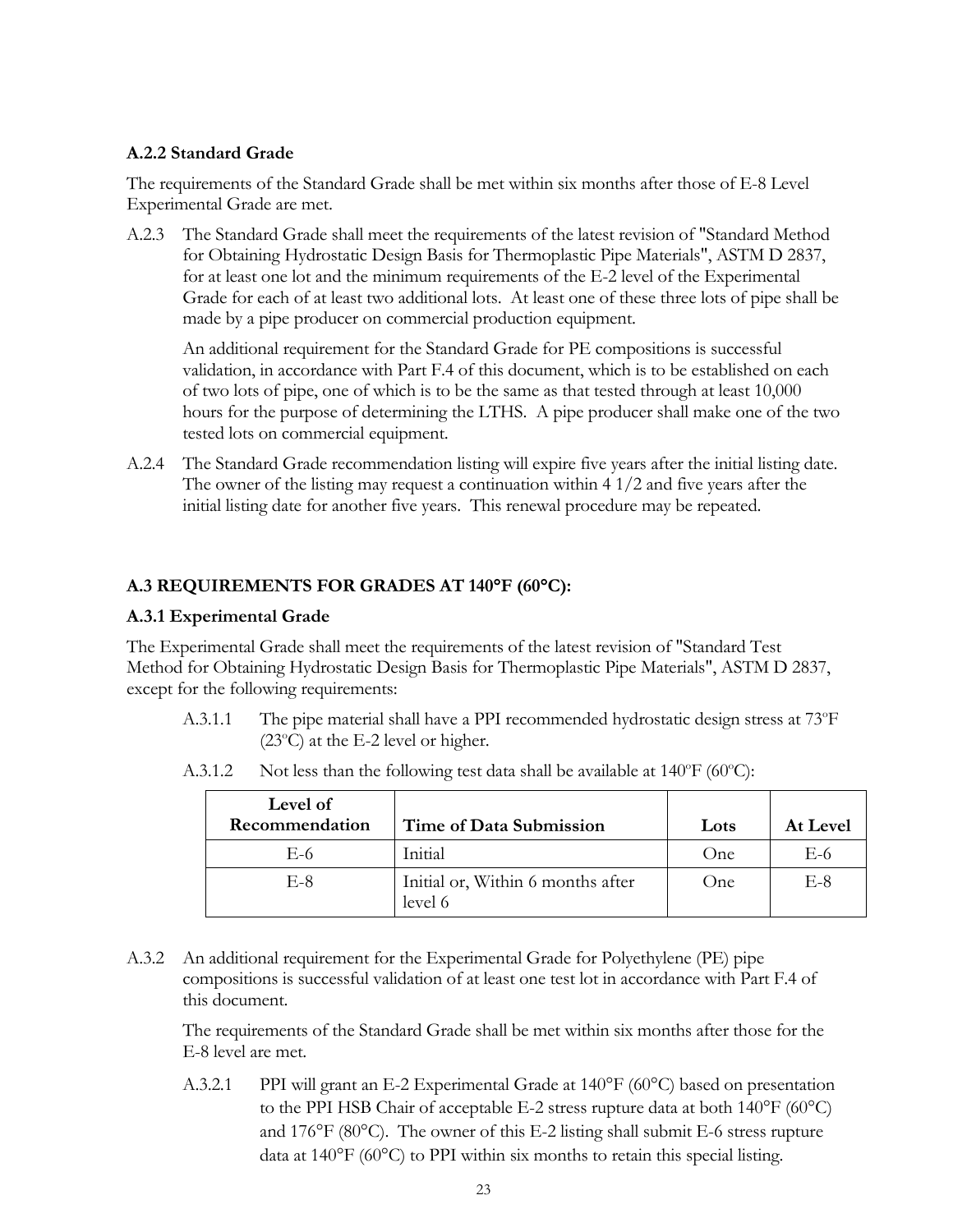### <span id="page-22-0"></span>**A.2.2 Standard Grade**

The requirements of the Standard Grade shall be met within six months after those of E-8 Level Experimental Grade are met.

A.2.3 The Standard Grade shall meet the requirements of the latest revision of "Standard Method for Obtaining Hydrostatic Design Basis for Thermoplastic Pipe Materials", ASTM D 2837, for at least one lot and the minimum requirements of the E-2 level of the Experimental Grade for each of at least two additional lots. At least one of these three lots of pipe shall be made by a pipe producer on commercial production equipment.

An additional requirement for the Standard Grade for PE compositions is successful validation, in accordance with Part F.4 of this document, which is to be established on each of two lots of pipe, one of which is to be the same as that tested through at least 10,000 hours for the purpose of determining the LTHS. A pipe producer shall make one of the two tested lots on commercial equipment.

A.2.4 The Standard Grade recommendation listing will expire five years after the initial listing date. The owner of the listing may request a continuation within 4 1/2 and five years after the initial listing date for another five years. This renewal procedure may be repeated.

## <span id="page-22-1"></span>**A.3 REQUIREMENTS FOR GRADES AT 140F (60C):**

### <span id="page-22-2"></span>**A.3.1 Experimental Grade**

The Experimental Grade shall meet the requirements of the latest revision of "Standard Test Method for Obtaining Hydrostatic Design Basis for Thermoplastic Pipe Materials", ASTM D 2837, except for the following requirements:

A.3.1.1 The pipe material shall have a PPI recommended hydrostatic design stress at 73°F  $(23^{\circ}C)$  at the E-2 level or higher.

| Level of<br>Recommendation | Time of Data Submission                      | Lots | At Level |
|----------------------------|----------------------------------------------|------|----------|
| E-6                        | Initial                                      | One. | E-6      |
| $E-8$                      | Initial or, Within 6 months after<br>level 6 | One  | E-8      |

A.3.1.2 Not less than the following test data shall be available at  $140^{\circ}F (60^{\circ}C)$ :

A.3.2 An additional requirement for the Experimental Grade for Polyethylene (PE) pipe compositions is successful validation of at least one test lot in accordance with Part F.4 of this document.

The requirements of the Standard Grade shall be met within six months after those for the E-8 level are met.

A.3.2.1 PPI will grant an E-2 Experimental Grade at  $140^{\circ}F$  (60 $^{\circ}C$ ) based on presentation to the PPI HSB Chair of acceptable E-2 stress rupture data at both  $140^{\circ}F (60^{\circ}C)$ and  $176^{\circ}F$  (80 $^{\circ}C$ ). The owner of this E-2 listing shall submit E-6 stress rupture data at  $140^{\circ}F$  (60 $^{\circ}C$ ) to PPI within six months to retain this special listing.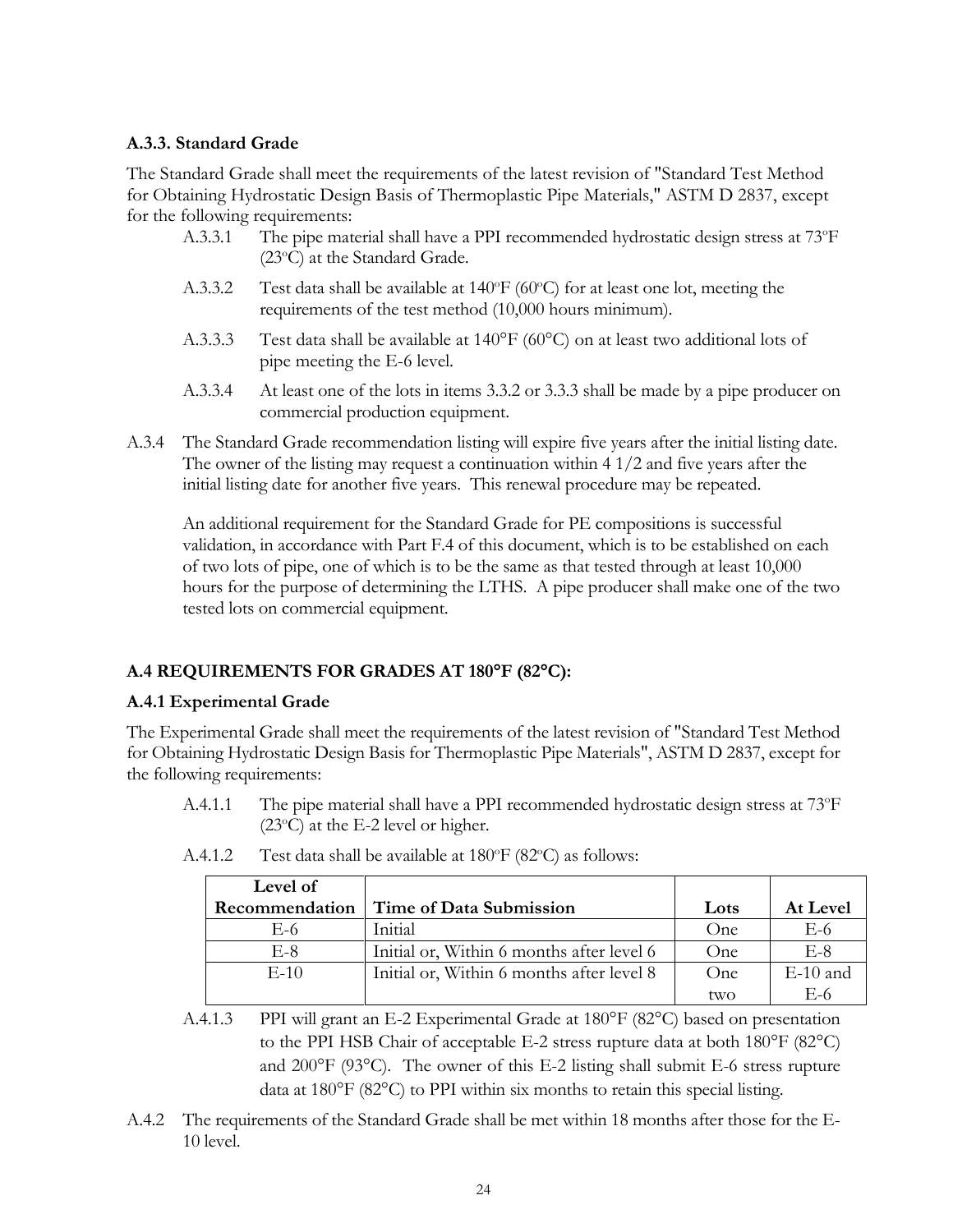### <span id="page-23-0"></span>**A.3.3. Standard Grade**

The Standard Grade shall meet the requirements of the latest revision of "Standard Test Method for Obtaining Hydrostatic Design Basis of Thermoplastic Pipe Materials," ASTM D 2837, except for the following requirements:

- A.3.3.1 The pipe material shall have a PPI recommended hydrostatic design stress at 73°F  $(23^{\circ}C)$  at the Standard Grade.
- A.3.3.2 Test data shall be available at  $140^{\circ}F$  (60 $^{\circ}C$ ) for at least one lot, meeting the requirements of the test method (10,000 hours minimum).
- A.3.3.3 Test data shall be available at  $140^{\circ}F (60^{\circ}C)$  on at least two additional lots of pipe meeting the E-6 level.
- A.3.3.4 At least one of the lots in items 3.3.2 or 3.3.3 shall be made by a pipe producer on commercial production equipment.
- A.3.4 The Standard Grade recommendation listing will expire five years after the initial listing date. The owner of the listing may request a continuation within 4 1/2 and five years after the initial listing date for another five years. This renewal procedure may be repeated.

An additional requirement for the Standard Grade for PE compositions is successful validation, in accordance with Part F.4 of this document, which is to be established on each of two lots of pipe, one of which is to be the same as that tested through at least 10,000 hours for the purpose of determining the LTHS. A pipe producer shall make one of the two tested lots on commercial equipment.

## <span id="page-23-1"></span>**A.4 REQUIREMENTS FOR GRADES AT 180F (82C):**

## <span id="page-23-2"></span>**A.4.1 Experimental Grade**

The Experimental Grade shall meet the requirements of the latest revision of "Standard Test Method for Obtaining Hydrostatic Design Basis for Thermoplastic Pipe Materials", ASTM D 2837, except for the following requirements:

A.4.1.1 The pipe material shall have a PPI recommended hydrostatic design stress at 73<sup>o</sup>F  $(23^{\circ}C)$  at the E-2 level or higher.

| Level of       |                                           |      |            |
|----------------|-------------------------------------------|------|------------|
| Recommendation | Time of Data Submission                   | Lots | At Level   |
| E-6            | Initial                                   | One  | E-6        |
| $E-8$          | Initial or, Within 6 months after level 6 | One  | $E-8$      |
| $E-10$         | Initial or, Within 6 months after level 8 | One  | $E-10$ and |
|                |                                           | two  | E-6        |

A.4.1.2 Test data shall be available at  $180^{\circ}$ F (82 $^{\circ}$ C) as follows:

- A.4.1.3 PPI will grant an E-2 Experimental Grade at 180°F (82°C) based on presentation to the PPI HSB Chair of acceptable E-2 stress rupture data at both  $180^{\circ}$ F (82 $^{\circ}$ C) and  $200^{\circ}F$  (93 $^{\circ}C$ ). The owner of this E-2 listing shall submit E-6 stress rupture data at  $180^{\circ}$ F (82 $^{\circ}$ C) to PPI within six months to retain this special listing.
- A.4.2 The requirements of the Standard Grade shall be met within 18 months after those for the E-10 level.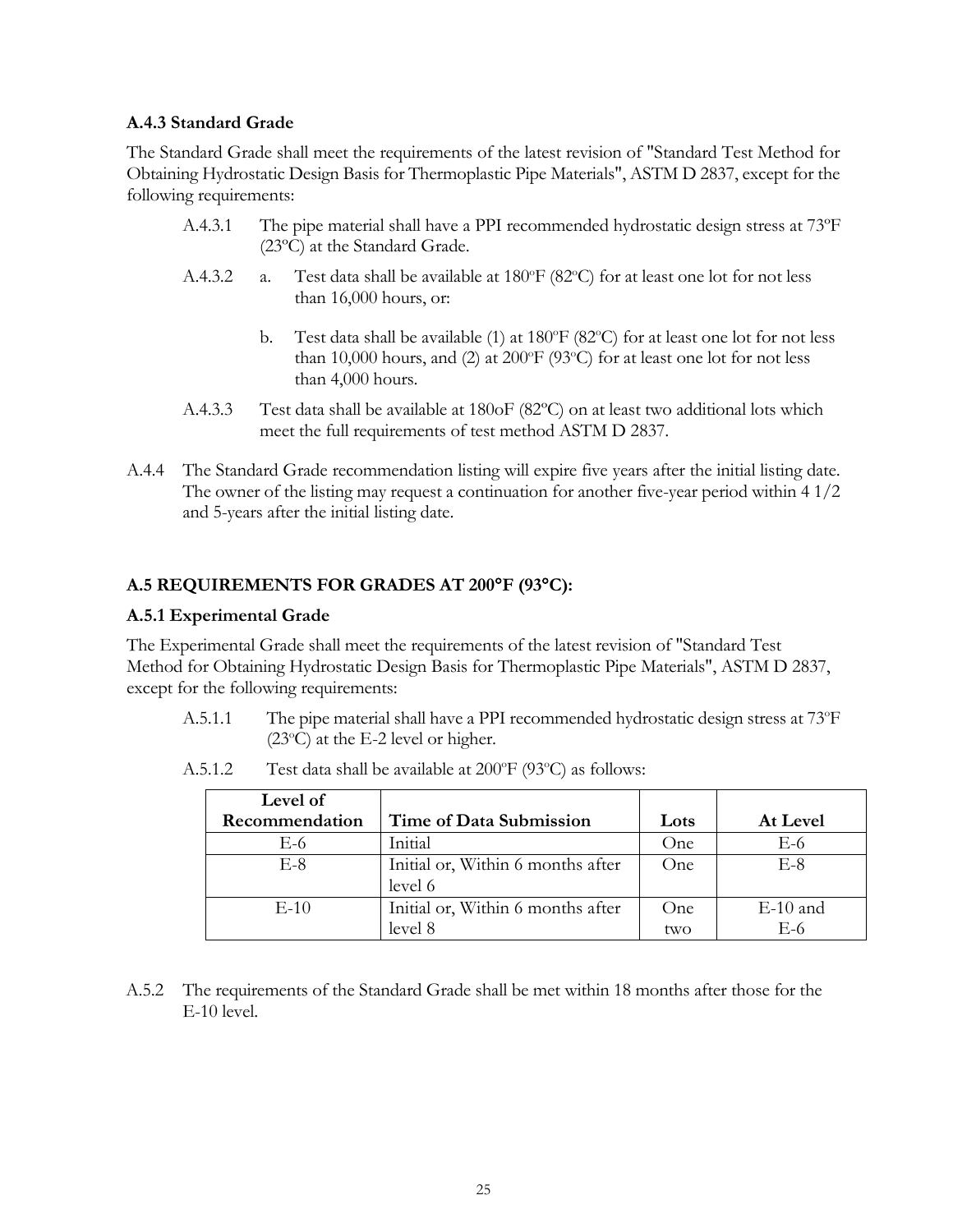#### <span id="page-24-0"></span>**A.4.3 Standard Grade**

The Standard Grade shall meet the requirements of the latest revision of "Standard Test Method for Obtaining Hydrostatic Design Basis for Thermoplastic Pipe Materials", ASTM D 2837, except for the following requirements:

- A.4.3.1 The pipe material shall have a PPI recommended hydrostatic design stress at 73ºF (23ºC) at the Standard Grade.
- A.4.3.2 a. Test data shall be available at  $180^{\circ}F(82^{\circ}C)$  for at least one lot for not less than 16,000 hours, or:
	- b. Test data shall be available (1) at  $180^{\circ}F(82^{\circ}C)$  for at least one lot for not less than 10,000 hours, and (2) at 200 $^{\circ}$ F (93 $^{\circ}$ C) for at least one lot for not less than 4,000 hours.
- A.4.3.3 Test data shall be available at 180oF (82ºC) on at least two additional lots which meet the full requirements of test method ASTM D 2837.
- A.4.4 The Standard Grade recommendation listing will expire five years after the initial listing date. The owner of the listing may request a continuation for another five-year period within 4 1/2 and 5-years after the initial listing date.

## <span id="page-24-1"></span>**A.5 REQUIREMENTS FOR GRADES AT 200F (93C):**

### <span id="page-24-2"></span>**A.5.1 Experimental Grade**

The Experimental Grade shall meet the requirements of the latest revision of "Standard Test Method for Obtaining Hydrostatic Design Basis for Thermoplastic Pipe Materials", ASTM D 2837, except for the following requirements:

A.5.1.1 The pipe material shall have a PPI recommended hydrostatic design stress at 73°F  $(23^{\circ}C)$  at the E-2 level or higher.

| Level of       |                                   |      |            |
|----------------|-----------------------------------|------|------------|
| Recommendation | Time of Data Submission           | Lots | At Level   |
| E-6            | Initial                           | One  | E-6        |
| $E-8$          | Initial or, Within 6 months after | One  | $E-8$      |
|                | level 6                           |      |            |
| $E-10$         | Initial or, Within 6 months after | One  | $E-10$ and |
|                | level 8                           | two  | E-6        |

A.5.1.2 Test data shall be available at  $200^{\circ}$ F (93 $^{\circ}$ C) as follows:

A.5.2 The requirements of the Standard Grade shall be met within 18 months after those for the E-10 level.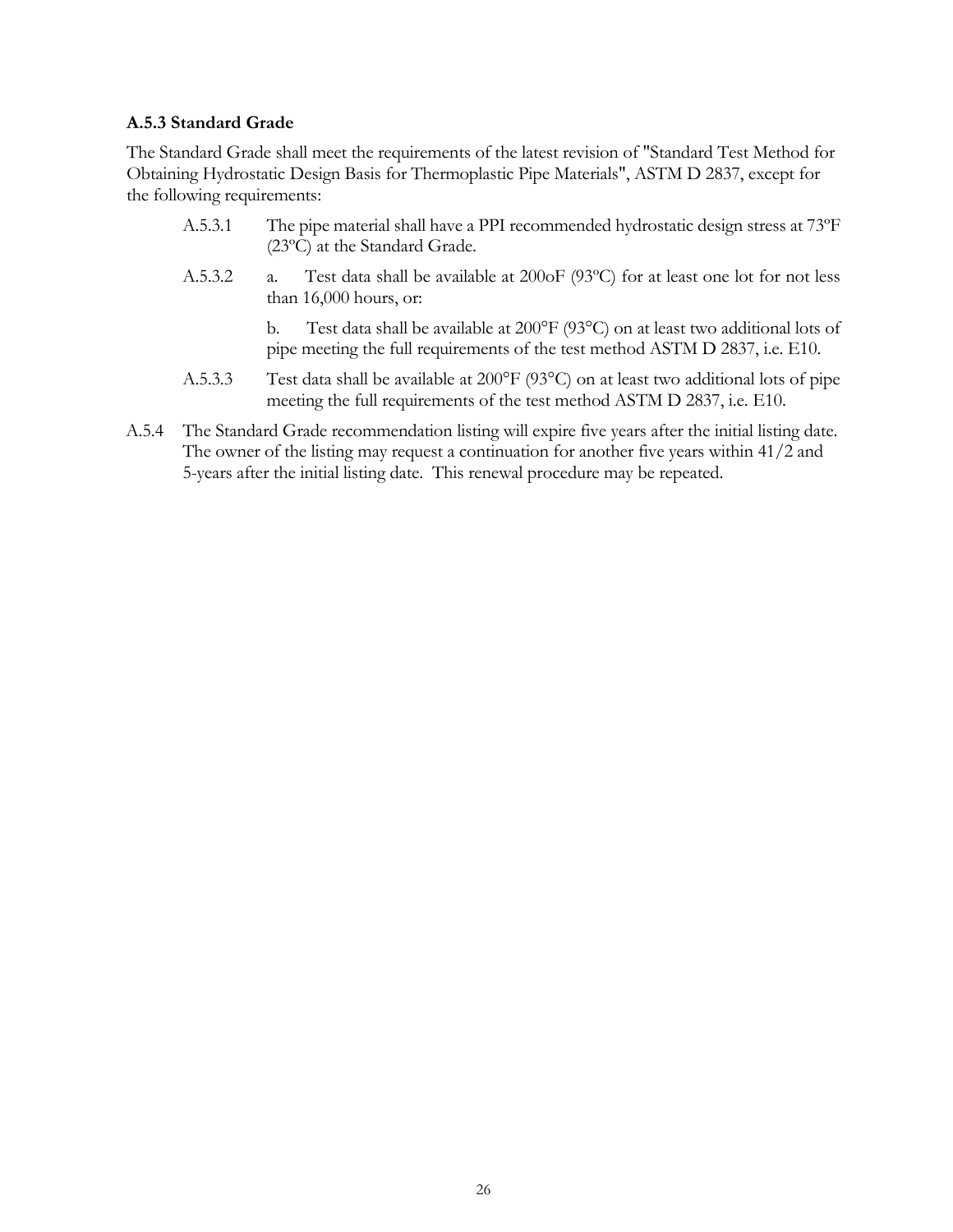#### <span id="page-25-0"></span>**A.5.3 Standard Grade**

The Standard Grade shall meet the requirements of the latest revision of "Standard Test Method for Obtaining Hydrostatic Design Basis for Thermoplastic Pipe Materials", ASTM D 2837, except for the following requirements:

- A.5.3.1 The pipe material shall have a PPI recommended hydrostatic design stress at 73ºF (23ºC) at the Standard Grade.
- A.5.3.2 a. Test data shall be available at 200oF (93ºC) for at least one lot for not less than 16,000 hours, or:

b. Test data shall be available at 200°F (93°C) on at least two additional lots of pipe meeting the full requirements of the test method ASTM D 2837, i.e. E10.

- A.5.3.3 Test data shall be available at 200°F (93°C) on at least two additional lots of pipe meeting the full requirements of the test method ASTM D 2837, i.e. E10.
- A.5.4 The Standard Grade recommendation listing will expire five years after the initial listing date. The owner of the listing may request a continuation for another five years within 41/2 and 5-years after the initial listing date. This renewal procedure may be repeated.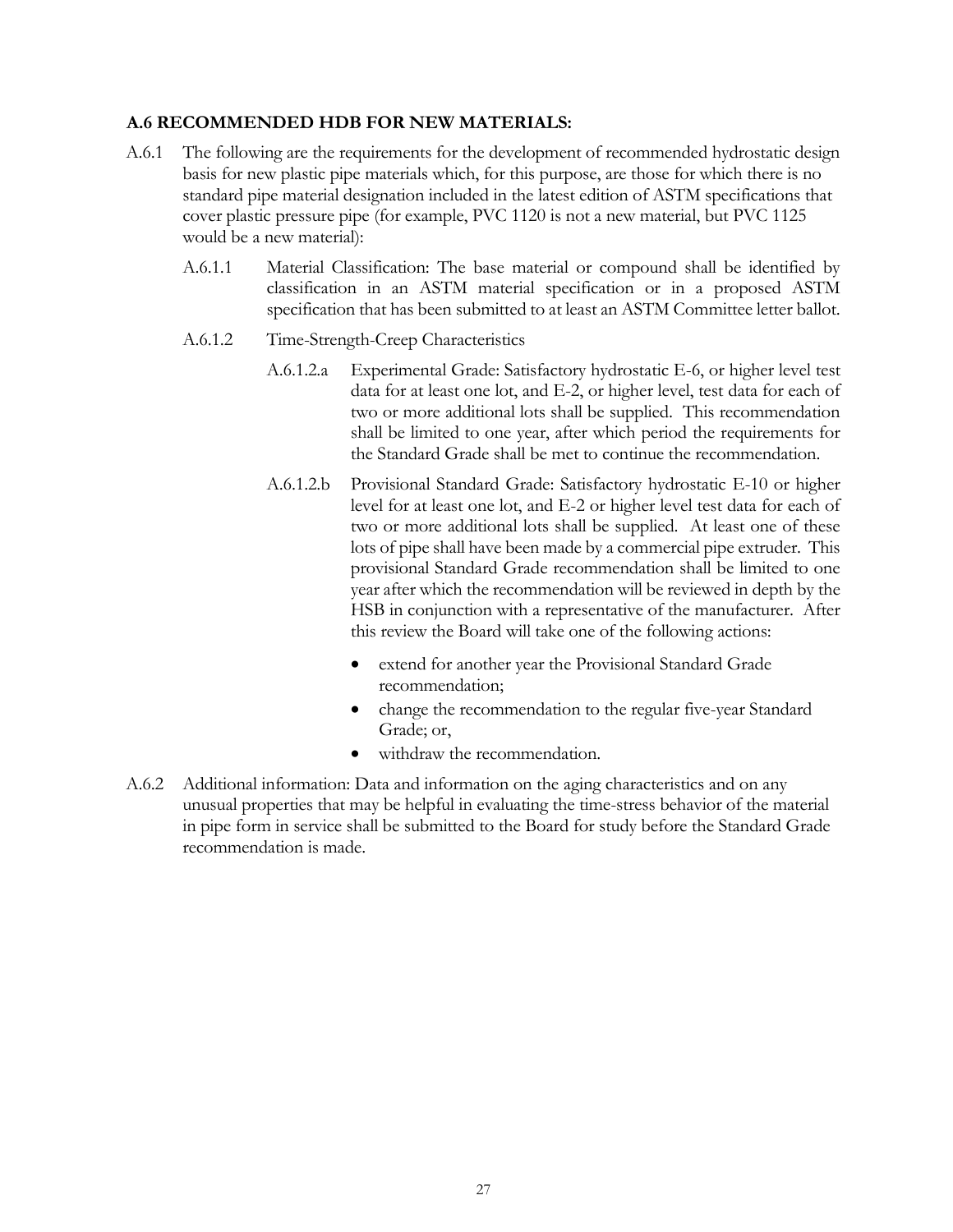#### <span id="page-26-0"></span>**A.6 RECOMMENDED HDB FOR NEW MATERIALS:**

- A.6.1 The following are the requirements for the development of recommended hydrostatic design basis for new plastic pipe materials which, for this purpose, are those for which there is no standard pipe material designation included in the latest edition of ASTM specifications that cover plastic pressure pipe (for example, PVC 1120 is not a new material, but PVC 1125 would be a new material):
	- A.6.1.1 Material Classification: The base material or compound shall be identified by classification in an ASTM material specification or in a proposed ASTM specification that has been submitted to at least an ASTM Committee letter ballot.
	- A.6.1.2 Time-Strength-Creep Characteristics
		- A.6.1.2.a Experimental Grade: Satisfactory hydrostatic E-6, or higher level test data for at least one lot, and E-2, or higher level, test data for each of two or more additional lots shall be supplied. This recommendation shall be limited to one year, after which period the requirements for the Standard Grade shall be met to continue the recommendation.
		- A.6.1.2.b Provisional Standard Grade: Satisfactory hydrostatic E-10 or higher level for at least one lot, and E-2 or higher level test data for each of two or more additional lots shall be supplied. At least one of these lots of pipe shall have been made by a commercial pipe extruder. This provisional Standard Grade recommendation shall be limited to one year after which the recommendation will be reviewed in depth by the HSB in conjunction with a representative of the manufacturer. After this review the Board will take one of the following actions:
			- extend for another year the Provisional Standard Grade recommendation;
			- change the recommendation to the regular five-year Standard Grade; or,
			- withdraw the recommendation.
- A.6.2 Additional information: Data and information on the aging characteristics and on any unusual properties that may be helpful in evaluating the time-stress behavior of the material in pipe form in service shall be submitted to the Board for study before the Standard Grade recommendation is made.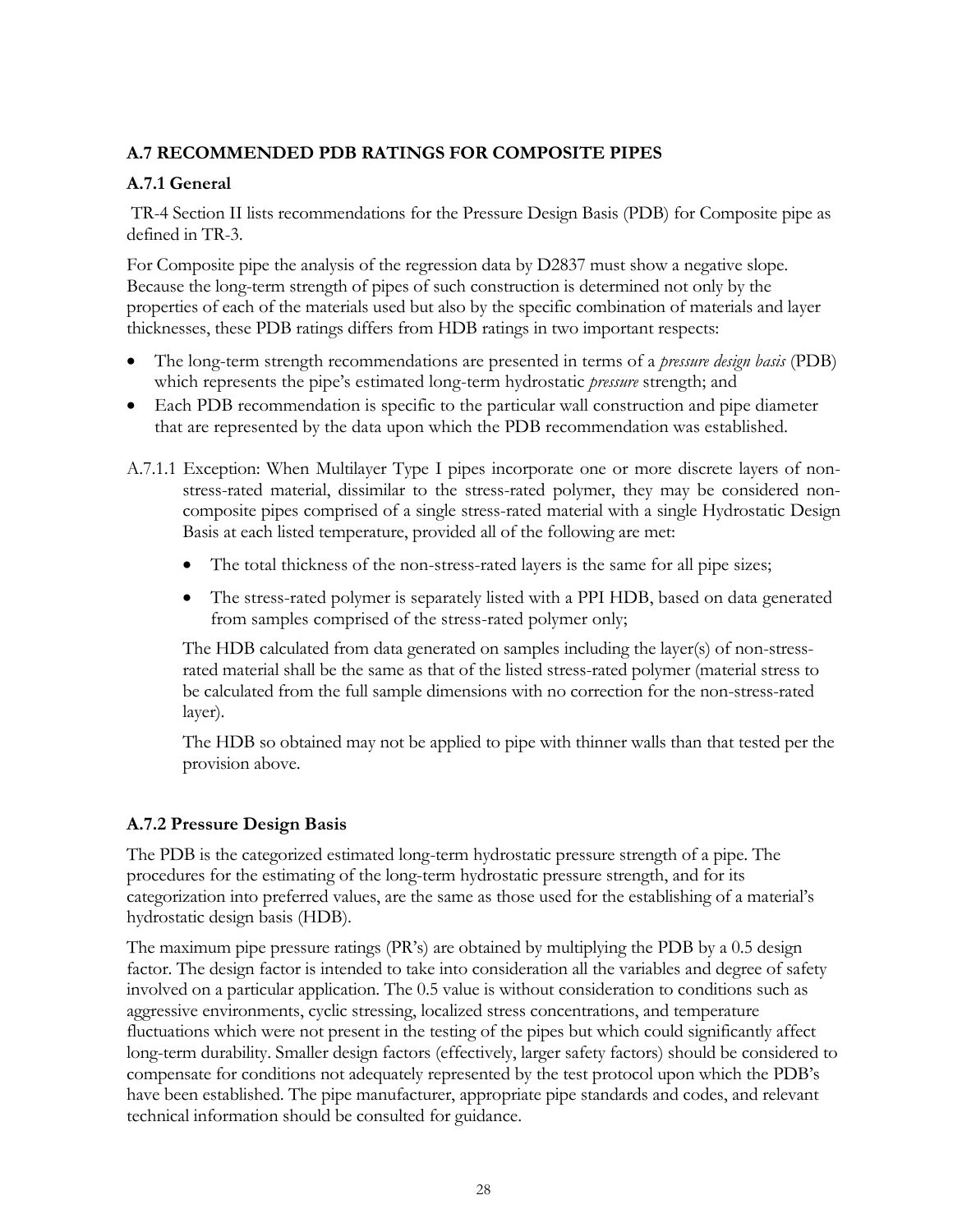## <span id="page-27-0"></span>**A.7 RECOMMENDED PDB RATINGS FOR COMPOSITE PIPES**

## <span id="page-27-1"></span>**A.7.1 General**

TR-4 Section II lists recommendations for the Pressure Design Basis (PDB) for Composite pipe as defined in TR-3.

For Composite pipe the analysis of the regression data by D2837 must show a negative slope. Because the long-term strength of pipes of such construction is determined not only by the properties of each of the materials used but also by the specific combination of materials and layer thicknesses, these PDB ratings differs from HDB ratings in two important respects:

- The long-term strength recommendations are presented in terms of a *pressure design basis* (PDB) which represents the pipe's estimated long-term hydrostatic *pressure* strength; and
- Each PDB recommendation is specific to the particular wall construction and pipe diameter that are represented by the data upon which the PDB recommendation was established.
- A.7.1.1 Exception: When Multilayer Type I pipes incorporate one or more discrete layers of nonstress-rated material, dissimilar to the stress-rated polymer, they may be considered noncomposite pipes comprised of a single stress-rated material with a single Hydrostatic Design Basis at each listed temperature, provided all of the following are met:
	- The total thickness of the non-stress-rated layers is the same for all pipe sizes;
	- The stress-rated polymer is separately listed with a PPI HDB, based on data generated from samples comprised of the stress-rated polymer only;

The HDB calculated from data generated on samples including the layer(s) of non-stressrated material shall be the same as that of the listed stress-rated polymer (material stress to be calculated from the full sample dimensions with no correction for the non-stress-rated layer).

The HDB so obtained may not be applied to pipe with thinner walls than that tested per the provision above.

## <span id="page-27-2"></span>**A.7.2 Pressure Design Basis**

The PDB is the categorized estimated long-term hydrostatic pressure strength of a pipe. The procedures for the estimating of the long-term hydrostatic pressure strength, and for its categorization into preferred values, are the same as those used for the establishing of a material's hydrostatic design basis (HDB).

The maximum pipe pressure ratings (PR's) are obtained by multiplying the PDB by a 0.5 design factor. The design factor is intended to take into consideration all the variables and degree of safety involved on a particular application. The 0.5 value is without consideration to conditions such as aggressive environments, cyclic stressing, localized stress concentrations, and temperature fluctuations which were not present in the testing of the pipes but which could significantly affect long-term durability. Smaller design factors (effectively, larger safety factors) should be considered to compensate for conditions not adequately represented by the test protocol upon which the PDB's have been established. The pipe manufacturer, appropriate pipe standards and codes, and relevant technical information should be consulted for guidance.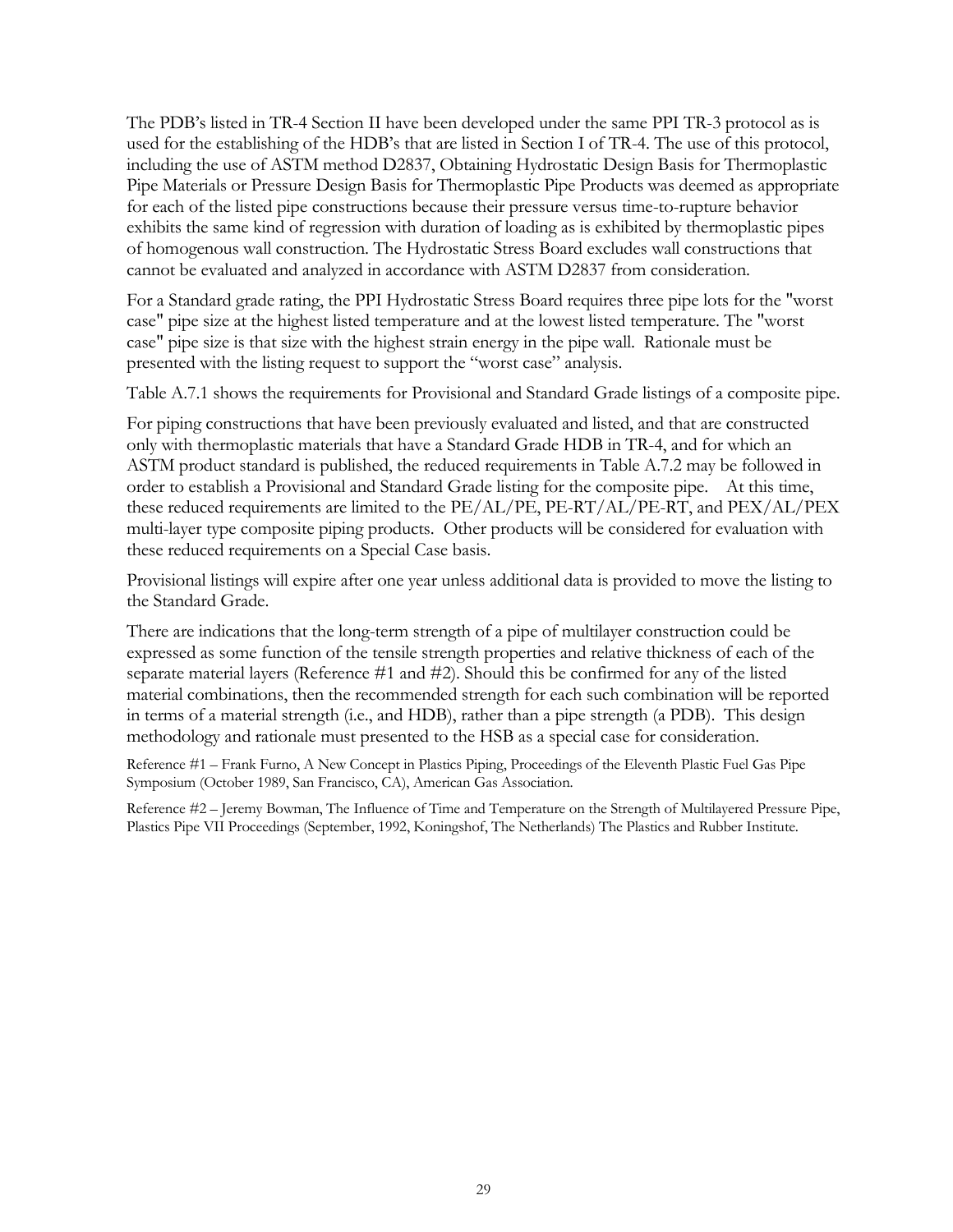The PDB's listed in TR-4 Section II have been developed under the same PPI TR-3 protocol as is used for the establishing of the HDB's that are listed in Section I of TR-4. The use of this protocol, including the use of ASTM method D2837, Obtaining Hydrostatic Design Basis for Thermoplastic Pipe Materials or Pressure Design Basis for Thermoplastic Pipe Products was deemed as appropriate for each of the listed pipe constructions because their pressure versus time-to-rupture behavior exhibits the same kind of regression with duration of loading as is exhibited by thermoplastic pipes of homogenous wall construction. The Hydrostatic Stress Board excludes wall constructions that cannot be evaluated and analyzed in accordance with ASTM D2837 from consideration.

For a Standard grade rating, the PPI Hydrostatic Stress Board requires three pipe lots for the "worst case" pipe size at the highest listed temperature and at the lowest listed temperature. The "worst case" pipe size is that size with the highest strain energy in the pipe wall. Rationale must be presented with the listing request to support the "worst case" analysis.

Table A.7.1 shows the requirements for Provisional and Standard Grade listings of a composite pipe.

For piping constructions that have been previously evaluated and listed, and that are constructed only with thermoplastic materials that have a Standard Grade HDB in TR-4, and for which an ASTM product standard is published, the reduced requirements in Table A.7.2 may be followed in order to establish a Provisional and Standard Grade listing for the composite pipe. At this time, these reduced requirements are limited to the PE/AL/PE, PE-RT/AL/PE-RT, and PEX/AL/PEX multi-layer type composite piping products. Other products will be considered for evaluation with these reduced requirements on a Special Case basis.

Provisional listings will expire after one year unless additional data is provided to move the listing to the Standard Grade.

There are indications that the long-term strength of a pipe of multilayer construction could be expressed as some function of the tensile strength properties and relative thickness of each of the separate material layers (Reference #1 and #2). Should this be confirmed for any of the listed material combinations, then the recommended strength for each such combination will be reported in terms of a material strength (i.e., and HDB), rather than a pipe strength (a PDB). This design methodology and rationale must presented to the HSB as a special case for consideration.

Reference #1 – Frank Furno, A New Concept in Plastics Piping, Proceedings of the Eleventh Plastic Fuel Gas Pipe Symposium (October 1989, San Francisco, CA), American Gas Association.

Reference #2 – Jeremy Bowman, The Influence of Time and Temperature on the Strength of Multilayered Pressure Pipe, Plastics Pipe VII Proceedings (September, 1992, Koningshof, The Netherlands) The Plastics and Rubber Institute.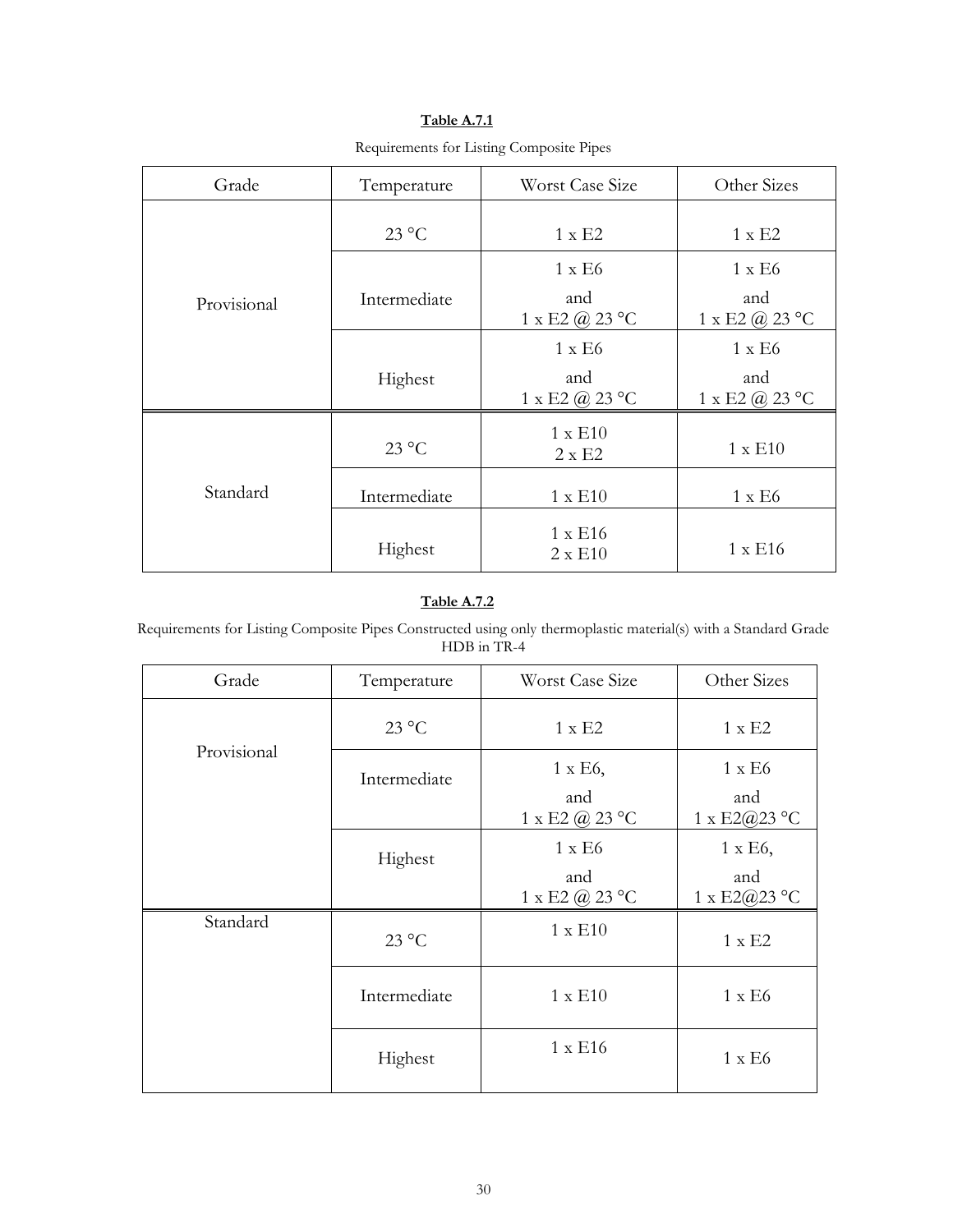| Grade       | Temperature    | Worst Case Size                           | Other Sizes                               |
|-------------|----------------|-------------------------------------------|-------------------------------------------|
|             | $23^{\circ}$ C | $1 \times E2$                             | $1 \times E2$                             |
|             |                | $1 \times E6$                             | $1 \times E6$                             |
| Provisional | Intermediate   | and<br>$1 \times E2 \ (a) 23 \ ^{\circ}C$ | and<br>$1 \times E2 \ (a) 23 \ ^{\circ}C$ |
|             |                | $1 \times E6$                             | $1 \times E6$                             |
|             | Highest        | and<br>$1 \times E2$ (a) 23 °C            | and<br>$1 \times E2 @ 23 °C$              |
|             | $23^{\circ}$ C | $1 \times E10$<br>$2 \times E2$           | $1 \times E10$                            |
| Standard    | Intermediate   | $1 \times E10$                            | $1 \times E6$                             |
|             | Highest        | $1 \times E16$<br>$2 \times E10$          | $1 \times E16$                            |

**Table A.7.1** Requirements for Listing Composite Pipes

### **Table A.7.2**

Requirements for Listing Composite Pipes Constructed using only thermoplastic material(s) with a Standard Grade HDB in TR-4

| Grade       | Temperature    | Worst Case Size                               | Other Sizes                            |
|-------------|----------------|-----------------------------------------------|----------------------------------------|
|             | $23^{\circ}$ C | $1 \times E2$                                 | $1 \times E2$                          |
| Provisional | Intermediate   | $1 \times E6$ ,<br>and<br>1 x E2 $(a)$ 23 °C  | $1 \times E6$<br>and<br>1 x E2@23 °C   |
|             | Highest        | $1 \times E6$<br>and<br>$1 \times E2 @ 23 °C$ | $1 \times E6$ ,<br>and<br>1 x E2@23 °C |
| Standard    | $23^{\circ}$ C | $1 \times E10$                                | $1 \times E2$                          |
|             | Intermediate   | $1 \times E10$                                | $1 \times E6$                          |
|             | Highest        | $1 \times E16$                                | $1 \times E6$                          |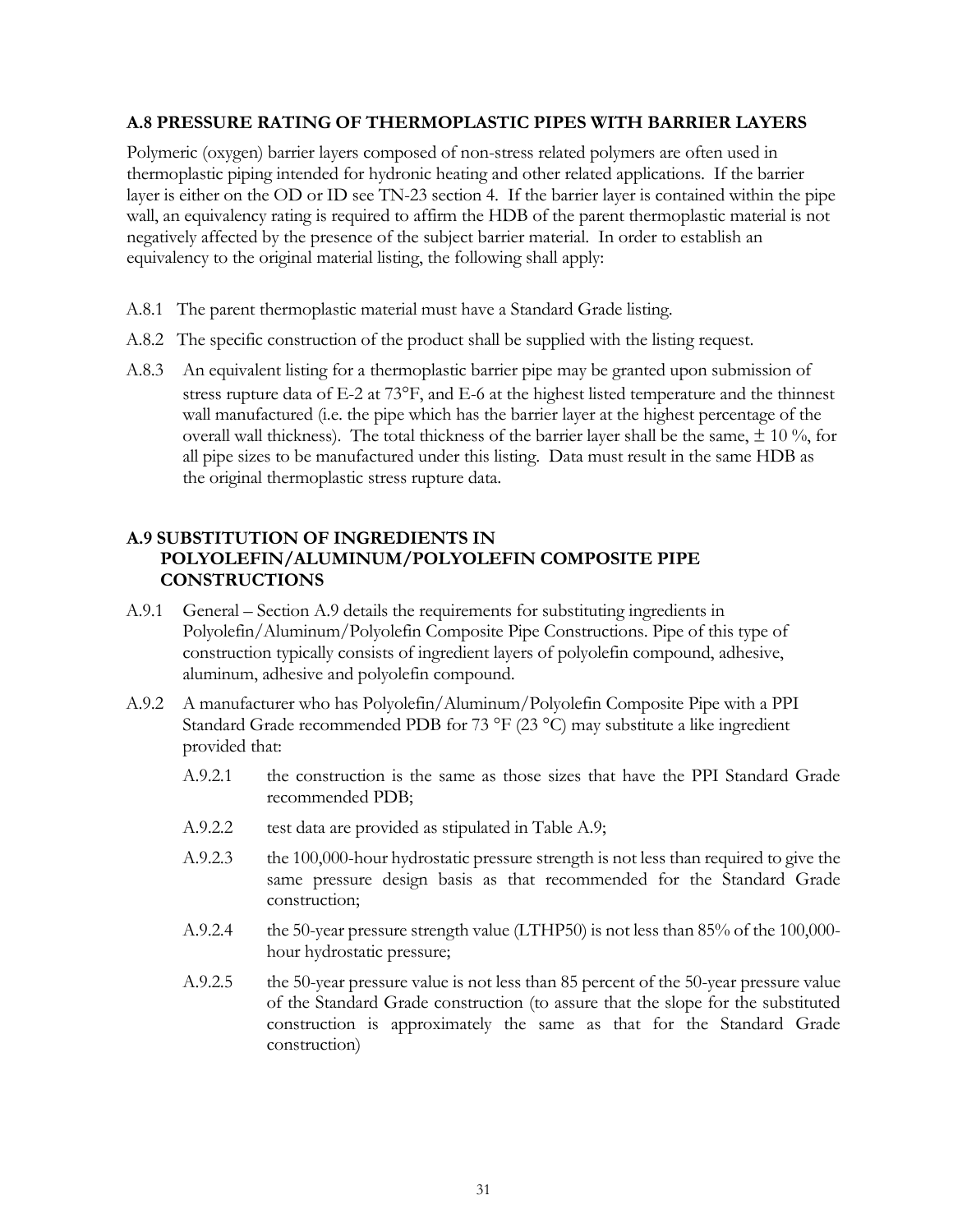#### <span id="page-30-0"></span>**A.8 PRESSURE RATING OF THERMOPLASTIC PIPES WITH BARRIER LAYERS**

Polymeric (oxygen) barrier layers composed of non-stress related polymers are often used in thermoplastic piping intended for hydronic heating and other related applications. If the barrier layer is either on the OD or ID see TN-23 section 4. If the barrier layer is contained within the pipe wall, an equivalency rating is required to affirm the HDB of the parent thermoplastic material is not negatively affected by the presence of the subject barrier material. In order to establish an equivalency to the original material listing, the following shall apply:

- A.8.1 The parent thermoplastic material must have a Standard Grade listing.
- A.8.2 The specific construction of the product shall be supplied with the listing request.
- A.8.3 An equivalent listing for a thermoplastic barrier pipe may be granted upon submission of stress rupture data of  $E$ -2 at  $73^{\circ}F$ , and  $E$ -6 at the highest listed temperature and the thinnest wall manufactured (i.e. the pipe which has the barrier layer at the highest percentage of the overall wall thickness). The total thickness of the barrier layer shall be the same,  $\pm$  10 %, for all pipe sizes to be manufactured under this listing. Data must result in the same HDB as the original thermoplastic stress rupture data.

### <span id="page-30-1"></span>**A.9 SUBSTITUTION OF INGREDIENTS IN POLYOLEFIN/ALUMINUM/POLYOLEFIN COMPOSITE PIPE CONSTRUCTIONS**

- A.9.1 General Section A.9 details the requirements for substituting ingredients in Polyolefin/Aluminum/Polyolefin Composite Pipe Constructions. Pipe of this type of construction typically consists of ingredient layers of polyolefin compound, adhesive, aluminum, adhesive and polyolefin compound.
- A.9.2 A manufacturer who has Polyolefin/Aluminum/Polyolefin Composite Pipe with a PPI Standard Grade recommended PDB for 73 °F (23 °C) may substitute a like ingredient provided that:
	- A.9.2.1 the construction is the same as those sizes that have the PPI Standard Grade recommended PDB;
	- A.9.2.2 test data are provided as stipulated in Table A.9;
	- A.9.2.3 the 100,000-hour hydrostatic pressure strength is not less than required to give the same pressure design basis as that recommended for the Standard Grade construction;
	- A.9.2.4 the 50-year pressure strength value (LTHP50) is not less than 85% of the 100,000 hour hydrostatic pressure;
	- A.9.2.5 the 50-year pressure value is not less than 85 percent of the 50-year pressure value of the Standard Grade construction (to assure that the slope for the substituted construction is approximately the same as that for the Standard Grade construction)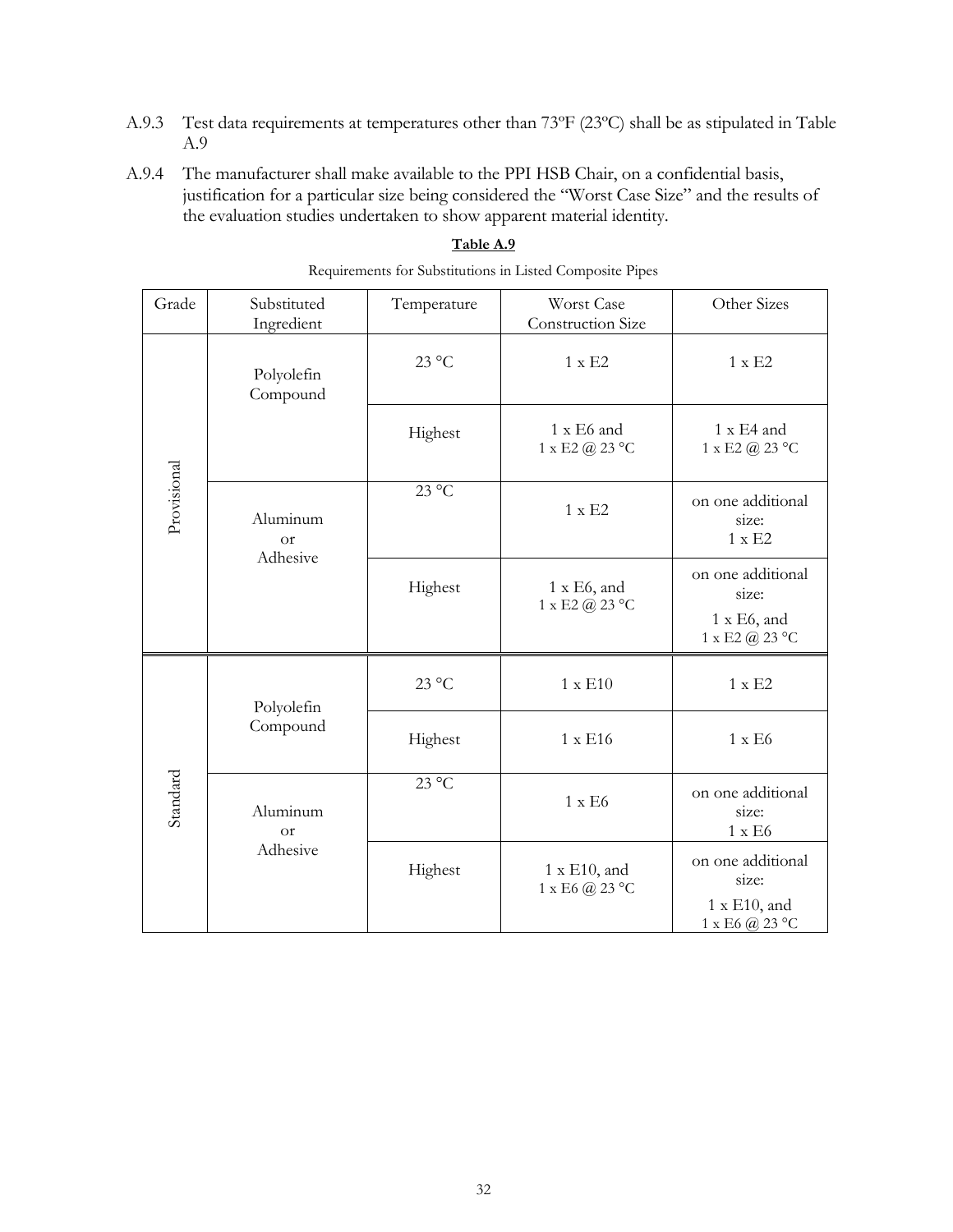- A.9.3 Test data requirements at temperatures other than 73ºF (23ºC) shall be as stipulated in Table A.9
- A.9.4 The manufacturer shall make available to the PPI HSB Chair, on a confidential basis, justification for a particular size being considered the "Worst Case Size" and the results of the evaluation studies undertaken to show apparent material identity.

| Grade       | Substituted<br>Ingredient         | Temperature    | Worst Case<br><b>Construction Size</b>           | Other Sizes                                                         |
|-------------|-----------------------------------|----------------|--------------------------------------------------|---------------------------------------------------------------------|
| Provisional | Polyolefin<br>Compound            | $23^{\circ}$ C | $1 \times E2$                                    | $1 \times E2$                                                       |
|             |                                   | Highest        | 1 x E6 and<br>$1 \times E2$ (a) $23 °C$          | 1 x E4 and<br>$1 \times E2 @ 23 °C$                                 |
|             | Aluminum<br><b>or</b>             | $23^{\circ}$ C | $1 \times E2$                                    | on one additional<br>size:<br>$1 \times E2$                         |
|             | Adhesive                          | Highest        | 1 x E6, and<br>$1 \times E2$ (a) $23 °C$         | on one additional<br>size:<br>$1 \times E6$ , and<br>1 x E2 @ 23 °C |
|             | Polyolefin                        | $23^{\circ}$ C | $1 \times E10$                                   | $1 \times E2$                                                       |
| Standard    | Compound                          | Highest        | 1 x E16                                          | $1 \times E6$                                                       |
|             | Aluminum<br><b>or</b><br>Adhesive | $23^{\circ}$ C | $1 \times E6$                                    | on one additional<br>size:<br>$1 \times E6$                         |
|             |                                   | Highest        | 1 x E10, and<br>$1 \times E6$ (a) $23^{\circ}$ C | on one additional<br>size:<br>1 x E10, and<br>$1 \times E6$ @ 23 °C |

#### **Table A.9**

Requirements for Substitutions in Listed Composite Pipes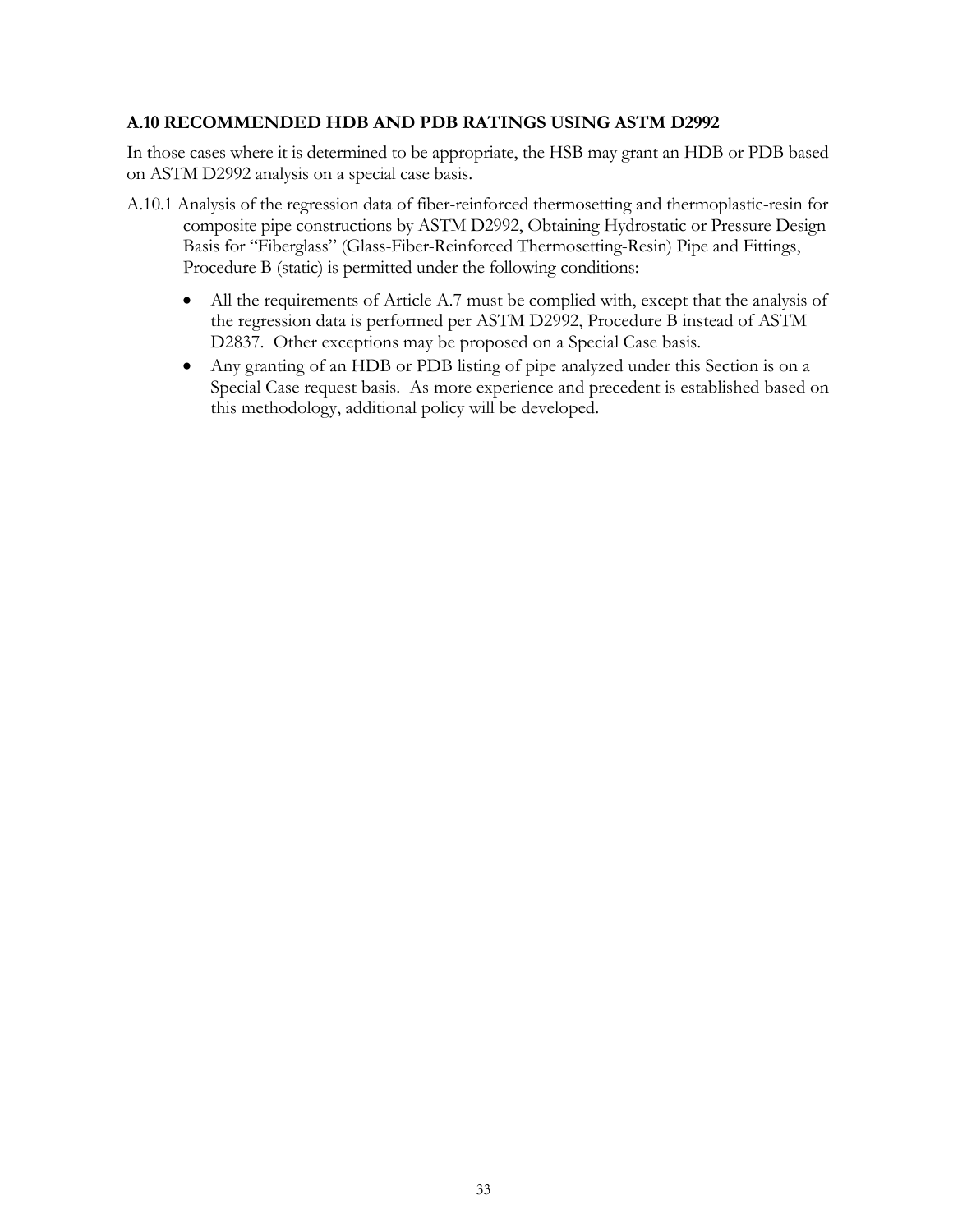#### <span id="page-32-0"></span>**A.10 RECOMMENDED HDB AND PDB RATINGS USING ASTM D2992**

In those cases where it is determined to be appropriate, the HSB may grant an HDB or PDB based on ASTM D2992 analysis on a special case basis.

- A.10.1 Analysis of the regression data of fiber-reinforced thermosetting and thermoplastic-resin for composite pipe constructions by ASTM D2992, Obtaining Hydrostatic or Pressure Design Basis for "Fiberglass" (Glass-Fiber-Reinforced Thermosetting-Resin) Pipe and Fittings, Procedure B (static) is permitted under the following conditions:
	- All the requirements of Article A.7 must be complied with, except that the analysis of the regression data is performed per ASTM D2992, Procedure B instead of ASTM D2837. Other exceptions may be proposed on a Special Case basis.
	- Any granting of an HDB or PDB listing of pipe analyzed under this Section is on a Special Case request basis. As more experience and precedent is established based on this methodology, additional policy will be developed.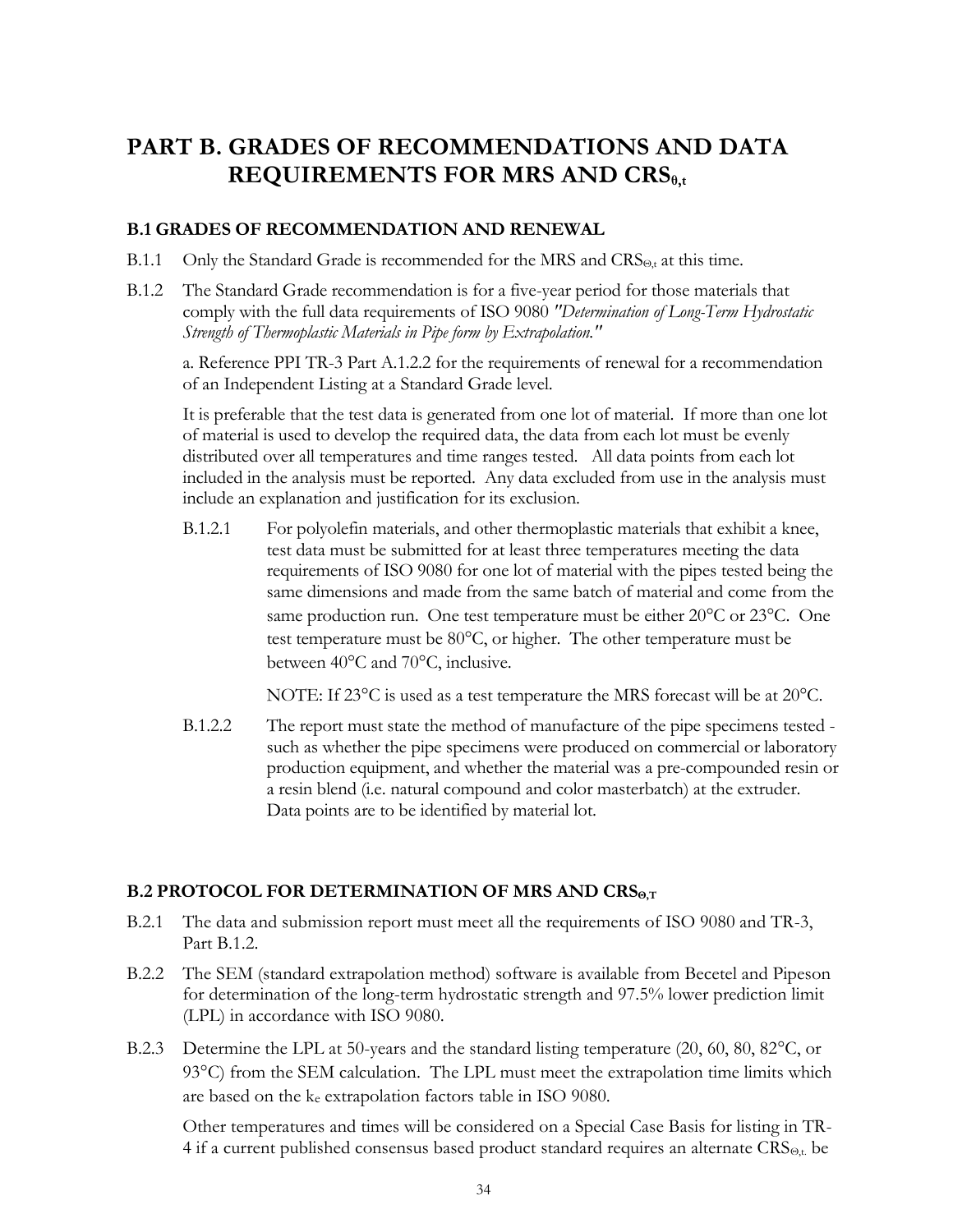## <span id="page-33-0"></span>**PART B. GRADES OF RECOMMENDATIONS AND DATA REQUIREMENTS FOR MRS AND CRSθ,t**

#### <span id="page-33-1"></span>**B.1 GRADES OF RECOMMENDATION AND RENEWAL**

- B.1.1 Only the Standard Grade is recommended for the MRS and  $CRS<sub>0,t</sub>$  at this time.
- B.1.2 The Standard Grade recommendation is for a five-year period for those materials that comply with the full data requirements of ISO 9080 *"Determination of Long-Term Hydrostatic Strength of Thermoplastic Materials in Pipe form by Extrapolation."*

a. Reference PPI TR-3 Part A.1.2.2 for the requirements of renewal for a recommendation of an Independent Listing at a Standard Grade level.

It is preferable that the test data is generated from one lot of material. If more than one lot of material is used to develop the required data, the data from each lot must be evenly distributed over all temperatures and time ranges tested. All data points from each lot included in the analysis must be reported. Any data excluded from use in the analysis must include an explanation and justification for its exclusion.

B.1.2.1 For polyolefin materials, and other thermoplastic materials that exhibit a knee, test data must be submitted for at least three temperatures meeting the data requirements of ISO 9080 for one lot of material with the pipes tested being the same dimensions and made from the same batch of material and come from the same production run. One test temperature must be either 20°C or 23°C. One test temperature must be  $80^{\circ}$ C, or higher. The other temperature must be between 40°C and 70°C, inclusive.

NOTE: If 23 $\degree$ C is used as a test temperature the MRS forecast will be at 20 $\degree$ C.

B.1.2.2 The report must state the method of manufacture of the pipe specimens tested such as whether the pipe specimens were produced on commercial or laboratory production equipment, and whether the material was a pre-compounded resin or a resin blend (i.e. natural compound and color masterbatch) at the extruder. Data points are to be identified by material lot.

#### <span id="page-33-2"></span>**B.2 PROTOCOL FOR DETERMINATION OF MRS AND CRSΘ,T**

- B.2.1 The data and submission report must meet all the requirements of ISO 9080 and TR-3, Part B.1.2.
- B.2.2 The SEM (standard extrapolation method) software is available from Becetel and Pipeson for determination of the long-term hydrostatic strength and 97.5% lower prediction limit (LPL) in accordance with ISO 9080.
- B.2.3 Determine the LPL at 50-years and the standard listing temperature (20, 60, 80, 82 °C, or 93C) from the SEM calculation. The LPL must meet the extrapolation time limits which are based on the ke extrapolation factors table in ISO 9080.

Other temperatures and times will be considered on a Special Case Basis for listing in TR-4 if a current published consensus based product standard requires an alternate  $CRS_{\Theta,t}$  be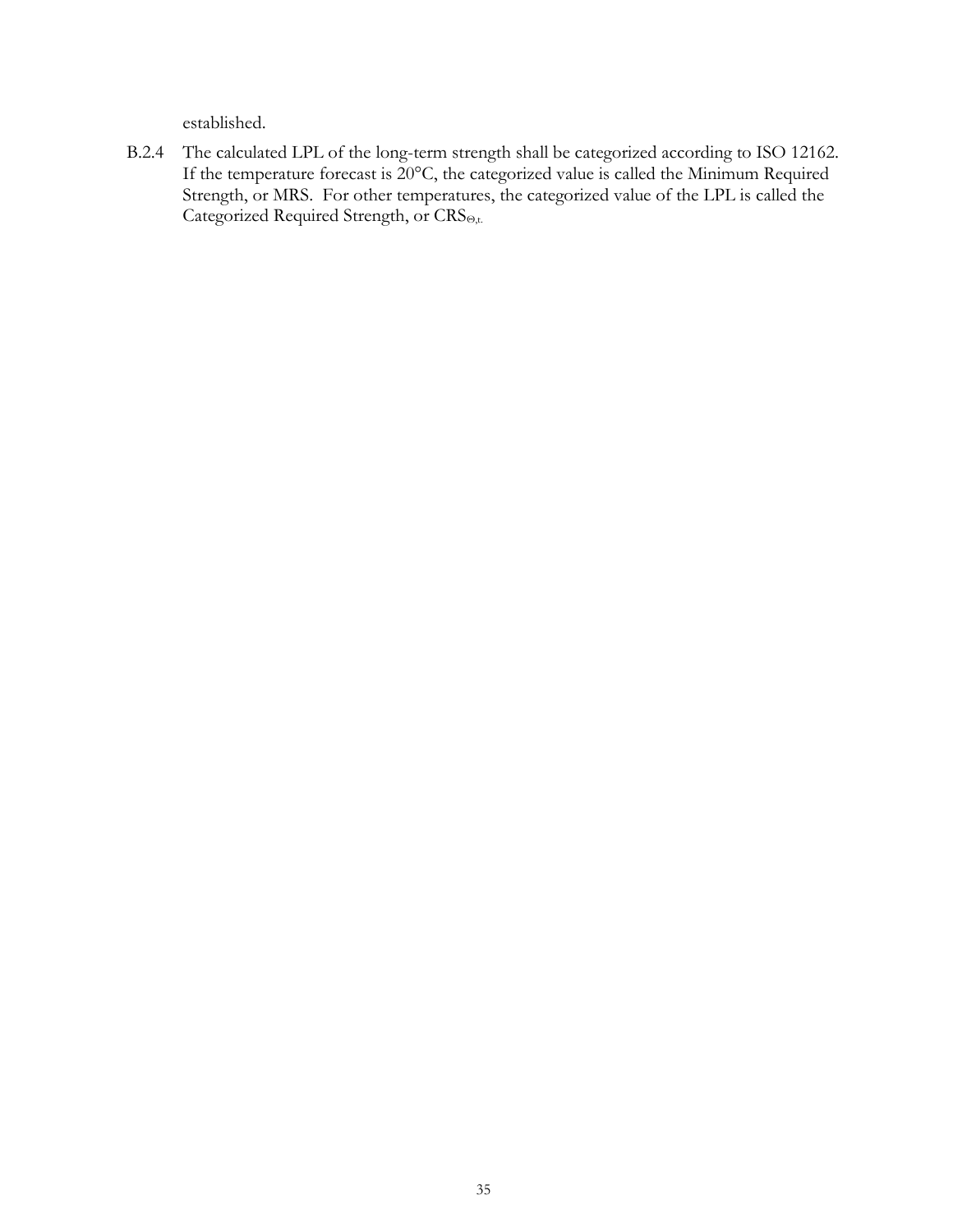established.

B.2.4 The calculated LPL of the long-term strength shall be categorized according to ISO 12162. If the temperature forecast is 20°C, the categorized value is called the Minimum Required Strength, or MRS. For other temperatures, the categorized value of the LPL is called the Categorized Required Strength, or CRS<sub>Θ,t.</sub>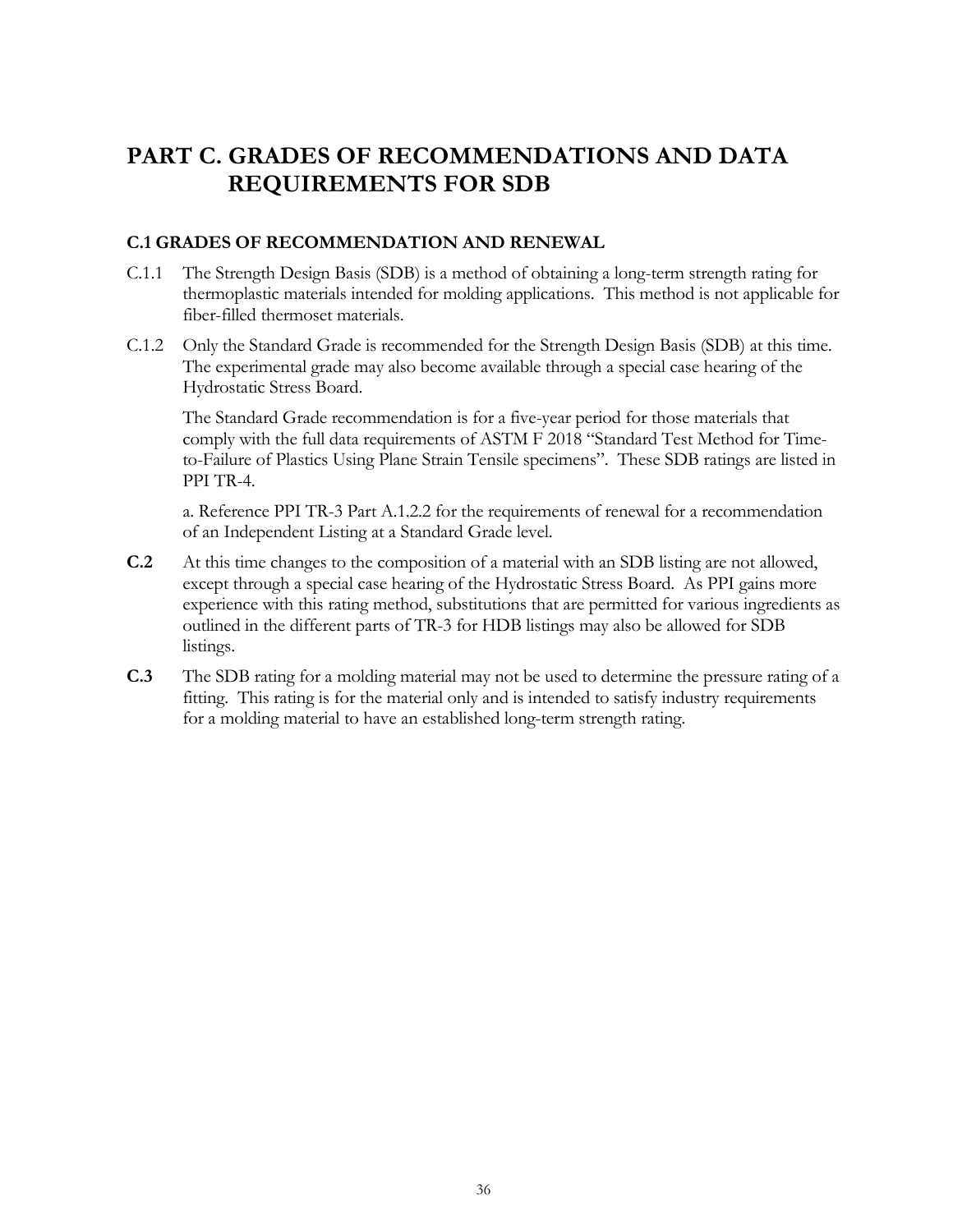## <span id="page-35-0"></span>**PART C. GRADES OF RECOMMENDATIONS AND DATA REQUIREMENTS FOR SDB**

## <span id="page-35-1"></span>**C.1 GRADES OF RECOMMENDATION AND RENEWAL**

- C.1.1 The Strength Design Basis (SDB) is a method of obtaining a long-term strength rating for thermoplastic materials intended for molding applications. This method is not applicable for fiber-filled thermoset materials.
- C.1.2 Only the Standard Grade is recommended for the Strength Design Basis (SDB) at this time. The experimental grade may also become available through a special case hearing of the Hydrostatic Stress Board.

The Standard Grade recommendation is for a five-year period for those materials that comply with the full data requirements of ASTM F 2018 "Standard Test Method for Timeto-Failure of Plastics Using Plane Strain Tensile specimens". These SDB ratings are listed in PPI TR-4.

a. Reference PPI TR-3 Part A.1.2.2 for the requirements of renewal for a recommendation of an Independent Listing at a Standard Grade level.

- **C.2** At this time changes to the composition of a material with an SDB listing are not allowed, except through a special case hearing of the Hydrostatic Stress Board. As PPI gains more experience with this rating method, substitutions that are permitted for various ingredients as outlined in the different parts of TR-3 for HDB listings may also be allowed for SDB listings.
- **C.3** The SDB rating for a molding material may not be used to determine the pressure rating of a fitting. This rating is for the material only and is intended to satisfy industry requirements for a molding material to have an established long-term strength rating.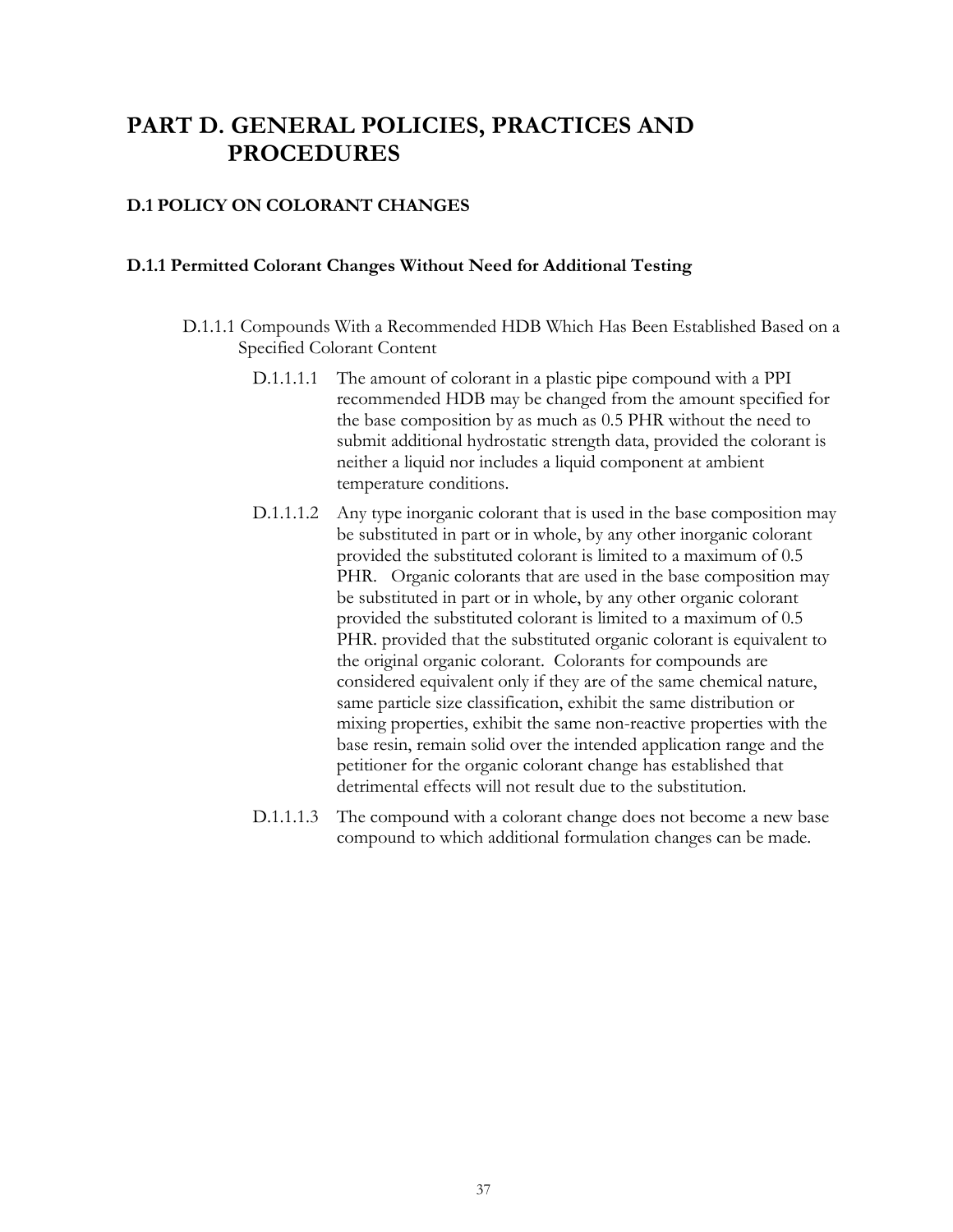## **PART D. GENERAL POLICIES, PRACTICES AND PROCEDURES**

## **D.1 POLICY ON COLORANT CHANGES**

#### **D.1.1 Permitted Colorant Changes Without Need for Additional Testing**

- D.1.1.1 Compounds With a Recommended HDB Which Has Been Established Based on a Specified Colorant Content
	- D.1.1.1.1 The amount of colorant in a plastic pipe compound with a PPI recommended HDB may be changed from the amount specified for the base composition by as much as 0.5 PHR without the need to submit additional hydrostatic strength data, provided the colorant is neither a liquid nor includes a liquid component at ambient temperature conditions.
	- D.1.1.1.2 Any type inorganic colorant that is used in the base composition may be substituted in part or in whole, by any other inorganic colorant provided the substituted colorant is limited to a maximum of 0.5 PHR. Organic colorants that are used in the base composition may be substituted in part or in whole, by any other organic colorant provided the substituted colorant is limited to a maximum of 0.5 PHR. provided that the substituted organic colorant is equivalent to the original organic colorant. Colorants for compounds are considered equivalent only if they are of the same chemical nature, same particle size classification, exhibit the same distribution or mixing properties, exhibit the same non-reactive properties with the base resin, remain solid over the intended application range and the petitioner for the organic colorant change has established that detrimental effects will not result due to the substitution.
	- D.1.1.1.3 The compound with a colorant change does not become a new base compound to which additional formulation changes can be made.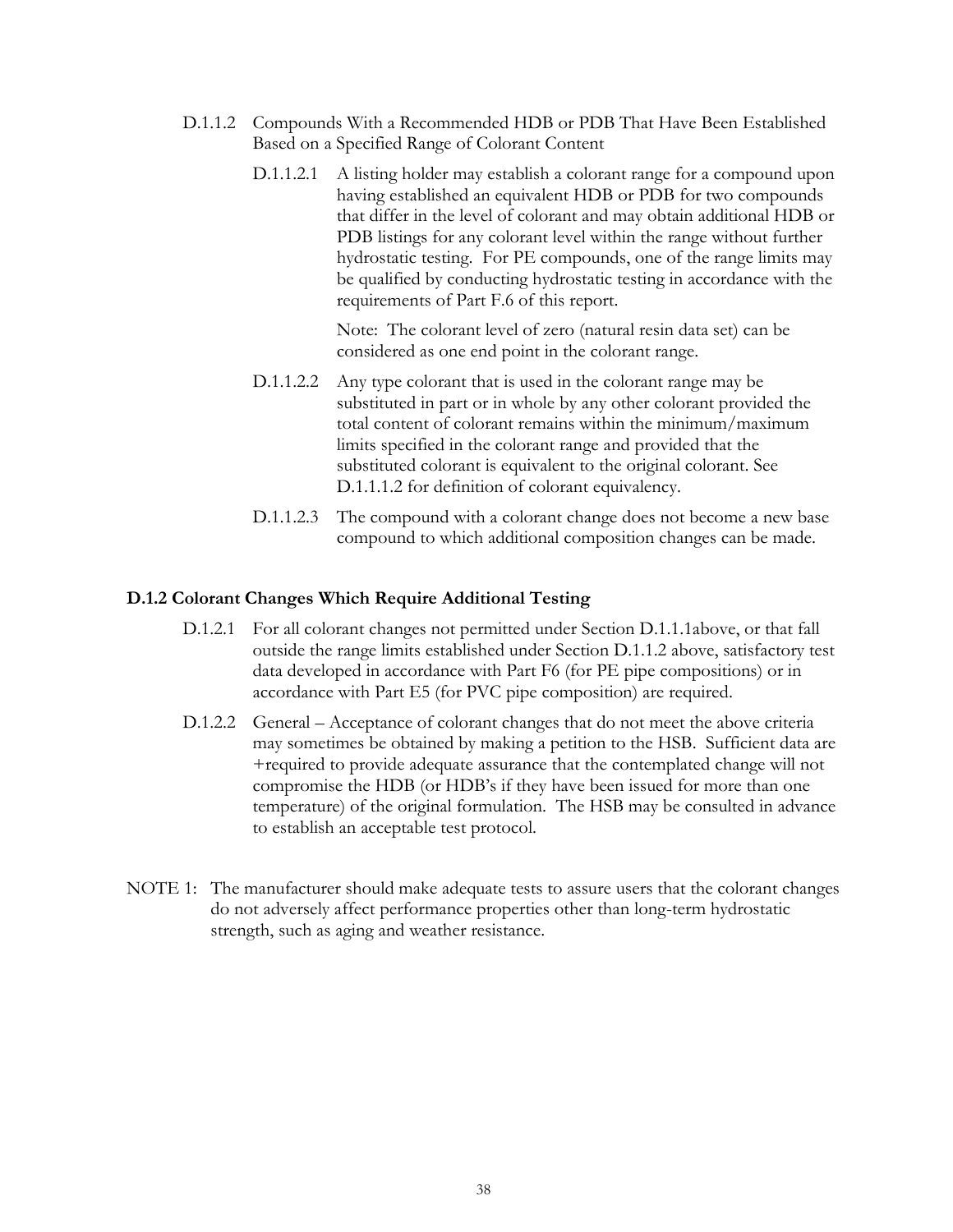- D.1.1.2 Compounds With a Recommended HDB or PDB That Have Been Established Based on a Specified Range of Colorant Content
	- D.1.1.2.1 A listing holder may establish a colorant range for a compound upon having established an equivalent HDB or PDB for two compounds that differ in the level of colorant and may obtain additional HDB or PDB listings for any colorant level within the range without further hydrostatic testing. For PE compounds, one of the range limits may be qualified by conducting hydrostatic testing in accordance with the requirements of Part F.6 of this report.

Note: The colorant level of zero (natural resin data set) can be considered as one end point in the colorant range.

- D.1.1.2.2 Any type colorant that is used in the colorant range may be substituted in part or in whole by any other colorant provided the total content of colorant remains within the minimum/maximum limits specified in the colorant range and provided that the substituted colorant is equivalent to the original colorant. See D.1.1.1.2 for definition of colorant equivalency.
- D.1.1.2.3 The compound with a colorant change does not become a new base compound to which additional composition changes can be made.

#### **D.1.2 Colorant Changes Which Require Additional Testing**

- D.1.2.1 For all colorant changes not permitted under Section D.1.1.1above, or that fall outside the range limits established under Section D.1.1.2 above, satisfactory test data developed in accordance with Part F6 (for PE pipe compositions) or in accordance with Part E5 (for PVC pipe composition) are required.
- D.1.2.2 General Acceptance of colorant changes that do not meet the above criteria may sometimes be obtained by making a petition to the HSB. Sufficient data are +required to provide adequate assurance that the contemplated change will not compromise the HDB (or HDB's if they have been issued for more than one temperature) of the original formulation. The HSB may be consulted in advance to establish an acceptable test protocol.
- NOTE 1: The manufacturer should make adequate tests to assure users that the colorant changes do not adversely affect performance properties other than long-term hydrostatic strength, such as aging and weather resistance.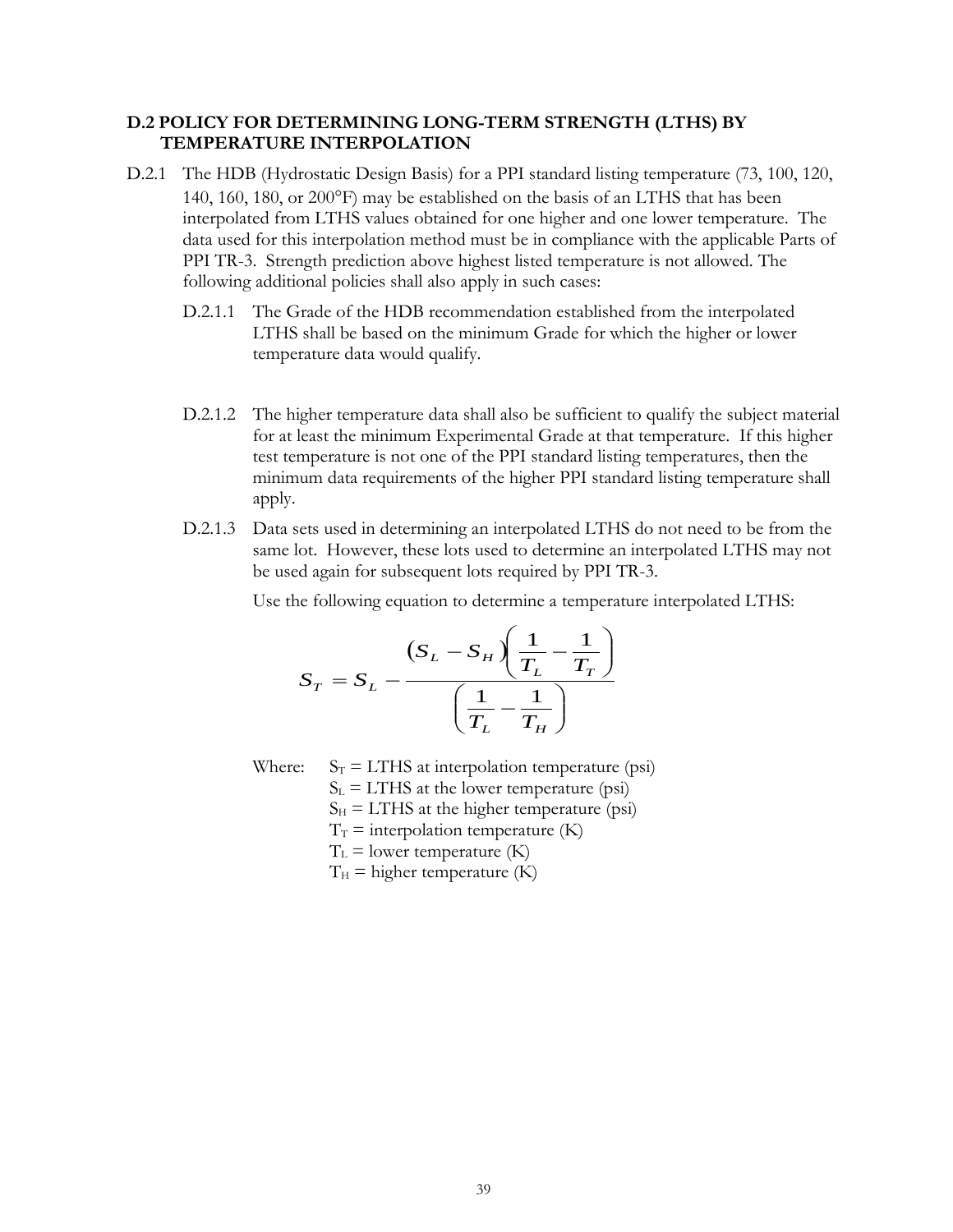#### **D.2 POLICY FOR DETERMINING LONG-TERM STRENGTH (LTHS) BY TEMPERATURE INTERPOLATION**

- D.2.1 The HDB (Hydrostatic Design Basis) for a PPI standard listing temperature (73, 100, 120, 140, 160, 180, or 200 $\textdegree$ F) may be established on the basis of an LTHS that has been interpolated from LTHS values obtained for one higher and one lower temperature. The data used for this interpolation method must be in compliance with the applicable Parts of PPI TR-3. Strength prediction above highest listed temperature is not allowed. The following additional policies shall also apply in such cases:
	- D.2.1.1 The Grade of the HDB recommendation established from the interpolated LTHS shall be based on the minimum Grade for which the higher or lower temperature data would qualify.
	- D.2.1.2 The higher temperature data shall also be sufficient to qualify the subject material for at least the minimum Experimental Grade at that temperature. If this higher test temperature is not one of the PPI standard listing temperatures, then the minimum data requirements of the higher PPI standard listing temperature shall apply.
	- D.2.1.3 Data sets used in determining an interpolated LTHS do not need to be from the same lot. However, these lots used to determine an interpolated LTHS may not be used again for subsequent lots required by PPI TR-3.

Use the following equation to determine a temperature interpolated LTHS:

$$
S_T = S_L - \frac{\left(S_L - S_H\right)\left(\frac{1}{T_L} - \frac{1}{T_T}\right)}{\left(\frac{1}{T_L} - \frac{1}{T_H}\right)}
$$

Where:  $S_T = LTHS$  at interpolation temperature (psi)  $S_{L}$  = LTHS at the lower temperature (psi)  $S_H = LTHS$  at the higher temperature (psi)  $T_T$  = interpolation temperature (K)

 $T<sub>L</sub>$  = lower temperature (K)

 $T_H$  = higher temperature (K)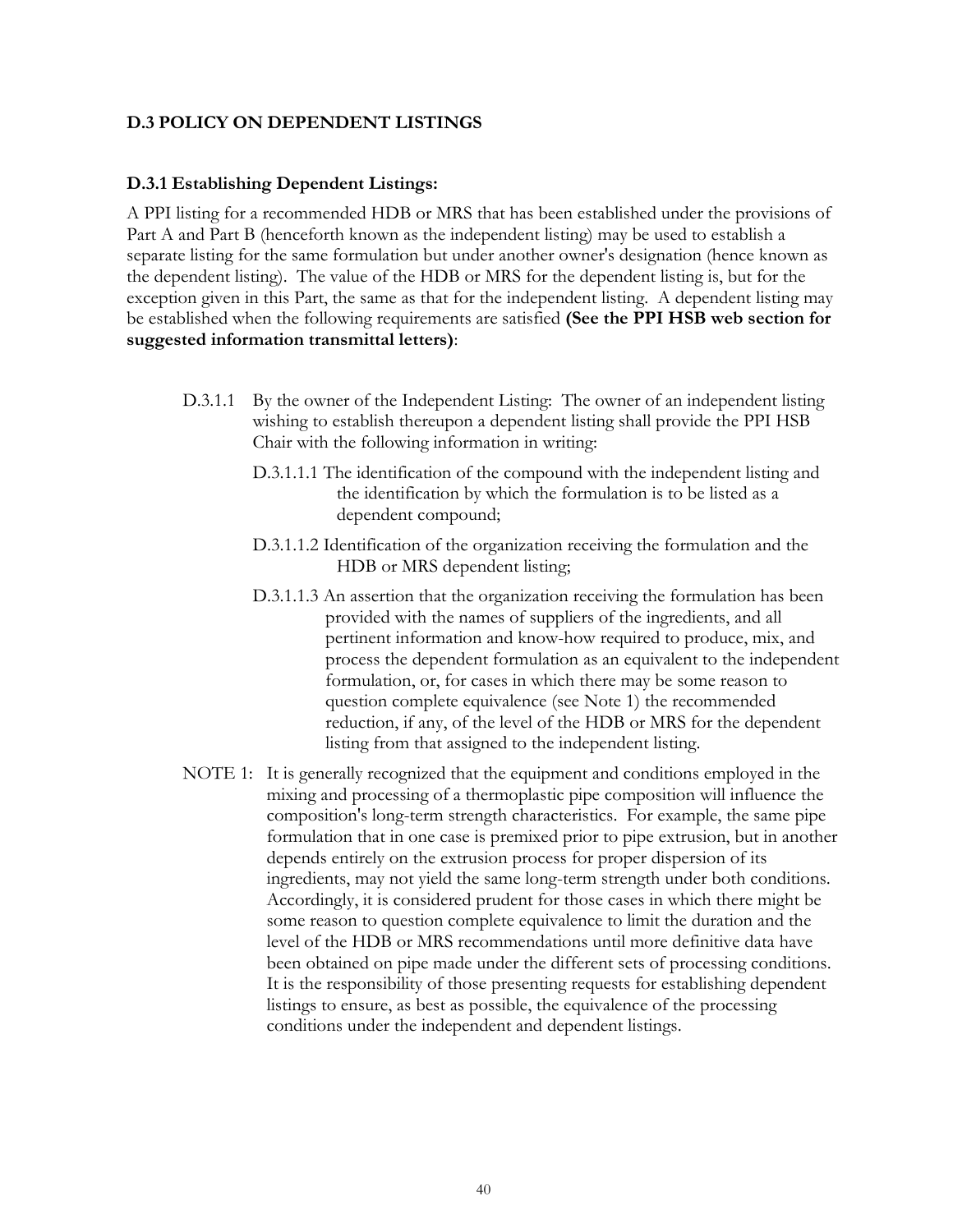#### **D.3 POLICY ON DEPENDENT LISTINGS**

#### **D.3.1 Establishing Dependent Listings:**

A PPI listing for a recommended HDB or MRS that has been established under the provisions of Part A and Part B (henceforth known as the independent listing) may be used to establish a separate listing for the same formulation but under another owner's designation (hence known as the dependent listing). The value of the HDB or MRS for the dependent listing is, but for the exception given in this Part, the same as that for the independent listing. A dependent listing may be established when the following requirements are satisfied **(See the PPI HSB web section for suggested information transmittal letters)**:

- D.3.1.1 By the owner of the Independent Listing: The owner of an independent listing wishing to establish thereupon a dependent listing shall provide the PPI HSB Chair with the following information in writing:
	- D.3.1.1.1 The identification of the compound with the independent listing and the identification by which the formulation is to be listed as a dependent compound;
	- D.3.1.1.2 Identification of the organization receiving the formulation and the HDB or MRS dependent listing;
	- D.3.1.1.3 An assertion that the organization receiving the formulation has been provided with the names of suppliers of the ingredients, and all pertinent information and know-how required to produce, mix, and process the dependent formulation as an equivalent to the independent formulation, or, for cases in which there may be some reason to question complete equivalence (see Note 1) the recommended reduction, if any, of the level of the HDB or MRS for the dependent listing from that assigned to the independent listing.
- NOTE 1: It is generally recognized that the equipment and conditions employed in the mixing and processing of a thermoplastic pipe composition will influence the composition's long-term strength characteristics. For example, the same pipe formulation that in one case is premixed prior to pipe extrusion, but in another depends entirely on the extrusion process for proper dispersion of its ingredients, may not yield the same long-term strength under both conditions. Accordingly, it is considered prudent for those cases in which there might be some reason to question complete equivalence to limit the duration and the level of the HDB or MRS recommendations until more definitive data have been obtained on pipe made under the different sets of processing conditions. It is the responsibility of those presenting requests for establishing dependent listings to ensure, as best as possible, the equivalence of the processing conditions under the independent and dependent listings.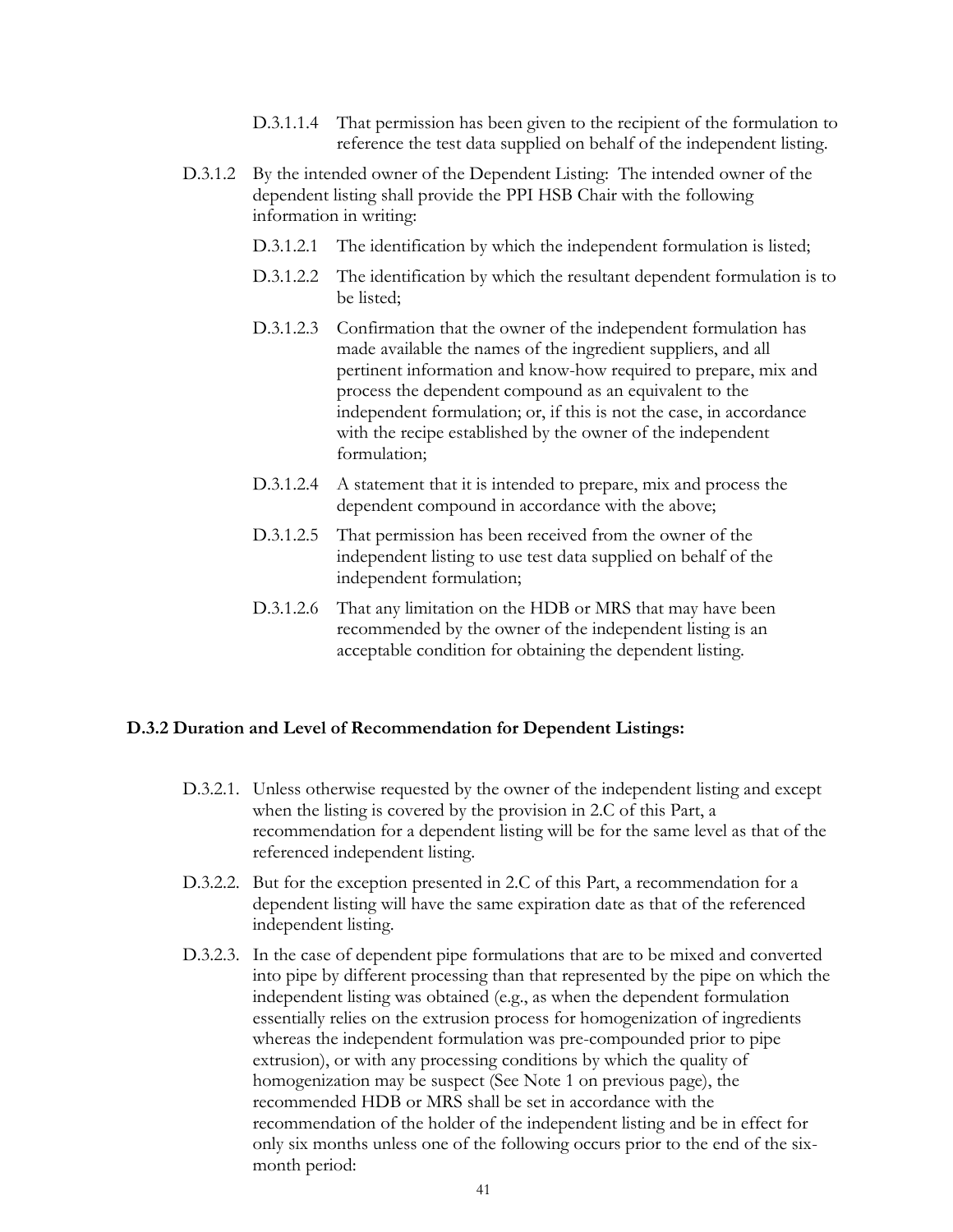- D.3.1.1.4 That permission has been given to the recipient of the formulation to reference the test data supplied on behalf of the independent listing.
- D.3.1.2 By the intended owner of the Dependent Listing: The intended owner of the dependent listing shall provide the PPI HSB Chair with the following information in writing:
	- D.3.1.2.1 The identification by which the independent formulation is listed;
	- D.3.1.2.2 The identification by which the resultant dependent formulation is to be listed;
	- D.3.1.2.3 Confirmation that the owner of the independent formulation has made available the names of the ingredient suppliers, and all pertinent information and know-how required to prepare, mix and process the dependent compound as an equivalent to the independent formulation; or, if this is not the case, in accordance with the recipe established by the owner of the independent formulation;
	- D.3.1.2.4 A statement that it is intended to prepare, mix and process the dependent compound in accordance with the above;
	- D.3.1.2.5 That permission has been received from the owner of the independent listing to use test data supplied on behalf of the independent formulation;
	- D.3.1.2.6 That any limitation on the HDB or MRS that may have been recommended by the owner of the independent listing is an acceptable condition for obtaining the dependent listing.

#### **D.3.2 Duration and Level of Recommendation for Dependent Listings:**

- D.3.2.1. Unless otherwise requested by the owner of the independent listing and except when the listing is covered by the provision in 2.C of this Part, a recommendation for a dependent listing will be for the same level as that of the referenced independent listing.
- D.3.2.2. But for the exception presented in 2.C of this Part, a recommendation for a dependent listing will have the same expiration date as that of the referenced independent listing.
- D.3.2.3. In the case of dependent pipe formulations that are to be mixed and converted into pipe by different processing than that represented by the pipe on which the independent listing was obtained (e.g., as when the dependent formulation essentially relies on the extrusion process for homogenization of ingredients whereas the independent formulation was pre-compounded prior to pipe extrusion), or with any processing conditions by which the quality of homogenization may be suspect (See Note 1 on previous page), the recommended HDB or MRS shall be set in accordance with the recommendation of the holder of the independent listing and be in effect for only six months unless one of the following occurs prior to the end of the sixmonth period: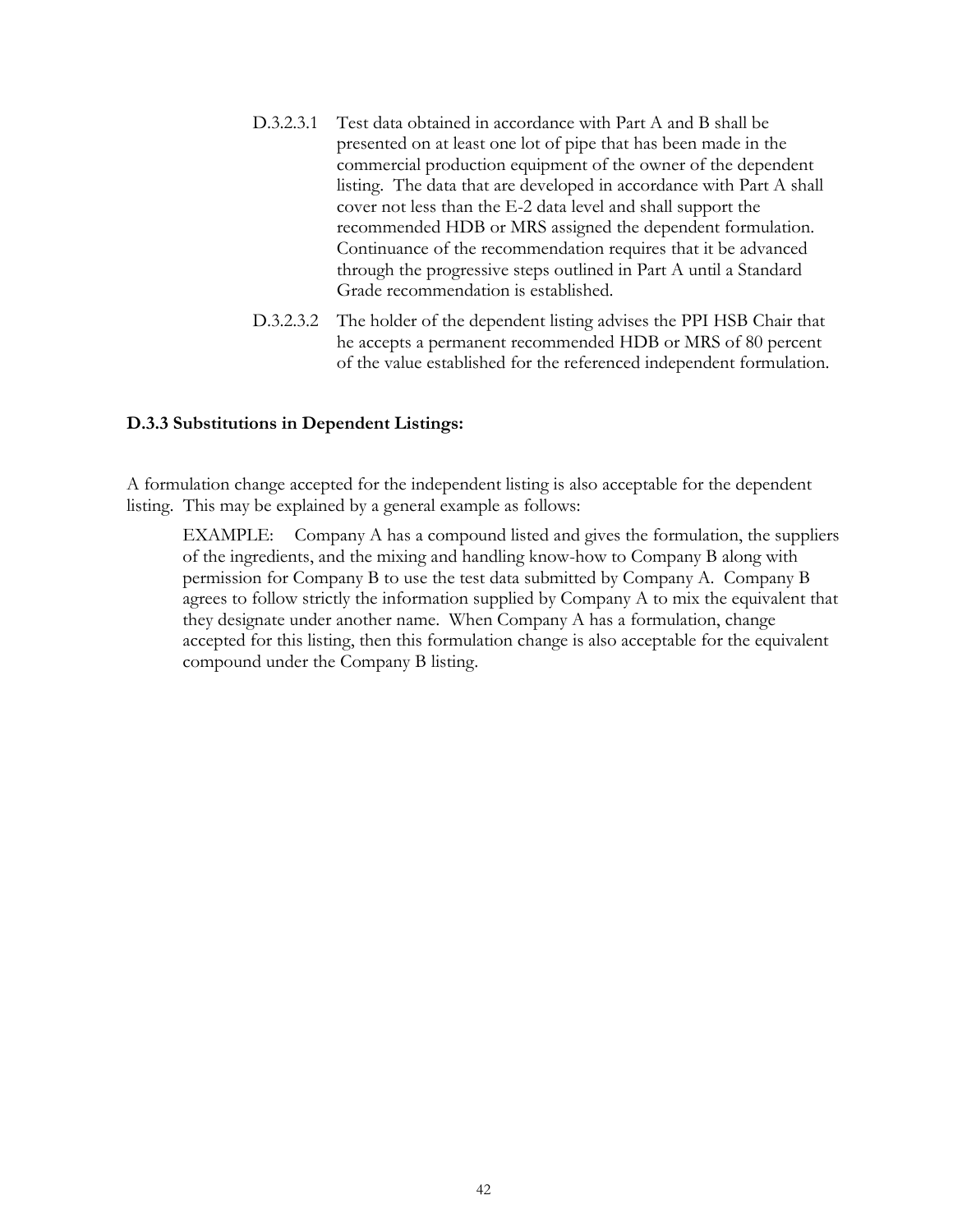- D.3.2.3.1 Test data obtained in accordance with Part A and B shall be presented on at least one lot of pipe that has been made in the commercial production equipment of the owner of the dependent listing. The data that are developed in accordance with Part A shall cover not less than the E-2 data level and shall support the recommended HDB or MRS assigned the dependent formulation. Continuance of the recommendation requires that it be advanced through the progressive steps outlined in Part A until a Standard Grade recommendation is established.
- D.3.2.3.2 The holder of the dependent listing advises the PPI HSB Chair that he accepts a permanent recommended HDB or MRS of 80 percent of the value established for the referenced independent formulation.

#### **D.3.3 Substitutions in Dependent Listings:**

A formulation change accepted for the independent listing is also acceptable for the dependent listing. This may be explained by a general example as follows:

EXAMPLE: Company A has a compound listed and gives the formulation, the suppliers of the ingredients, and the mixing and handling know-how to Company B along with permission for Company B to use the test data submitted by Company A. Company B agrees to follow strictly the information supplied by Company A to mix the equivalent that they designate under another name. When Company A has a formulation, change accepted for this listing, then this formulation change is also acceptable for the equivalent compound under the Company B listing.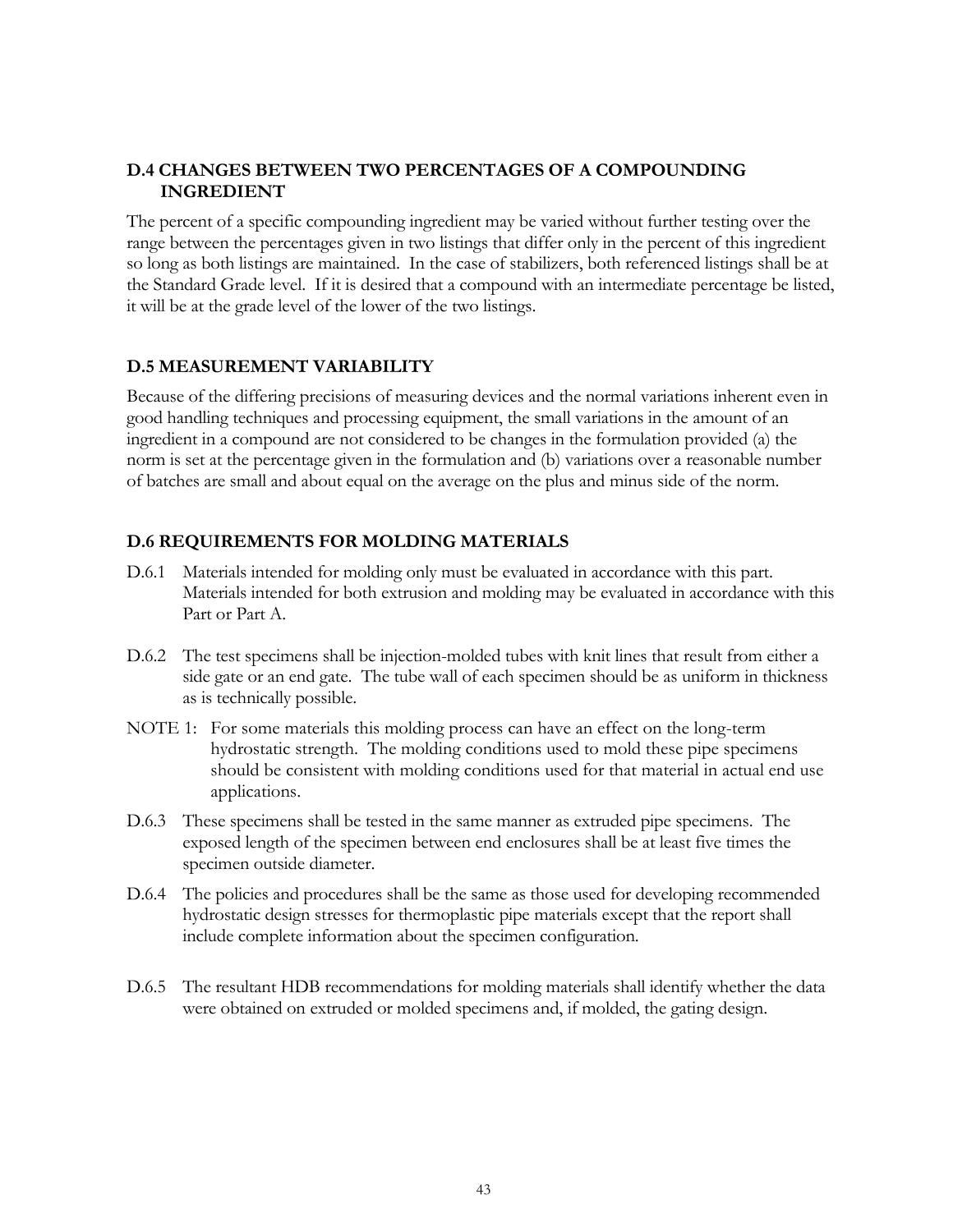## **D.4 CHANGES BETWEEN TWO PERCENTAGES OF A COMPOUNDING INGREDIENT**

The percent of a specific compounding ingredient may be varied without further testing over the range between the percentages given in two listings that differ only in the percent of this ingredient so long as both listings are maintained. In the case of stabilizers, both referenced listings shall be at the Standard Grade level. If it is desired that a compound with an intermediate percentage be listed, it will be at the grade level of the lower of the two listings.

#### **D.5 MEASUREMENT VARIABILITY**

Because of the differing precisions of measuring devices and the normal variations inherent even in good handling techniques and processing equipment, the small variations in the amount of an ingredient in a compound are not considered to be changes in the formulation provided (a) the norm is set at the percentage given in the formulation and (b) variations over a reasonable number of batches are small and about equal on the average on the plus and minus side of the norm.

## **D.6 REQUIREMENTS FOR MOLDING MATERIALS**

- D.6.1 Materials intended for molding only must be evaluated in accordance with this part. Materials intended for both extrusion and molding may be evaluated in accordance with this Part or Part A.
- D.6.2 The test specimens shall be injection-molded tubes with knit lines that result from either a side gate or an end gate. The tube wall of each specimen should be as uniform in thickness as is technically possible.
- NOTE 1: For some materials this molding process can have an effect on the long-term hydrostatic strength. The molding conditions used to mold these pipe specimens should be consistent with molding conditions used for that material in actual end use applications.
- D.6.3 These specimens shall be tested in the same manner as extruded pipe specimens. The exposed length of the specimen between end enclosures shall be at least five times the specimen outside diameter.
- D.6.4 The policies and procedures shall be the same as those used for developing recommended hydrostatic design stresses for thermoplastic pipe materials except that the report shall include complete information about the specimen configuration.
- D.6.5 The resultant HDB recommendations for molding materials shall identify whether the data were obtained on extruded or molded specimens and, if molded, the gating design.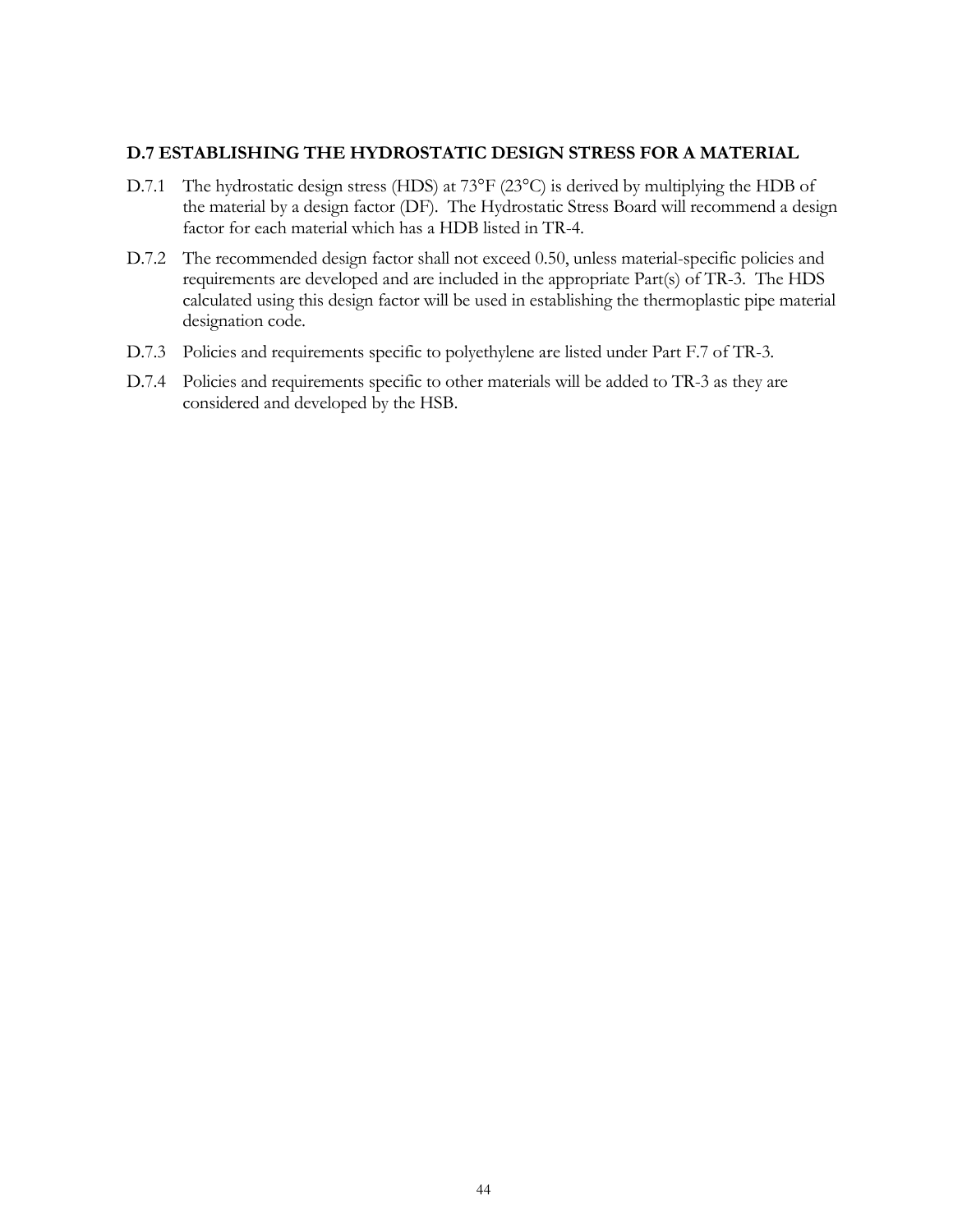#### **D.7 ESTABLISHING THE HYDROSTATIC DESIGN STRESS FOR A MATERIAL**

- D.7.1 The hydrostatic design stress (HDS) at 73°F (23°C) is derived by multiplying the HDB of the material by a design factor (DF). The Hydrostatic Stress Board will recommend a design factor for each material which has a HDB listed in TR-4.
- D.7.2 The recommended design factor shall not exceed 0.50, unless material-specific policies and requirements are developed and are included in the appropriate Part(s) of TR-3. The HDS calculated using this design factor will be used in establishing the thermoplastic pipe material designation code.
- D.7.3 Policies and requirements specific to polyethylene are listed under Part F.7 of TR-3.
- D.7.4 Policies and requirements specific to other materials will be added to TR-3 as they are considered and developed by the HSB.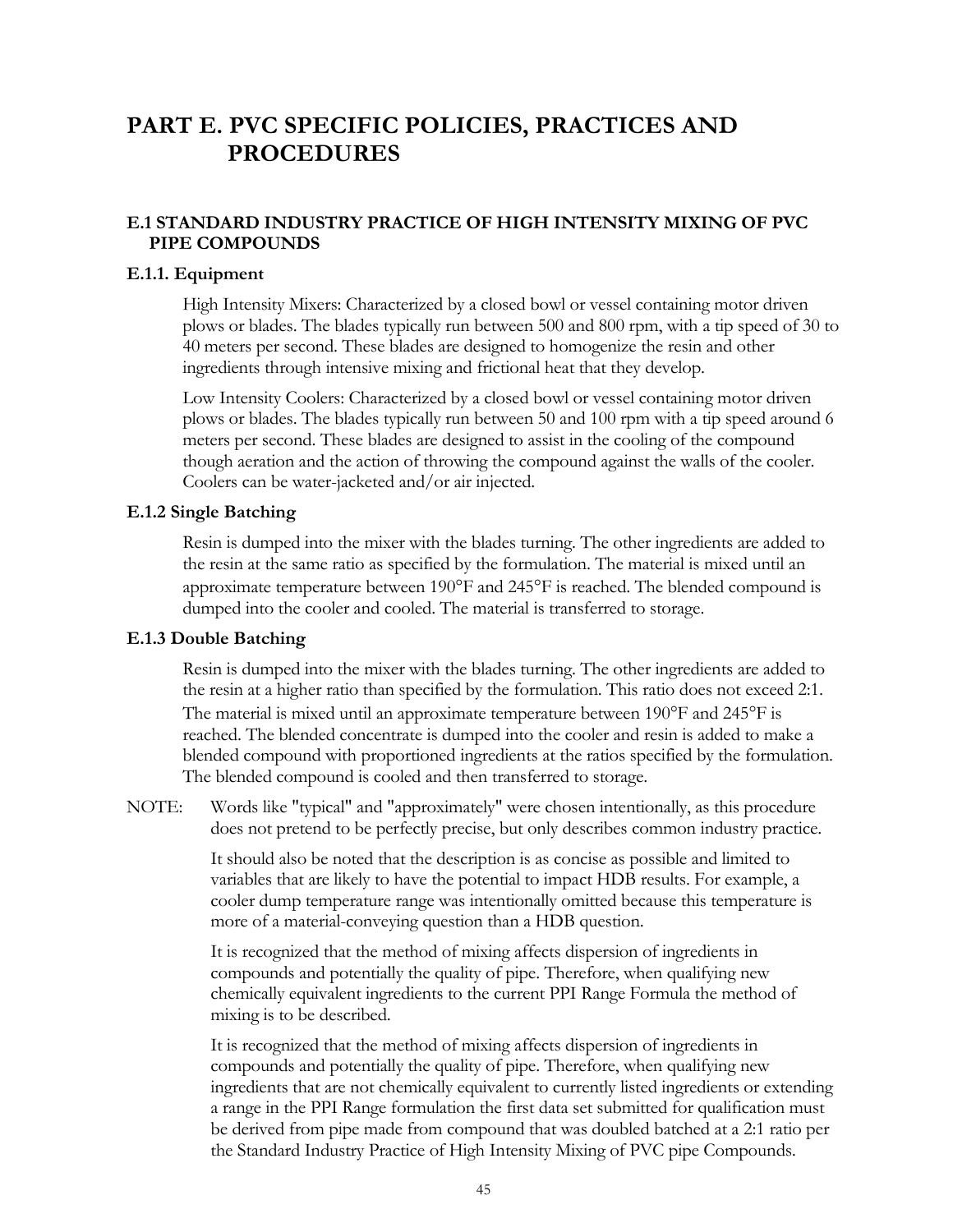# **PART E. PVC SPECIFIC POLICIES, PRACTICES AND PROCEDURES**

## **E.1 STANDARD INDUSTRY PRACTICE OF HIGH INTENSITY MIXING OF PVC PIPE COMPOUNDS**

#### **E.1.1. Equipment**

High Intensity Mixers: Characterized by a closed bowl or vessel containing motor driven plows or blades. The blades typically run between 500 and 800 rpm, with a tip speed of 30 to 40 meters per second. These blades are designed to homogenize the resin and other ingredients through intensive mixing and frictional heat that they develop.

Low Intensity Coolers: Characterized by a closed bowl or vessel containing motor driven plows or blades. The blades typically run between 50 and 100 rpm with a tip speed around 6 meters per second. These blades are designed to assist in the cooling of the compound though aeration and the action of throwing the compound against the walls of the cooler. Coolers can be water-jacketed and/or air injected.

#### **E.1.2 Single Batching**

Resin is dumped into the mixer with the blades turning. The other ingredients are added to the resin at the same ratio as specified by the formulation. The material is mixed until an approximate temperature between 190°F and 245°F is reached. The blended compound is dumped into the cooler and cooled. The material is transferred to storage.

#### **E.1.3 Double Batching**

Resin is dumped into the mixer with the blades turning. The other ingredients are added to the resin at a higher ratio than specified by the formulation. This ratio does not exceed 2:1. The material is mixed until an approximate temperature between 190<sup>o</sup>F and 245<sup>o</sup>F is reached. The blended concentrate is dumped into the cooler and resin is added to make a blended compound with proportioned ingredients at the ratios specified by the formulation. The blended compound is cooled and then transferred to storage.

NOTE: Words like "typical" and "approximately" were chosen intentionally, as this procedure does not pretend to be perfectly precise, but only describes common industry practice.

> It should also be noted that the description is as concise as possible and limited to variables that are likely to have the potential to impact HDB results. For example, a cooler dump temperature range was intentionally omitted because this temperature is more of a material-conveying question than a HDB question.

It is recognized that the method of mixing affects dispersion of ingredients in compounds and potentially the quality of pipe. Therefore, when qualifying new chemically equivalent ingredients to the current PPI Range Formula the method of mixing is to be described.

It is recognized that the method of mixing affects dispersion of ingredients in compounds and potentially the quality of pipe. Therefore, when qualifying new ingredients that are not chemically equivalent to currently listed ingredients or extending a range in the PPI Range formulation the first data set submitted for qualification must be derived from pipe made from compound that was doubled batched at a 2:1 ratio per the Standard Industry Practice of High Intensity Mixing of PVC pipe Compounds*.*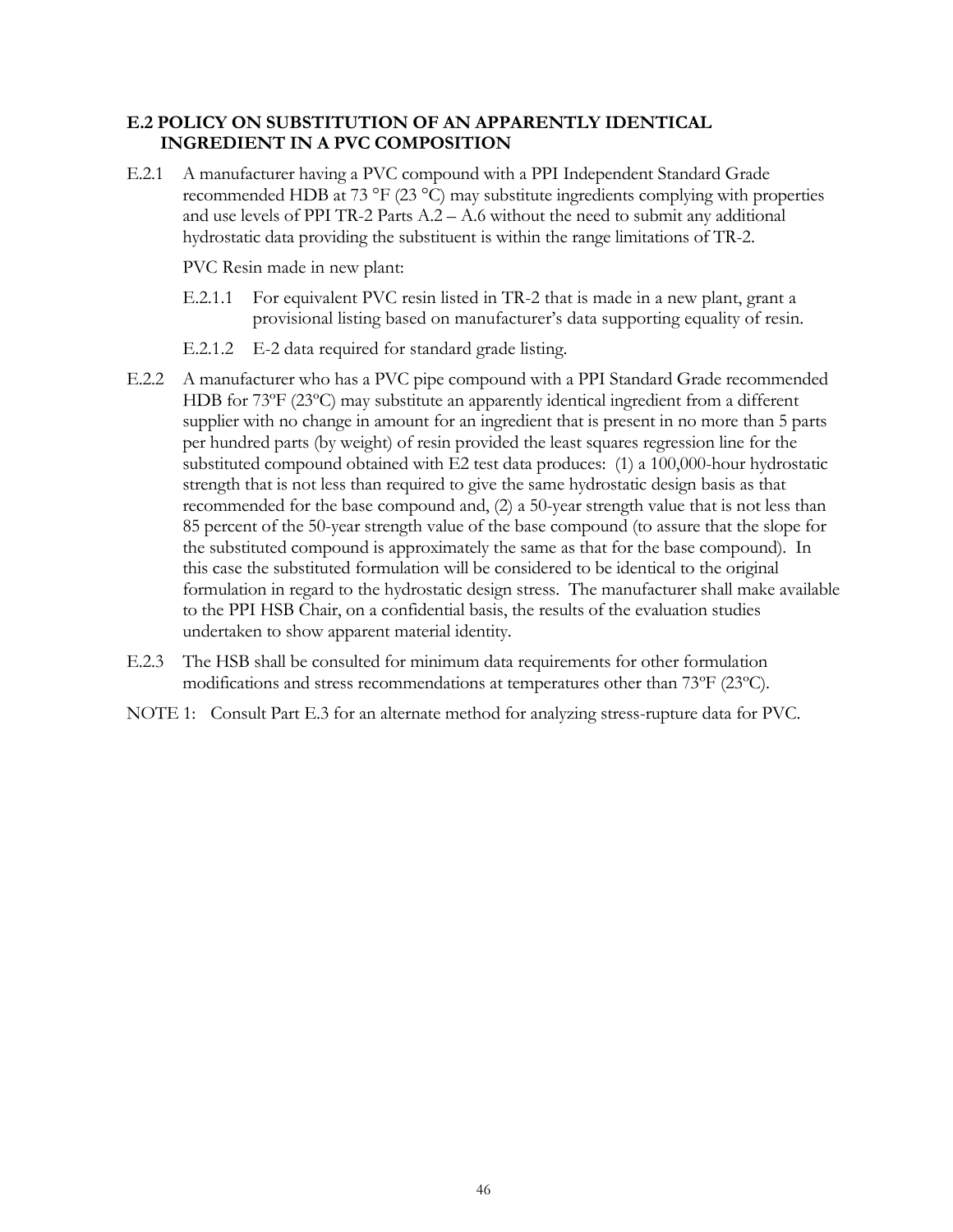## **E.2 POLICY ON SUBSTITUTION OF AN APPARENTLY IDENTICAL INGREDIENT IN A PVC COMPOSITION**

E.2.1 A manufacturer having a PVC compound with a PPI Independent Standard Grade recommended HDB at 73 °F (23 °C) may substitute ingredients complying with properties and use levels of PPI TR-2 Parts  $A.2 - A.6$  without the need to submit any additional hydrostatic data providing the substituent is within the range limitations of TR-2.

PVC Resin made in new plant:

- E.2.1.1 For equivalent PVC resin listed in TR-2 that is made in a new plant, grant a provisional listing based on manufacturer's data supporting equality of resin.
- E.2.1.2 E-2 data required for standard grade listing.
- E.2.2 A manufacturer who has a PVC pipe compound with a PPI Standard Grade recommended HDB for 73ºF (23ºC) may substitute an apparently identical ingredient from a different supplier with no change in amount for an ingredient that is present in no more than 5 parts per hundred parts (by weight) of resin provided the least squares regression line for the substituted compound obtained with E2 test data produces: (1) a 100,000-hour hydrostatic strength that is not less than required to give the same hydrostatic design basis as that recommended for the base compound and, (2) a 50-year strength value that is not less than 85 percent of the 50-year strength value of the base compound (to assure that the slope for the substituted compound is approximately the same as that for the base compound). In this case the substituted formulation will be considered to be identical to the original formulation in regard to the hydrostatic design stress. The manufacturer shall make available to the PPI HSB Chair, on a confidential basis, the results of the evaluation studies undertaken to show apparent material identity.
- E.2.3 The HSB shall be consulted for minimum data requirements for other formulation modifications and stress recommendations at temperatures other than 73ºF (23ºC).
- NOTE 1: Consult Part E.3 for an alternate method for analyzing stress-rupture data for PVC.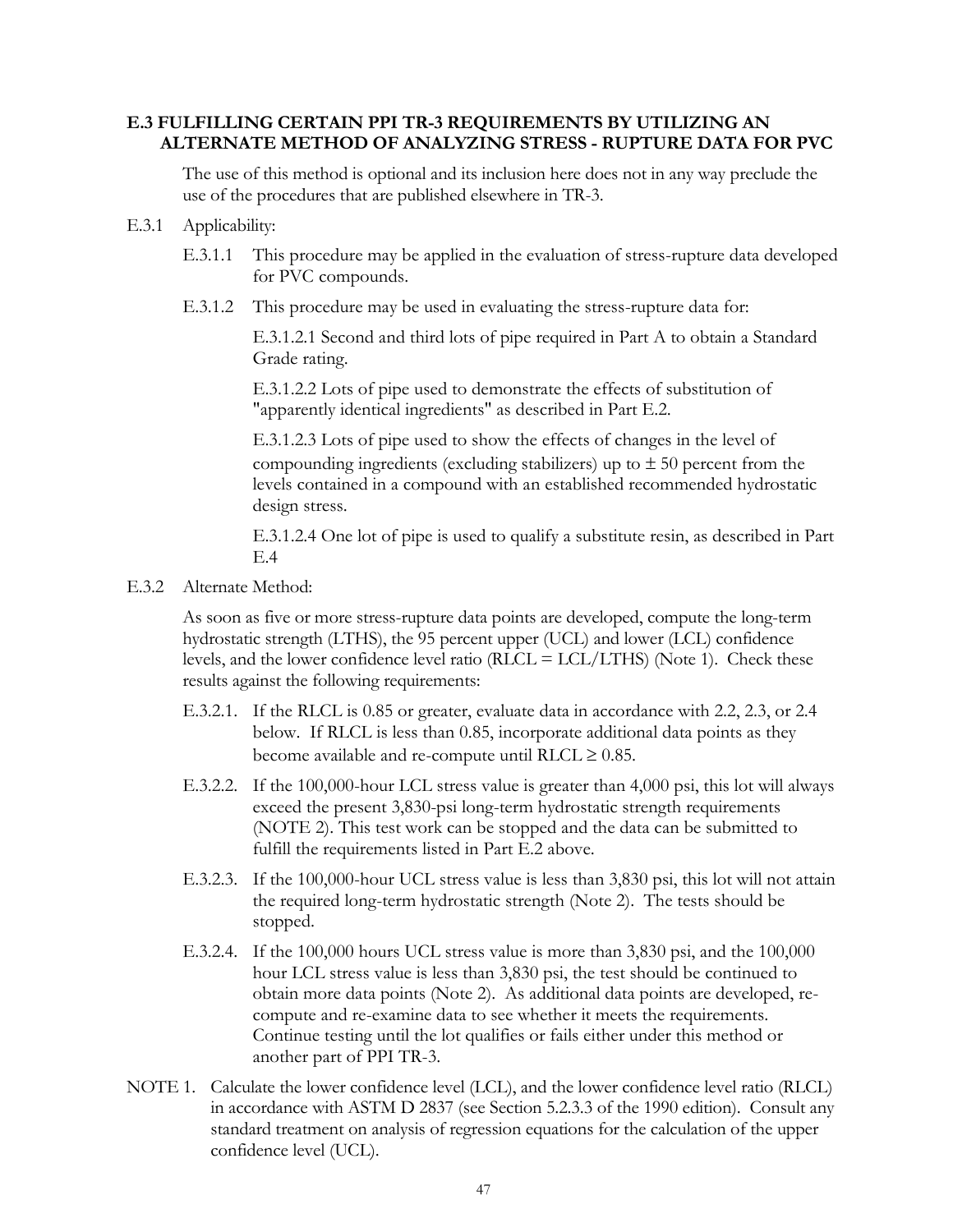## **E.3 FULFILLING CERTAIN PPI TR-3 REQUIREMENTS BY UTILIZING AN ALTERNATE METHOD OF ANALYZING STRESS - RUPTURE DATA FOR PVC**

The use of this method is optional and its inclusion here does not in any way preclude the use of the procedures that are published elsewhere in TR-3.

- E.3.1 Applicability:
	- E.3.1.1 This procedure may be applied in the evaluation of stress-rupture data developed for PVC compounds.
	- E.3.1.2 This procedure may be used in evaluating the stress-rupture data for:

E.3.1.2.1 Second and third lots of pipe required in Part A to obtain a Standard Grade rating.

E.3.1.2.2 Lots of pipe used to demonstrate the effects of substitution of "apparently identical ingredients" as described in Part E.2.

E.3.1.2.3 Lots of pipe used to show the effects of changes in the level of compounding ingredients (excluding stabilizers) up to  $\pm$  50 percent from the levels contained in a compound with an established recommended hydrostatic design stress.

E.3.1.2.4 One lot of pipe is used to qualify a substitute resin, as described in Part E.4

E.3.2 Alternate Method:

As soon as five or more stress-rupture data points are developed, compute the long-term hydrostatic strength (LTHS), the 95 percent upper (UCL) and lower (LCL) confidence levels, and the lower confidence level ratio (RLCL = LCL/LTHS) (Note 1). Check these results against the following requirements:

- E.3.2.1. If the RLCL is 0.85 or greater, evaluate data in accordance with 2.2, 2.3, or 2.4 below. If RLCL is less than 0.85, incorporate additional data points as they become available and re-compute until RLCL  $\geq 0.85$ .
- E.3.2.2. If the 100,000-hour LCL stress value is greater than 4,000 psi, this lot will always exceed the present 3,830-psi long-term hydrostatic strength requirements (NOTE 2). This test work can be stopped and the data can be submitted to fulfill the requirements listed in Part E.2 above.
- E.3.2.3. If the 100,000-hour UCL stress value is less than 3,830 psi, this lot will not attain the required long-term hydrostatic strength (Note 2). The tests should be stopped.
- E.3.2.4. If the 100,000 hours UCL stress value is more than 3,830 psi, and the 100,000 hour LCL stress value is less than 3,830 psi, the test should be continued to obtain more data points (Note 2). As additional data points are developed, recompute and re-examine data to see whether it meets the requirements. Continue testing until the lot qualifies or fails either under this method or another part of PPI TR-3.
- NOTE 1. Calculate the lower confidence level (LCL), and the lower confidence level ratio (RLCL) in accordance with ASTM D 2837 (see Section 5.2.3.3 of the 1990 edition). Consult any standard treatment on analysis of regression equations for the calculation of the upper confidence level (UCL).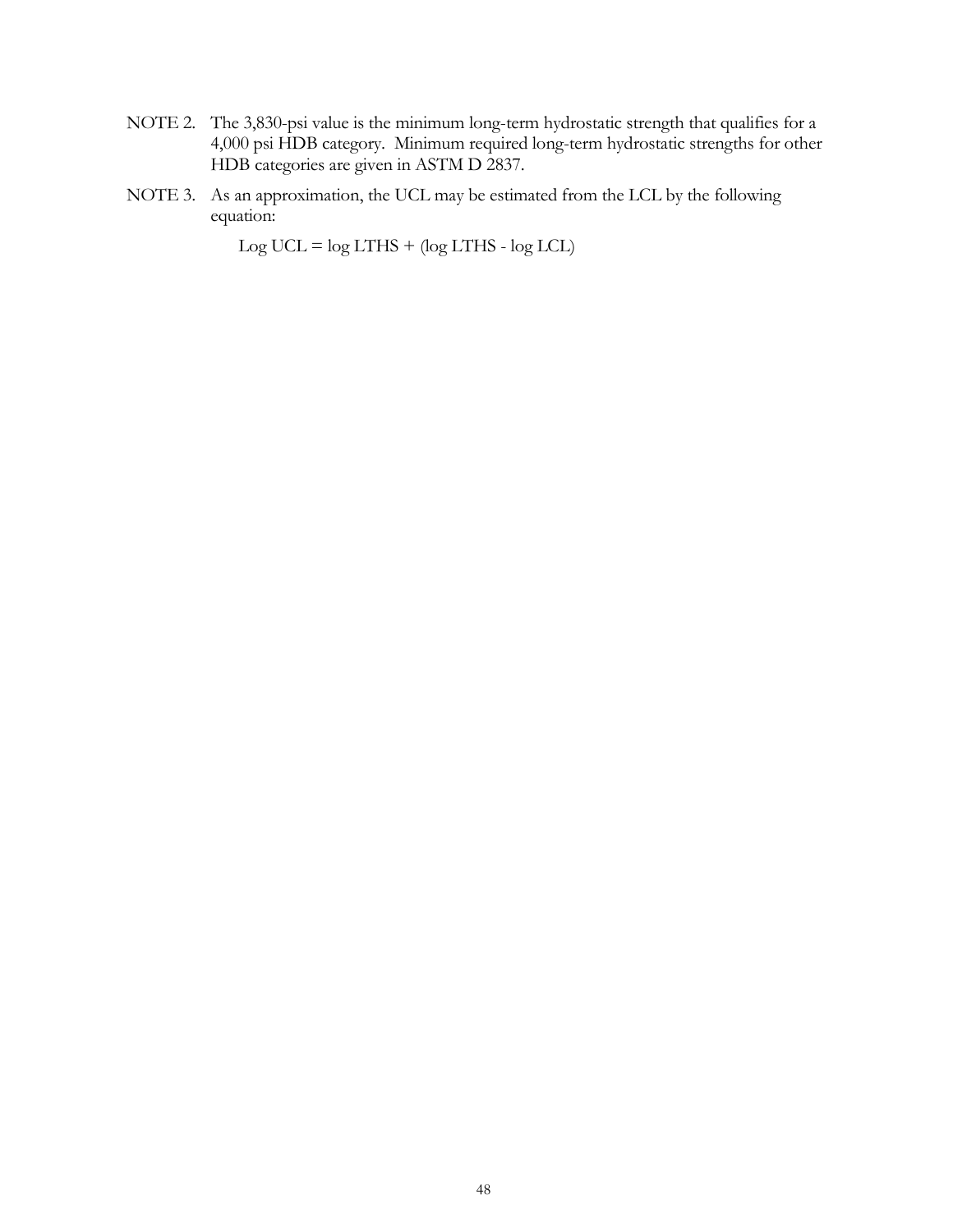- NOTE 2. The 3,830-psi value is the minimum long-term hydrostatic strength that qualifies for a 4,000 psi HDB category. Minimum required long-term hydrostatic strengths for other HDB categories are given in ASTM D 2837.
- NOTE 3. As an approximation, the UCL may be estimated from the LCL by the following equation:

 $Log UCL = log LTHS + (log LTHS - log LCL)$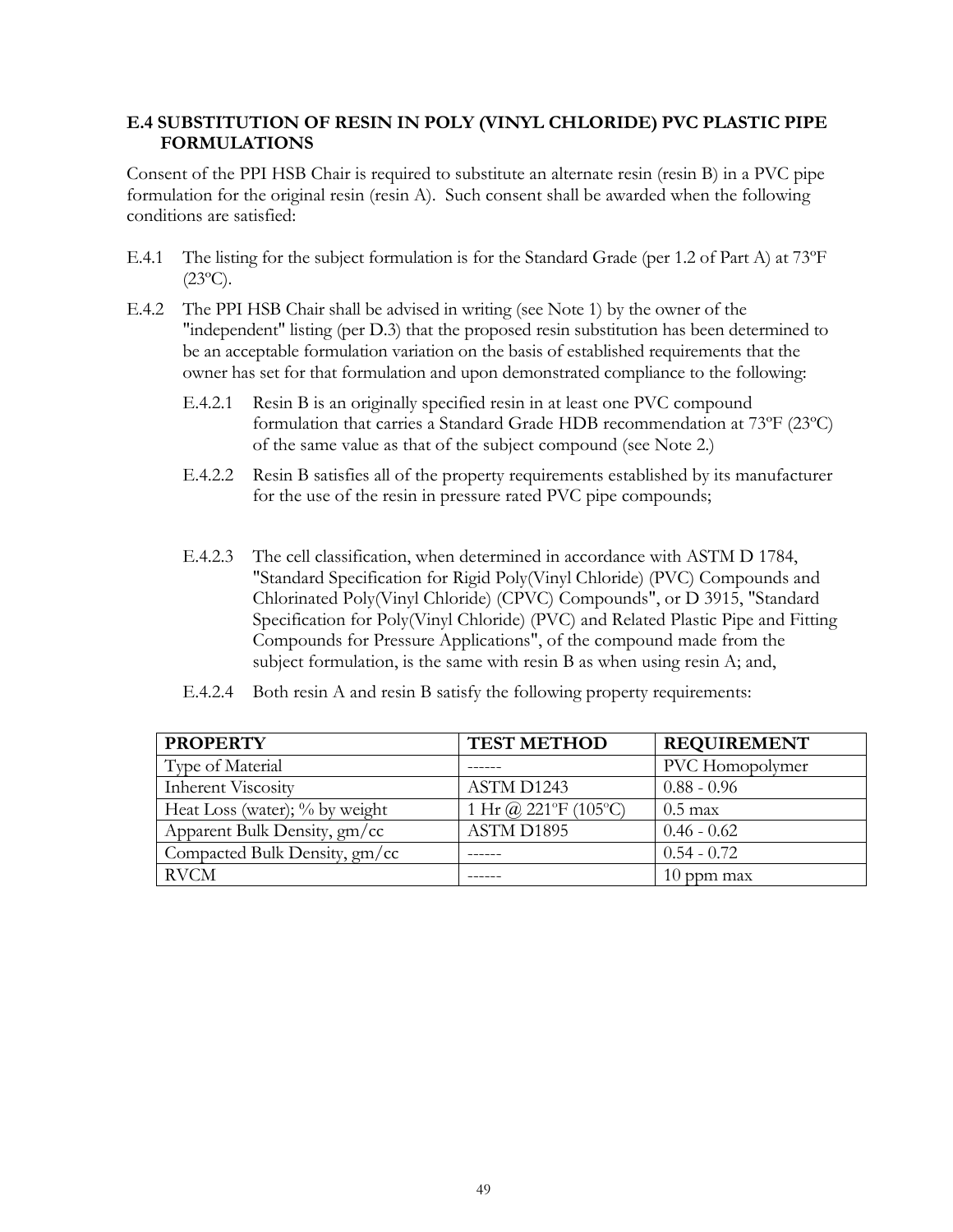## **E.4 SUBSTITUTION OF RESIN IN POLY (VINYL CHLORIDE) PVC PLASTIC PIPE FORMULATIONS**

Consent of the PPI HSB Chair is required to substitute an alternate resin (resin B) in a PVC pipe formulation for the original resin (resin A). Such consent shall be awarded when the following conditions are satisfied:

- E.4.1 The listing for the subject formulation is for the Standard Grade (per 1.2 of Part A) at 73ºF  $(23^{\circ}C)$ .
- E.4.2 The PPI HSB Chair shall be advised in writing (see Note 1) by the owner of the "independent" listing (per D.3) that the proposed resin substitution has been determined to be an acceptable formulation variation on the basis of established requirements that the owner has set for that formulation and upon demonstrated compliance to the following:
	- E.4.2.1 Resin B is an originally specified resin in at least one PVC compound formulation that carries a Standard Grade HDB recommendation at 73ºF (23ºC) of the same value as that of the subject compound (see Note 2.)
	- E.4.2.2 Resin B satisfies all of the property requirements established by its manufacturer for the use of the resin in pressure rated PVC pipe compounds;
	- E.4.2.3 The cell classification, when determined in accordance with ASTM D 1784, "Standard Specification for Rigid Poly(Vinyl Chloride) (PVC) Compounds and Chlorinated Poly(Vinyl Chloride) (CPVC) Compounds", or D 3915, "Standard Specification for Poly(Vinyl Chloride) (PVC) and Related Plastic Pipe and Fitting Compounds for Pressure Applications", of the compound made from the subject formulation, is the same with resin B as when using resin A; and,
	- E.4.2.4 Both resin A and resin B satisfy the following property requirements:

| <b>PROPERTY</b>                | <b>TEST METHOD</b>   | <b>REQUIREMENT</b> |
|--------------------------------|----------------------|--------------------|
| Type of Material               |                      | PVC Homopolymer    |
| <b>Inherent Viscosity</b>      | ASTM D1243           | $0.88 - 0.96$      |
| Heat Loss (water); % by weight | 1 Hr @ 221°F (105°C) | $0.5 \text{ max}$  |
| Apparent Bulk Density, gm/cc   | <b>ASTM D1895</b>    | $0.46 - 0.62$      |
| Compacted Bulk Density, gm/cc  |                      | $0.54 - 0.72$      |
| <b>RVCM</b>                    |                      | $10$ ppm max       |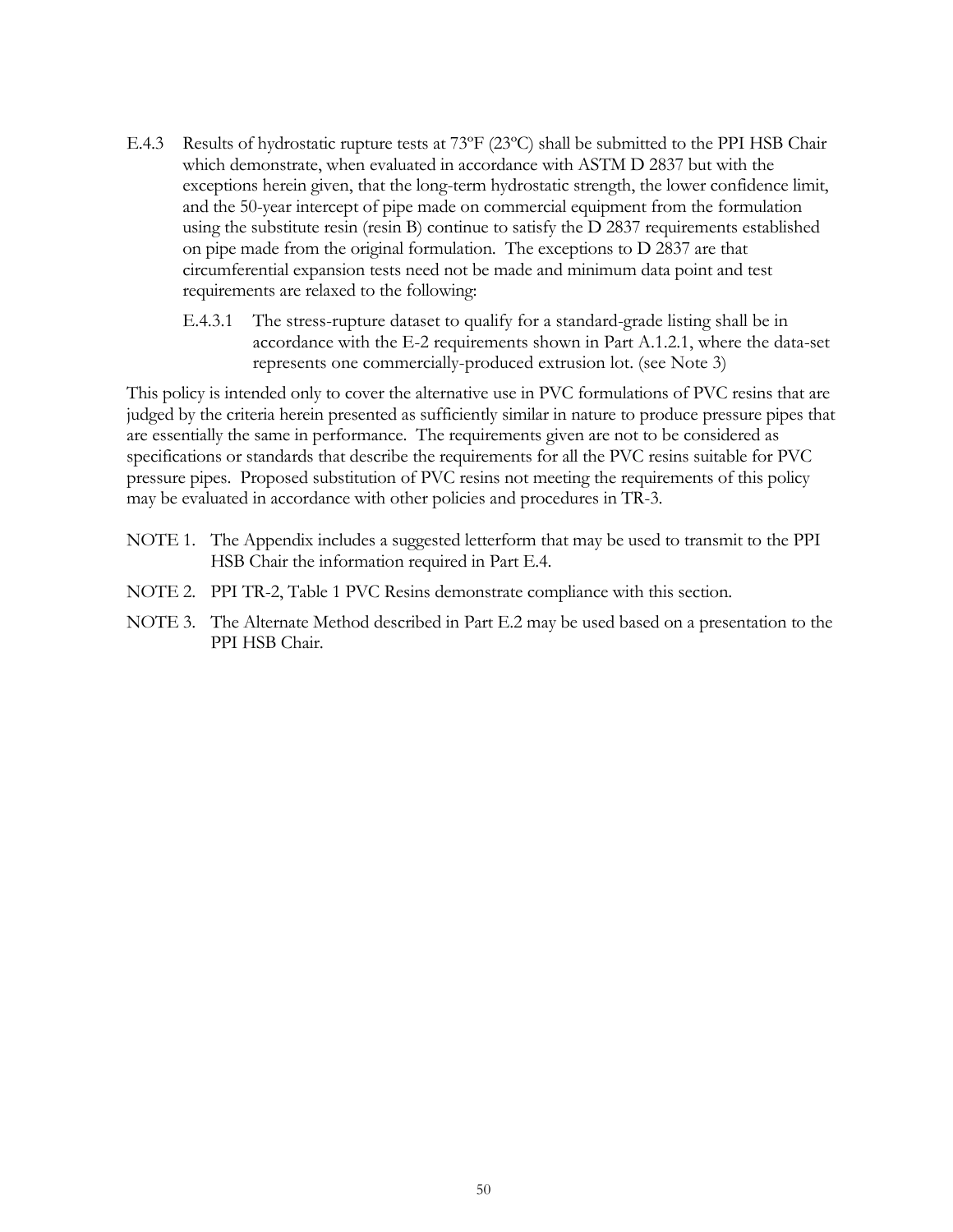- E.4.3 Results of hydrostatic rupture tests at 73ºF (23ºC) shall be submitted to the PPI HSB Chair which demonstrate, when evaluated in accordance with ASTM D 2837 but with the exceptions herein given, that the long-term hydrostatic strength, the lower confidence limit, and the 50-year intercept of pipe made on commercial equipment from the formulation using the substitute resin (resin B) continue to satisfy the D 2837 requirements established on pipe made from the original formulation. The exceptions to D 2837 are that circumferential expansion tests need not be made and minimum data point and test requirements are relaxed to the following:
	- E.4.3.1 The stress-rupture dataset to qualify for a standard-grade listing shall be in accordance with the E-2 requirements shown in Part A.1.2.1, where the data-set represents one commercially-produced extrusion lot. (see Note 3)

This policy is intended only to cover the alternative use in PVC formulations of PVC resins that are judged by the criteria herein presented as sufficiently similar in nature to produce pressure pipes that are essentially the same in performance. The requirements given are not to be considered as specifications or standards that describe the requirements for all the PVC resins suitable for PVC pressure pipes. Proposed substitution of PVC resins not meeting the requirements of this policy may be evaluated in accordance with other policies and procedures in TR-3.

- NOTE 1. The Appendix includes a suggested letterform that may be used to transmit to the PPI HSB Chair the information required in Part E.4.
- NOTE 2. PPI TR-2, Table 1 PVC Resins demonstrate compliance with this section.
- NOTE 3. The Alternate Method described in Part E.2 may be used based on a presentation to the PPI HSB Chair.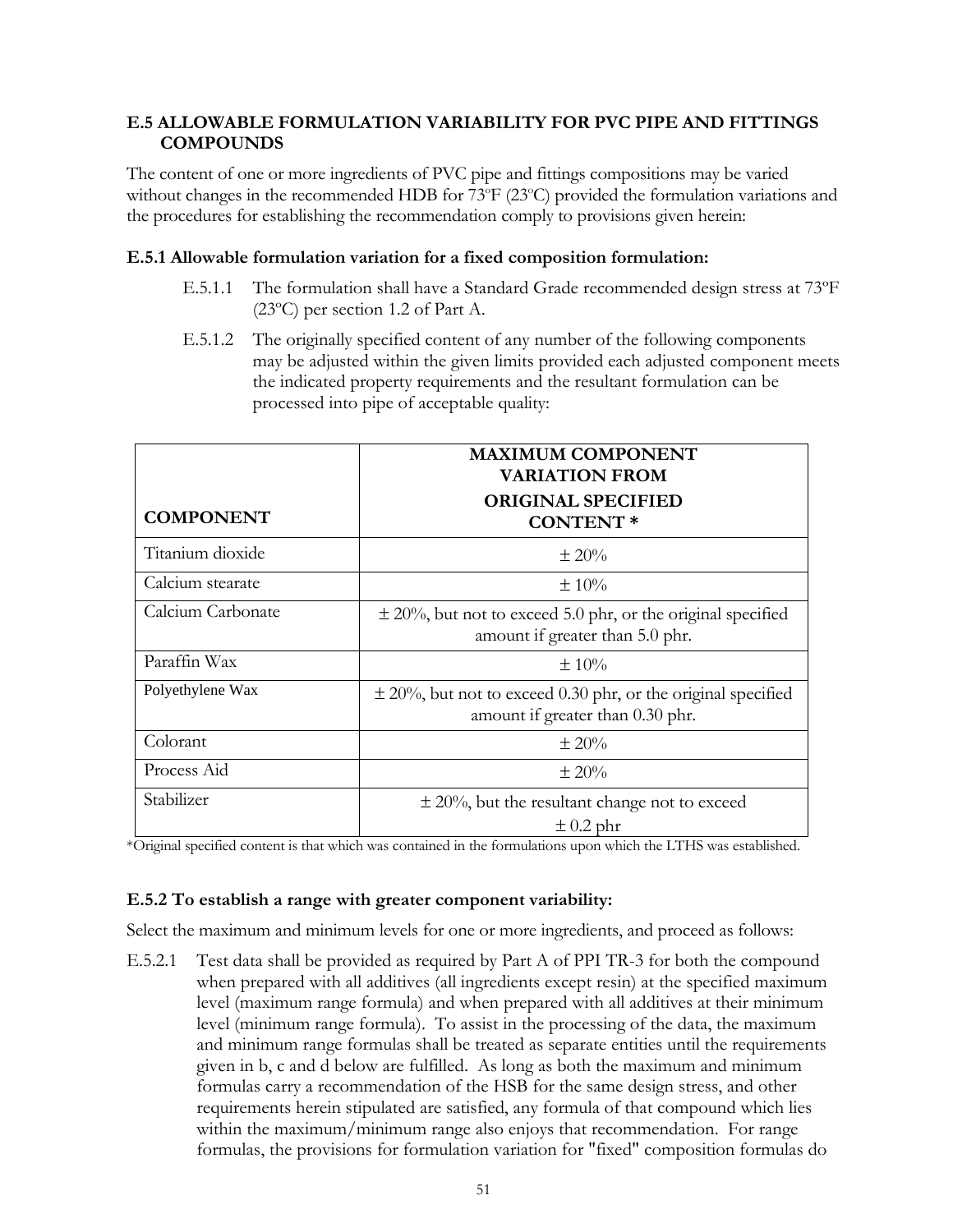## **E.5 ALLOWABLE FORMULATION VARIABILITY FOR PVC PIPE AND FITTINGS COMPOUNDS**

The content of one or more ingredients of PVC pipe and fittings compositions may be varied without changes in the recommended HDB for 73°F (23°C) provided the formulation variations and the procedures for establishing the recommendation comply to provisions given herein:

## **E.5.1 Allowable formulation variation for a fixed composition formulation:**

- E.5.1.1 The formulation shall have a Standard Grade recommended design stress at 73ºF (23ºC) per section 1.2 of Part A.
- E.5.1.2 The originally specified content of any number of the following components may be adjusted within the given limits provided each adjusted component meets the indicated property requirements and the resultant formulation can be processed into pipe of acceptable quality:

|                   | <b>MAXIMUM COMPONENT</b><br><b>VARIATION FROM</b>                                                    |  |
|-------------------|------------------------------------------------------------------------------------------------------|--|
| <b>COMPONENT</b>  | <b>ORIGINAL SPECIFIED</b><br><b>CONTENT*</b>                                                         |  |
| Titanium dioxide  | $\pm 20\%$                                                                                           |  |
| Calcium stearate  | $\pm 10\%$                                                                                           |  |
| Calcium Carbonate | $\pm$ 20%, but not to exceed 5.0 phr, or the original specified<br>amount if greater than 5.0 phr.   |  |
| Paraffin Wax      | $\pm 10\%$                                                                                           |  |
| Polyethylene Wax  | $\pm$ 20%, but not to exceed 0.30 phr, or the original specified<br>amount if greater than 0.30 phr. |  |
| Colorant          | $\pm 20\%$                                                                                           |  |
| Process Aid       | $\pm 20\%$                                                                                           |  |
| Stabilizer        | $\pm$ 20%, but the resultant change not to exceed<br>$\pm$ 0.2 phr                                   |  |

\*Original specified content is that which was contained in the formulations upon which the LTHS was established.

## **E.5.2 To establish a range with greater component variability:**

Select the maximum and minimum levels for one or more ingredients, and proceed as follows:

E.5.2.1 Test data shall be provided as required by Part A of PPI TR-3 for both the compound when prepared with all additives (all ingredients except resin) at the specified maximum level (maximum range formula) and when prepared with all additives at their minimum level (minimum range formula). To assist in the processing of the data, the maximum and minimum range formulas shall be treated as separate entities until the requirements given in b, c and d below are fulfilled. As long as both the maximum and minimum formulas carry a recommendation of the HSB for the same design stress, and other requirements herein stipulated are satisfied, any formula of that compound which lies within the maximum/minimum range also enjoys that recommendation. For range formulas, the provisions for formulation variation for "fixed" composition formulas do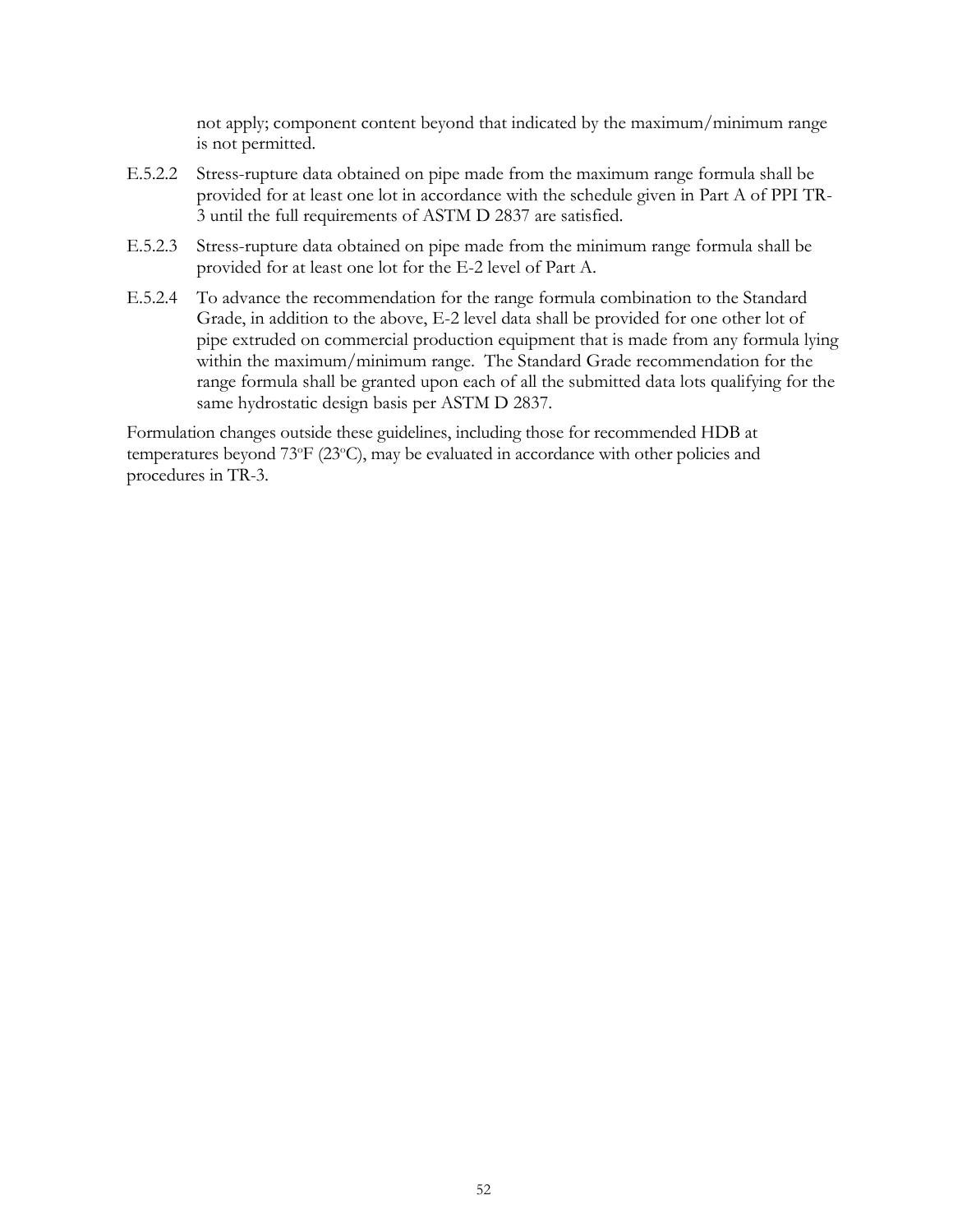not apply; component content beyond that indicated by the maximum/minimum range is not permitted.

- E.5.2.2 Stress-rupture data obtained on pipe made from the maximum range formula shall be provided for at least one lot in accordance with the schedule given in Part A of PPI TR-3 until the full requirements of ASTM D 2837 are satisfied.
- E.5.2.3 Stress-rupture data obtained on pipe made from the minimum range formula shall be provided for at least one lot for the E-2 level of Part A.
- E.5.2.4 To advance the recommendation for the range formula combination to the Standard Grade, in addition to the above, E-2 level data shall be provided for one other lot of pipe extruded on commercial production equipment that is made from any formula lying within the maximum/minimum range. The Standard Grade recommendation for the range formula shall be granted upon each of all the submitted data lots qualifying for the same hydrostatic design basis per ASTM D 2837.

Formulation changes outside these guidelines, including those for recommended HDB at temperatures beyond 73°F (23°C), may be evaluated in accordance with other policies and procedures in TR-3.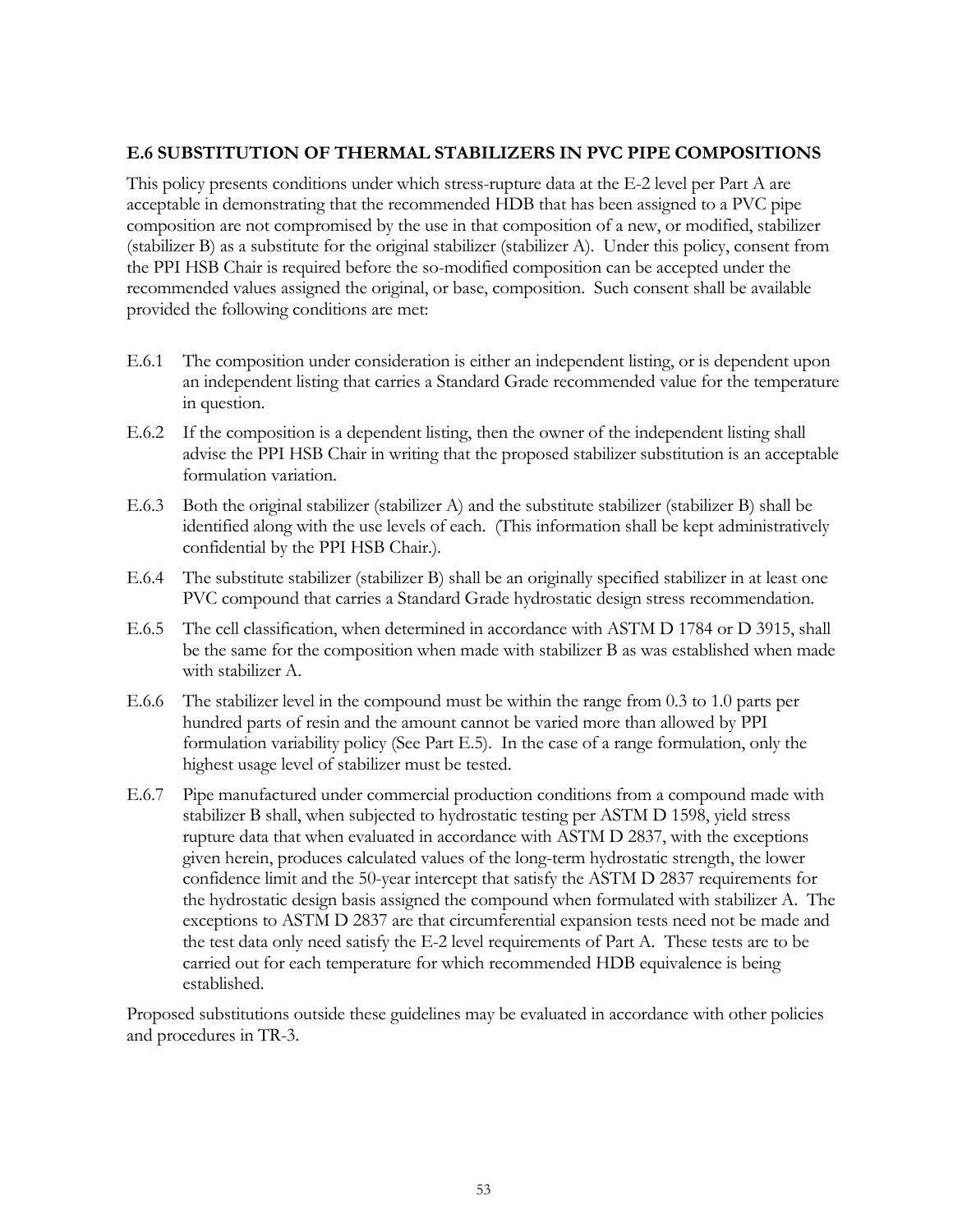#### **E.6 SUBSTITUTION OF THERMAL STABILIZERS IN PVC PIPE COMPOSITIONS**

This policy presents conditions under which stress-rupture data at the E-2 level per Part A are acceptable in demonstrating that the recommended HDB that has been assigned to a PVC pipe composition are not compromised by the use in that composition of a new, or modified, stabilizer (stabilizer B) as a substitute for the original stabilizer (stabilizer A). Under this policy, consent from the PPI HSB Chair is required before the so-modified composition can be accepted under the recommended values assigned the original, or base, composition. Such consent shall be available provided the following conditions are met:

- E.6.1 The composition under consideration is either an independent listing, or is dependent upon an independent listing that carries a Standard Grade recommended value for the temperature in question.
- E.6.2 If the composition is a dependent listing, then the owner of the independent listing shall advise the PPI HSB Chair in writing that the proposed stabilizer substitution is an acceptable formulation variation.
- E.6.3 Both the original stabilizer (stabilizer A) and the substitute stabilizer (stabilizer B) shall be identified along with the use levels of each. (This information shall be kept administratively confidential by the PPI HSB Chair.).
- E.6.4 The substitute stabilizer (stabilizer B) shall be an originally specified stabilizer in at least one PVC compound that carries a Standard Grade hydrostatic design stress recommendation.
- E.6.5 The cell classification, when determined in accordance with ASTM D 1784 or D 3915, shall be the same for the composition when made with stabilizer B as was established when made with stabilizer A.
- E.6.6 The stabilizer level in the compound must be within the range from 0.3 to 1.0 parts per hundred parts of resin and the amount cannot be varied more than allowed by PPI formulation variability policy (See Part E.5). In the case of a range formulation, only the highest usage level of stabilizer must be tested.
- E.6.7 Pipe manufactured under commercial production conditions from a compound made with stabilizer B shall, when subjected to hydrostatic testing per ASTM D 1598, yield stress rupture data that when evaluated in accordance with ASTM D 2837, with the exceptions given herein, produces calculated values of the long-term hydrostatic strength, the lower confidence limit and the 50-year intercept that satisfy the ASTM D 2837 requirements for the hydrostatic design basis assigned the compound when formulated with stabilizer A. The exceptions to ASTM D 2837 are that circumferential expansion tests need not be made and the test data only need satisfy the E-2 level requirements of Part A. These tests are to be carried out for each temperature for which recommended HDB equivalence is being established.

Proposed substitutions outside these guidelines may be evaluated in accordance with other policies and procedures in TR-3.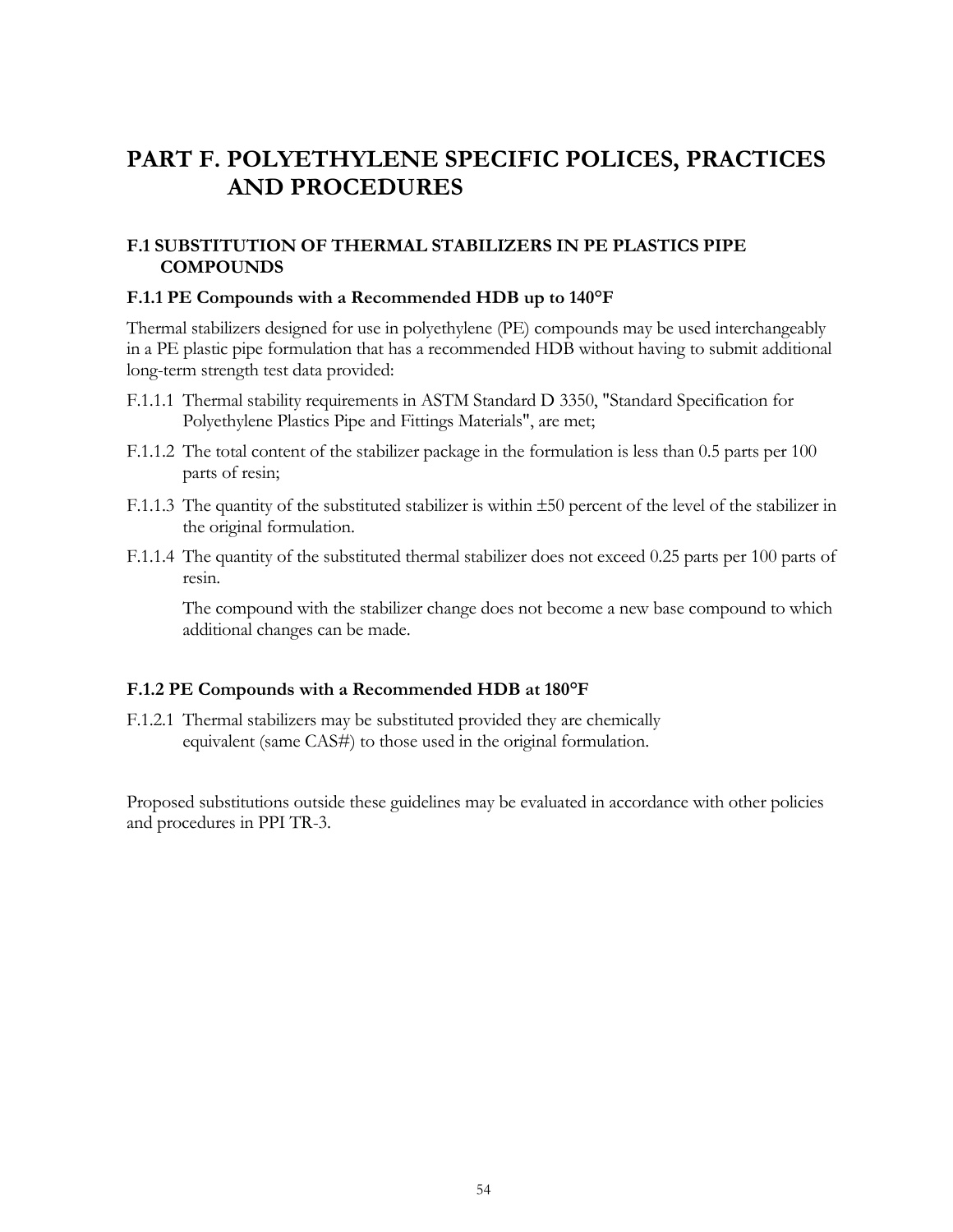# **PART F. POLYETHYLENE SPECIFIC POLICES, PRACTICES AND PROCEDURES**

## **F.1 SUBSTITUTION OF THERMAL STABILIZERS IN PE PLASTICS PIPE COMPOUNDS**

#### **F.1.1 PE Compounds with a Recommended HDB up to 140°F**

Thermal stabilizers designed for use in polyethylene (PE) compounds may be used interchangeably in a PE plastic pipe formulation that has a recommended HDB without having to submit additional long-term strength test data provided:

- F.1.1.1 Thermal stability requirements in ASTM Standard D 3350, "Standard Specification for Polyethylene Plastics Pipe and Fittings Materials", are met;
- F.1.1.2 The total content of the stabilizer package in the formulation is less than 0.5 parts per 100 parts of resin;
- F.1.1.3 The quantity of the substituted stabilizer is within 50 percent of the level of the stabilizer in the original formulation.
- F.1.1.4 The quantity of the substituted thermal stabilizer does not exceed 0.25 parts per 100 parts of resin.

The compound with the stabilizer change does not become a new base compound to which additional changes can be made.

#### **F.1.2 PE Compounds with a Recommended HDB at 180°F**

F.1.2.1 Thermal stabilizers may be substituted provided they are chemically equivalent (same CAS#) to those used in the original formulation.

Proposed substitutions outside these guidelines may be evaluated in accordance with other policies and procedures in PPI TR-3.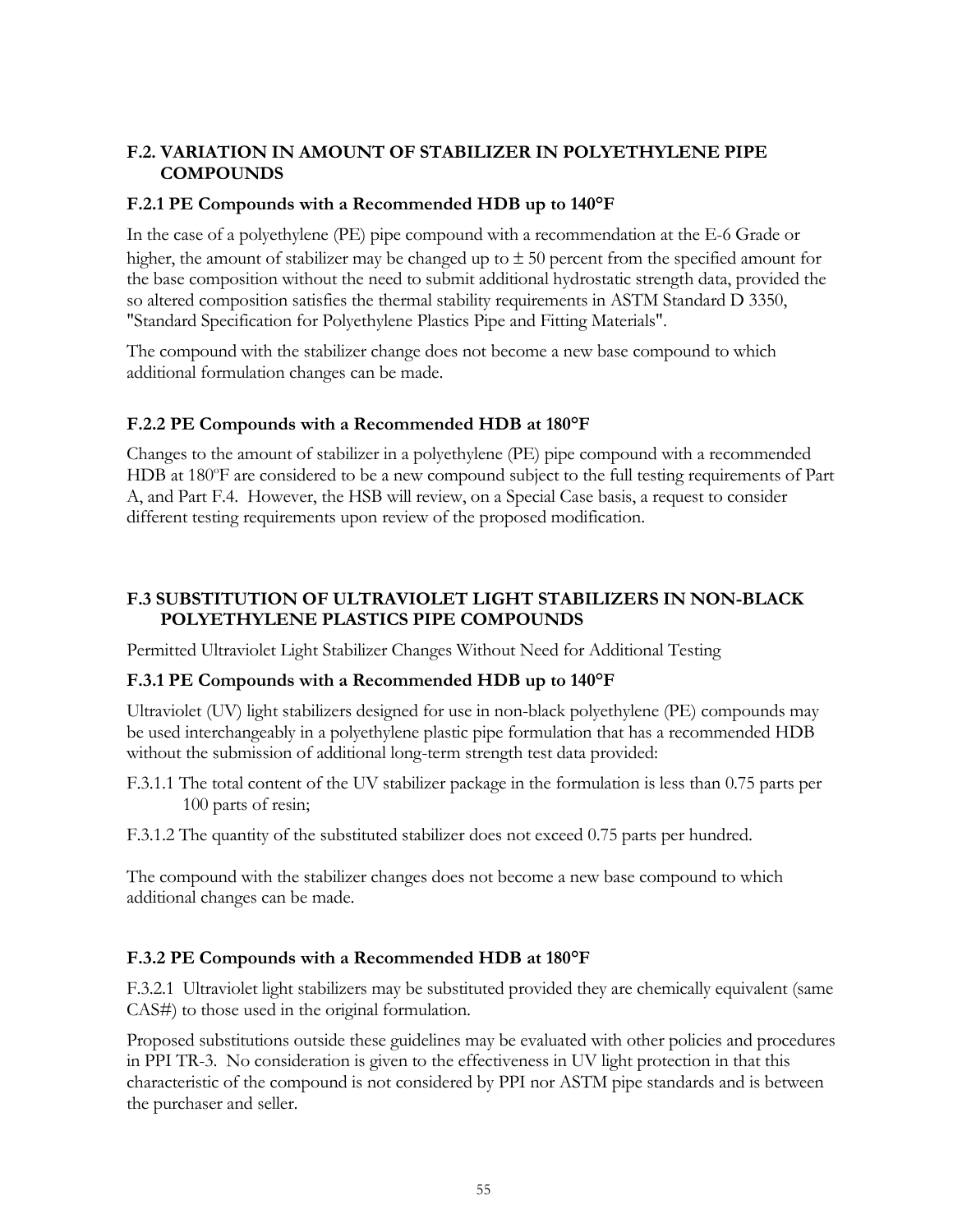## **F.2. VARIATION IN AMOUNT OF STABILIZER IN POLYETHYLENE PIPE COMPOUNDS**

## **F.2.1 PE Compounds with a Recommended HDB up to 140°F**

In the case of a polyethylene (PE) pipe compound with a recommendation at the E-6 Grade or higher, the amount of stabilizer may be changed up to  $\pm 50$  percent from the specified amount for the base composition without the need to submit additional hydrostatic strength data, provided the so altered composition satisfies the thermal stability requirements in ASTM Standard D 3350, "Standard Specification for Polyethylene Plastics Pipe and Fitting Materials".

The compound with the stabilizer change does not become a new base compound to which additional formulation changes can be made.

## **F.2.2 PE Compounds with a Recommended HDB at 180°F**

Changes to the amount of stabilizer in a polyethylene (PE) pipe compound with a recommended HDB at 180°F are considered to be a new compound subject to the full testing requirements of Part A, and Part F.4. However, the HSB will review, on a Special Case basis, a request to consider different testing requirements upon review of the proposed modification.

## **F.3 SUBSTITUTION OF ULTRAVIOLET LIGHT STABILIZERS IN NON-BLACK POLYETHYLENE PLASTICS PIPE COMPOUNDS**

Permitted Ultraviolet Light Stabilizer Changes Without Need for Additional Testing

## **F.3.1 PE Compounds with a Recommended HDB up to 140°F**

Ultraviolet (UV) light stabilizers designed for use in non-black polyethylene (PE) compounds may be used interchangeably in a polyethylene plastic pipe formulation that has a recommended HDB without the submission of additional long-term strength test data provided:

- F.3.1.1 The total content of the UV stabilizer package in the formulation is less than 0.75 parts per 100 parts of resin;
- F.3.1.2 The quantity of the substituted stabilizer does not exceed 0.75 parts per hundred.

The compound with the stabilizer changes does not become a new base compound to which additional changes can be made.

## **F.3.2 PE Compounds with a Recommended HDB at 180°F**

F.3.2.1 Ultraviolet light stabilizers may be substituted provided they are chemically equivalent (same CAS#) to those used in the original formulation.

Proposed substitutions outside these guidelines may be evaluated with other policies and procedures in PPI TR-3. No consideration is given to the effectiveness in UV light protection in that this characteristic of the compound is not considered by PPI nor ASTM pipe standards and is between the purchaser and seller.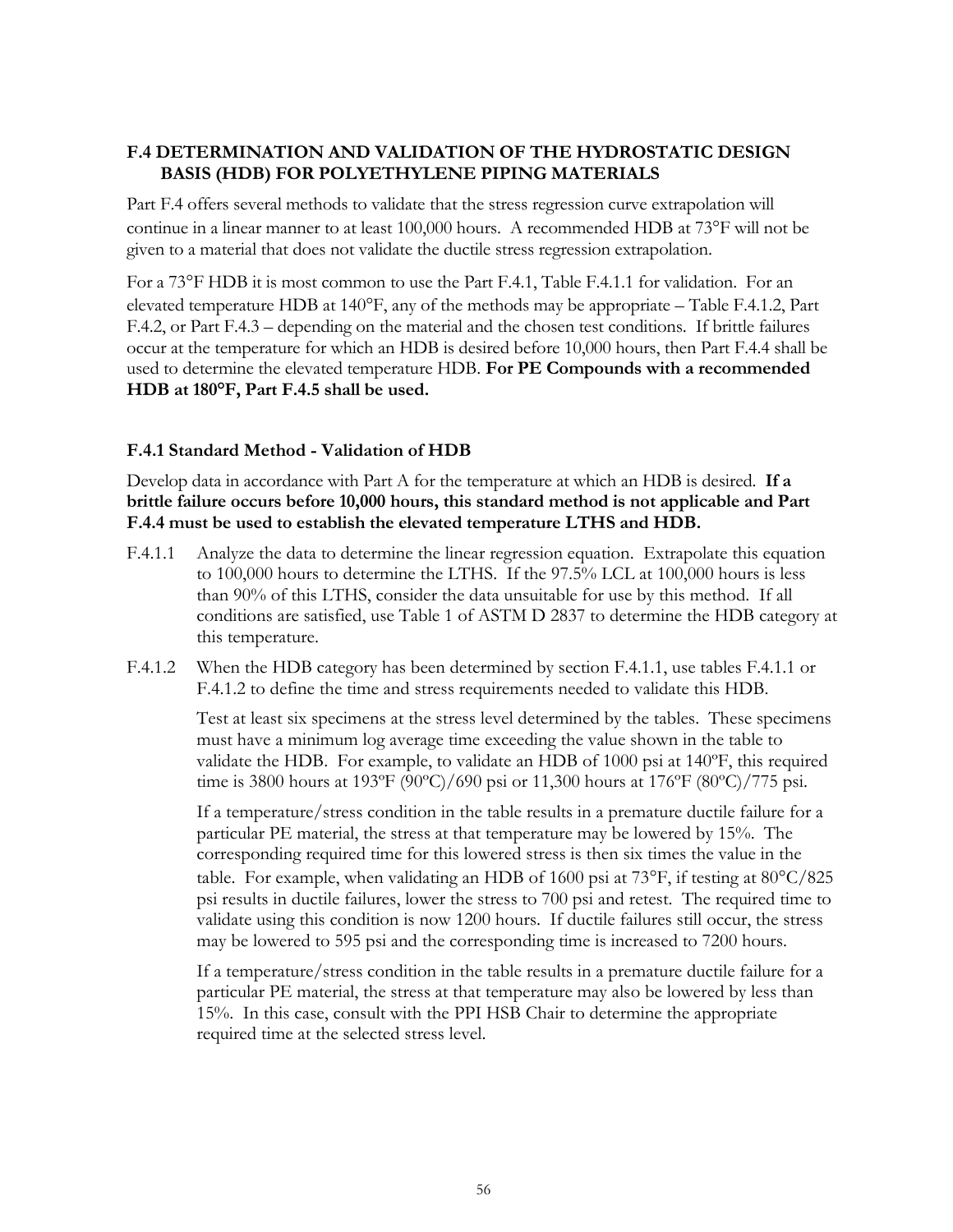## **F.4 DETERMINATION AND VALIDATION OF THE HYDROSTATIC DESIGN BASIS (HDB) FOR POLYETHYLENE PIPING MATERIALS**

Part F.4 offers several methods to validate that the stress regression curve extrapolation will continue in a linear manner to at least 100,000 hours. A recommended HDB at 73<sup>o</sup>F will not be given to a material that does not validate the ductile stress regression extrapolation.

For a 73°F HDB it is most common to use the Part F.4.1, Table F.4.1.1 for validation. For an elevated temperature HDB at  $140^{\circ}$ F, any of the methods may be appropriate – Table F.4.1.2, Part F.4.2, or Part F.4.3 – depending on the material and the chosen test conditions. If brittle failures occur at the temperature for which an HDB is desired before 10,000 hours, then Part F.4.4 shall be used to determine the elevated temperature HDB. **For PE Compounds with a recommended HDB at 180°F, Part F.4.5 shall be used.**

## **F.4.1 Standard Method - Validation of HDB**

Develop data in accordance with Part A for the temperature at which an HDB is desired. **If a brittle failure occurs before 10,000 hours, this standard method is not applicable and Part F.4.4 must be used to establish the elevated temperature LTHS and HDB.**

- F.4.1.1 Analyze the data to determine the linear regression equation. Extrapolate this equation to 100,000 hours to determine the LTHS. If the 97.5% LCL at 100,000 hours is less than 90% of this LTHS, consider the data unsuitable for use by this method. If all conditions are satisfied, use Table 1 of ASTM D 2837 to determine the HDB category at this temperature.
- F.4.1.2 When the HDB category has been determined by section F.4.1.1, use tables F.4.1.1 or F.4.1.2 to define the time and stress requirements needed to validate this HDB.

Test at least six specimens at the stress level determined by the tables. These specimens must have a minimum log average time exceeding the value shown in the table to validate the HDB. For example, to validate an HDB of 1000 psi at 140ºF, this required time is 3800 hours at 193ºF (90ºC)/690 psi or 11,300 hours at 176ºF (80ºC)/775 psi.

If a temperature/stress condition in the table results in a premature ductile failure for a particular PE material, the stress at that temperature may be lowered by 15%. The corresponding required time for this lowered stress is then six times the value in the table. For example, when validating an HDB of 1600 psi at 73°F, if testing at  $80^{\circ}$ C/825 psi results in ductile failures, lower the stress to 700 psi and retest. The required time to validate using this condition is now 1200 hours. If ductile failures still occur, the stress may be lowered to 595 psi and the corresponding time is increased to 7200 hours.

If a temperature/stress condition in the table results in a premature ductile failure for a particular PE material, the stress at that temperature may also be lowered by less than 15%. In this case, consult with the PPI HSB Chair to determine the appropriate required time at the selected stress level.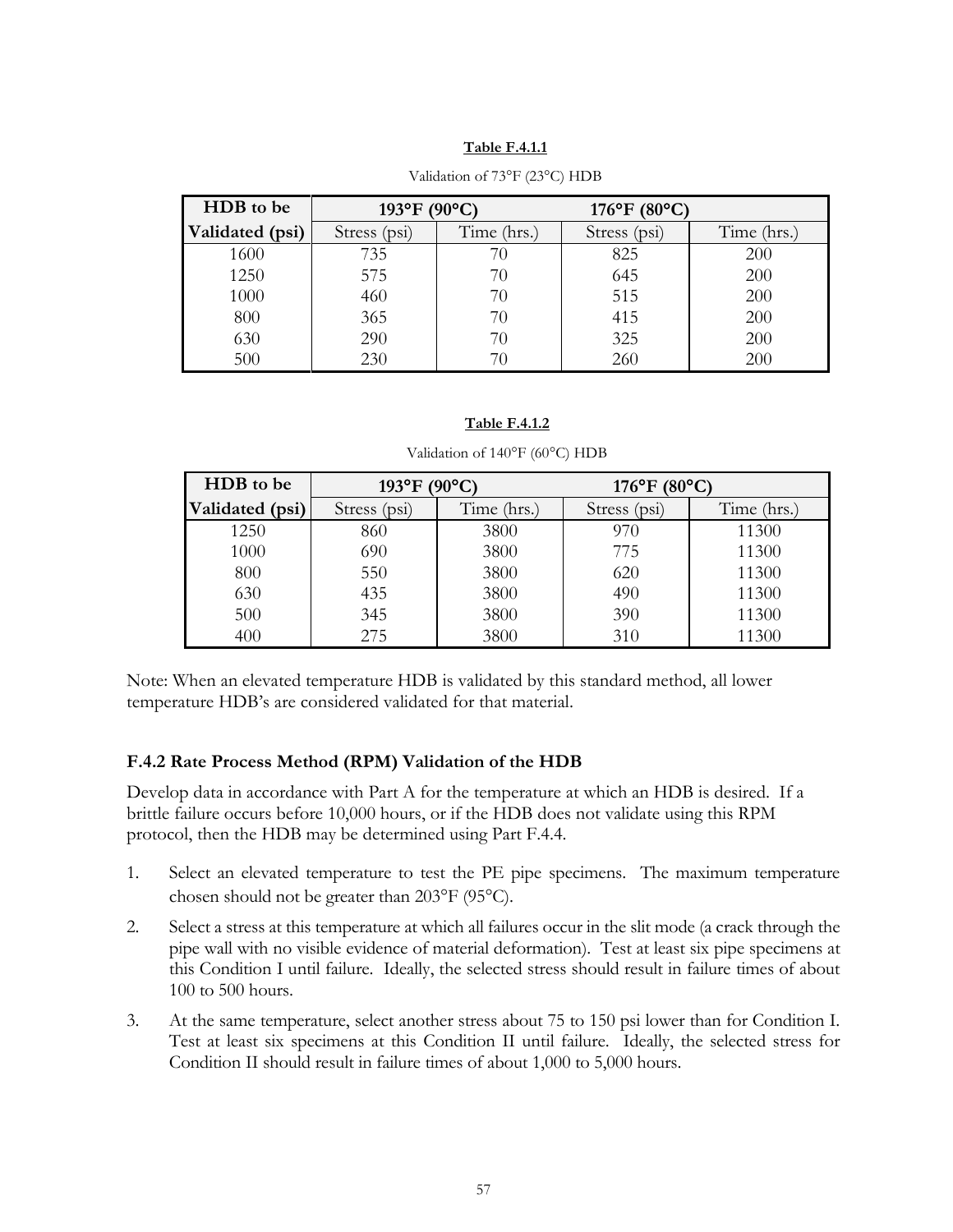#### **Table F.4.1.1**

| HDB to be       | 193°F (90°C) |             | $176^{\circ}$ F (80 $^{\circ}$ C) |             |
|-----------------|--------------|-------------|-----------------------------------|-------------|
| Validated (psi) | Stress (psi) | Time (hrs.) | Stress (psi)                      | Time (hrs.) |
| 1600            | 735          | 70          | 825                               | 200         |
| 1250            | 575          | 70          | 645                               | 200         |
| 1000            | 460          | 70          | 515                               | 200         |
| 800             | 365          | 70          | 415                               | 200         |
| 630             | 290          | 70          | 325                               | 200         |
| 500             | 230          | 70          | 260                               | 200         |

#### Validation of 73°F (23°C) HDB

#### **Table F.4.1.2**

| Validation of 140°F (60°C) HDB |  |  |
|--------------------------------|--|--|
|--------------------------------|--|--|

| HDB to be       | $193^{\circ}F(90^{\circ}C)$ |             | $176^{\circ}$ F (80 $^{\circ}$ C) |             |
|-----------------|-----------------------------|-------------|-----------------------------------|-------------|
| Validated (psi) | Stress (psi)                | Time (hrs.) | Stress (psi)                      | Time (hrs.) |
| 1250            | 860                         | 3800        | 970                               | 11300       |
| 1000            | 690                         | 3800        | 775                               | 11300       |
| 800             | 550                         | 3800        | 620                               | 11300       |
| 630             | 435                         | 3800        | 490                               | 11300       |
| 500             | 345                         | 3800        | 390                               | 11300       |
| 400             | 275                         | 3800        | 310                               | 11300       |

Note: When an elevated temperature HDB is validated by this standard method, all lower temperature HDB's are considered validated for that material.

#### **F.4.2 Rate Process Method (RPM) Validation of the HDB**

Develop data in accordance with Part A for the temperature at which an HDB is desired. If a brittle failure occurs before 10,000 hours, or if the HDB does not validate using this RPM protocol, then the HDB may be determined using Part F.4.4.

- 1. Select an elevated temperature to test the PE pipe specimens. The maximum temperature chosen should not be greater than  $203^{\circ}F$  (95 $^{\circ}C$ ).
- 2. Select a stress at this temperature at which all failures occur in the slit mode (a crack through the pipe wall with no visible evidence of material deformation). Test at least six pipe specimens at this Condition I until failure. Ideally, the selected stress should result in failure times of about 100 to 500 hours.
- 3. At the same temperature, select another stress about 75 to 150 psi lower than for Condition I. Test at least six specimens at this Condition II until failure. Ideally, the selected stress for Condition II should result in failure times of about 1,000 to 5,000 hours.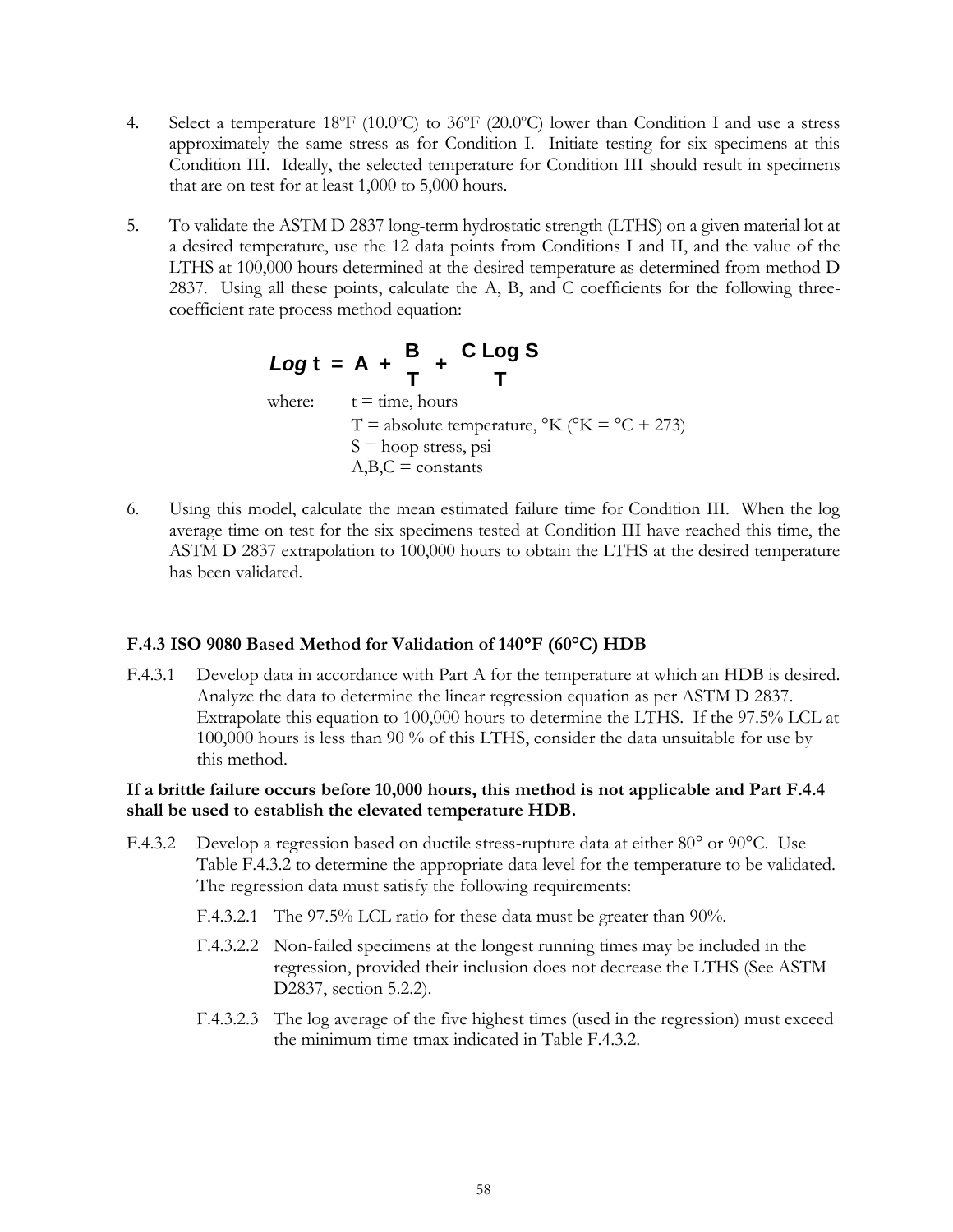- 4. Select a temperature 18 $\textdegree$ F (10.0 $\textdegree$ C) to 36 $\textdegree$ F (20.0 $\textdegree$ C) lower than Condition I and use a stress approximately the same stress as for Condition I. Initiate testing for six specimens at this Condition III. Ideally, the selected temperature for Condition III should result in specimens that are on test for at least 1,000 to 5,000 hours.
- 5. To validate the ASTM D 2837 long-term hydrostatic strength (LTHS) on a given material lot at a desired temperature, use the 12 data points from Conditions I and II, and the value of the LTHS at 100,000 hours determined at the desired temperature as determined from method D 2837. Using all these points, calculate the A, B, and C coefficients for the following threecoefficient rate process method equation:

**Log t = A + 
$$
\frac{B}{T}
$$
 +  $\frac{C \text{ Log } S}{T}$**   
where:  $t = \text{time, hours}$   
 $T = \text{absolute temperature, } {}^{\circ}K ({}^{\circ}K = {}^{\circ}C + 273)$   
 $S = \text{hoop stress, psi}$   
 $A, B, C = \text{constants}$ 

6. Using this model, calculate the mean estimated failure time for Condition III. When the log average time on test for the six specimens tested at Condition III have reached this time, the ASTM D 2837 extrapolation to 100,000 hours to obtain the LTHS at the desired temperature has been validated.

## **F.4.3 ISO 9080 Based Method for Validation of 140F (60°C) HDB**

F.4.3.1 Develop data in accordance with Part A for the temperature at which an HDB is desired. Analyze the data to determine the linear regression equation as per ASTM D 2837. Extrapolate this equation to 100,000 hours to determine the LTHS. If the 97.5% LCL at 100,000 hours is less than 90 % of this LTHS, consider the data unsuitable for use by this method.

## **If a brittle failure occurs before 10,000 hours, this method is not applicable and Part F.4.4 shall be used to establish the elevated temperature HDB.**

- F.4.3.2 Develop a regression based on ductile stress-rupture data at either  $80^{\circ}$  or  $90^{\circ}$ C. Use Table F.4.3.2 to determine the appropriate data level for the temperature to be validated. The regression data must satisfy the following requirements:
	- F.4.3.2.1 The 97.5% LCL ratio for these data must be greater than 90%.
	- F.4.3.2.2 Non-failed specimens at the longest running times may be included in the regression, provided their inclusion does not decrease the LTHS (See ASTM D2837, section 5.2.2).
	- F.4.3.2.3 The log average of the five highest times (used in the regression) must exceed the minimum time tmax indicated in Table F.4.3.2.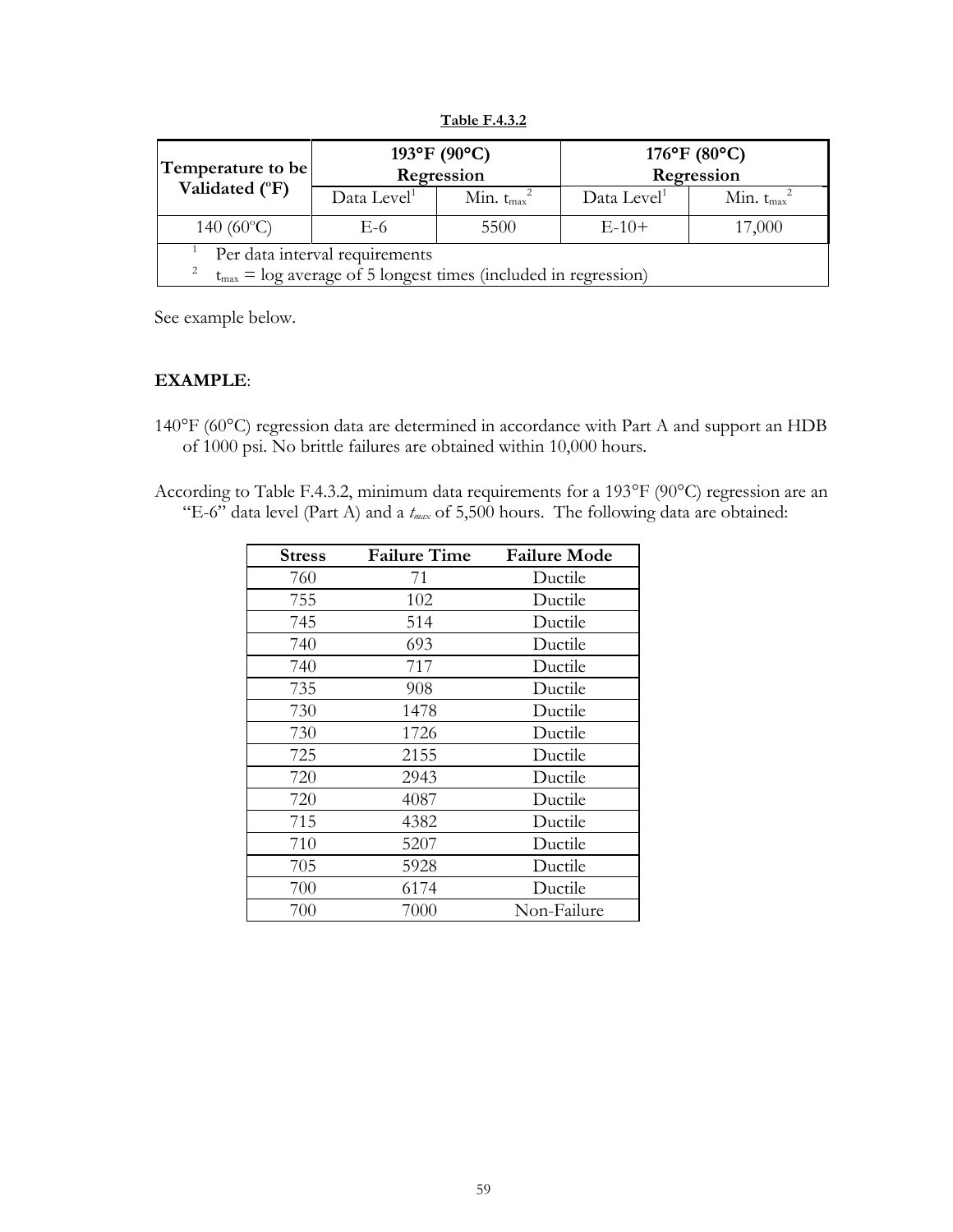**Table F.4.3.2**

| Temperature to be                                                                                          | 193°F (90°C)<br>Regression |                  | $176^{\circ}$ F (80 $^{\circ}$ C)<br>Regression |                  |
|------------------------------------------------------------------------------------------------------------|----------------------------|------------------|-------------------------------------------------|------------------|
| Validated (°F)                                                                                             | Data Level <sup>1</sup>    | Min. $t_{max}^2$ | Data Level <sup>1</sup>                         | Min. $t_{max}^2$ |
| 140 $(60^{\circ}C)$                                                                                        | E-6                        | 5500             | $E-10+$                                         | 17,000           |
| Per data interval requirements<br>2<br>$t_{max}$ = log average of 5 longest times (included in regression) |                            |                  |                                                 |                  |

See example below.

## **EXAMPLE**:

- 140°F (60°C) regression data are determined in accordance with Part A and support an HDB of 1000 psi. No brittle failures are obtained within 10,000 hours.
- According to Table F.4.3.2, minimum data requirements for a 193°F (90°C) regression are an "E-6" data level (Part A) and a *tmax* of 5,500 hours. The following data are obtained:

| <b>Stress</b> | <b>Failure Time</b> | <b>Failure Mode</b> |
|---------------|---------------------|---------------------|
| 760           | 71                  | Ductile             |
| 755           | 102                 | Ductile             |
| 745           | 514                 | Ductile             |
| 740           | 693                 | Ductile             |
| 740           | 717                 | Ductile             |
| 735           | 908                 | Ductile             |
| 730           | 1478                | Ductile             |
| 730           | 1726                | Ductile             |
| 725           | 2155                | Ductile             |
| 720           | 2943                | Ductile             |
| 720           | 4087                | Ductile             |
| 715           | 4382                | Ductile             |
| 710           | 5207                | Ductile             |
| 705           | 5928                | Ductile             |
| 700           | 6174                | Ductile             |
| 700           | 7000                | Non-Failure         |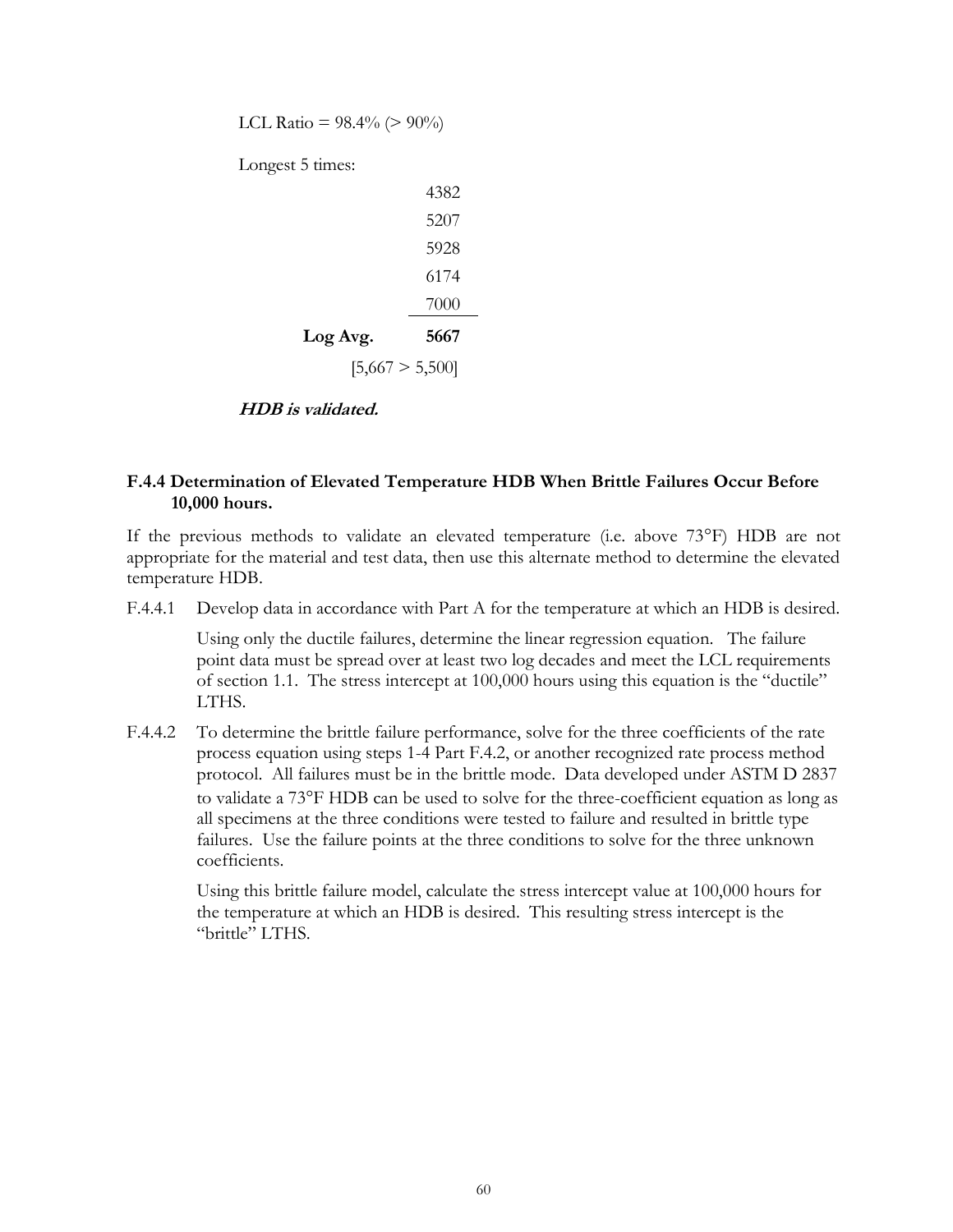LCL Ratio =  $98.4\%$  (>  $90\%$ ) Longest 5 times: 4382 5207 5928 6174 7000 **Log Avg. 5667**  $[5,667 > 5,500]$ 

#### **HDB is validated.**

## **F.4.4 Determination of Elevated Temperature HDB When Brittle Failures Occur Before 10,000 hours.**

If the previous methods to validate an elevated temperature (i.e. above  $73^{\circ}$ F) HDB are not appropriate for the material and test data, then use this alternate method to determine the elevated temperature HDB.

F.4.4.1 Develop data in accordance with Part A for the temperature at which an HDB is desired.

Using only the ductile failures, determine the linear regression equation. The failure point data must be spread over at least two log decades and meet the LCL requirements of section 1.1. The stress intercept at 100,000 hours using this equation is the "ductile" LTHS.

F.4.4.2 To determine the brittle failure performance, solve for the three coefficients of the rate process equation using steps 1-4 Part F.4.2, or another recognized rate process method protocol. All failures must be in the brittle mode. Data developed under ASTM D 2837 to validate a 73F HDB can be used to solve for the three-coefficient equation as long as all specimens at the three conditions were tested to failure and resulted in brittle type failures. Use the failure points at the three conditions to solve for the three unknown coefficients.

Using this brittle failure model, calculate the stress intercept value at 100,000 hours for the temperature at which an HDB is desired. This resulting stress intercept is the "brittle" LTHS.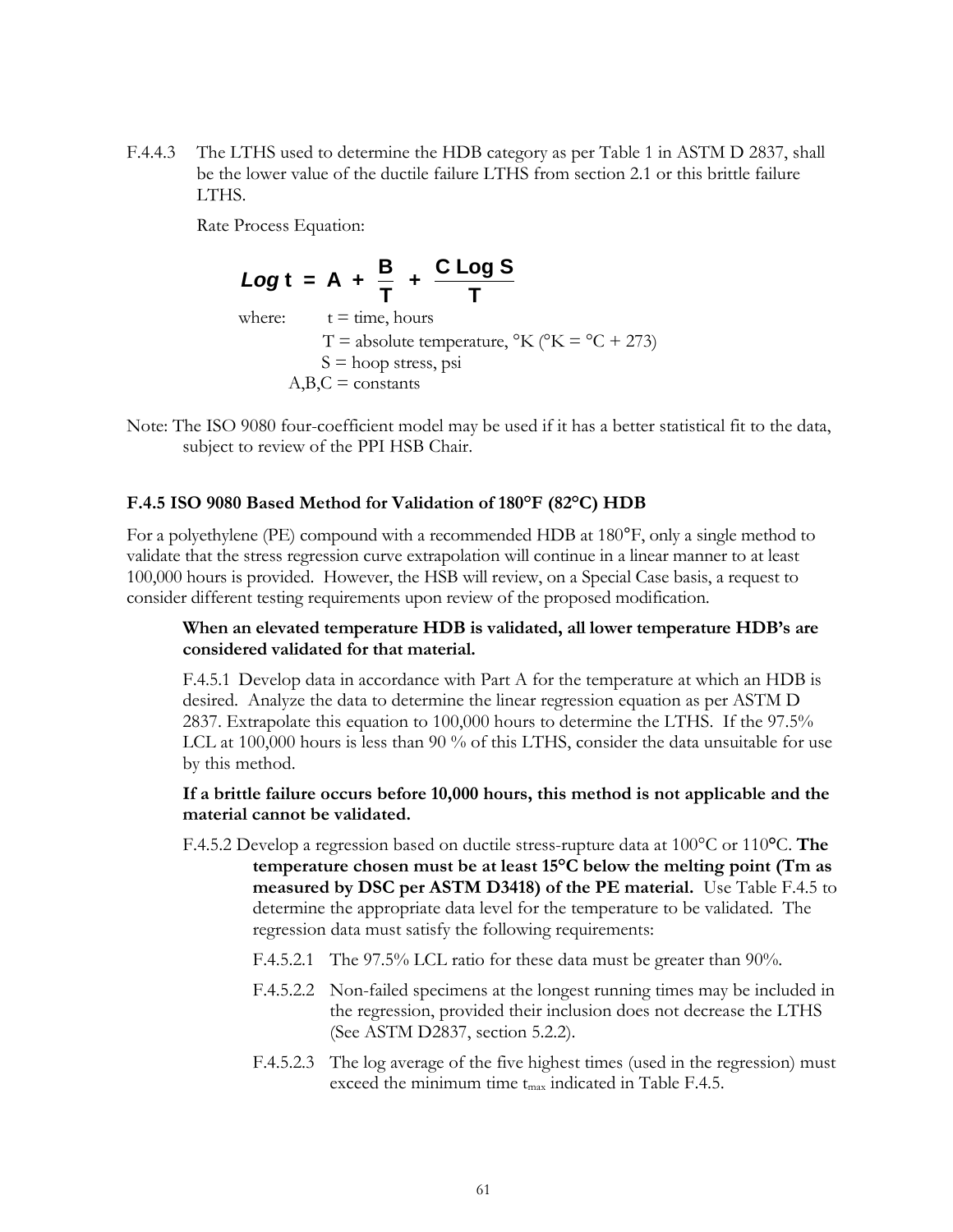F.4.4.3 The LTHS used to determine the HDB category as per Table 1 in ASTM D 2837, shall be the lower value of the ductile failure LTHS from section 2.1 or this brittle failure LTHS.

Rate Process Equation:

**Log t = A + 
$$
\frac{B}{T}
$$
 +  $\frac{C \text{ Log } S}{T}$**   
where:  $t = \text{time, hours}$   
 $T = \text{absolute temperature, } {}^{\circ}\text{K} ({}^{\circ}\text{K} = {}^{\circ}\text{C} + 273)$   
 $S = \text{hoop stress, psi}$   
 $A, B, C = \text{constants}$ 

Note: The ISO 9080 four-coefficient model may be used if it has a better statistical fit to the data, subject to review of the PPI HSB Chair.

#### **F.4.5 ISO 9080 Based Method for Validation of 180°F (82°C) HDB**

For a polyethylene (PE) compound with a recommended HDB at 180°F, only a single method to validate that the stress regression curve extrapolation will continue in a linear manner to at least 100,000 hours is provided. However, the HSB will review, on a Special Case basis, a request to consider different testing requirements upon review of the proposed modification.

#### **When an elevated temperature HDB is validated, all lower temperature HDB's are considered validated for that material.**

F.4.5.1 Develop data in accordance with Part A for the temperature at which an HDB is desired. Analyze the data to determine the linear regression equation as per ASTM D 2837. Extrapolate this equation to 100,000 hours to determine the LTHS. If the 97.5% LCL at 100,000 hours is less than 90 % of this LTHS, consider the data unsuitable for use by this method.

#### **If a brittle failure occurs before 10,000 hours, this method is not applicable and the material cannot be validated.**

- F.4.5.2 Develop a regression based on ductile stress-rupture data at 100°C or 110**°**C. **The temperature chosen must be at least 15°C below the melting point (Tm as measured by DSC per ASTM D3418) of the PE material.** Use Table F.4.5 to determine the appropriate data level for the temperature to be validated. The regression data must satisfy the following requirements:
	- F.4.5.2.1 The 97.5% LCL ratio for these data must be greater than 90%.
	- F.4.5.2.2 Non-failed specimens at the longest running times may be included in the regression, provided their inclusion does not decrease the LTHS (See ASTM D2837, section 5.2.2).
	- F.4.5.2.3 The log average of the five highest times (used in the regression) must exceed the minimum time t<sub>max</sub> indicated in Table F.4.5.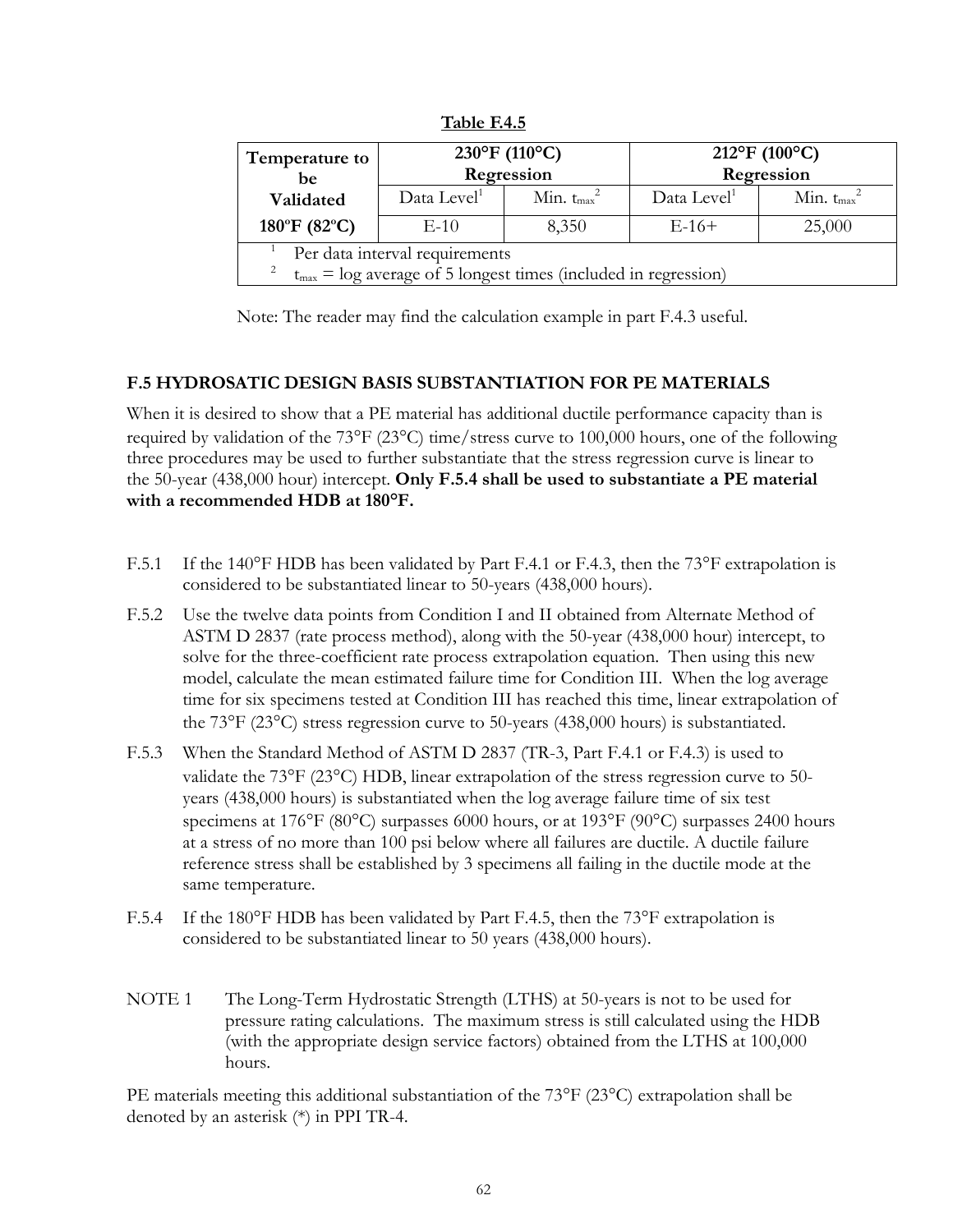| Temperature to<br>be                                                                                  | $230^{\circ}F(110^{\circ}C)$<br>Regression |                  | $212^{\circ}F(100^{\circ}C)$<br>Regression |                  |
|-------------------------------------------------------------------------------------------------------|--------------------------------------------|------------------|--------------------------------------------|------------------|
| Validated                                                                                             | Data Level <sup>1</sup>                    | Min. $t_{max}^2$ | Data Level <sup>1</sup>                    | Min. $t_{max}^2$ |
| 180°F (82°C)                                                                                          | $E-10$                                     | 8,350            | $E-16+$                                    | 25,000           |
| Per data interval requirements<br>$t_{max}$ = log average of 5 longest times (included in regression) |                                            |                  |                                            |                  |

**Table F.4.5**

Note: The reader may find the calculation example in part F.4.3 useful.

## **F.5 HYDROSATIC DESIGN BASIS SUBSTANTIATION FOR PE MATERIALS**

When it is desired to show that a PE material has additional ductile performance capacity than is required by validation of the  $73^{\circ}F(23^{\circ}C)$  time/stress curve to 100,000 hours, one of the following three procedures may be used to further substantiate that the stress regression curve is linear to the 50-year (438,000 hour) intercept. **Only F.5.4 shall be used to substantiate a PE material with a recommended HDB at 180°F.**

- F.5.1 If the 140°F HDB has been validated by Part F.4.1 or F.4.3, then the 73°F extrapolation is considered to be substantiated linear to 50-years (438,000 hours).
- F.5.2 Use the twelve data points from Condition I and II obtained from Alternate Method of ASTM D 2837 (rate process method), along with the 50-year (438,000 hour) intercept, to solve for the three-coefficient rate process extrapolation equation. Then using this new model, calculate the mean estimated failure time for Condition III. When the log average time for six specimens tested at Condition III has reached this time, linear extrapolation of the  $73^{\circ}F(23^{\circ}C)$  stress regression curve to 50-years (438,000 hours) is substantiated.
- F.5.3 When the Standard Method of ASTM D 2837 (TR-3, Part F.4.1 or F.4.3) is used to validate the  $73^{\circ}F(23^{\circ}C)$  HDB, linear extrapolation of the stress regression curve to 50years (438,000 hours) is substantiated when the log average failure time of six test specimens at 176°F (80°C) surpasses 6000 hours, or at 193°F (90°C) surpasses 2400 hours at a stress of no more than 100 psi below where all failures are ductile. A ductile failure reference stress shall be established by 3 specimens all failing in the ductile mode at the same temperature.
- F.5.4 If the 180°F HDB has been validated by Part F.4.5, then the 73°F extrapolation is considered to be substantiated linear to 50 years (438,000 hours).
- NOTE 1 The Long-Term Hydrostatic Strength (LTHS) at 50-years is not to be used for pressure rating calculations. The maximum stress is still calculated using the HDB (with the appropriate design service factors) obtained from the LTHS at 100,000 hours.

PE materials meeting this additional substantiation of the  $73^{\circ}F(23^{\circ}C)$  extrapolation shall be denoted by an asterisk (\*) in PPI TR-4.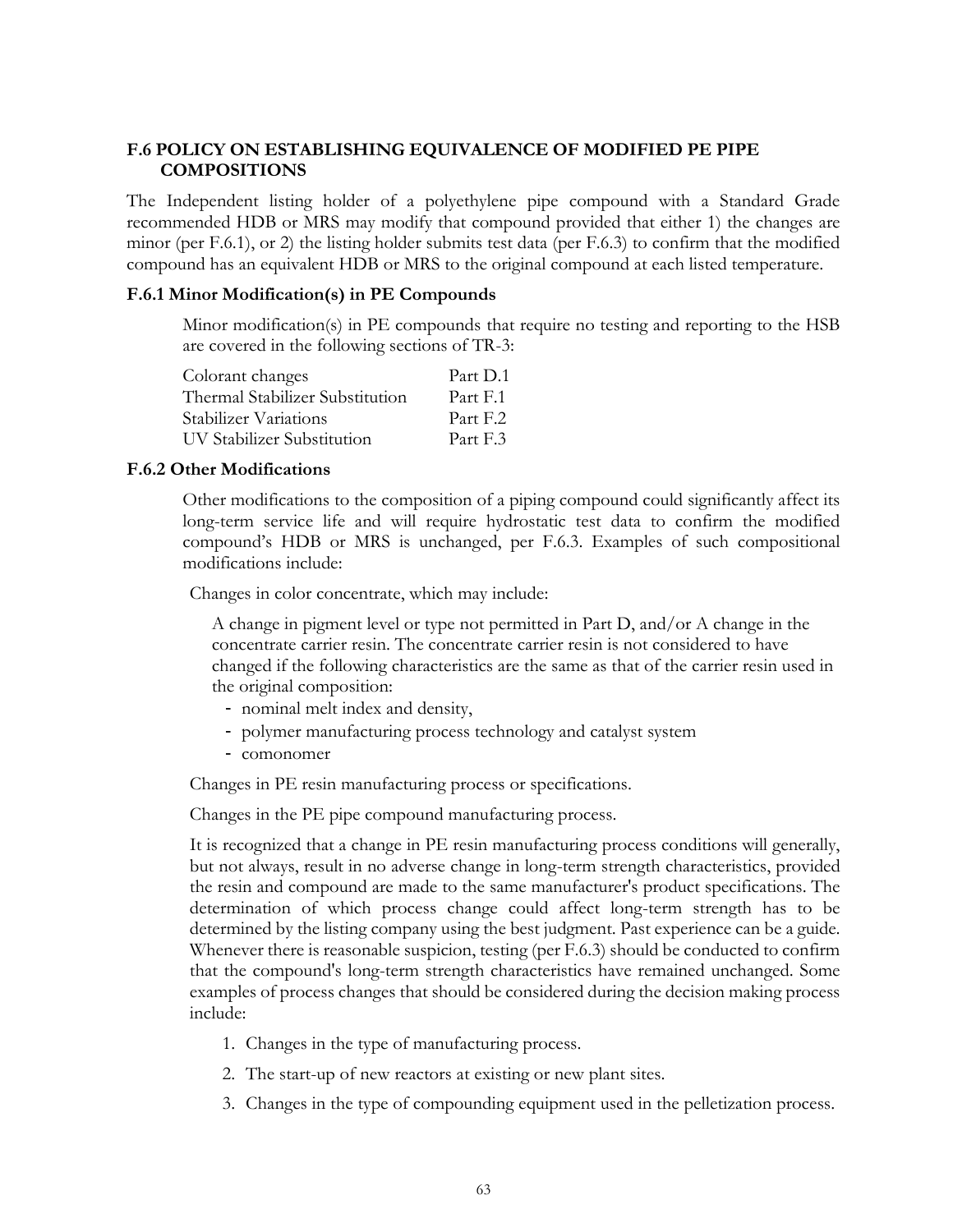## **F.6 POLICY ON ESTABLISHING EQUIVALENCE OF MODIFIED PE PIPE COMPOSITIONS**

The Independent listing holder of a polyethylene pipe compound with a Standard Grade recommended HDB or MRS may modify that compound provided that either 1) the changes are minor (per F.6.1), or 2) the listing holder submits test data (per F.6.3) to confirm that the modified compound has an equivalent HDB or MRS to the original compound at each listed temperature.

#### **F.6.1 Minor Modification(s) in PE Compounds**

Minor modification(s) in PE compounds that require no testing and reporting to the HSB are covered in the following sections of TR-3:

| Colorant changes                | Part D.1 |
|---------------------------------|----------|
| Thermal Stabilizer Substitution | Part F.1 |
| Stabilizer Variations           | Part F.2 |
| UV Stabilizer Substitution      | Part F.3 |

#### **F.6.2 Other Modifications**

Other modifications to the composition of a piping compound could significantly affect its long-term service life and will require hydrostatic test data to confirm the modified compound's HDB or MRS is unchanged, per F.6.3. Examples of such compositional modifications include:

Changes in color concentrate, which may include:

A change in pigment level or type not permitted in Part D, and/or A change in the concentrate carrier resin. The concentrate carrier resin is not considered to have changed if the following characteristics are the same as that of the carrier resin used in the original composition:

- nominal melt index and density,
- polymer manufacturing process technology and catalyst system
- comonomer

Changes in PE resin manufacturing process or specifications.

Changes in the PE pipe compound manufacturing process.

It is recognized that a change in PE resin manufacturing process conditions will generally, but not always, result in no adverse change in long-term strength characteristics, provided the resin and compound are made to the same manufacturer's product specifications. The determination of which process change could affect long-term strength has to be determined by the listing company using the best judgment. Past experience can be a guide. Whenever there is reasonable suspicion, testing (per F.6.3) should be conducted to confirm that the compound's long-term strength characteristics have remained unchanged. Some examples of process changes that should be considered during the decision making process include:

- 1. Changes in the type of manufacturing process.
- 2. The start-up of new reactors at existing or new plant sites.
- 3. Changes in the type of compounding equipment used in the pelletization process.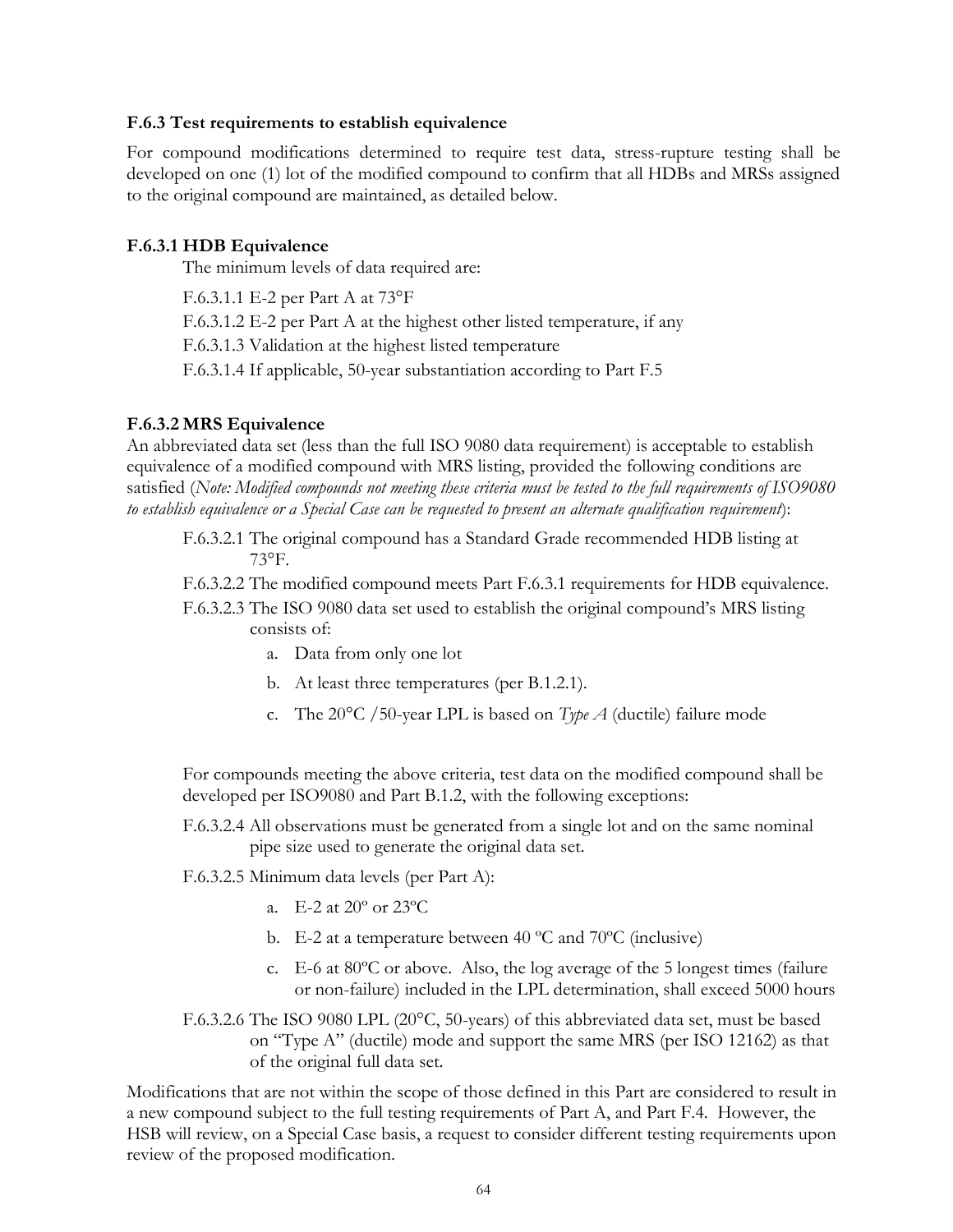#### **F.6.3 Test requirements to establish equivalence**

For compound modifications determined to require test data, stress-rupture testing shall be developed on one (1) lot of the modified compound to confirm that all HDBs and MRSs assigned to the original compound are maintained, as detailed below.

#### **F.6.3.1 HDB Equivalence**

The minimum levels of data required are:

F.6.3.1.1 E-2 per Part A at 73°F

F.6.3.1.2 E-2 per Part A at the highest other listed temperature, if any

F.6.3.1.3 Validation at the highest listed temperature

F.6.3.1.4 If applicable, 50-year substantiation according to Part F.5

#### **F.6.3.2 MRS Equivalence**

An abbreviated data set (less than the full ISO 9080 data requirement) is acceptable to establish equivalence of a modified compound with MRS listing, provided the following conditions are satisfied (*Note: Modified compounds not meeting these criteria must be tested to the full requirements of ISO9080 to establish equivalence or a Special Case can be requested to present an alternate qualification requirement*):

- F.6.3.2.1 The original compound has a Standard Grade recommended HDB listing at 73°F.
- F.6.3.2.2 The modified compound meets Part F.6.3.1 requirements for HDB equivalence.
- F.6.3.2.3 The ISO 9080 data set used to establish the original compound's MRS listing consists of:
	- a. Data from only one lot
	- b. At least three temperatures (per B.1.2.1).
	- c. The 20°C /50-year LPL is based on *Type A* (ductile) failure mode

For compounds meeting the above criteria, test data on the modified compound shall be developed per ISO9080 and Part B.1.2, with the following exceptions:

F.6.3.2.4 All observations must be generated from a single lot and on the same nominal pipe size used to generate the original data set.

F.6.3.2.5 Minimum data levels (per Part A):

- a. E-2 at 20º or 23ºC
- b. E-2 at a temperature between 40  $^{\circ}$ C and 70 $^{\circ}$ C (inclusive)
- c. E-6 at 80ºC or above. Also, the log average of the 5 longest times (failure or non-failure) included in the LPL determination, shall exceed 5000 hours
- F.6.3.2.6 The ISO 9080 LPL (20°C, 50-years) of this abbreviated data set, must be based on "Type A" (ductile) mode and support the same MRS (per ISO 12162) as that of the original full data set.

Modifications that are not within the scope of those defined in this Part are considered to result in a new compound subject to the full testing requirements of Part A, and Part F.4. However, the HSB will review, on a Special Case basis, a request to consider different testing requirements upon review of the proposed modification.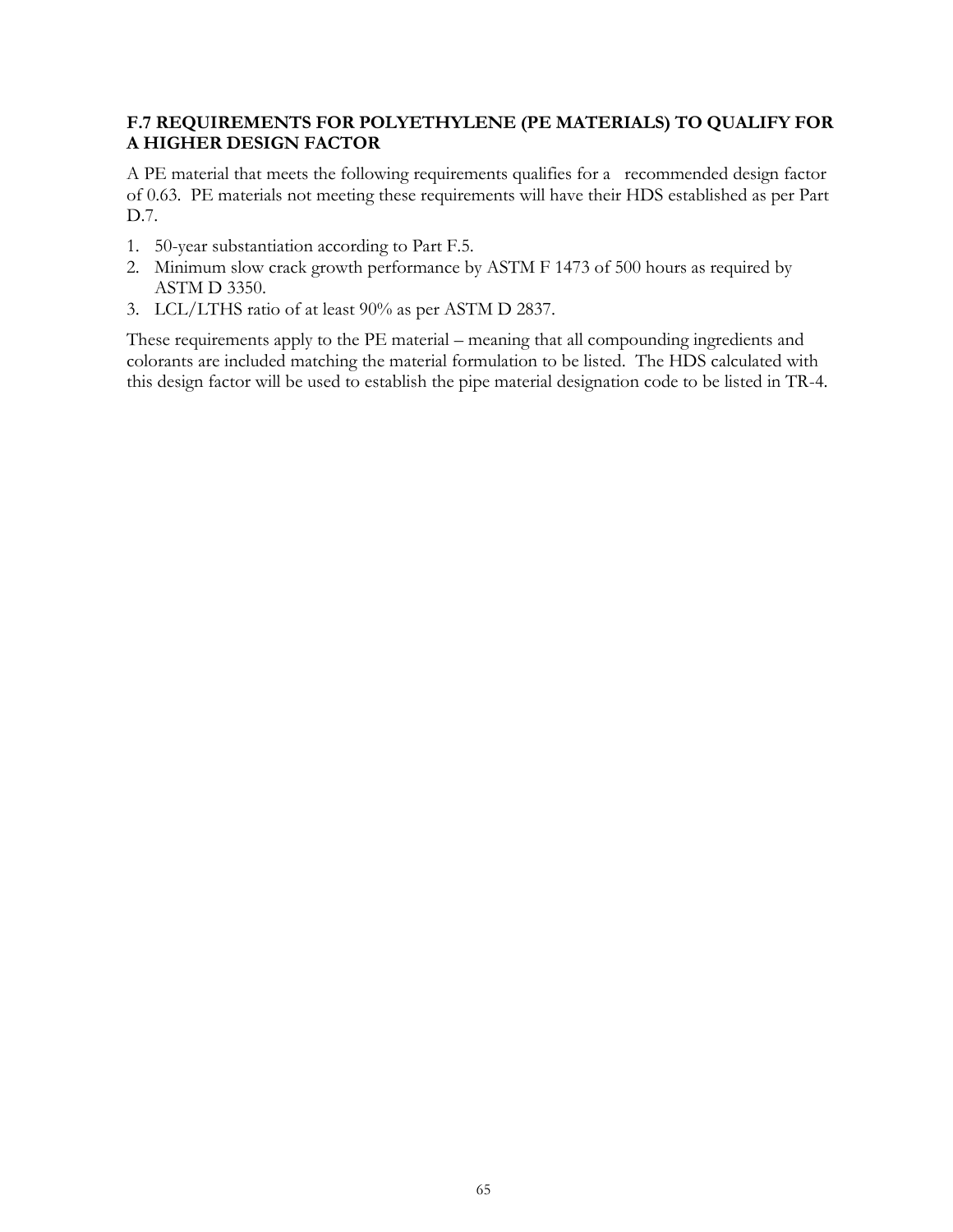## **F.7 REQUIREMENTS FOR POLYETHYLENE (PE MATERIALS) TO QUALIFY FOR A HIGHER DESIGN FACTOR**

A PE material that meets the following requirements qualifies for a recommended design factor of 0.63. PE materials not meeting these requirements will have their HDS established as per Part D.7.

- 1. 50-year substantiation according to Part F.5.
- 2. Minimum slow crack growth performance by ASTM F 1473 of 500 hours as required by ASTM D 3350.
- 3. LCL/LTHS ratio of at least 90% as per ASTM D 2837.

These requirements apply to the PE material – meaning that all compounding ingredients and colorants are included matching the material formulation to be listed. The HDS calculated with this design factor will be used to establish the pipe material designation code to be listed in TR-4.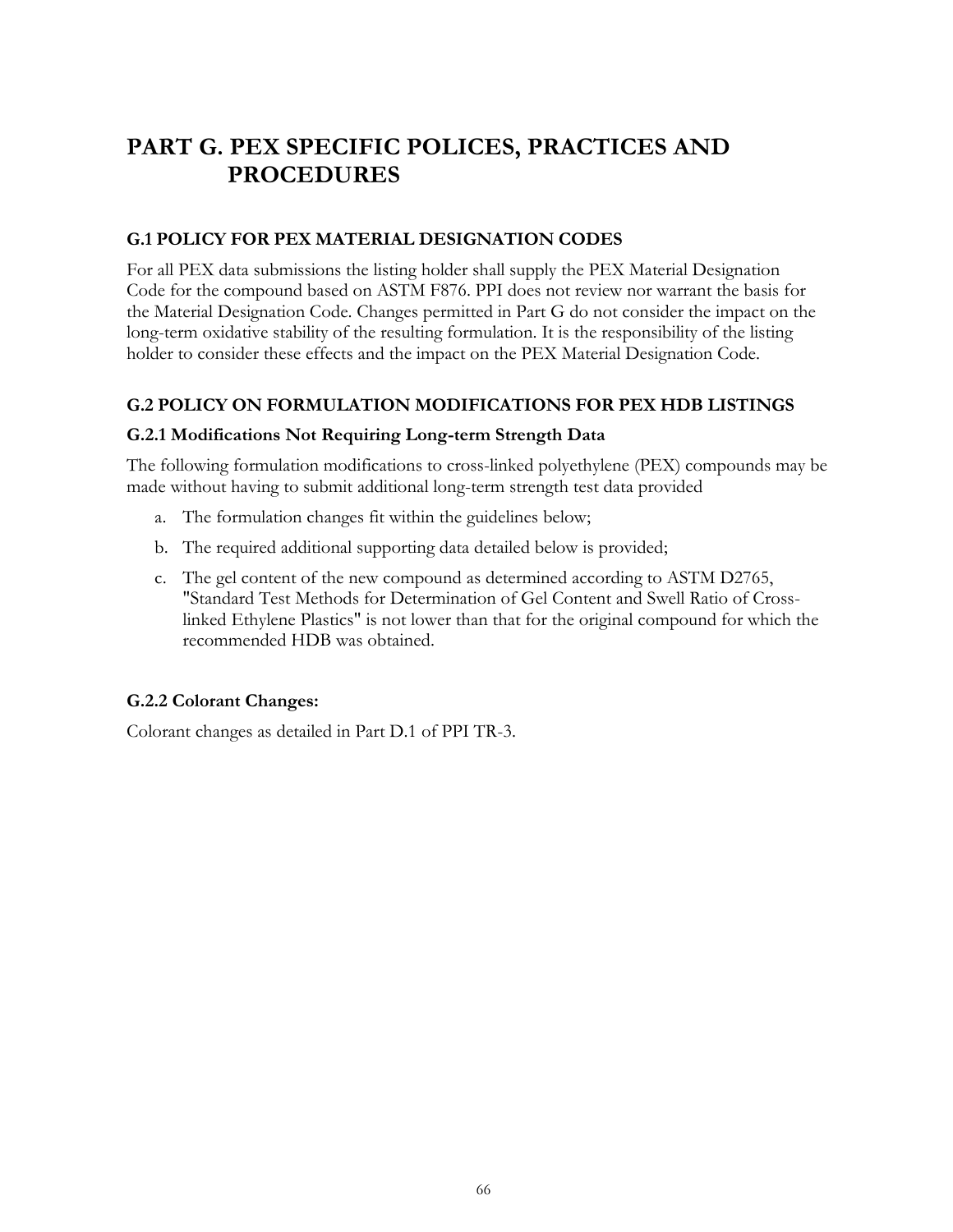# **PART G. PEX SPECIFIC POLICES, PRACTICES AND PROCEDURES**

## **G.1 POLICY FOR PEX MATERIAL DESIGNATION CODES**

For all PEX data submissions the listing holder shall supply the PEX Material Designation Code for the compound based on ASTM F876. PPI does not review nor warrant the basis for the Material Designation Code. Changes permitted in Part G do not consider the impact on the long-term oxidative stability of the resulting formulation. It is the responsibility of the listing holder to consider these effects and the impact on the PEX Material Designation Code.

## **G.2 POLICY ON FORMULATION MODIFICATIONS FOR PEX HDB LISTINGS**

## **G.2.1 Modifications Not Requiring Long-term Strength Data**

The following formulation modifications to cross-linked polyethylene (PEX) compounds may be made without having to submit additional long-term strength test data provided

- a. The formulation changes fit within the guidelines below;
- b. The required additional supporting data detailed below is provided;
- c. The gel content of the new compound as determined according to ASTM D2765, "Standard Test Methods for Determination of Gel Content and Swell Ratio of Crosslinked Ethylene Plastics" is not lower than that for the original compound for which the recommended HDB was obtained.

## **G.2.2 Colorant Changes:**

Colorant changes as detailed in Part D.1 of PPI TR-3.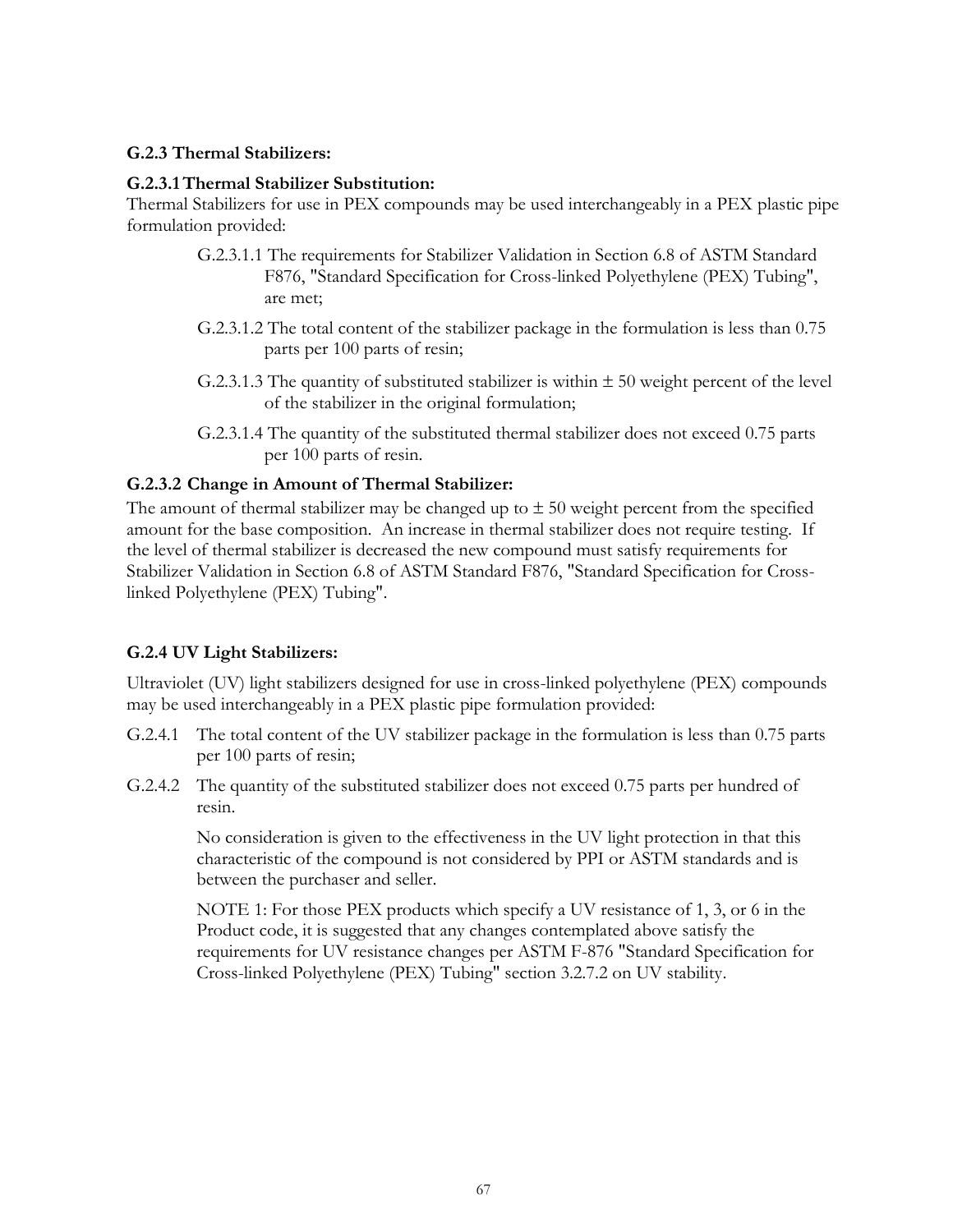#### **G.2.3 Thermal Stabilizers:**

#### **G.2.3.1Thermal Stabilizer Substitution:**

Thermal Stabilizers for use in PEX compounds may be used interchangeably in a PEX plastic pipe formulation provided:

- G.2.3.1.1 The requirements for Stabilizer Validation in Section 6.8 of ASTM Standard F876, "Standard Specification for Cross-linked Polyethylene (PEX) Tubing", are met;
- G.2.3.1.2 The total content of the stabilizer package in the formulation is less than 0.75 parts per 100 parts of resin;
- G.2.3.1.3 The quantity of substituted stabilizer is within  $\pm$  50 weight percent of the level of the stabilizer in the original formulation;
- G.2.3.1.4 The quantity of the substituted thermal stabilizer does not exceed 0.75 parts per 100 parts of resin.

## **G.2.3.2 Change in Amount of Thermal Stabilizer:**

The amount of thermal stabilizer may be changed up to  $\pm$  50 weight percent from the specified amount for the base composition. An increase in thermal stabilizer does not require testing. If the level of thermal stabilizer is decreased the new compound must satisfy requirements for Stabilizer Validation in Section 6.8 of ASTM Standard F876, "Standard Specification for Crosslinked Polyethylene (PEX) Tubing".

## **G.2.4 UV Light Stabilizers:**

Ultraviolet (UV) light stabilizers designed for use in cross-linked polyethylene (PEX) compounds may be used interchangeably in a PEX plastic pipe formulation provided:

- G.2.4.1 The total content of the UV stabilizer package in the formulation is less than 0.75 parts per 100 parts of resin;
- G.2.4.2 The quantity of the substituted stabilizer does not exceed 0.75 parts per hundred of resin.

No consideration is given to the effectiveness in the UV light protection in that this characteristic of the compound is not considered by PPI or ASTM standards and is between the purchaser and seller.

NOTE 1: For those PEX products which specify a UV resistance of 1, 3, or 6 in the Product code, it is suggested that any changes contemplated above satisfy the requirements for UV resistance changes per ASTM F-876 "Standard Specification for Cross-linked Polyethylene (PEX) Tubing" section 3.2.7.2 on UV stability.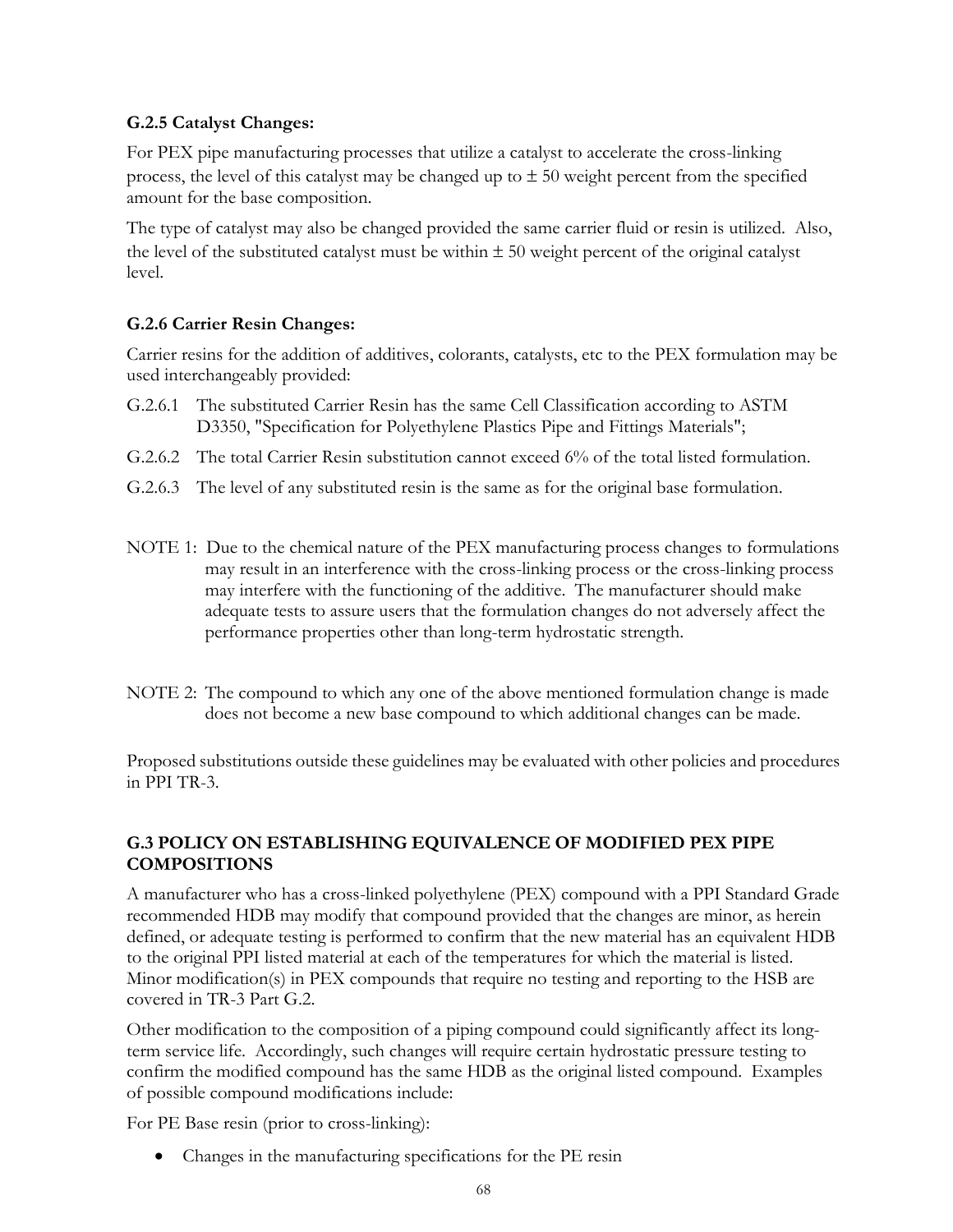## **G.2.5 Catalyst Changes:**

For PEX pipe manufacturing processes that utilize a catalyst to accelerate the cross-linking process, the level of this catalyst may be changed up to  $\pm$  50 weight percent from the specified amount for the base composition.

The type of catalyst may also be changed provided the same carrier fluid or resin is utilized. Also, the level of the substituted catalyst must be within  $\pm 50$  weight percent of the original catalyst level.

## **G.2.6 Carrier Resin Changes:**

Carrier resins for the addition of additives, colorants, catalysts, etc to the PEX formulation may be used interchangeably provided:

- G.2.6.1 The substituted Carrier Resin has the same Cell Classification according to ASTM D3350, "Specification for Polyethylene Plastics Pipe and Fittings Materials";
- G.2.6.2 The total Carrier Resin substitution cannot exceed 6% of the total listed formulation.
- G.2.6.3 The level of any substituted resin is the same as for the original base formulation.
- NOTE 1: Due to the chemical nature of the PEX manufacturing process changes to formulations may result in an interference with the cross-linking process or the cross-linking process may interfere with the functioning of the additive. The manufacturer should make adequate tests to assure users that the formulation changes do not adversely affect the performance properties other than long-term hydrostatic strength.
- NOTE 2: The compound to which any one of the above mentioned formulation change is made does not become a new base compound to which additional changes can be made.

Proposed substitutions outside these guidelines may be evaluated with other policies and procedures in PPI TR-3.

## **G.3 POLICY ON ESTABLISHING EQUIVALENCE OF MODIFIED PEX PIPE COMPOSITIONS**

A manufacturer who has a cross-linked polyethylene (PEX) compound with a PPI Standard Grade recommended HDB may modify that compound provided that the changes are minor, as herein defined, or adequate testing is performed to confirm that the new material has an equivalent HDB to the original PPI listed material at each of the temperatures for which the material is listed. Minor modification(s) in PEX compounds that require no testing and reporting to the HSB are covered in TR-3 Part G.2.

Other modification to the composition of a piping compound could significantly affect its longterm service life. Accordingly, such changes will require certain hydrostatic pressure testing to confirm the modified compound has the same HDB as the original listed compound. Examples of possible compound modifications include:

For PE Base resin (prior to cross-linking):

• Changes in the manufacturing specifications for the PE resin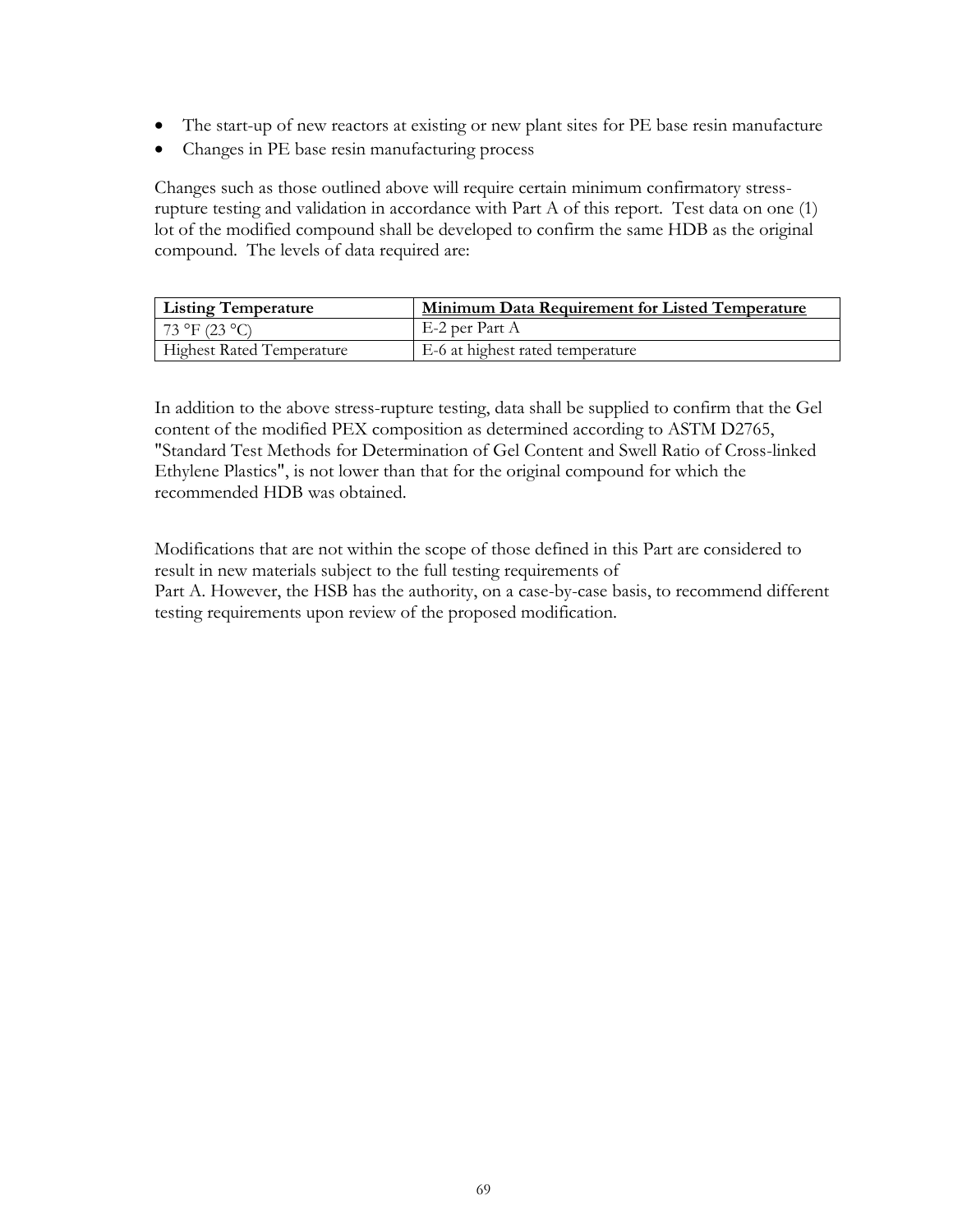- The start-up of new reactors at existing or new plant sites for PE base resin manufacture
- Changes in PE base resin manufacturing process

Changes such as those outlined above will require certain minimum confirmatory stressrupture testing and validation in accordance with Part A of this report. Test data on one (1) lot of the modified compound shall be developed to confirm the same HDB as the original compound. The levels of data required are:

| <b>Listing Temperature</b>       | Minimum Data Requirement for Listed Temperature |
|----------------------------------|-------------------------------------------------|
| 73 °F (23 °C)                    | E-2 per Part A                                  |
| <b>Highest Rated Temperature</b> | E-6 at highest rated temperature                |

In addition to the above stress-rupture testing, data shall be supplied to confirm that the Gel content of the modified PEX composition as determined according to ASTM D2765, "Standard Test Methods for Determination of Gel Content and Swell Ratio of Cross-linked Ethylene Plastics", is not lower than that for the original compound for which the recommended HDB was obtained.

Modifications that are not within the scope of those defined in this Part are considered to result in new materials subject to the full testing requirements of Part A. However, the HSB has the authority, on a case-by-case basis, to recommend different testing requirements upon review of the proposed modification.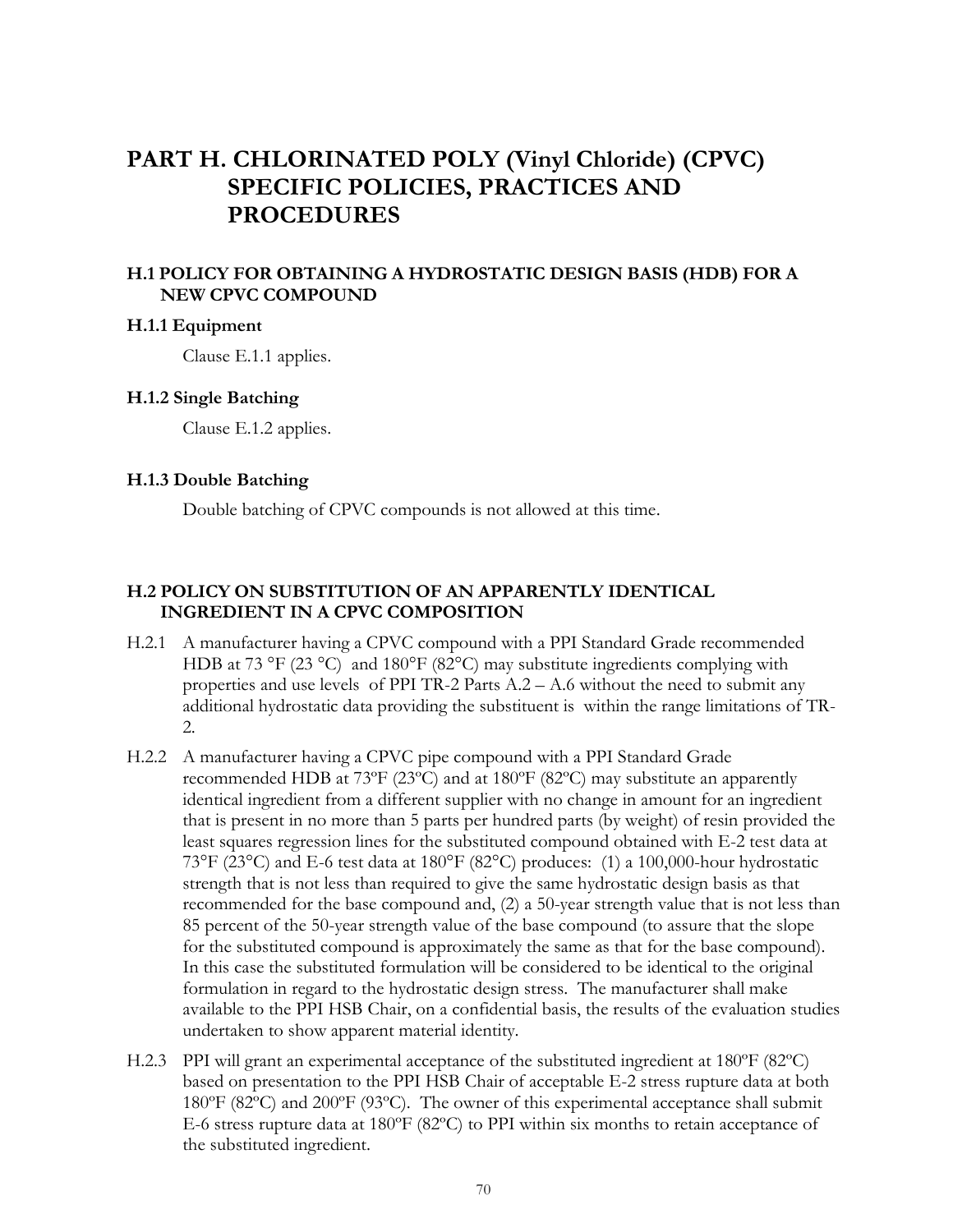# **PART H. CHLORINATED POLY (Vinyl Chloride) (CPVC) SPECIFIC POLICIES, PRACTICES AND PROCEDURES**

## **H.1 POLICY FOR OBTAINING A HYDROSTATIC DESIGN BASIS (HDB) FOR A NEW CPVC COMPOUND**

#### **H.1.1 Equipment**

Clause E.1.1 applies.

#### **H.1.2 Single Batching**

Clause E.1.2 applies.

#### **H.1.3 Double Batching**

Double batching of CPVC compounds is not allowed at this time.

## **H.2 POLICY ON SUBSTITUTION OF AN APPARENTLY IDENTICAL INGREDIENT IN A CPVC COMPOSITION**

- H.2.1 A manufacturer having a CPVC compound with a PPI Standard Grade recommended HDB at 73 °F (23 °C) and 180°F (82°C) may substitute ingredients complying with properties and use levels of PPI TR-2 Parts A.2 – A.6 without the need to submit any additional hydrostatic data providing the substituent is within the range limitations of TR-2.
- H.2.2 A manufacturer having a CPVC pipe compound with a PPI Standard Grade recommended HDB at 73ºF (23ºC) and at 180ºF (82ºC) may substitute an apparently identical ingredient from a different supplier with no change in amount for an ingredient that is present in no more than 5 parts per hundred parts (by weight) of resin provided the least squares regression lines for the substituted compound obtained with E-2 test data at 73°F (23°C) and E-6 test data at 180°F (82°C) produces: (1) a 100,000-hour hydrostatic strength that is not less than required to give the same hydrostatic design basis as that recommended for the base compound and, (2) a 50-year strength value that is not less than 85 percent of the 50-year strength value of the base compound (to assure that the slope for the substituted compound is approximately the same as that for the base compound). In this case the substituted formulation will be considered to be identical to the original formulation in regard to the hydrostatic design stress. The manufacturer shall make available to the PPI HSB Chair, on a confidential basis, the results of the evaluation studies undertaken to show apparent material identity.
- H.2.3 PPI will grant an experimental acceptance of the substituted ingredient at 180°F (82°C) based on presentation to the PPI HSB Chair of acceptable E-2 stress rupture data at both 180ºF (82ºC) and 200ºF (93ºC). The owner of this experimental acceptance shall submit E-6 stress rupture data at 180ºF (82ºC) to PPI within six months to retain acceptance of the substituted ingredient.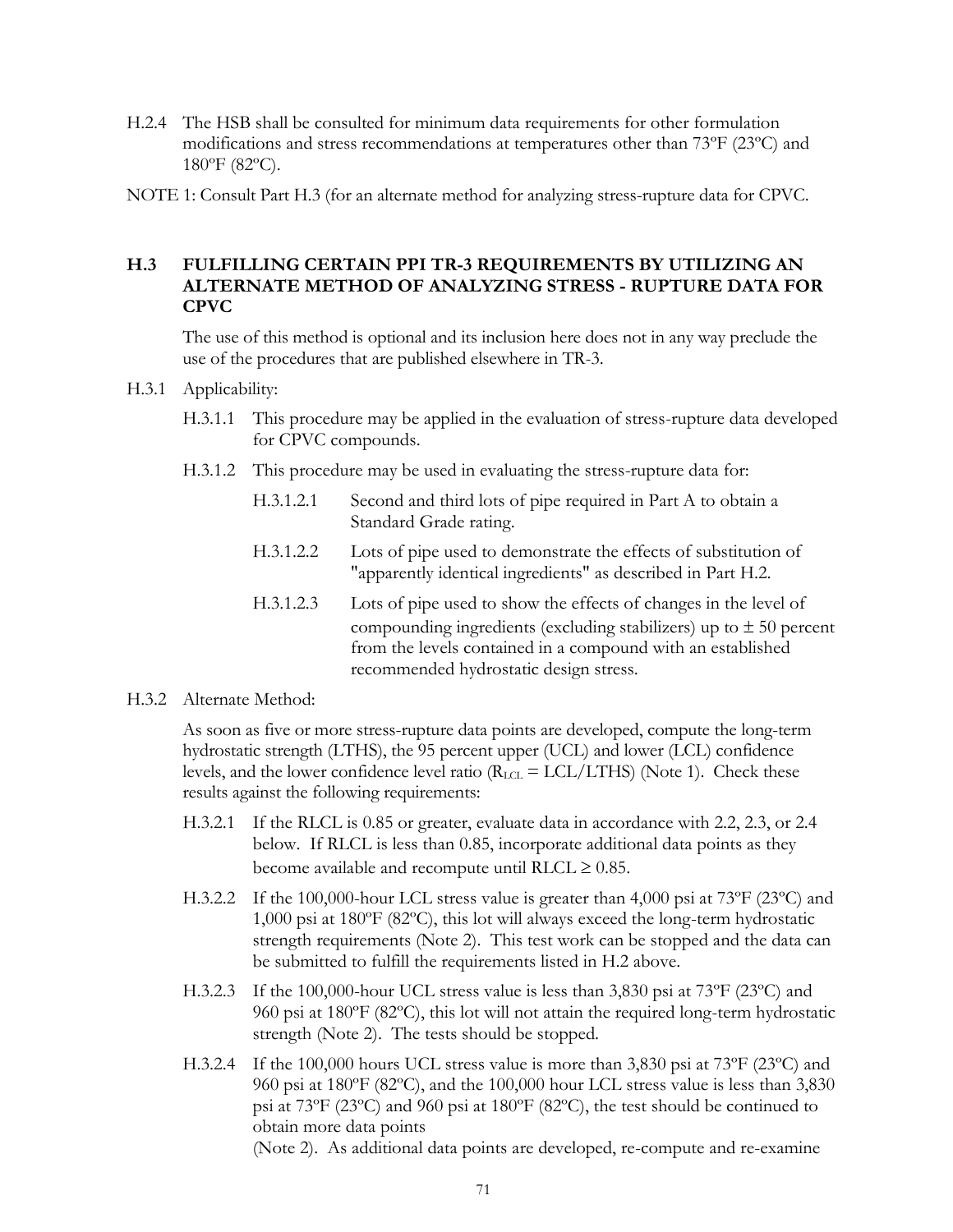- H.2.4 The HSB shall be consulted for minimum data requirements for other formulation modifications and stress recommendations at temperatures other than 73ºF (23ºC) and 180ºF (82ºC).
- NOTE 1: Consult Part H.3 (for an alternate method for analyzing stress-rupture data for CPVC.

#### **H.3 FULFILLING CERTAIN PPI TR-3 REQUIREMENTS BY UTILIZING AN ALTERNATE METHOD OF ANALYZING STRESS - RUPTURE DATA FOR CPVC**

The use of this method is optional and its inclusion here does not in any way preclude the use of the procedures that are published elsewhere in TR-3.

- H.3.1 Applicability:
	- H.3.1.1 This procedure may be applied in the evaluation of stress-rupture data developed for CPVC compounds.
	- H.3.1.2 This procedure may be used in evaluating the stress-rupture data for:
		- H.3.1.2.1 Second and third lots of pipe required in Part A to obtain a Standard Grade rating.
		- H.3.1.2.2 Lots of pipe used to demonstrate the effects of substitution of "apparently identical ingredients" as described in Part H.2.
		- H.3.1.2.3 Lots of pipe used to show the effects of changes in the level of compounding ingredients (excluding stabilizers) up to  $\pm$  50 percent from the levels contained in a compound with an established recommended hydrostatic design stress.
- H.3.2 Alternate Method:

As soon as five or more stress-rupture data points are developed, compute the long-term hydrostatic strength (LTHS), the 95 percent upper (UCL) and lower (LCL) confidence levels, and the lower confidence level ratio  $(R_{\text{LCL}} = \text{LCL/LTHS})$  (Note 1). Check these results against the following requirements:

- H.3.2.1 If the RLCL is 0.85 or greater, evaluate data in accordance with 2.2, 2.3, or 2.4 below. If RLCL is less than 0.85, incorporate additional data points as they become available and recompute until RLCL  $\geq 0.85$ .
- H.3.2.2 If the 100,000-hour LCL stress value is greater than 4,000 psi at  $73^{\circ}F(23^{\circ}C)$  and 1,000 psi at 180ºF (82ºC), this lot will always exceed the long-term hydrostatic strength requirements (Note 2). This test work can be stopped and the data can be submitted to fulfill the requirements listed in H.2 above.
- H.3.2.3 If the 100,000-hour UCL stress value is less than 3,830 psi at 73ºF (23ºC) and 960 psi at 180ºF (82ºC), this lot will not attain the required long-term hydrostatic strength (Note 2). The tests should be stopped.
- H.3.2.4 If the 100,000 hours UCL stress value is more than 3,830 psi at 73ºF (23ºC) and 960 psi at 180ºF (82ºC), and the 100,000 hour LCL stress value is less than 3,830 psi at 73ºF (23ºC) and 960 psi at 180ºF (82ºC), the test should be continued to obtain more data points

(Note 2). As additional data points are developed, re-compute and re-examine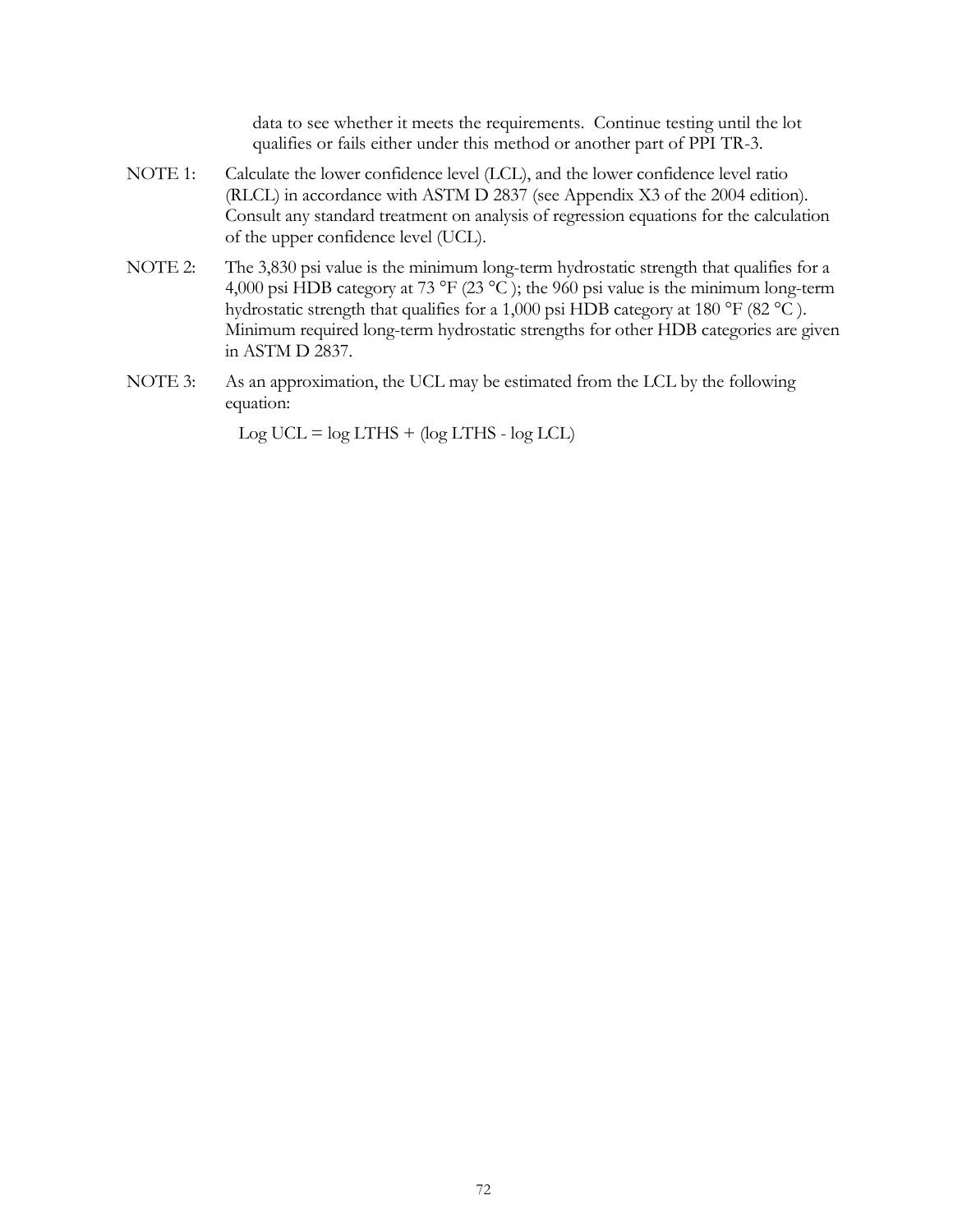data to see whether it meets the requirements. Continue testing until the lot qualifies or fails either under this method or another part of PPI TR-3.

- NOTE 1: Calculate the lower confidence level (LCL), and the lower confidence level ratio (RLCL) in accordance with ASTM D 2837 (see Appendix X3 of the 2004 edition). Consult any standard treatment on analysis of regression equations for the calculation of the upper confidence level (UCL).
- NOTE 2: The 3,830 psi value is the minimum long-term hydrostatic strength that qualifies for a 4,000 psi HDB category at 73 °F (23 °C ); the 960 psi value is the minimum long-term hydrostatic strength that qualifies for a 1,000 psi HDB category at 180 °F (82 °C). Minimum required long-term hydrostatic strengths for other HDB categories are given in ASTM D 2837.
- NOTE 3: As an approximation, the UCL may be estimated from the LCL by the following equation:

 $Log UCL = log LTHS + (log LTHS - log LCL)$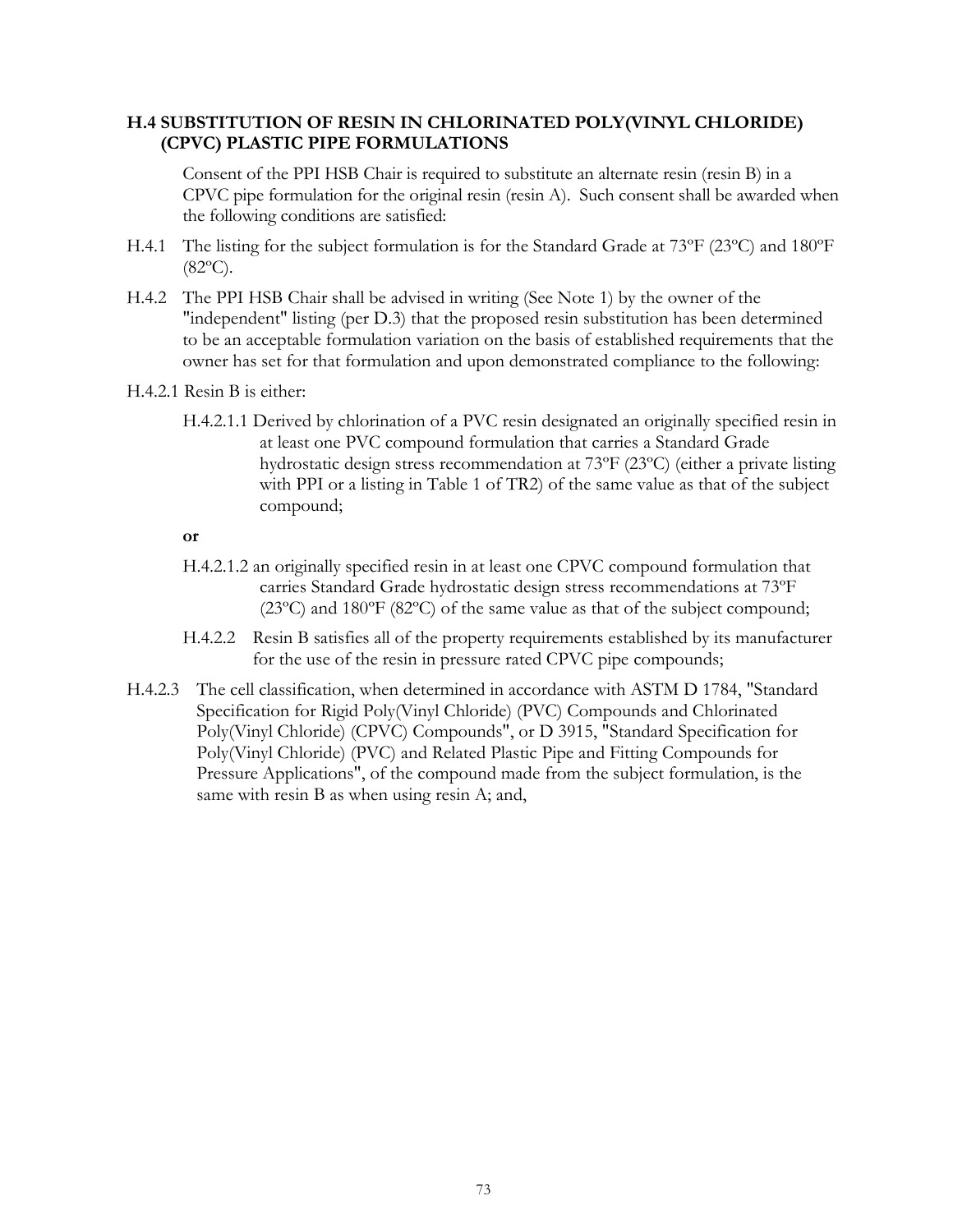### **H.4 SUBSTITUTION OF RESIN IN CHLORINATED POLY(VINYL CHLORIDE) (CPVC) PLASTIC PIPE FORMULATIONS**

Consent of the PPI HSB Chair is required to substitute an alternate resin (resin B) in a CPVC pipe formulation for the original resin (resin A). Such consent shall be awarded when the following conditions are satisfied:

- H.4.1 The listing for the subject formulation is for the Standard Grade at 73ºF (23ºC) and 180ºF  $(82^{\circ}C).$
- H.4.2 The PPI HSB Chair shall be advised in writing (See Note 1) by the owner of the "independent" listing (per D.3) that the proposed resin substitution has been determined to be an acceptable formulation variation on the basis of established requirements that the owner has set for that formulation and upon demonstrated compliance to the following:
- H.4.2.1 Resin B is either:
	- H.4.2.1.1 Derived by chlorination of a PVC resin designated an originally specified resin in at least one PVC compound formulation that carries a Standard Grade hydrostatic design stress recommendation at 73ºF (23ºC) (either a private listing with PPI or a listing in Table 1 of TR2) of the same value as that of the subject compound;
	- **or**
	- H.4.2.1.2 an originally specified resin in at least one CPVC compound formulation that carries Standard Grade hydrostatic design stress recommendations at 73ºF (23ºC) and 180ºF (82ºC) of the same value as that of the subject compound;
	- H.4.2.2 Resin B satisfies all of the property requirements established by its manufacturer for the use of the resin in pressure rated CPVC pipe compounds;
- H.4.2.3 The cell classification, when determined in accordance with ASTM D 1784, "Standard Specification for Rigid Poly(Vinyl Chloride) (PVC) Compounds and Chlorinated Poly(Vinyl Chloride) (CPVC) Compounds", or D 3915, "Standard Specification for Poly(Vinyl Chloride) (PVC) and Related Plastic Pipe and Fitting Compounds for Pressure Applications", of the compound made from the subject formulation, is the same with resin B as when using resin A; and,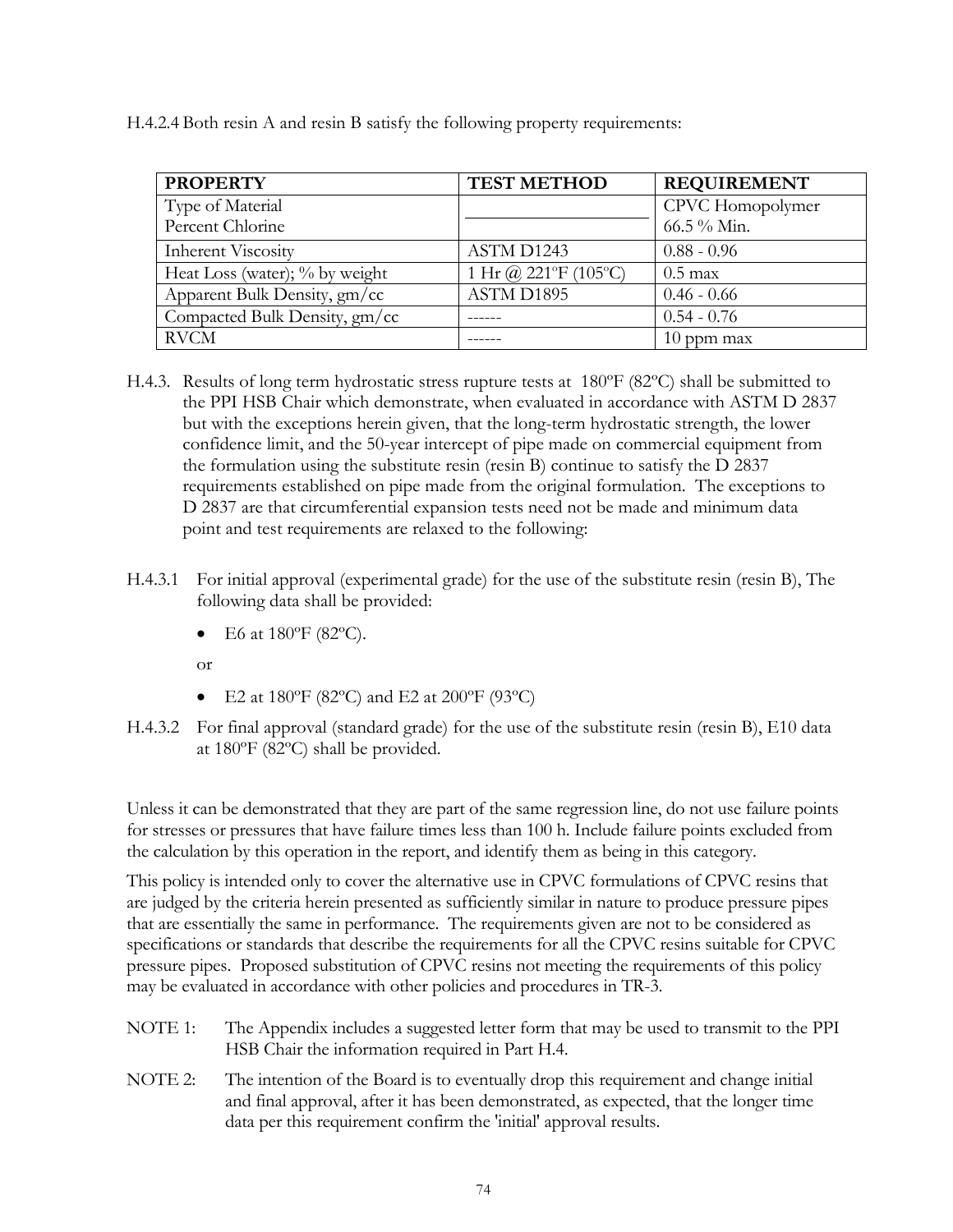|  |  |  | H.4.2.4 Both resin A and resin B satisfy the following property requirements: |
|--|--|--|-------------------------------------------------------------------------------|
|  |  |  |                                                                               |

| <b>PROPERTY</b>                | <b>TEST METHOD</b>   | <b>REQUIREMENT</b> |
|--------------------------------|----------------------|--------------------|
| Type of Material               |                      | CPVC Homopolymer   |
| Percent Chlorine               |                      | 66.5 % Min.        |
| <b>Inherent Viscosity</b>      | ASTM D1243           | $0.88 - 0.96$      |
| Heat Loss (water); % by weight | 1 Hr @ 221°F (105°C) | $0.5$ max          |
| Apparent Bulk Density, gm/cc   | ASTM D1895           | $0.46 - 0.66$      |
| Compacted Bulk Density, gm/cc  |                      | $0.54 - 0.76$      |
| <b>RVCM</b>                    |                      | $10$ ppm max       |

- H.4.3. Results of long term hydrostatic stress rupture tests at 180ºF (82ºC) shall be submitted to the PPI HSB Chair which demonstrate, when evaluated in accordance with ASTM D 2837 but with the exceptions herein given, that the long-term hydrostatic strength, the lower confidence limit, and the 50-year intercept of pipe made on commercial equipment from the formulation using the substitute resin (resin B) continue to satisfy the D 2837 requirements established on pipe made from the original formulation. The exceptions to D 2837 are that circumferential expansion tests need not be made and minimum data point and test requirements are relaxed to the following:
- H.4.3.1 For initial approval (experimental grade) for the use of the substitute resin (resin B), The following data shall be provided:
	- E6 at 180°F (82°C).
	- or
	- E2 at  $180^{\circ}$ F (82°C) and E2 at  $200^{\circ}$ F (93°C)
- H.4.3.2 For final approval (standard grade) for the use of the substitute resin (resin B), E10 data at 180ºF (82ºC) shall be provided.

Unless it can be demonstrated that they are part of the same regression line, do not use failure points for stresses or pressures that have failure times less than 100 h. Include failure points excluded from the calculation by this operation in the report, and identify them as being in this category.

This policy is intended only to cover the alternative use in CPVC formulations of CPVC resins that are judged by the criteria herein presented as sufficiently similar in nature to produce pressure pipes that are essentially the same in performance. The requirements given are not to be considered as specifications or standards that describe the requirements for all the CPVC resins suitable for CPVC pressure pipes. Proposed substitution of CPVC resins not meeting the requirements of this policy may be evaluated in accordance with other policies and procedures in TR-3.

- NOTE 1: The Appendix includes a suggested letter form that may be used to transmit to the PPI HSB Chair the information required in Part H.4.
- NOTE 2: The intention of the Board is to eventually drop this requirement and change initial and final approval, after it has been demonstrated, as expected, that the longer time data per this requirement confirm the 'initial' approval results.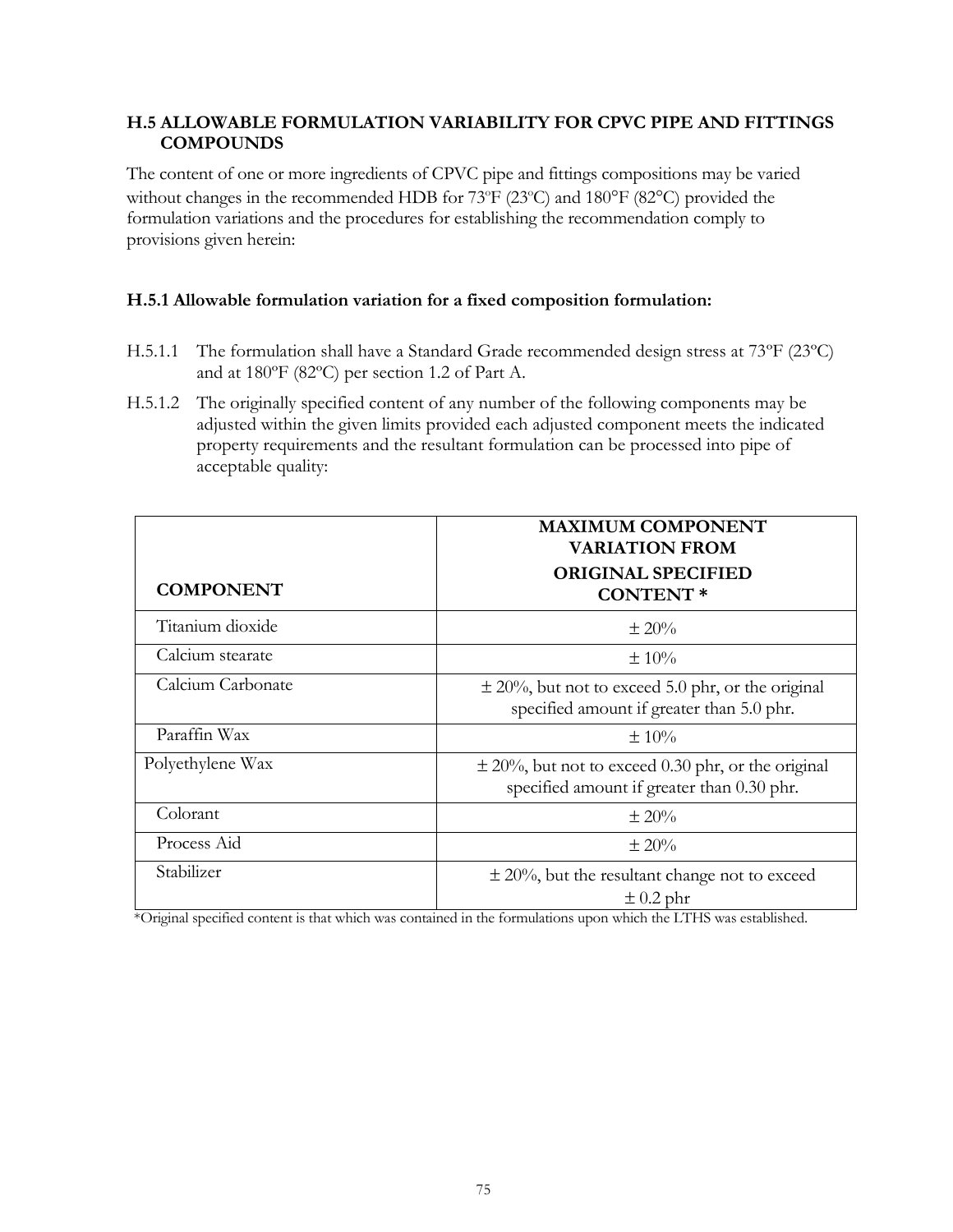### **H.5 ALLOWABLE FORMULATION VARIABILITY FOR CPVC PIPE AND FITTINGS COMPOUNDS**

The content of one or more ingredients of CPVC pipe and fittings compositions may be varied without changes in the recommended HDB for  $73^{\circ}F(23^{\circ}C)$  and  $180^{\circ}F(82^{\circ}C)$  provided the formulation variations and the procedures for establishing the recommendation comply to provisions given herein:

### **H.5.1 Allowable formulation variation for a fixed composition formulation:**

- H.5.1.1 The formulation shall have a Standard Grade recommended design stress at 73ºF (23ºC) and at 180ºF (82ºC) per section 1.2 of Part A.
- H.5.1.2 The originally specified content of any number of the following components may be adjusted within the given limits provided each adjusted component meets the indicated property requirements and the resultant formulation can be processed into pipe of acceptable quality:

|                   | <b>MAXIMUM COMPONENT</b><br><b>VARIATION FROM</b>                                                    |
|-------------------|------------------------------------------------------------------------------------------------------|
| <b>COMPONENT</b>  | <b>ORIGINAL SPECIFIED</b><br><b>CONTENT*</b>                                                         |
| Titanium dioxide  | $\pm 20\%$                                                                                           |
| Calcium stearate  | $\pm 10\%$                                                                                           |
| Calcium Carbonate | $\pm$ 20%, but not to exceed 5.0 phr, or the original<br>specified amount if greater than 5.0 phr.   |
| Paraffin Wax      | $\pm 10\%$                                                                                           |
| Polyethylene Wax  | $\pm$ 20%, but not to exceed 0.30 phr, or the original<br>specified amount if greater than 0.30 phr. |
| Colorant          | $\pm 20\%$                                                                                           |
| Process Aid       | $\pm 20\%$                                                                                           |
| Stabilizer        | $\pm$ 20%, but the resultant change not to exceed<br>$\pm$ 0.2 phr                                   |

\*Original specified content is that which was contained in the formulations upon which the LTHS was established.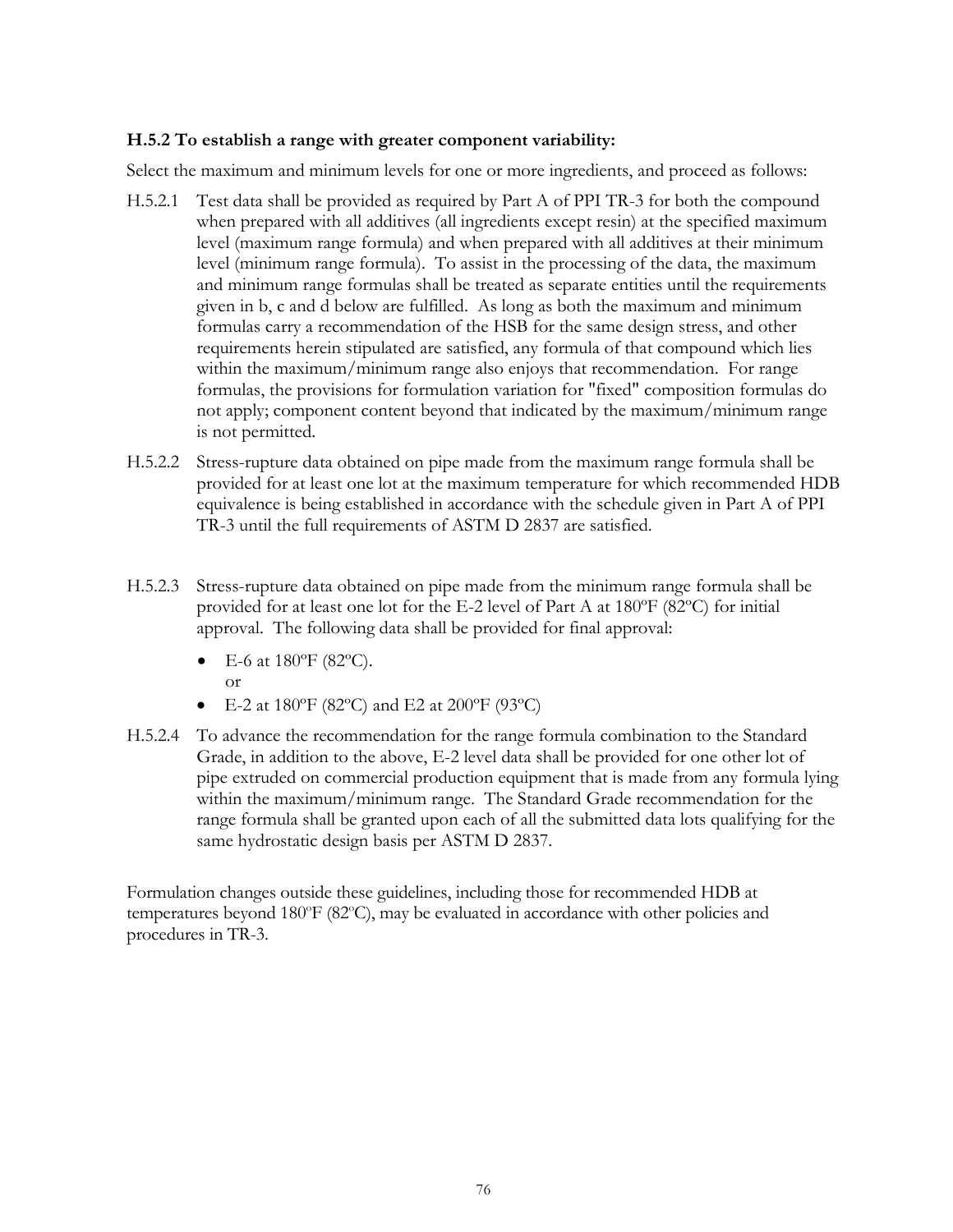### **H.5.2 To establish a range with greater component variability:**

Select the maximum and minimum levels for one or more ingredients, and proceed as follows:

- H.5.2.1 Test data shall be provided as required by Part A of PPI TR-3 for both the compound when prepared with all additives (all ingredients except resin) at the specified maximum level (maximum range formula) and when prepared with all additives at their minimum level (minimum range formula). To assist in the processing of the data, the maximum and minimum range formulas shall be treated as separate entities until the requirements given in b, c and d below are fulfilled. As long as both the maximum and minimum formulas carry a recommendation of the HSB for the same design stress, and other requirements herein stipulated are satisfied, any formula of that compound which lies within the maximum/minimum range also enjoys that recommendation. For range formulas, the provisions for formulation variation for "fixed" composition formulas do not apply; component content beyond that indicated by the maximum/minimum range is not permitted.
- H.5.2.2 Stress-rupture data obtained on pipe made from the maximum range formula shall be provided for at least one lot at the maximum temperature for which recommended HDB equivalence is being established in accordance with the schedule given in Part A of PPI TR-3 until the full requirements of ASTM D 2837 are satisfied.
- H.5.2.3 Stress-rupture data obtained on pipe made from the minimum range formula shall be provided for at least one lot for the E-2 level of Part A at 180ºF (82ºC) for initial approval. The following data shall be provided for final approval:
	- E-6 at  $180^{\circ}$ F (82 $^{\circ}$ C). or
	- E-2 at  $180^{\circ}$ F (82 $^{\circ}$ C) and E2 at  $200^{\circ}$ F (93 $^{\circ}$ C)
- H.5.2.4 To advance the recommendation for the range formula combination to the Standard Grade, in addition to the above, E-2 level data shall be provided for one other lot of pipe extruded on commercial production equipment that is made from any formula lying within the maximum/minimum range. The Standard Grade recommendation for the range formula shall be granted upon each of all the submitted data lots qualifying for the same hydrostatic design basis per ASTM D 2837.

Formulation changes outside these guidelines, including those for recommended HDB at temperatures beyond  $180^{\circ}F (82^{\circ}C)$ , may be evaluated in accordance with other policies and procedures in TR-3.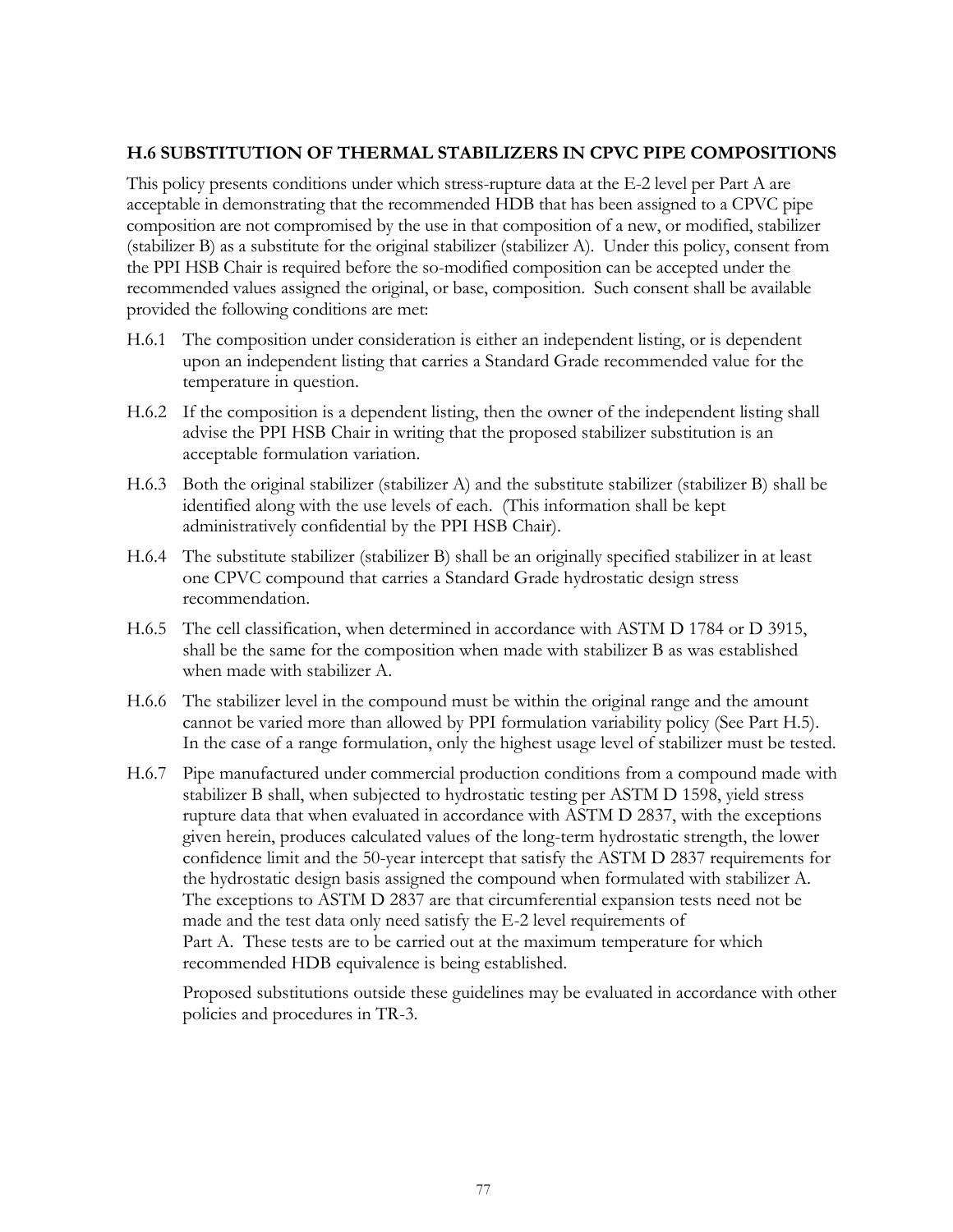### **H.6 SUBSTITUTION OF THERMAL STABILIZERS IN CPVC PIPE COMPOSITIONS**

This policy presents conditions under which stress-rupture data at the E-2 level per Part A are acceptable in demonstrating that the recommended HDB that has been assigned to a CPVC pipe composition are not compromised by the use in that composition of a new, or modified, stabilizer (stabilizer B) as a substitute for the original stabilizer (stabilizer A). Under this policy, consent from the PPI HSB Chair is required before the so-modified composition can be accepted under the recommended values assigned the original, or base, composition. Such consent shall be available provided the following conditions are met:

- H.6.1 The composition under consideration is either an independent listing, or is dependent upon an independent listing that carries a Standard Grade recommended value for the temperature in question.
- H.6.2 If the composition is a dependent listing, then the owner of the independent listing shall advise the PPI HSB Chair in writing that the proposed stabilizer substitution is an acceptable formulation variation.
- H.6.3 Both the original stabilizer (stabilizer A) and the substitute stabilizer (stabilizer B) shall be identified along with the use levels of each. (This information shall be kept administratively confidential by the PPI HSB Chair).
- H.6.4 The substitute stabilizer (stabilizer B) shall be an originally specified stabilizer in at least one CPVC compound that carries a Standard Grade hydrostatic design stress recommendation.
- H.6.5 The cell classification, when determined in accordance with ASTM D 1784 or D 3915, shall be the same for the composition when made with stabilizer B as was established when made with stabilizer A.
- H.6.6 The stabilizer level in the compound must be within the original range and the amount cannot be varied more than allowed by PPI formulation variability policy (See Part H.5). In the case of a range formulation, only the highest usage level of stabilizer must be tested.
- H.6.7 Pipe manufactured under commercial production conditions from a compound made with stabilizer B shall, when subjected to hydrostatic testing per ASTM D 1598, yield stress rupture data that when evaluated in accordance with ASTM D 2837, with the exceptions given herein, produces calculated values of the long-term hydrostatic strength, the lower confidence limit and the 50-year intercept that satisfy the ASTM D 2837 requirements for the hydrostatic design basis assigned the compound when formulated with stabilizer A. The exceptions to ASTM D 2837 are that circumferential expansion tests need not be made and the test data only need satisfy the E-2 level requirements of Part A. These tests are to be carried out at the maximum temperature for which recommended HDB equivalence is being established.

Proposed substitutions outside these guidelines may be evaluated in accordance with other policies and procedures in TR-3.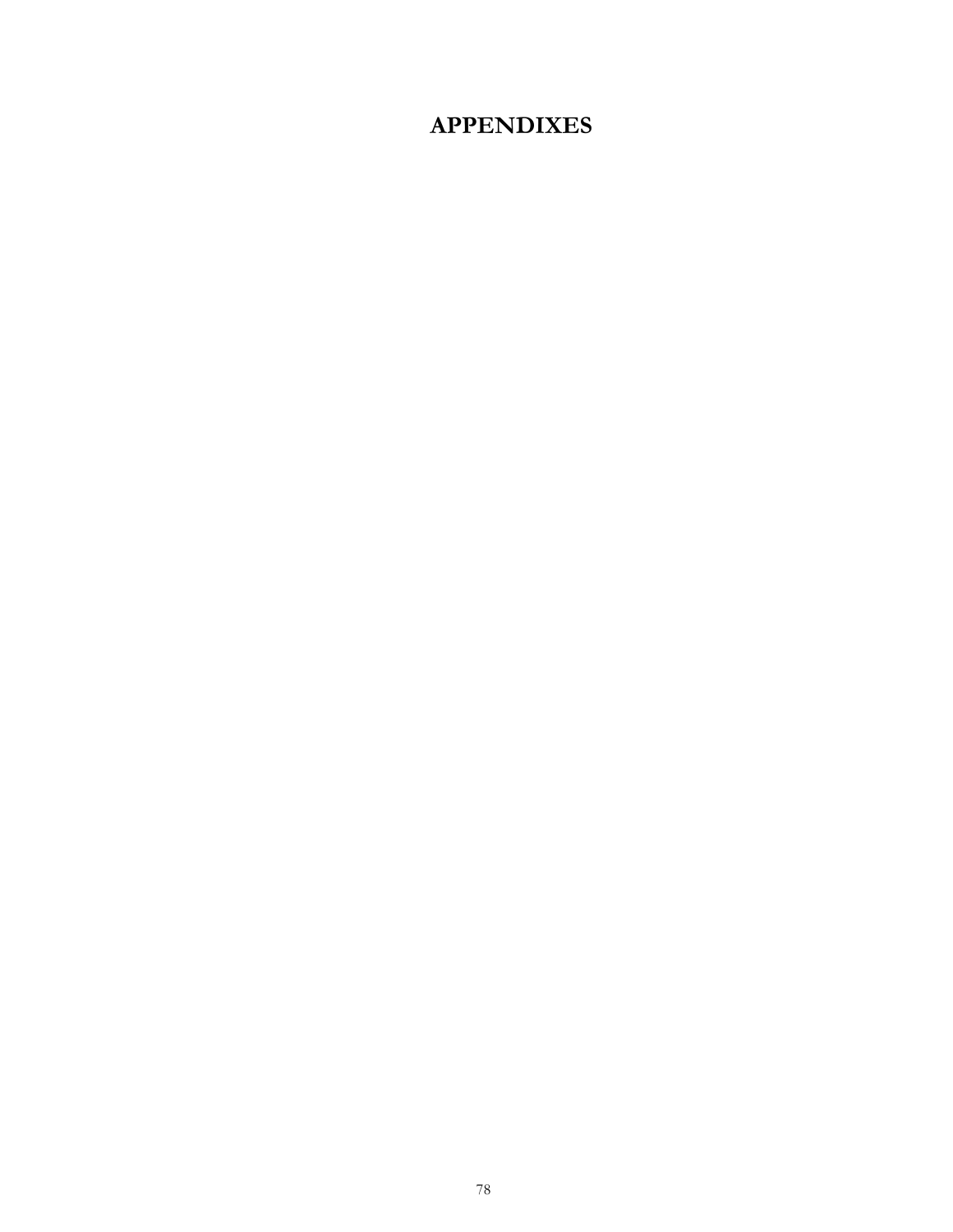# **APPENDIXES**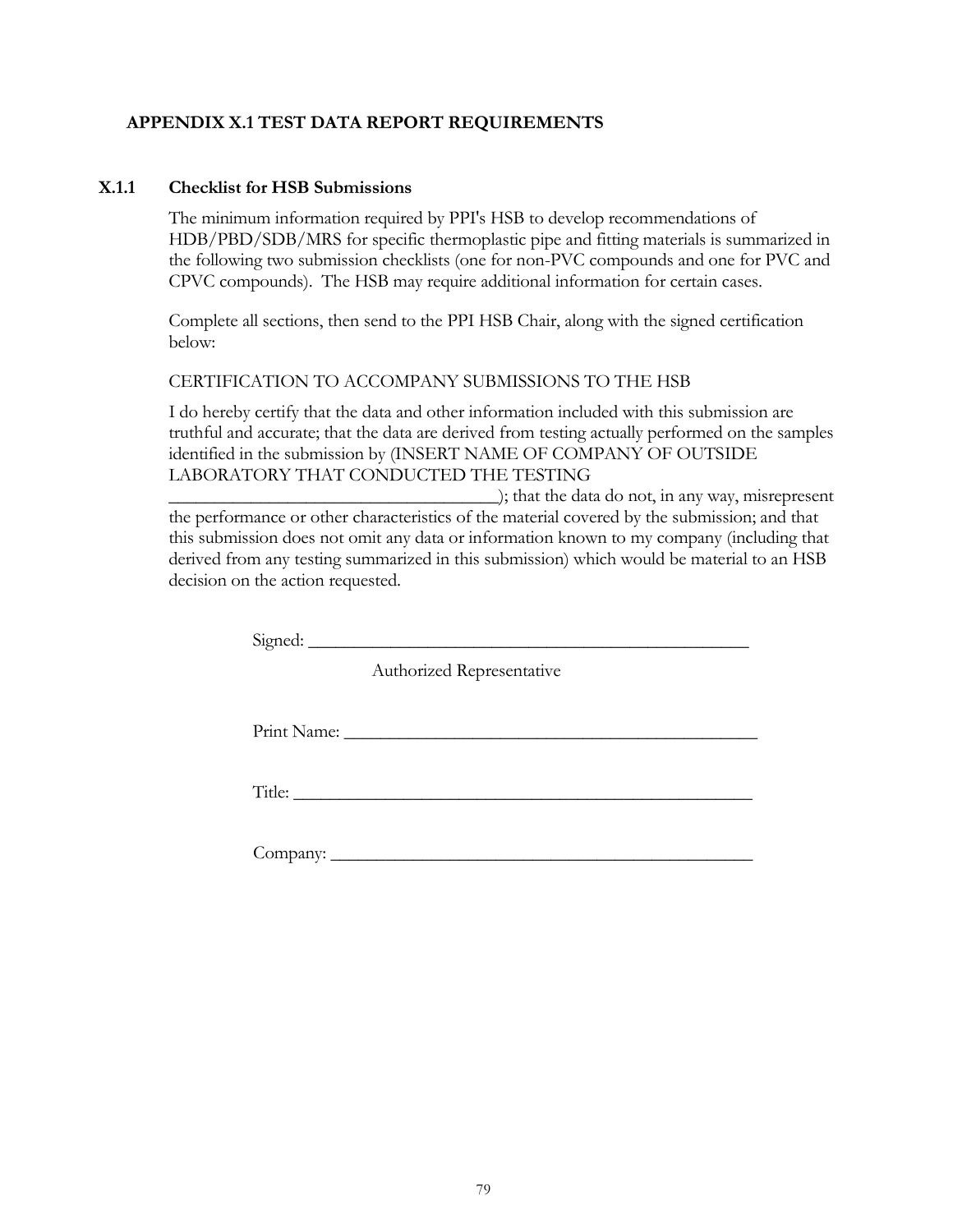### **APPENDIX X.1 TEST DATA REPORT REQUIREMENTS**

### **X.1.1 Checklist for HSB Submissions**

The minimum information required by PPI's HSB to develop recommendations of HDB/PBD/SDB/MRS for specific thermoplastic pipe and fitting materials is summarized in the following two submission checklists (one for non-PVC compounds and one for PVC and CPVC compounds). The HSB may require additional information for certain cases.

Complete all sections, then send to the PPI HSB Chair, along with the signed certification below:

#### CERTIFICATION TO ACCOMPANY SUBMISSIONS TO THE HSB

I do hereby certify that the data and other information included with this submission are truthful and accurate; that the data are derived from testing actually performed on the samples identified in the submission by (INSERT NAME OF COMPANY OF OUTSIDE LABORATORY THAT CONDUCTED THE TESTING

 $\Box$ ; that the data do not, in any way, misrepresent the performance or other characteristics of the material covered by the submission; and that this submission does not omit any data or information known to my company (including that derived from any testing summarized in this submission) which would be material to an HSB decision on the action requested.

 $Signal:$ 

Authorized Representative

Print Name:

Title: \_\_\_\_\_\_\_\_\_\_\_\_\_\_\_\_\_\_\_\_\_\_\_\_\_\_\_\_\_\_\_\_\_\_\_\_\_\_\_\_\_\_\_\_\_\_\_\_\_\_

 $\n Company: \n$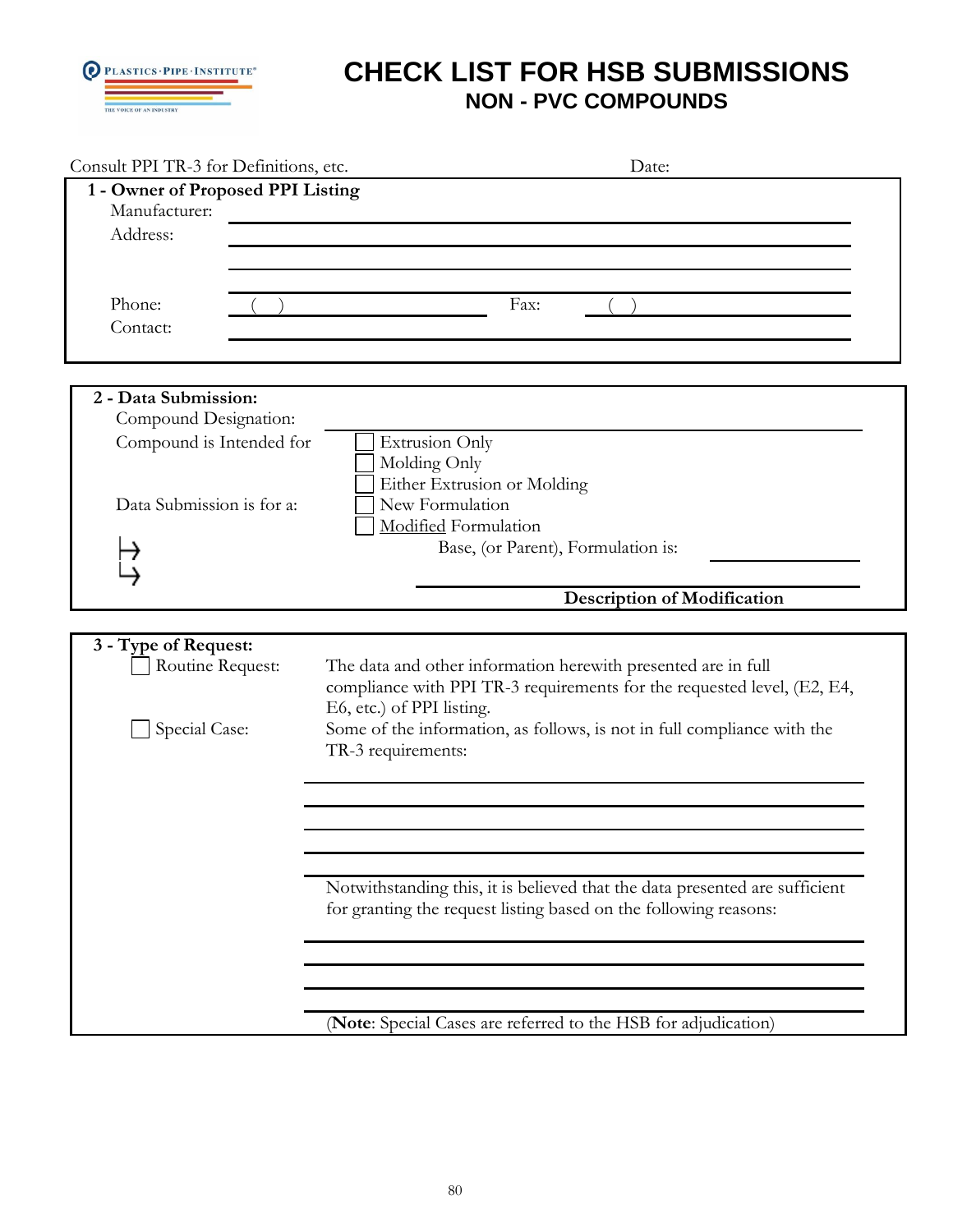

| Consult PPI TR-3 for Definitions, etc.                                                                 | Date:                                                                                                                                                                                                                                                                  |
|--------------------------------------------------------------------------------------------------------|------------------------------------------------------------------------------------------------------------------------------------------------------------------------------------------------------------------------------------------------------------------------|
| 1 - Owner of Proposed PPI Listing<br>Manufacturer:<br>Address:<br>Phone:<br>Contact:                   | Fax:                                                                                                                                                                                                                                                                   |
|                                                                                                        |                                                                                                                                                                                                                                                                        |
| 2 - Data Submission:<br>Compound Designation:<br>Compound is Intended for<br>Data Submission is for a: | <b>Extrusion Only</b><br>Molding Only<br>Either Extrusion or Molding<br>New Formulation<br>Modified Formulation<br>Base, (or Parent), Formulation is:                                                                                                                  |
|                                                                                                        | <b>Description of Modification</b>                                                                                                                                                                                                                                     |
| 3 - Type of Request:<br>Routine Request:<br>Special Case:                                              | The data and other information herewith presented are in full<br>compliance with PPI TR-3 requirements for the requested level, (E2, E4,<br>E6, etc.) of PPI listing.<br>Some of the information, as follows, is not in full compliance with the<br>TR-3 requirements: |
|                                                                                                        | Notwithstanding this, it is believed that the data presented are sufficient<br>for granting the request listing based on the following reasons:                                                                                                                        |
|                                                                                                        | (Note: Special Cases are referred to the HSB for adjudication)                                                                                                                                                                                                         |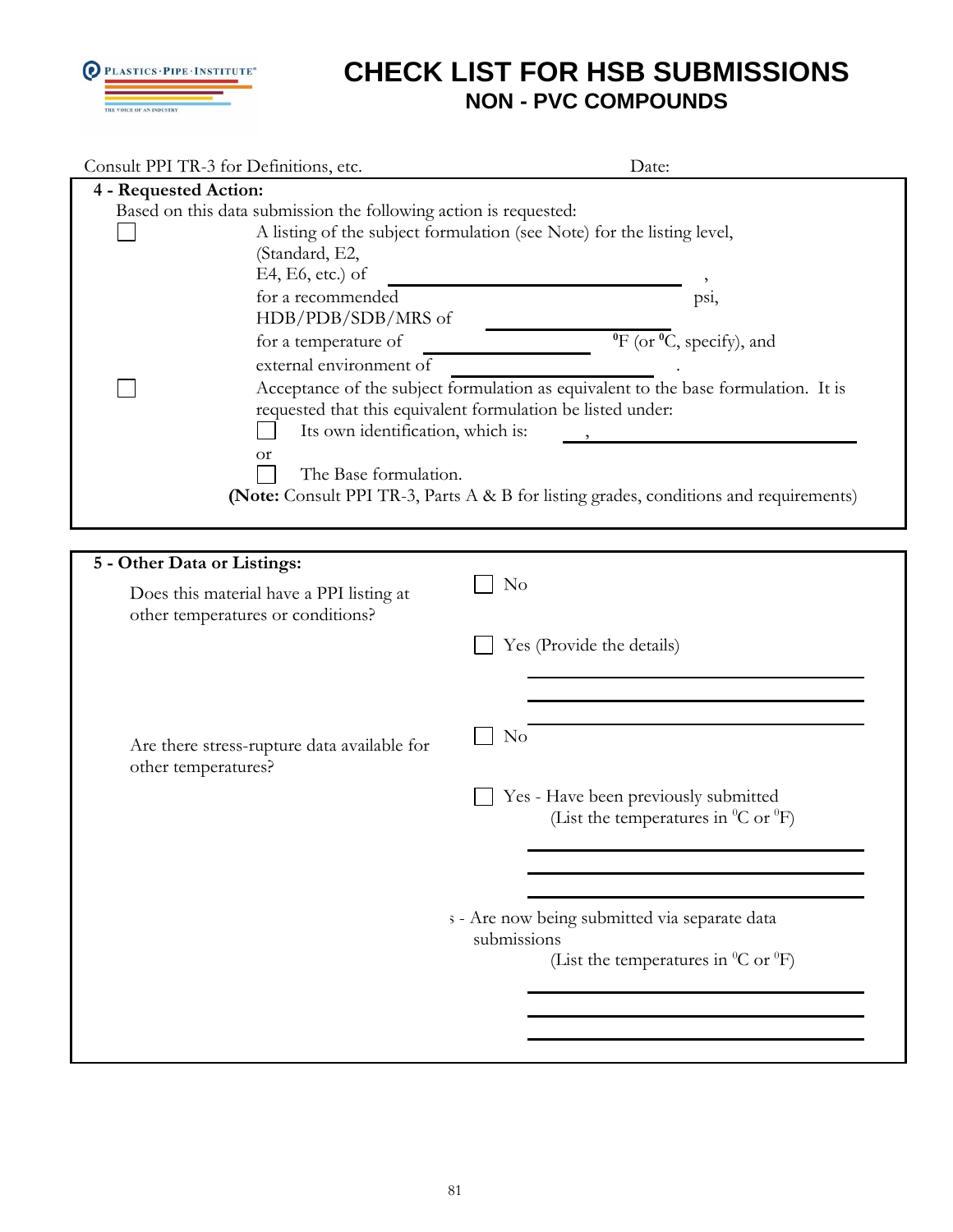

| Consult PPI TR-3 for Definitions, etc.                                                                                                                                                                                                          | Date:                                                                                                                                                                                                                                                                                            |
|-------------------------------------------------------------------------------------------------------------------------------------------------------------------------------------------------------------------------------------------------|--------------------------------------------------------------------------------------------------------------------------------------------------------------------------------------------------------------------------------------------------------------------------------------------------|
| 4 - Requested Action:                                                                                                                                                                                                                           |                                                                                                                                                                                                                                                                                                  |
| Based on this data submission the following action is requested:<br>(Standard, E2,<br>E4, E6, etc.) of<br>for a recommended<br>HDB/PDB/SDB/MRS of<br>for a temperature of<br>external environment of<br>Its own identification, which is:<br>or | A listing of the subject formulation (see Note) for the listing level,<br>psi,<br>$\overline{^{0}F}$ (or $\overline{^{0}C}$ , specify), and<br>Acceptance of the subject formulation as equivalent to the base formulation. It is<br>requested that this equivalent formulation be listed under: |
| The Base formulation.                                                                                                                                                                                                                           |                                                                                                                                                                                                                                                                                                  |
|                                                                                                                                                                                                                                                 | (Note: Consult PPI TR-3, Parts A & B for listing grades, conditions and requirements)                                                                                                                                                                                                            |
|                                                                                                                                                                                                                                                 |                                                                                                                                                                                                                                                                                                  |
| 5 - Other Data or Listings:                                                                                                                                                                                                                     |                                                                                                                                                                                                                                                                                                  |
|                                                                                                                                                                                                                                                 | No                                                                                                                                                                                                                                                                                               |
| Does this material have a PPI listing at<br>other temperatures or conditions?                                                                                                                                                                   |                                                                                                                                                                                                                                                                                                  |
|                                                                                                                                                                                                                                                 |                                                                                                                                                                                                                                                                                                  |
|                                                                                                                                                                                                                                                 | Yes (Provide the details)                                                                                                                                                                                                                                                                        |
|                                                                                                                                                                                                                                                 |                                                                                                                                                                                                                                                                                                  |
|                                                                                                                                                                                                                                                 |                                                                                                                                                                                                                                                                                                  |
|                                                                                                                                                                                                                                                 | No                                                                                                                                                                                                                                                                                               |
| Are there stress-rupture data available for                                                                                                                                                                                                     |                                                                                                                                                                                                                                                                                                  |
| other temperatures?                                                                                                                                                                                                                             |                                                                                                                                                                                                                                                                                                  |
|                                                                                                                                                                                                                                                 | Yes - Have been previously submitted                                                                                                                                                                                                                                                             |
|                                                                                                                                                                                                                                                 | (List the temperatures in ${}^0C$ or ${}^0F$ )                                                                                                                                                                                                                                                   |
|                                                                                                                                                                                                                                                 |                                                                                                                                                                                                                                                                                                  |
|                                                                                                                                                                                                                                                 |                                                                                                                                                                                                                                                                                                  |
|                                                                                                                                                                                                                                                 |                                                                                                                                                                                                                                                                                                  |
|                                                                                                                                                                                                                                                 | s - Are now being submitted via separate data<br>submissions                                                                                                                                                                                                                                     |
|                                                                                                                                                                                                                                                 | (List the temperatures in ${}^{0}C$ or ${}^{0}F$ )                                                                                                                                                                                                                                               |
|                                                                                                                                                                                                                                                 |                                                                                                                                                                                                                                                                                                  |
|                                                                                                                                                                                                                                                 |                                                                                                                                                                                                                                                                                                  |
|                                                                                                                                                                                                                                                 |                                                                                                                                                                                                                                                                                                  |
|                                                                                                                                                                                                                                                 |                                                                                                                                                                                                                                                                                                  |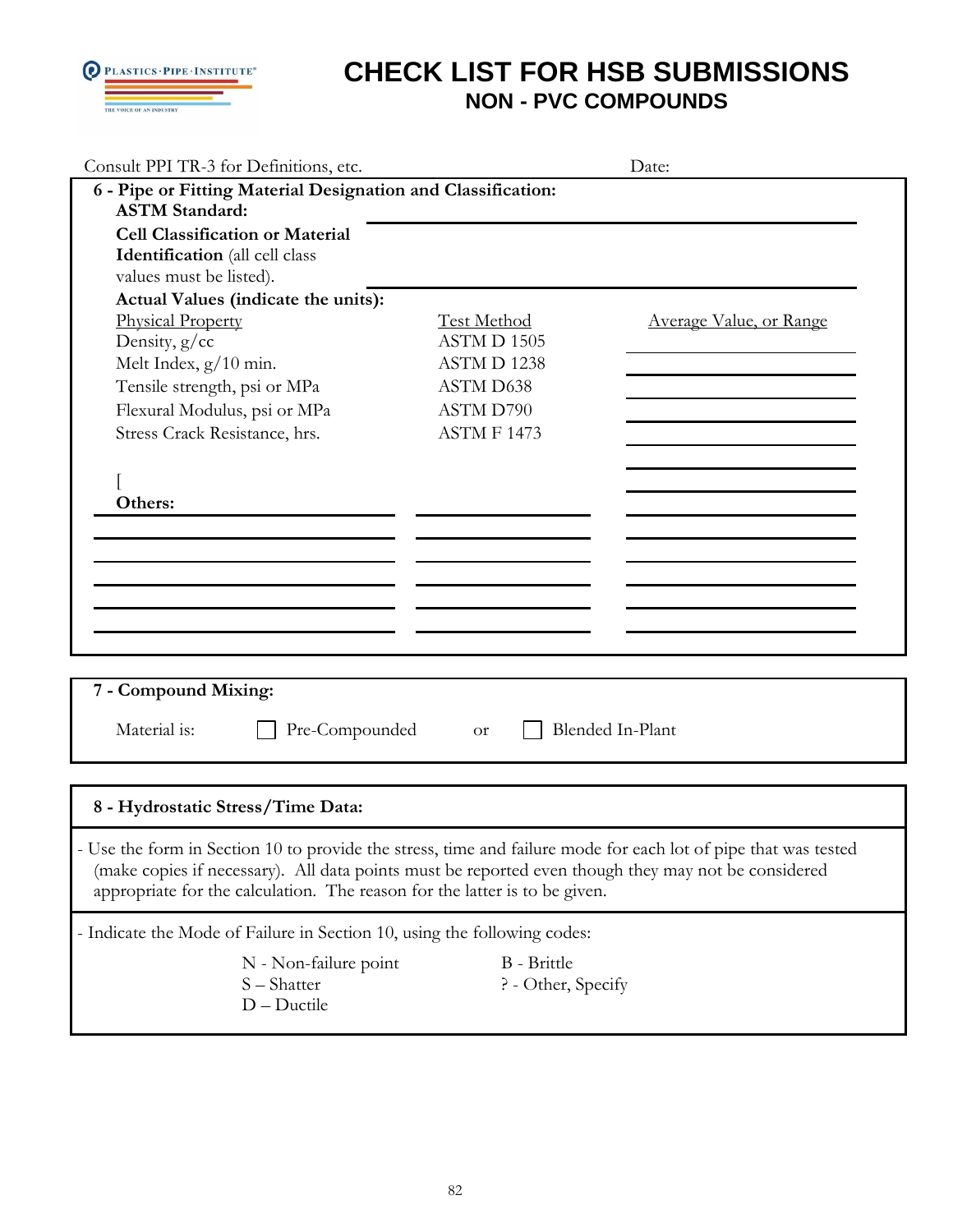

| Consult PPI TR-3 for Definitions, etc.                                                                                                                                                                                                                                                 |                    | Date:                   |
|----------------------------------------------------------------------------------------------------------------------------------------------------------------------------------------------------------------------------------------------------------------------------------------|--------------------|-------------------------|
| 6 - Pipe or Fitting Material Designation and Classification:                                                                                                                                                                                                                           |                    |                         |
| <b>ASTM Standard:</b>                                                                                                                                                                                                                                                                  |                    |                         |
| <b>Cell Classification or Material</b>                                                                                                                                                                                                                                                 |                    |                         |
| Identification (all cell class                                                                                                                                                                                                                                                         |                    |                         |
| values must be listed).                                                                                                                                                                                                                                                                |                    |                         |
| Actual Values (indicate the units):                                                                                                                                                                                                                                                    |                    |                         |
| <b>Physical Property</b>                                                                                                                                                                                                                                                               | <b>Test Method</b> | Average Value, or Range |
| Density, g/cc                                                                                                                                                                                                                                                                          | ASTM D 1505        |                         |
| Melt Index, $g/10$ min.                                                                                                                                                                                                                                                                | ASTMD 1238         |                         |
| Tensile strength, psi or MPa                                                                                                                                                                                                                                                           | ASTM D638          |                         |
| Flexural Modulus, psi or MPa                                                                                                                                                                                                                                                           | ASTM D790          |                         |
| Stress Crack Resistance, hrs.                                                                                                                                                                                                                                                          | ASTMF1473          |                         |
|                                                                                                                                                                                                                                                                                        |                    |                         |
|                                                                                                                                                                                                                                                                                        |                    |                         |
| Others:                                                                                                                                                                                                                                                                                |                    |                         |
|                                                                                                                                                                                                                                                                                        |                    |                         |
|                                                                                                                                                                                                                                                                                        |                    |                         |
|                                                                                                                                                                                                                                                                                        |                    |                         |
|                                                                                                                                                                                                                                                                                        |                    |                         |
|                                                                                                                                                                                                                                                                                        |                    |                         |
|                                                                                                                                                                                                                                                                                        |                    |                         |
|                                                                                                                                                                                                                                                                                        |                    |                         |
|                                                                                                                                                                                                                                                                                        |                    |                         |
|                                                                                                                                                                                                                                                                                        |                    |                         |
|                                                                                                                                                                                                                                                                                        |                    |                         |
|                                                                                                                                                                                                                                                                                        |                    |                         |
|                                                                                                                                                                                                                                                                                        |                    |                         |
| 7 - Compound Mixing:<br>Material is:<br>Pre-Compounded                                                                                                                                                                                                                                 | <b>or</b>          | Blended In-Plant        |
|                                                                                                                                                                                                                                                                                        |                    |                         |
|                                                                                                                                                                                                                                                                                        |                    |                         |
|                                                                                                                                                                                                                                                                                        |                    |                         |
|                                                                                                                                                                                                                                                                                        |                    |                         |
| 8 - Hydrostatic Stress/Time Data:                                                                                                                                                                                                                                                      |                    |                         |
| - Use the form in Section 10 to provide the stress, time and failure mode for each lot of pipe that was tested                                                                                                                                                                         |                    |                         |
|                                                                                                                                                                                                                                                                                        |                    |                         |
|                                                                                                                                                                                                                                                                                        |                    |                         |
|                                                                                                                                                                                                                                                                                        |                    |                         |
|                                                                                                                                                                                                                                                                                        |                    |                         |
| (make copies if necessary). All data points must be reported even though they may not be considered<br>appropriate for the calculation. The reason for the latter is to be given.<br>- Indicate the Mode of Failure in Section 10, using the following codes:<br>N - Non-failure point | <b>B</b> - Brittle |                         |
| S - Shatter                                                                                                                                                                                                                                                                            | ? - Other, Specify |                         |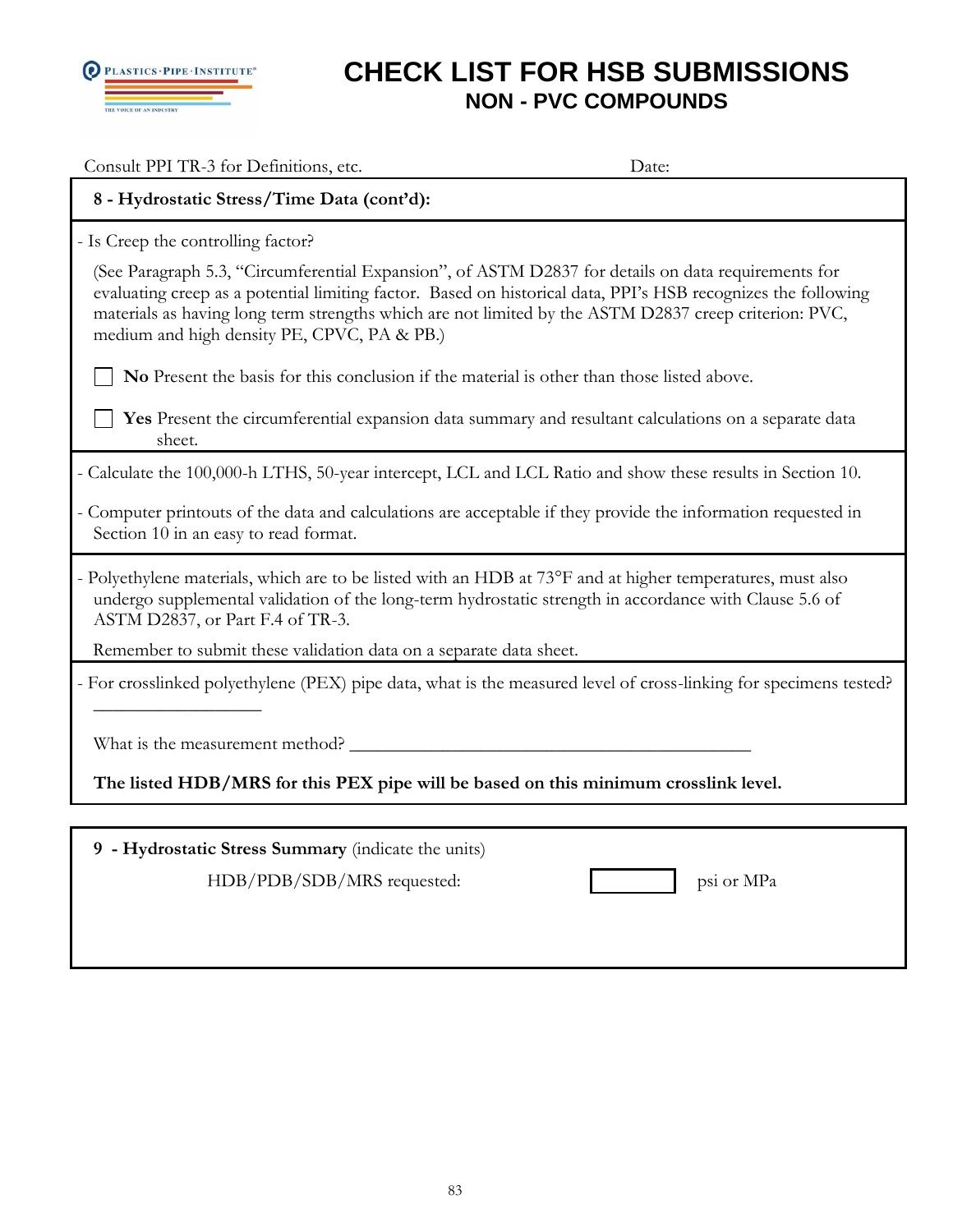

| Consult PPI TR-3 for Definitions, etc.                                                                                                                                                                                                                                                                                                                                       | Date:                                                                                                |
|------------------------------------------------------------------------------------------------------------------------------------------------------------------------------------------------------------------------------------------------------------------------------------------------------------------------------------------------------------------------------|------------------------------------------------------------------------------------------------------|
| 8 - Hydrostatic Stress/Time Data (cont'd):                                                                                                                                                                                                                                                                                                                                   |                                                                                                      |
| - Is Creep the controlling factor?                                                                                                                                                                                                                                                                                                                                           |                                                                                                      |
| (See Paragraph 5.3, "Circumferential Expansion", of ASTM D2837 for details on data requirements for<br>evaluating creep as a potential limiting factor. Based on historical data, PPI's HSB recognizes the following<br>materials as having long term strengths which are not limited by the ASTM D2837 creep criterion: PVC,<br>medium and high density PE, CPVC, PA & PB.) |                                                                                                      |
| No Present the basis for this conclusion if the material is other than those listed above.                                                                                                                                                                                                                                                                                   |                                                                                                      |
| sheet.                                                                                                                                                                                                                                                                                                                                                                       | Yes Present the circumferential expansion data summary and resultant calculations on a separate data |
| - Calculate the 100,000-h LTHS, 50-year intercept, LCL and LCL Ratio and show these results in Section 10.                                                                                                                                                                                                                                                                   |                                                                                                      |
| - Computer printouts of the data and calculations are acceptable if they provide the information requested in<br>Section 10 in an easy to read format.                                                                                                                                                                                                                       |                                                                                                      |
| - Polyethylene materials, which are to be listed with an HDB at 73°F and at higher temperatures, must also<br>undergo supplemental validation of the long-term hydrostatic strength in accordance with Clause 5.6 of<br>ASTM D2837, or Part F.4 of TR-3.                                                                                                                     |                                                                                                      |
| Remember to submit these validation data on a separate data sheet.                                                                                                                                                                                                                                                                                                           |                                                                                                      |
| - For crosslinked polyethylene (PEX) pipe data, what is the measured level of cross-linking for specimens tested?                                                                                                                                                                                                                                                            |                                                                                                      |
| What is the measurement method?                                                                                                                                                                                                                                                                                                                                              |                                                                                                      |
| The listed HDB/MRS for this PEX pipe will be based on this minimum crosslink level.                                                                                                                                                                                                                                                                                          |                                                                                                      |
|                                                                                                                                                                                                                                                                                                                                                                              |                                                                                                      |
| 9 - Hydrostatic Stress Summary (indicate the units)                                                                                                                                                                                                                                                                                                                          |                                                                                                      |
| HDB/PDB/SDB/MRS requested:                                                                                                                                                                                                                                                                                                                                                   | psi or MPa                                                                                           |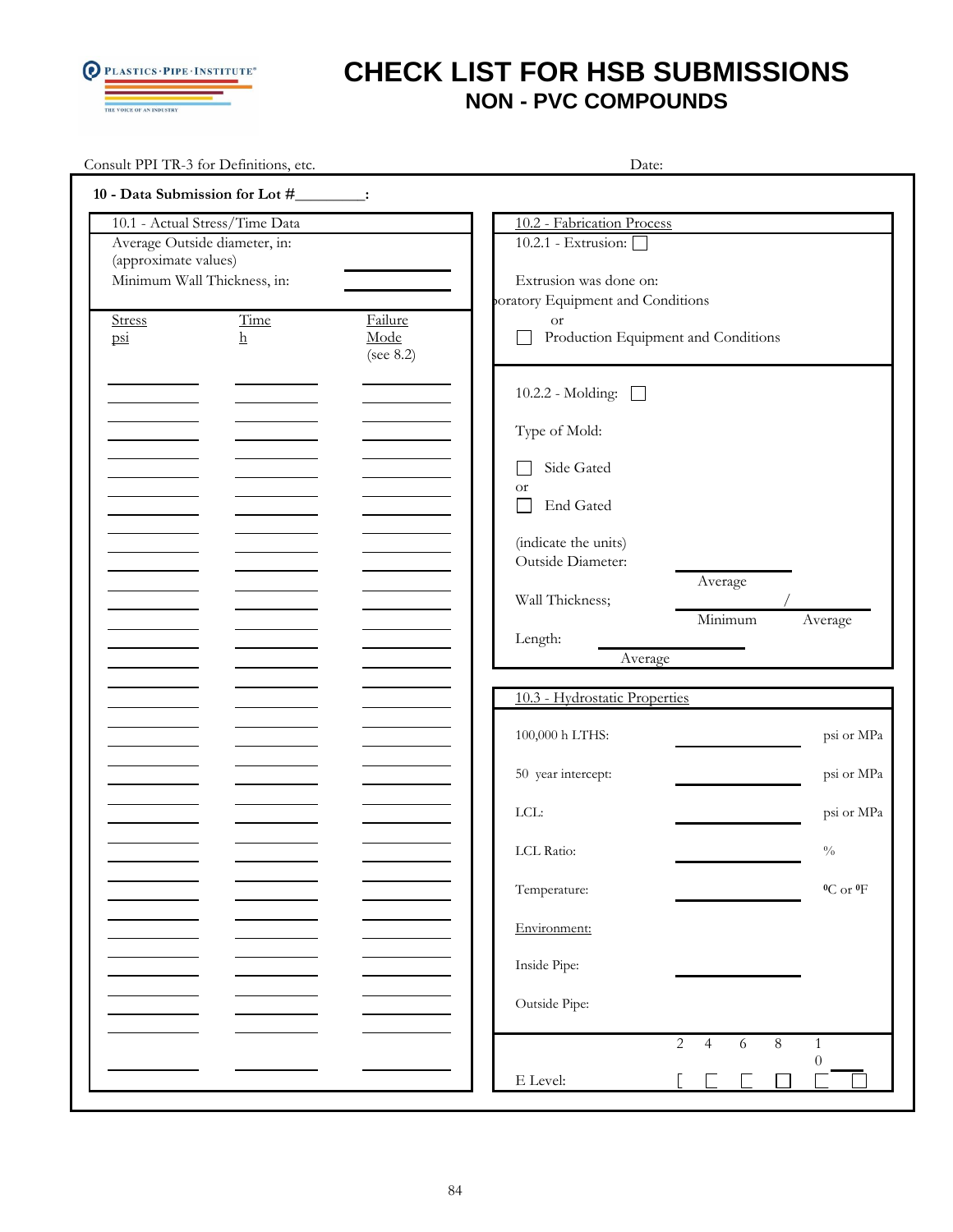

|                                   | Consult PPI TR-3 for Definitions, etc.                                                         |                                 | Date:                                                                                                      |  |  |
|-----------------------------------|------------------------------------------------------------------------------------------------|---------------------------------|------------------------------------------------------------------------------------------------------------|--|--|
|                                   | 10 - Data Submission for Lot #________:                                                        |                                 |                                                                                                            |  |  |
| (approximate values)              | 10.1 - Actual Stress/Time Data<br>Average Outside diameter, in:<br>Minimum Wall Thickness, in: |                                 | 10.2 - Fabrication Process<br>10.2.1 - Extrusion:<br>Extrusion was done on:                                |  |  |
| Stress<br>$\overline{\text{psi}}$ | Time<br>$\rm h$                                                                                | Failure<br>Mode<br>(see $8.2$ ) | poratory Equipment and Conditions<br><b>or</b><br>Production Equipment and Conditions                      |  |  |
|                                   |                                                                                                |                                 | 10.2.2 - Molding:<br>Type of Mold:<br>Side Gated                                                           |  |  |
|                                   |                                                                                                |                                 | <b>or</b><br>End Gated<br>(indicate the units)<br>Outside Diameter:                                        |  |  |
|                                   |                                                                                                |                                 | Average<br>Wall Thickness;<br>Minimum<br>Average<br>Length:<br>Average                                     |  |  |
|                                   |                                                                                                |                                 | 10.3 - Hydrostatic Properties                                                                              |  |  |
|                                   |                                                                                                |                                 | 100,000 h LTHS:<br>psi or MPa                                                                              |  |  |
|                                   |                                                                                                |                                 | 50 year intercept:<br>psi or MPa<br>LCL:<br>psi or MPa                                                     |  |  |
|                                   |                                                                                                |                                 | LCL Ratio:<br>$\frac{0}{0}$                                                                                |  |  |
|                                   |                                                                                                |                                 | $0C$ or $0F$<br>Temperature:                                                                               |  |  |
|                                   |                                                                                                |                                 | Environment:<br>Inside Pipe:                                                                               |  |  |
|                                   |                                                                                                |                                 | Outside Pipe:                                                                                              |  |  |
|                                   |                                                                                                |                                 | $\overline{2}$<br>$\, 8$<br>$\overline{4}$<br>$6\,$<br>$\mathbf{1}$<br>0<br>$\mathop{\hbox{\rm E}}$ Level: |  |  |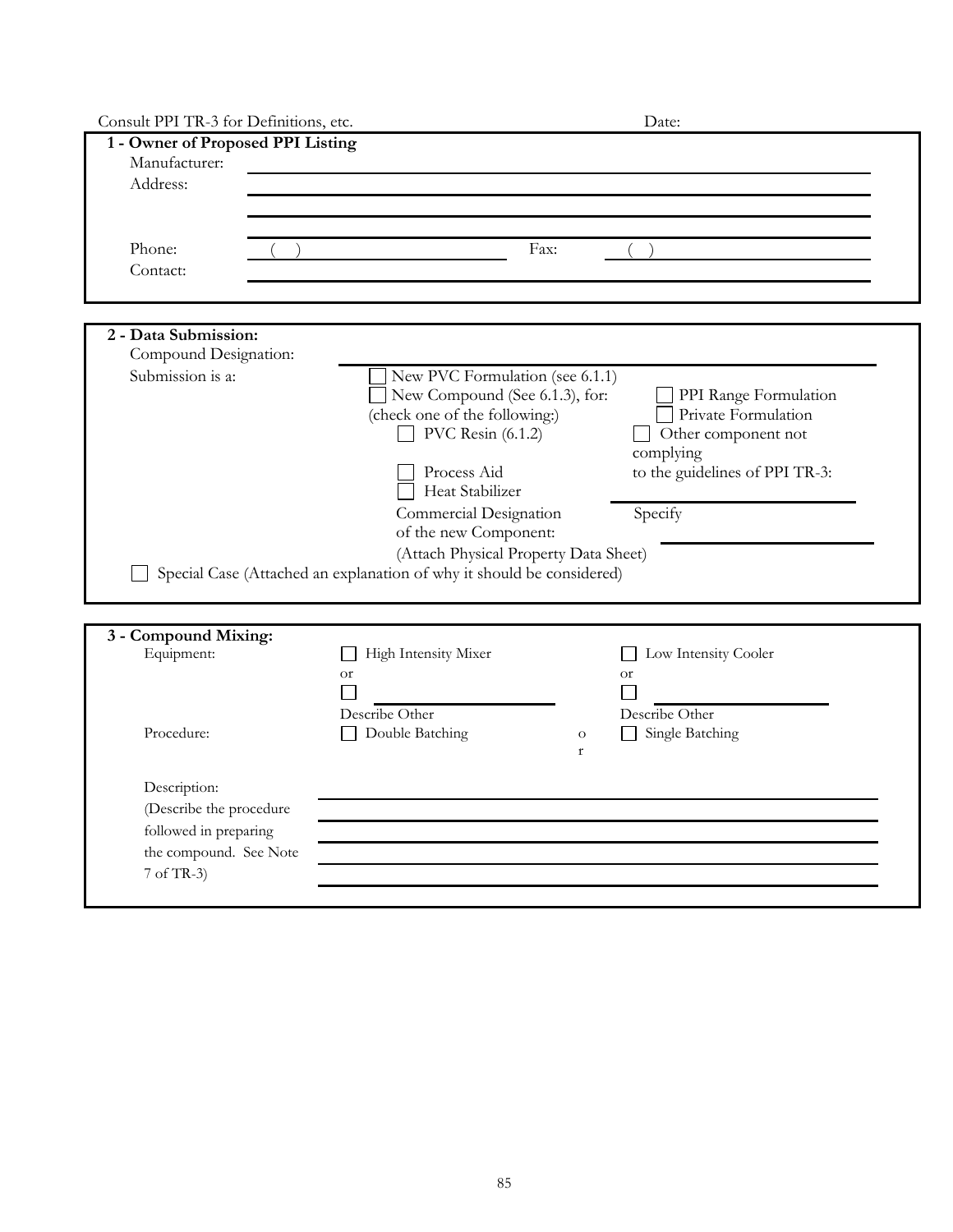| Consult PPI TR-3 for Definitions, etc.                                   |                                                                                                                                                                                                                                                                                                                                  | Date:                                                                                                                         |
|--------------------------------------------------------------------------|----------------------------------------------------------------------------------------------------------------------------------------------------------------------------------------------------------------------------------------------------------------------------------------------------------------------------------|-------------------------------------------------------------------------------------------------------------------------------|
| 1 - Owner of Proposed PPI Listing<br>Manufacturer:<br>Address:<br>Phone: | Fax:                                                                                                                                                                                                                                                                                                                             |                                                                                                                               |
| Contact:                                                                 |                                                                                                                                                                                                                                                                                                                                  |                                                                                                                               |
|                                                                          |                                                                                                                                                                                                                                                                                                                                  |                                                                                                                               |
| 2 - Data Submission:<br>Compound Designation:                            |                                                                                                                                                                                                                                                                                                                                  |                                                                                                                               |
| Submission is a:                                                         | New PVC Formulation (see 6.1.1)<br>New Compound (See 6.1.3), for:<br>(check one of the following:)<br>PVC Resin $(6.1.2)$<br>Process Aid<br>Heat Stabilizer<br>Commercial Designation<br>of the new Component:<br>(Attach Physical Property Data Sheet)<br>Special Case (Attached an explanation of why it should be considered) | PPI Range Formulation<br>Private Formulation<br>Other component not<br>complying<br>to the guidelines of PPI TR-3:<br>Specify |
| 3 - Compound Mixing:                                                     |                                                                                                                                                                                                                                                                                                                                  |                                                                                                                               |
| Equipment:                                                               | High Intensity Mixer<br><b>or</b><br>Describe Other                                                                                                                                                                                                                                                                              | Low Intensity Cooler<br><b>or</b><br>Describe Other                                                                           |
| Procedure:                                                               | Double Batching                                                                                                                                                                                                                                                                                                                  | Single Batching<br>$\mathcal O$<br>$\mathbf r$                                                                                |
| Description:                                                             |                                                                                                                                                                                                                                                                                                                                  |                                                                                                                               |
| (Describe the procedure                                                  |                                                                                                                                                                                                                                                                                                                                  |                                                                                                                               |
| followed in preparing                                                    |                                                                                                                                                                                                                                                                                                                                  |                                                                                                                               |
| the compound. See Note                                                   |                                                                                                                                                                                                                                                                                                                                  |                                                                                                                               |
| 7 of TR-3)                                                               |                                                                                                                                                                                                                                                                                                                                  |                                                                                                                               |
|                                                                          |                                                                                                                                                                                                                                                                                                                                  |                                                                                                                               |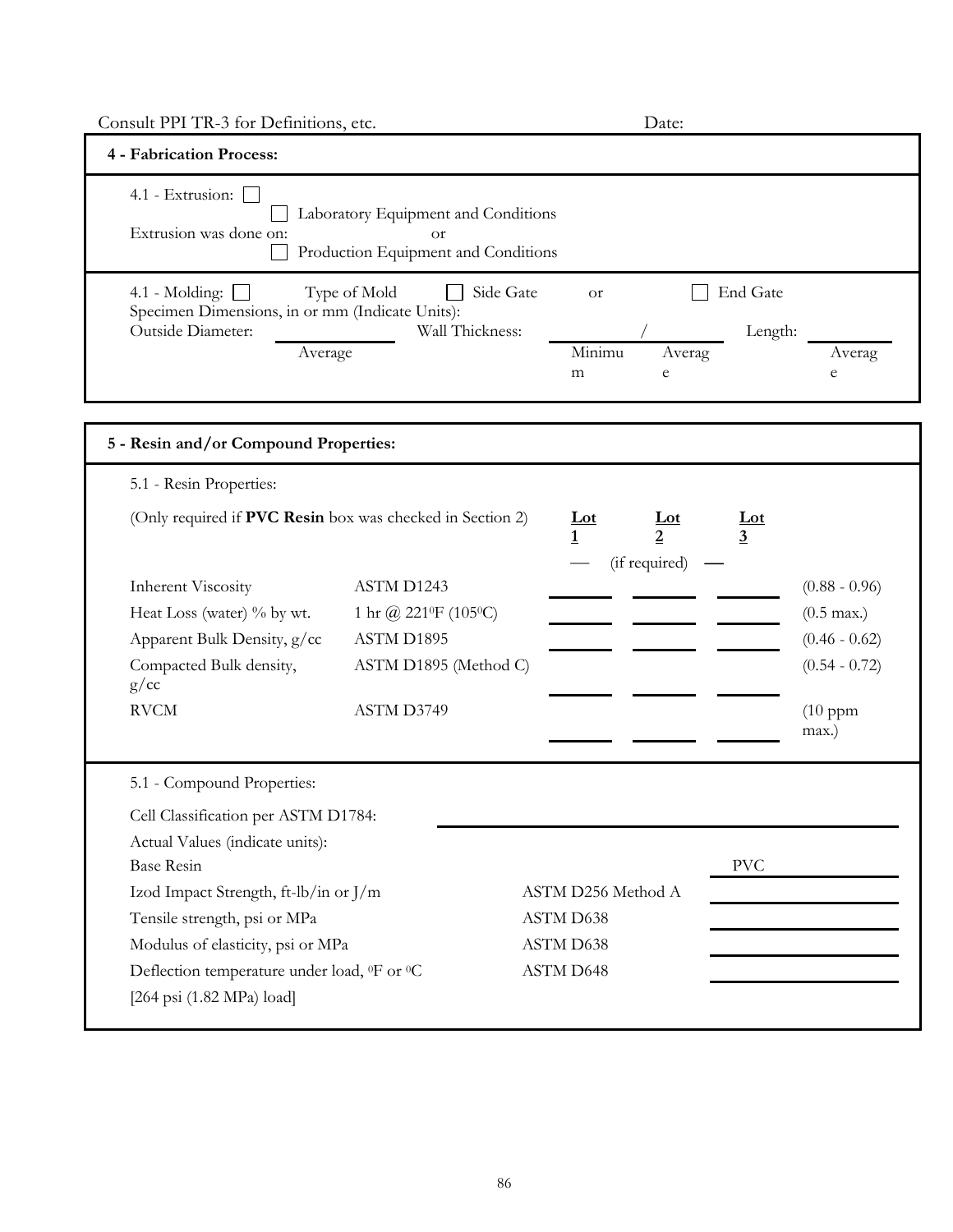| Consult PPI TR-3 for Definitions, etc.                                   |                                                                                  |                    | Date:                           |                 |                       |
|--------------------------------------------------------------------------|----------------------------------------------------------------------------------|--------------------|---------------------------------|-----------------|-----------------------|
| 4 - Fabrication Process:                                                 |                                                                                  |                    |                                 |                 |                       |
| 4.1 - Extrusion:<br>Extrusion was done on:                               | Laboratory Equipment and Conditions<br>0r<br>Production Equipment and Conditions |                    |                                 |                 |                       |
| 4.1 - Molding: $\Box$<br>Specimen Dimensions, in or mm (Indicate Units): | Type of Mold<br>Side Gate                                                        | <b>or</b>          |                                 | End Gate        |                       |
| Outside Diameter:                                                        | Wall Thickness:                                                                  |                    |                                 | Length:         |                       |
| Average                                                                  |                                                                                  | Minimu<br>m        | Averag<br>e                     |                 | Averag<br>$\mathbf e$ |
| 5 - Resin and/or Compound Properties:                                    |                                                                                  |                    |                                 |                 |                       |
| 5.1 - Resin Properties:                                                  |                                                                                  |                    |                                 |                 |                       |
| (Only required if PVC Resin box was checked in Section 2)                |                                                                                  | $Let$<br>1         | $\underline{\mathbf{Lot}}$<br>2 | <u>Lot</u><br>3 |                       |
|                                                                          |                                                                                  |                    | (if required)                   |                 |                       |
| <b>Inherent Viscosity</b>                                                | ASTM D1243                                                                       |                    |                                 |                 | $(0.88 - 0.96)$       |
| Heat Loss (water) % by wt.                                               | 1 hr @ 221 F (105 °C)                                                            |                    |                                 |                 | $(0.5 \text{ max.})$  |
| Apparent Bulk Density, g/cc                                              | ASTM D1895                                                                       |                    |                                 |                 | $(0.46 - 0.62)$       |
| Compacted Bulk density,<br>g/cc                                          | ASTM D1895 (Method C)                                                            |                    |                                 |                 | $(0.54 - 0.72)$       |
| <b>RVCM</b>                                                              | ASTM D3749                                                                       |                    |                                 |                 | $(10$ ppm<br>max.)    |
| 5.1 - Compound Properties:                                               |                                                                                  |                    |                                 |                 |                       |
| Cell Classification per ASTM D1784:                                      |                                                                                  |                    |                                 |                 |                       |
| Actual Values (indicate units):                                          |                                                                                  |                    |                                 |                 |                       |
| <b>Base Resin</b>                                                        |                                                                                  |                    |                                 | <b>PVC</b>      |                       |
| Izod Impact Strength, ft-lb/in or J/m                                    |                                                                                  | ASTM D256 Method A |                                 |                 |                       |
| Tensile strength, psi or MPa                                             |                                                                                  | ASTM D638          |                                 |                 |                       |
| Modulus of elasticity, psi or MPa                                        |                                                                                  | ASTM D638          |                                 |                 |                       |
| Deflection temperature under load, <sup>0</sup> F or <sup>0</sup> C      |                                                                                  | ASTM D648          |                                 |                 |                       |
| $[264 \text{ psi} (1.82 \text{ MPa}) \text{ load}]$                      |                                                                                  |                    |                                 |                 |                       |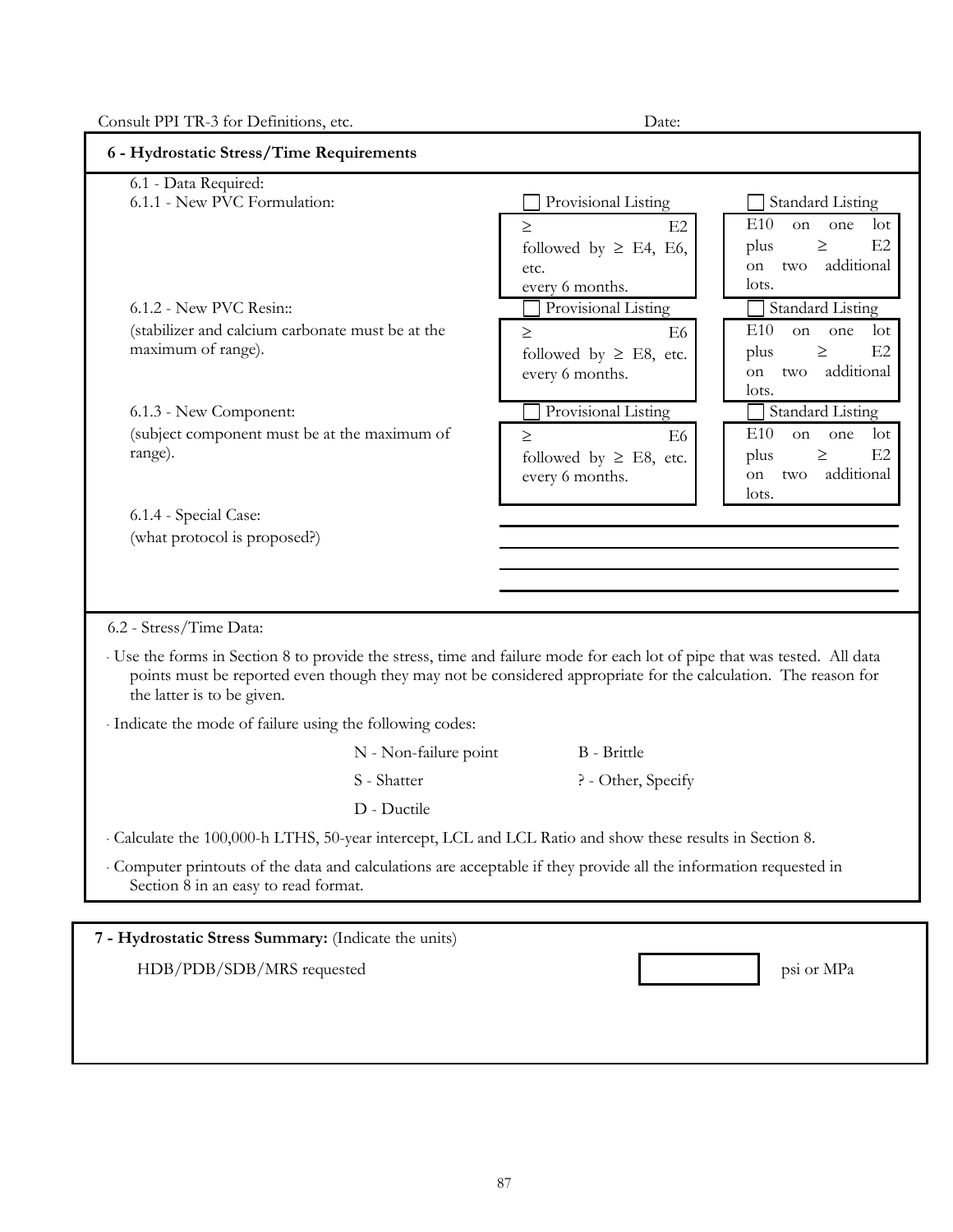Consult PPI TR-3 for Definitions, etc. Date:

| 6.1 - Data Required:<br>6.1.1 - New PVC Formulation:                                                                       |                                                                                                                        | Provisional Listing         | <b>Standard Listing</b>            |
|----------------------------------------------------------------------------------------------------------------------------|------------------------------------------------------------------------------------------------------------------------|-----------------------------|------------------------------------|
|                                                                                                                            |                                                                                                                        | E2<br>$\geq$                | E10<br>$_{\rm lot}$<br>on<br>one   |
|                                                                                                                            |                                                                                                                        | followed by $\geq$ E4, E6,  | E2<br>plus<br>$\geq$               |
|                                                                                                                            |                                                                                                                        | etc.                        | additional<br>on.<br>two           |
|                                                                                                                            |                                                                                                                        | every 6 months.             | lots.                              |
| $6.1.2$ - New PVC Resin::                                                                                                  |                                                                                                                        | Provisional Listing         | <b>Standard Listing</b>            |
| (stabilizer and calcium carbonate must be at the                                                                           |                                                                                                                        | E <sub>6</sub><br>$\geq$    | E10<br>one<br>on<br>$_{\rm lot}$   |
| maximum of range).                                                                                                         |                                                                                                                        | followed by $\geq$ E8, etc. | E2<br>plus<br>$\geq$<br>additional |
|                                                                                                                            |                                                                                                                        | every 6 months.             | two<br>on<br>lots.                 |
| 6.1.3 - New Component:                                                                                                     |                                                                                                                        | Provisional Listing         | <b>Standard Listing</b>            |
| (subject component must be at the maximum of                                                                               |                                                                                                                        | E6<br>$\geq$                | E10<br>$_{\rm lot}$<br>on<br>one   |
| range).                                                                                                                    |                                                                                                                        | followed by $\geq$ E8, etc. | E2<br>$\geq$<br>plus               |
|                                                                                                                            |                                                                                                                        | every 6 months.             | additional<br>on<br>two            |
|                                                                                                                            |                                                                                                                        |                             | lots.                              |
| 6.1.4 - Special Case:<br>(what protocol is proposed?)                                                                      |                                                                                                                        |                             |                                    |
|                                                                                                                            |                                                                                                                        |                             |                                    |
|                                                                                                                            |                                                                                                                        |                             |                                    |
|                                                                                                                            |                                                                                                                        |                             |                                    |
|                                                                                                                            |                                                                                                                        |                             |                                    |
|                                                                                                                            |                                                                                                                        |                             |                                    |
|                                                                                                                            | Use the forms in Section 8 to provide the stress, time and failure mode for each lot of pipe that was tested. All data |                             |                                    |
| the latter is to be given.                                                                                                 | points must be reported even though they may not be considered appropriate for the calculation. The reason for         |                             |                                    |
|                                                                                                                            |                                                                                                                        |                             |                                    |
|                                                                                                                            | N - Non-failure point                                                                                                  | B - Brittle                 |                                    |
|                                                                                                                            | S - Shatter                                                                                                            | ? - Other, Specify          |                                    |
|                                                                                                                            | D - Ductile                                                                                                            |                             |                                    |
|                                                                                                                            | Calculate the 100,000-h LTHS, 50-year intercept, LCL and LCL Ratio and show these results in Section 8.                |                             |                                    |
|                                                                                                                            |                                                                                                                        |                             |                                    |
| 6.2 - Stress/Time Data:<br>Indicate the mode of failure using the following codes:<br>Section 8 in an easy to read format. | Computer printouts of the data and calculations are acceptable if they provide all the information requested in        |                             |                                    |
|                                                                                                                            |                                                                                                                        |                             |                                    |
|                                                                                                                            |                                                                                                                        |                             |                                    |
| 7 - Hydrostatic Stress Summary: (Indicate the units)                                                                       |                                                                                                                        |                             |                                    |
| HDB/PDB/SDB/MRS requested                                                                                                  |                                                                                                                        |                             | psi or MPa                         |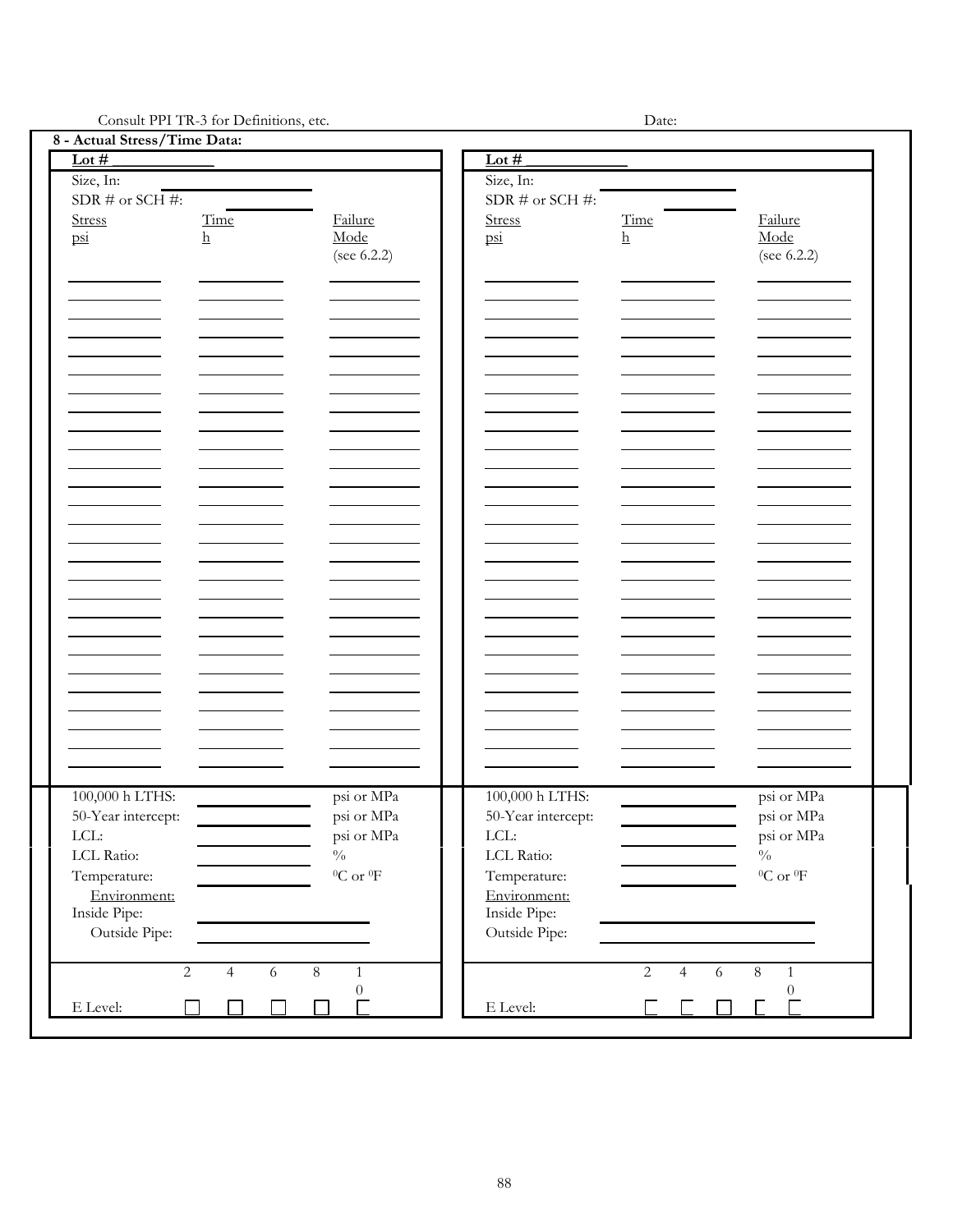Consult PPI TR-3 for Definitions, etc. Date:

| 8 - Actual Stress/Time Data:                                                                |                                       |                                                                                                |                                                                                                |                                                |                                                                                               |
|---------------------------------------------------------------------------------------------|---------------------------------------|------------------------------------------------------------------------------------------------|------------------------------------------------------------------------------------------------|------------------------------------------------|-----------------------------------------------------------------------------------------------|
| Lot $#$                                                                                     |                                       |                                                                                                | Lot $#$                                                                                        |                                                |                                                                                               |
| Size, In:                                                                                   |                                       |                                                                                                | Size, In:                                                                                      |                                                |                                                                                               |
| SDR # or SCH #:                                                                             |                                       |                                                                                                | SDR $\#$ or SCH $\#$ :                                                                         |                                                |                                                                                               |
| Stress<br>$\overline{psi}$                                                                  | Time<br>$\underline{\mathbf{h}}$      | Failure<br>Mode<br>(see 6.2.2)                                                                 | <b>Stress</b><br>$\overline{psi}$                                                              | Time<br>$\underline{h}$                        | Failure<br>Mode<br>(see 6.2.2)                                                                |
|                                                                                             |                                       |                                                                                                |                                                                                                |                                                |                                                                                               |
|                                                                                             |                                       |                                                                                                |                                                                                                |                                                |                                                                                               |
|                                                                                             |                                       |                                                                                                |                                                                                                |                                                |                                                                                               |
|                                                                                             |                                       |                                                                                                |                                                                                                |                                                |                                                                                               |
|                                                                                             |                                       |                                                                                                |                                                                                                |                                                |                                                                                               |
|                                                                                             |                                       |                                                                                                |                                                                                                |                                                |                                                                                               |
|                                                                                             |                                       |                                                                                                |                                                                                                |                                                |                                                                                               |
|                                                                                             |                                       |                                                                                                |                                                                                                |                                                |                                                                                               |
| 100,000 h LTHS:<br>50-Year intercept:<br>LCL:<br>LCL Ratio:<br>Temperature:<br>Environment: |                                       | psi or MPa<br>psi or MPa<br>psi or MPa<br>$\sqrt[0]{_{0}}$<br>$^0\mathrm{C}$ or $^0\mathrm{F}$ | 100,000 h LTHS:<br>50-Year intercept:<br>$LCL$ :<br>LCL Ratio:<br>Temperature:<br>Environment: |                                                | psi or MPa<br>psi or MPa<br>psi or MPa<br>$\sqrt[0]{\!0}$<br>$^0\mathrm{C}$ or $^0\mathrm{F}$ |
| Inside Pipe:<br>Outside Pipe:                                                               | $\overline{2}$<br>$\overline{4}$<br>6 | $\overline{8}$<br>$\mathbf{1}$                                                                 | Inside Pipe:<br>Outside Pipe:                                                                  | $\overline{2}$<br>$\sqrt{6}$<br>$\overline{4}$ | $\overline{8}$<br>$\mathbf{1}$                                                                |
| $\mathop{\hbox{\rm E}}$ Level:                                                              |                                       | $\boldsymbol{0}$                                                                               | $\mathop{\hbox{\rm E}}$ Level:                                                                 |                                                | $\theta$                                                                                      |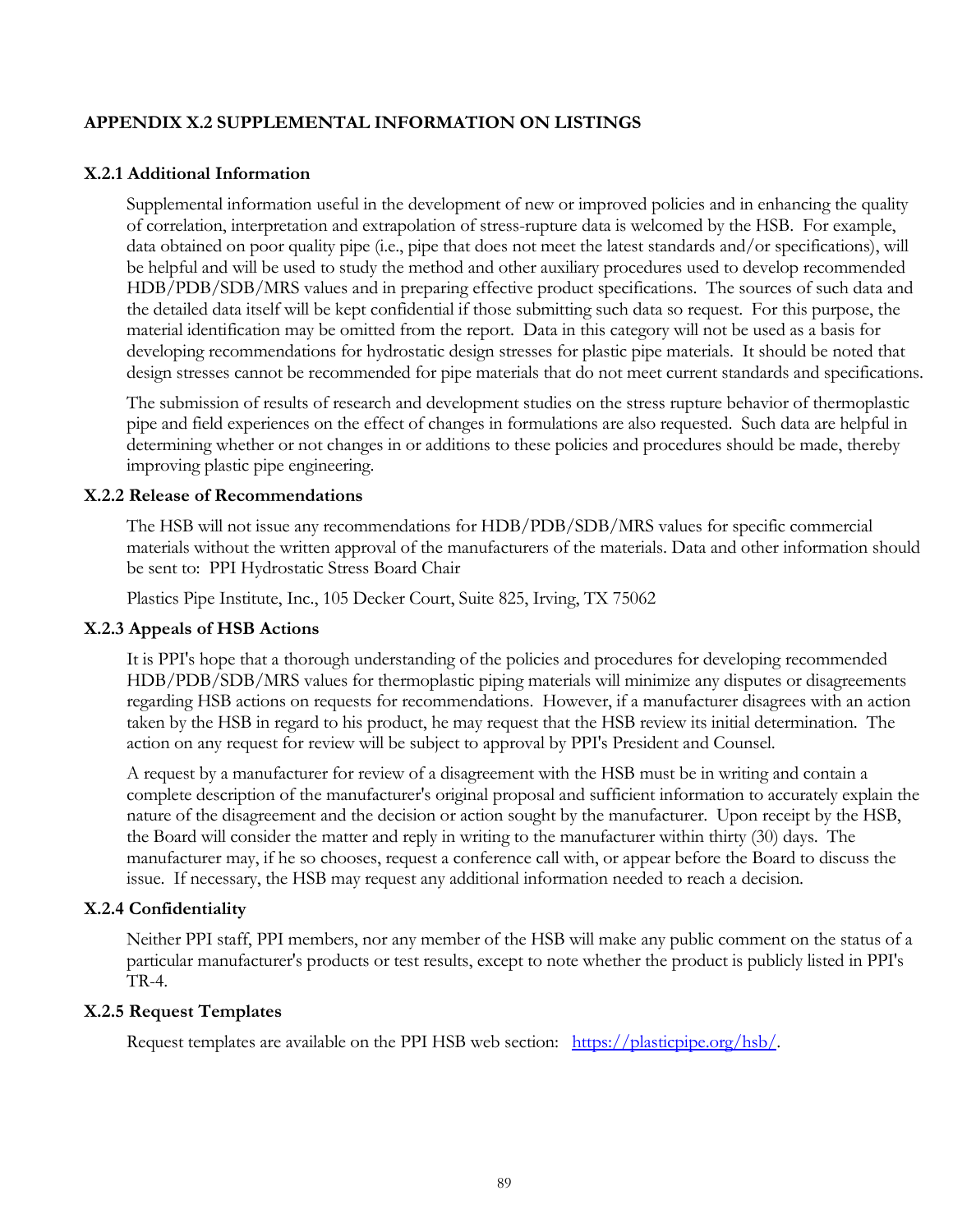### **APPENDIX X.2 SUPPLEMENTAL INFORMATION ON LISTINGS**

### **X.2.1 Additional Information**

Supplemental information useful in the development of new or improved policies and in enhancing the quality of correlation, interpretation and extrapolation of stress-rupture data is welcomed by the HSB. For example, data obtained on poor quality pipe (i.e., pipe that does not meet the latest standards and/or specifications), will be helpful and will be used to study the method and other auxiliary procedures used to develop recommended HDB/PDB/SDB/MRS values and in preparing effective product specifications. The sources of such data and the detailed data itself will be kept confidential if those submitting such data so request. For this purpose, the material identification may be omitted from the report. Data in this category will not be used as a basis for developing recommendations for hydrostatic design stresses for plastic pipe materials. It should be noted that design stresses cannot be recommended for pipe materials that do not meet current standards and specifications.

The submission of results of research and development studies on the stress rupture behavior of thermoplastic pipe and field experiences on the effect of changes in formulations are also requested. Such data are helpful in determining whether or not changes in or additions to these policies and procedures should be made, thereby improving plastic pipe engineering.

### **X.2.2 Release of Recommendations**

The HSB will not issue any recommendations for HDB/PDB/SDB/MRS values for specific commercial materials without the written approval of the manufacturers of the materials. Data and other information should be sent to: PPI Hydrostatic Stress Board Chair

Plastics Pipe Institute, Inc., 105 Decker Court, Suite 825, Irving, TX 75062

### **X.2.3 Appeals of HSB Actions**

It is PPI's hope that a thorough understanding of the policies and procedures for developing recommended HDB/PDB/SDB/MRS values for thermoplastic piping materials will minimize any disputes or disagreements regarding HSB actions on requests for recommendations. However, if a manufacturer disagrees with an action taken by the HSB in regard to his product, he may request that the HSB review its initial determination. The action on any request for review will be subject to approval by PPI's President and Counsel.

A request by a manufacturer for review of a disagreement with the HSB must be in writing and contain a complete description of the manufacturer's original proposal and sufficient information to accurately explain the nature of the disagreement and the decision or action sought by the manufacturer. Upon receipt by the HSB, the Board will consider the matter and reply in writing to the manufacturer within thirty (30) days. The manufacturer may, if he so chooses, request a conference call with, or appear before the Board to discuss the issue. If necessary, the HSB may request any additional information needed to reach a decision.

### **X.2.4 Confidentiality**

Neither PPI staff, PPI members, nor any member of the HSB will make any public comment on the status of a particular manufacturer's products or test results, except to note whether the product is publicly listed in PPI's TR-4.

#### **X.2.5 Request Templates**

Request templates are available on the PPI HSB web section: [https://plasticpipe.org/hsb/.](https://plasticpipe.org/hsb/)